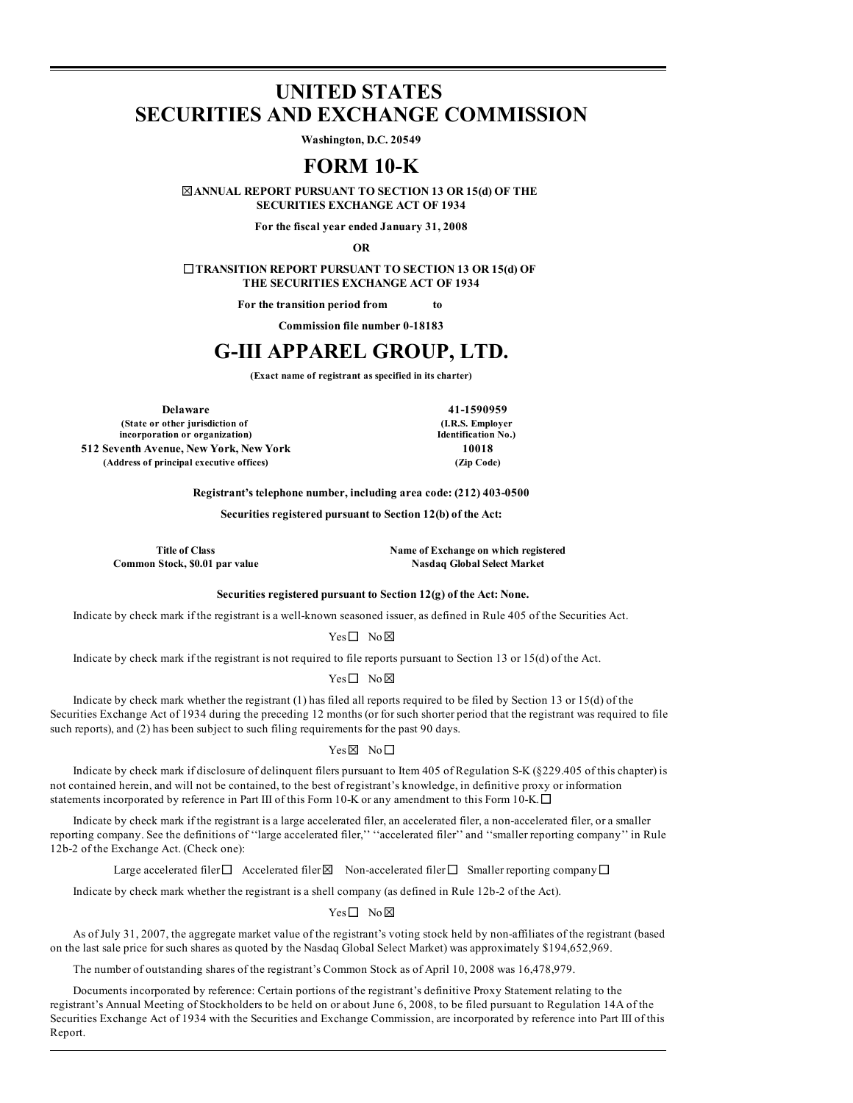# **UNITED STATES SECURITIES AND EXCHANGE COMMISSION**

**Washington, D.C. 20549**

# **FORM 10-K**

**ANNUAL REPORT PURSUANT TO SECTION 13 OR 15(d) OF THE SECURITIES EXCHANGE ACT OF 1934**

**For the fiscal year ended January 31, 2008**

**OR**

**TRANSITION REPORT PURSUANT TO SECTION 13 OR 15(d) OF THE SECURITIES EXCHANGE ACT OF 1934**

**For the transition period from to**

**Commission file number 0-18183**

# **G-III APPAREL GROUP, LTD.**

**(Exact name of registrant as specified in its charter)**

**Delaware 41-1590959 (State or other jurisdiction of incorporation or organization) 512 Seventh Avenue, New York, New York 10018 (Address of principal executive offices) (Zip Code)**

**(I.R.S. Employer Identification No.)**

**Registrant's telephone number, including area code: (212) 403-0500**

**Securities registered pursuant to Section 12(b) of the Act:**

**Title of Class Name of Exchange on which registered Common Stock, \$0.01 par value Nasdaq Global Select Market**

# **Securities registered pursuant to Section 12(g) of the Act: None.**

Indicate by check mark if the registrant is a well-known seasoned issuer, as defined in Rule 405 of the Securities Act.

# $Yes \Box No \boxtimes$

Indicate by check mark if the registrant is not required to file reports pursuant to Section 13 or 15(d) of the Act.

 $Yes \Box No \boxtimes$ 

Indicate by check mark whether the registrant (1) has filed all reports required to be filed by Section 13 or 15(d) of the Securities Exchange Act of 1934 during the preceding 12 months (or for such shorter period that the registrant was required to file such reports), and (2) has been subject to such filing requirements for the past 90 days.

## $Yes \boxtimes No \square$

Indicate by check mark if disclosure of delinquent filers pursuant to Item 405 of Regulation S-K (§229.405 of this chapter) is not contained herein, and will not be contained, to the best of registrant's knowledge, in definitive proxy or information statements incorporated by reference in Part III of this Form 10-K or any amendment to this Form 10-K.  $\Box$ 

Indicate by check mark if the registrant is a large accelerated filer, an accelerated filer, a non-accelerated filer, or a smaller reporting company. See the definitions of ''large accelerated filer,'' ''accelerated filer'' and ''smaller reporting company'' in Rule 12b-2 of the Exchange Act. (Check one):

Large accelerated filer  $\Box$  Accelerated filer  $\boxtimes$  Non-accelerated filer  $\Box$  Smaller reporting company  $\Box$ 

Indicate by check mark whether the registrant is a shell company (as defined in Rule 12b-2 of the Act).

 $Yes \Box No \boxtimes$ 

As of July 31, 2007, the aggregate market value of the registrant's voting stock held by non-affiliates of the registrant (based on the last sale price for such shares as quoted by the Nasdaq Global Select Market) was approximately \$194,652,969.

The number of outstanding shares of the registrant's Common Stock as of April 10, 2008 was 16,478,979.

Documents incorporated by reference: Certain portions of the registrant's definitive Proxy Statement relating to the registrant's Annual Meeting of Stockholders to be held on or about June 6, 2008, to be filed pursuant to Regulation 14A of the Securities Exchange Act of 1934 with the Securities and Exchange Commission, are incorporated by reference into Part III of this Report.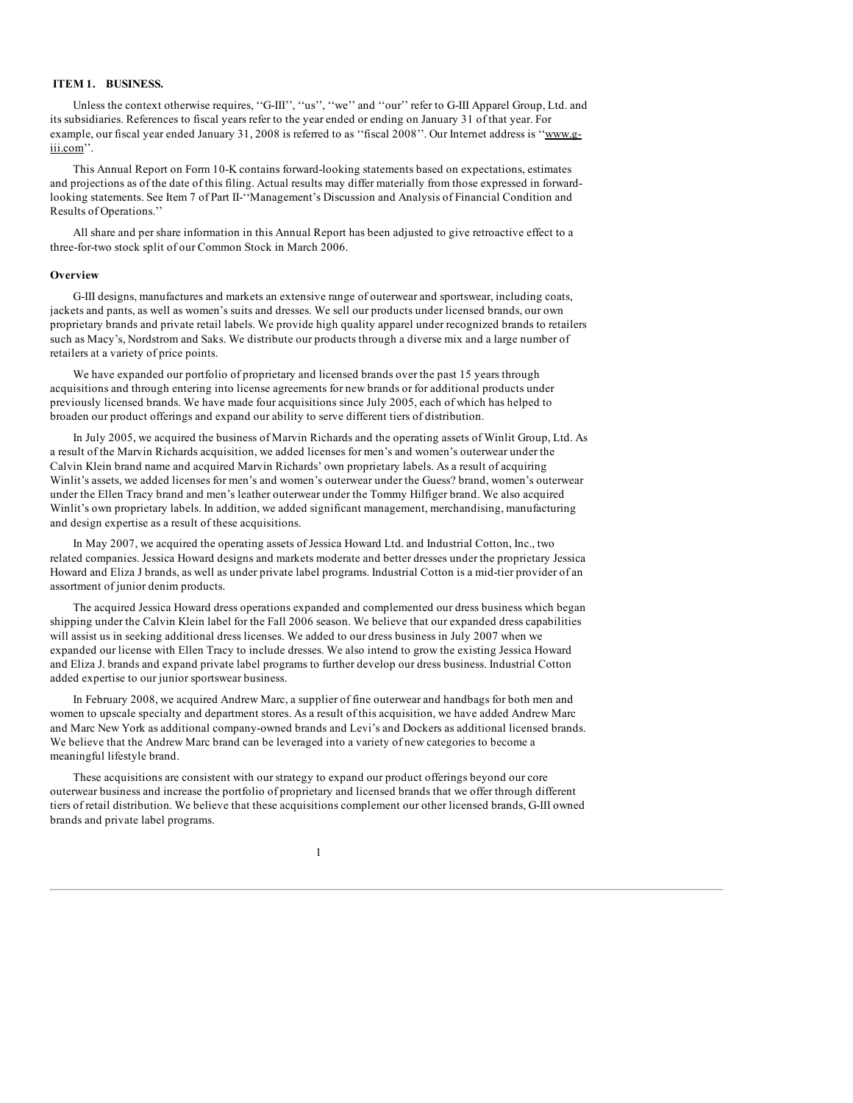# **ITEM 1. BUSINESS.**

Unless the context otherwise requires, ''G-III'', ''us'', ''we'' and ''our'' refer to G-III Apparel Group, Ltd. and its subsidiaries. References to fiscal years refer to the year ended or ending on January 31 of that year. For example, our fiscal year ended January 31, 2008 is referred to as "fiscal 2008". Our Internet address is "www.giii.com''.

This Annual Report on Form 10-K contains forward-looking statements based on expectations, estimates and projections as of the date of this filing. Actual results may differ materially from those expressed in forwardlooking statements. See Item 7 of Part II-''Management's Discussion and Analysis of Financial Condition and Results of Operations.''

All share and per share information in this Annual Report has been adjusted to give retroactive effect to a three-for-two stock split of our Common Stock in March 2006.

## **Overview**

G-III designs, manufactures and markets an extensive range of outerwear and sportswear, including coats, jackets and pants, as well as women's suits and dresses. We sell our products under licensed brands, our own proprietary brands and private retail labels. We provide high quality apparel under recognized brands to retailers such as Macy's, Nordstrom and Saks. We distribute our products through a diverse mix and a large number of retailers at a variety of price points.

We have expanded our portfolio of proprietary and licensed brands over the past 15 years through acquisitions and through entering into license agreements for new brands or for additional products under previously licensed brands. We have made four acquisitions since July 2005, each of which has helped to broaden our product offerings and expand our ability to serve different tiers of distribution.

In July 2005, we acquired the business of Marvin Richards and the operating assets of Winlit Group, Ltd. As a result of the Marvin Richards acquisition, we added licenses for men's and women's outerwear under the Calvin Klein brand name and acquired Marvin Richards' own proprietary labels. As a result of acquiring Winlit's assets, we added licenses for men's and women's outerwear under the Guess? brand, women's outerwear under the Ellen Tracy brand and men's leather outerwear under the Tommy Hilfiger brand. We also acquired Winlit's own proprietary labels. In addition, we added significant management, merchandising, manufacturing and design expertise as a result of these acquisitions.

In May 2007, we acquired the operating assets of Jessica Howard Ltd. and Industrial Cotton, Inc., two related companies. Jessica Howard designs and markets moderate and better dresses under the proprietary Jessica Howard and Eliza J brands, as well as under private label programs. Industrial Cotton is a mid-tier provider of an assortment of junior denim products.

The acquired Jessica Howard dress operations expanded and complemented our dress business which began shipping under the Calvin Klein label for the Fall 2006 season. We believe that our expanded dress capabilities will assist us in seeking additional dress licenses. We added to our dress business in July 2007 when we expanded our license with Ellen Tracy to include dresses. We also intend to grow the existing Jessica Howard and Eliza J. brands and expand private label programs to further develop our dress business. Industrial Cotton added expertise to our junior sportswear business.

In February 2008, we acquired Andrew Marc, a supplier of fine outerwear and handbags for both men and women to upscale specialty and department stores. As a result of this acquisition, we have added Andrew Marc and Marc New York as additional company-owned brands and Levi's and Dockers as additional licensed brands. We believe that the Andrew Marc brand can be leveraged into a variety of new categories to become a meaningful lifestyle brand.

These acquisitions are consistent with our strategy to expand our product offerings beyond our core outerwear business and increase the portfolio of proprietary and licensed brands that we offer through different tiers of retail distribution. We believe that these acquisitions complement our other licensed brands, G-III owned brands and private label programs.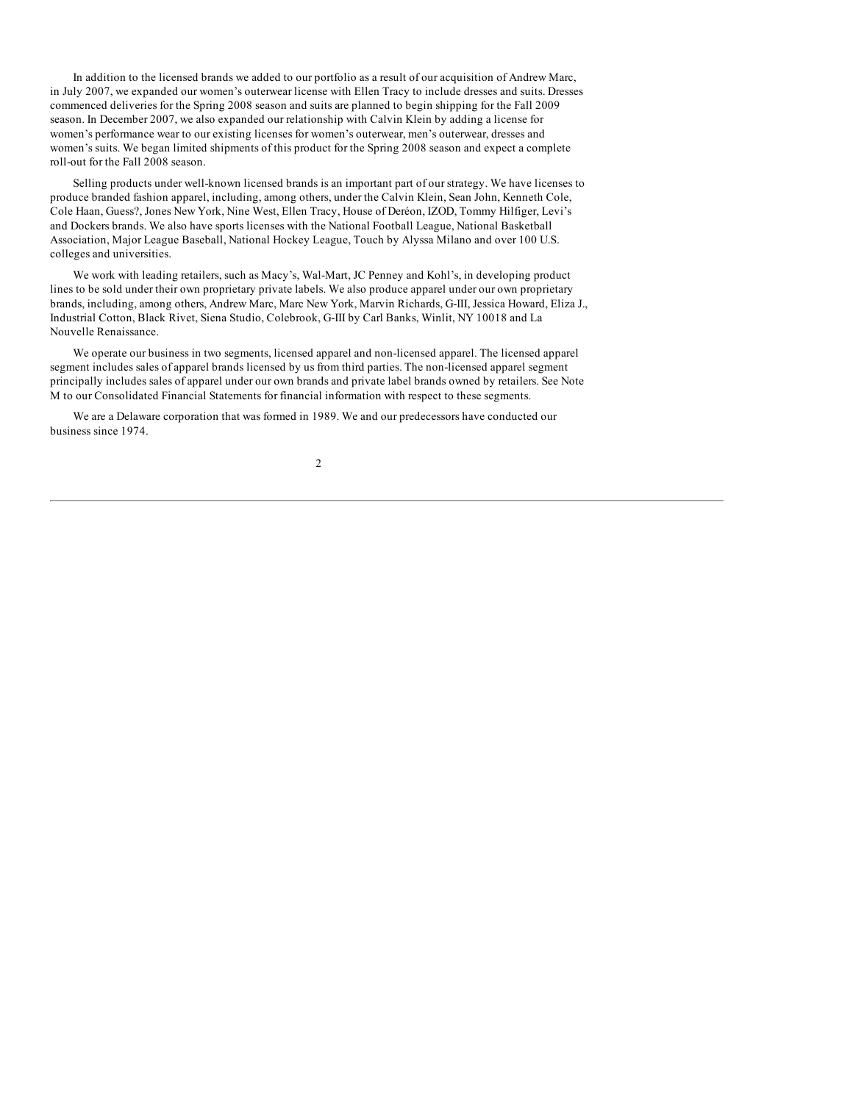In addition to the licensed brands we added to our portfolio as a result of our acquisition of Andrew Marc, in July 2007, we expanded our women's outerwear license with Ellen Tracy to include dresses and suits. Dresses commenced deliveries for the Spring 2008 season and suits are planned to begin shipping for the Fall 2009 season. In December 2007, we also expanded our relationship with Calvin Klein by adding a license for women's performance wear to our existing licenses for women's outerwear, men's outerwear, dresses and women's suits. We began limited shipments of this product for the Spring 2008 season and expect a complete roll-out for the Fall 2008 season.

Selling products under well-known licensed brands is an important part of our strategy. We have licenses to produce branded fashion apparel, including, among others, under the Calvin Klein, Sean John, Kenneth Cole, Cole Haan, Guess?, Jones New York, Nine West, Ellen Tracy, House of Deréon, IZOD, Tommy Hilfiger, Levi's and Dockers brands. We also have sports licenses with the National Football League, National Basketball Association, Major League Baseball, National Hockey League, Touch by Alyssa Milano and over 100 U.S. colleges and universities.

We work with leading retailers, such as Macy's, Wal-Mart, JC Penney and Kohl's, in developing product lines to be sold under their own proprietary private labels. We also produce apparel under our own proprietary brands, including, among others, Andrew Marc, Marc New York, Marvin Richards, G-III, Jessica Howard, Eliza J., Industrial Cotton, Black Rivet, Siena Studio, Colebrook, G-III by Carl Banks, Winlit, NY 10018 and La Nouvelle Renaissance.

We operate our business in two segments, licensed apparel and non-licensed apparel. The licensed apparel segment includes sales of apparel brands licensed by us from third parties. The non-licensed apparel segment principally includes sales of apparel under our own brands and private label brands owned by retailers. See Note M to our Consolidated Financial Statements for financial information with respect to these segments.

We are a Delaware corporation that was formed in 1989. We and our predecessors have conducted our business since 1974.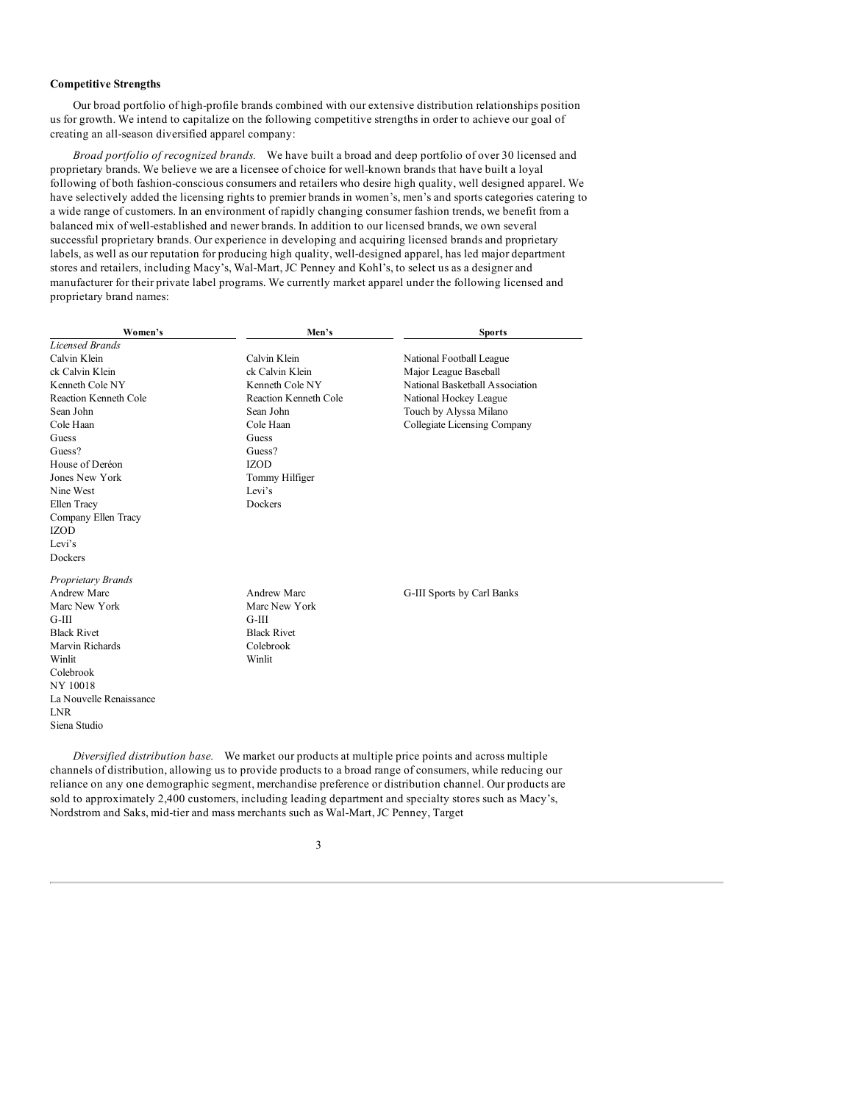## **Competitive Strengths**

Our broad portfolio of high-profile brands combined with our extensive distribution relationships position us for growth. We intend to capitalize on the following competitive strengths in order to achieve our goal of creating an all-season diversified apparel company:

*Broad portfolio of recognized brands.* We have built a broad and deep portfolio of over 30 licensed and proprietary brands. We believe we are a licensee of choice for well-known brands that have built a loyal following of both fashion-conscious consumers and retailers who desire high quality, well designed apparel. We have selectively added the licensing rights to premier brands in women's, men's and sports categories catering to a wide range of customers. In an environment of rapidly changing consumer fashion trends, we benefit from a balanced mix of well-established and newer brands. In addition to our licensed brands, we own several successful proprietary brands. Our experience in developing and acquiring licensed brands and proprietary labels, as well as our reputation for producing high quality, well-designed apparel, has led major department stores and retailers, including Macy's, Wal-Mart, JC Penney and Kohl's, to select us as a designer and manufacturer for their private label programs. We currently market apparel under the following licensed and proprietary brand names:

| Women's                 | Men's                        | <b>Sports</b>                                                                                      |
|-------------------------|------------------------------|----------------------------------------------------------------------------------------------------|
| <b>Licensed Brands</b>  |                              |                                                                                                    |
| Calvin Klein            | Calvin Klein                 | National Football League                                                                           |
| ck Calvin Klein         | ck Calvin Klein              | Major League Baseball                                                                              |
| Kenneth Cole NY         | Kenneth Cole NY              | National Basketball Association                                                                    |
| Reaction Kenneth Cole   | <b>Reaction Kenneth Cole</b> | National Hockey League                                                                             |
| Sean John               | Sean John                    | Touch by Alyssa Milano                                                                             |
| Cole Haan               | Cole Haan                    | Collegiate Licensing Company                                                                       |
| Guess                   | Guess                        |                                                                                                    |
| Guess?                  | Guess?                       |                                                                                                    |
| House of Deréon         | <b>IZOD</b>                  |                                                                                                    |
| Jones New York          | Tommy Hilfiger               |                                                                                                    |
| Nine West               | Levi's                       |                                                                                                    |
| Ellen Tracy             | Dockers                      |                                                                                                    |
| Company Ellen Tracy     |                              |                                                                                                    |
| <b>IZOD</b>             |                              |                                                                                                    |
| Levi's                  |                              |                                                                                                    |
| <b>Dockers</b>          |                              |                                                                                                    |
| Proprietary Brands      |                              |                                                                                                    |
| Andrew Marc             | Andrew Marc                  | G-III Sports by Carl Banks                                                                         |
| Marc New York           | Marc New York                |                                                                                                    |
| $G-III$                 | $G-III$                      |                                                                                                    |
| <b>Black Rivet</b>      | <b>Black Rivet</b>           |                                                                                                    |
| Marvin Richards         | Colebrook                    |                                                                                                    |
| Winlit                  | Winlit                       |                                                                                                    |
| Colebrook               |                              |                                                                                                    |
| NY 10018                |                              |                                                                                                    |
| La Nouvelle Renaissance |                              |                                                                                                    |
| <b>LNR</b>              |                              |                                                                                                    |
| Siena Studio            |                              |                                                                                                    |
|                         |                              | Diversified distribution base. We market our products at multiple price points and across multiple |

channels of distribution, allowing us to provide products to a broad range of consumers, while reducing our reliance on any one demographic segment, merchandise preference or distribution channel. Our products are sold to approximately 2,400 customers, including leading department and specialty stores such as Macy's, Nordstrom and Saks, mid-tier and mass merchants such as Wal-Mart, JC Penney, Target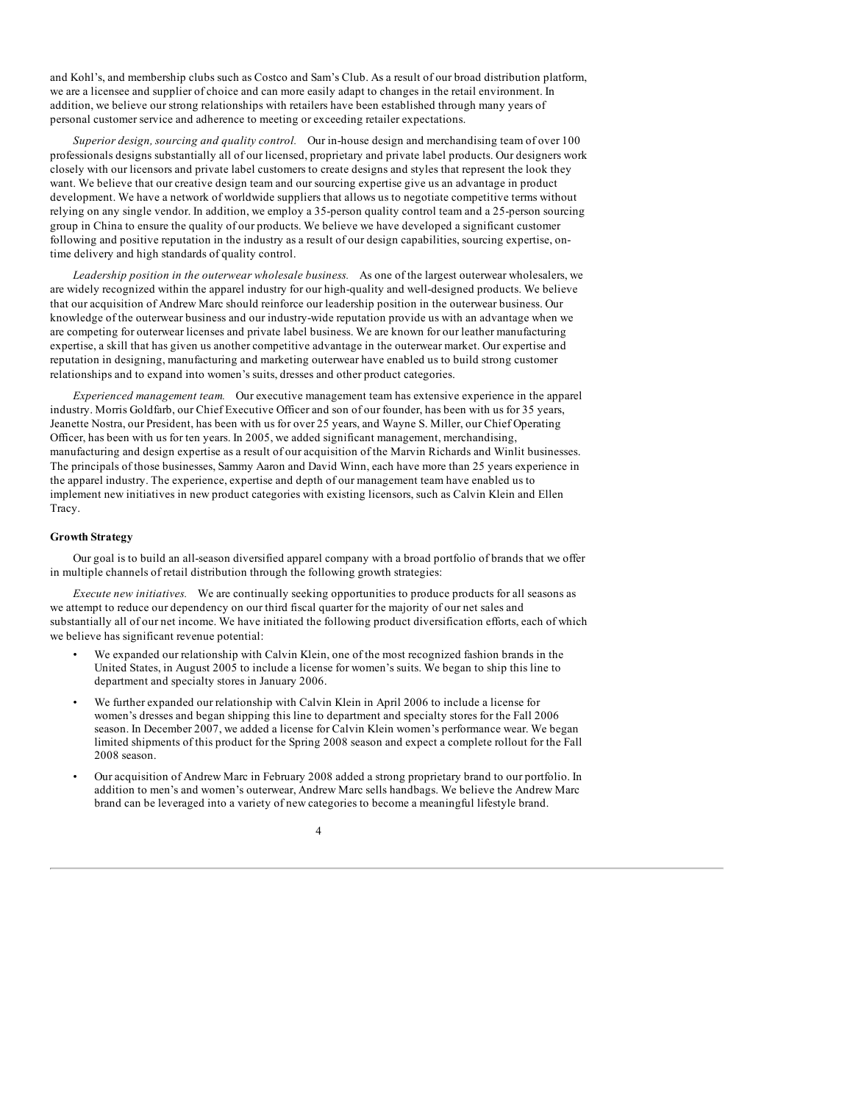and Kohl's, and membership clubs such as Costco and Sam's Club. As a result of our broad distribution platform, we are a licensee and supplier of choice and can more easily adapt to changes in the retail environment. In addition, we believe our strong relationships with retailers have been established through many years of personal customer service and adherence to meeting or exceeding retailer expectations.

*Superior design, sourcing and quality control.* Our in-house design and merchandising team of over 100 professionals designs substantially all of our licensed, proprietary and private label products. Our designers work closely with our licensors and private label customers to create designs and styles that represent the look they want. We believe that our creative design team and our sourcing expertise give us an advantage in product development. We have a network of worldwide suppliers that allows us to negotiate competitive terms without relying on any single vendor. In addition, we employ a 35-person quality control team and a 25-person sourcing group in China to ensure the quality of our products. We believe we have developed a significant customer following and positive reputation in the industry as a result of our design capabilities, sourcing expertise, ontime delivery and high standards of quality control.

*Leadership position in the outerwear wholesale business.* As one of the largest outerwear wholesalers, we are widely recognized within the apparel industry for our high-quality and well-designed products. We believe that our acquisition of Andrew Marc should reinforce our leadership position in the outerwear business. Our knowledge of the outerwear business and our industry-wide reputation provide us with an advantage when we are competing for outerwear licenses and private label business. We are known for our leather manufacturing expertise, a skill that has given us another competitive advantage in the outerwear market. Our expertise and reputation in designing, manufacturing and marketing outerwear have enabled us to build strong customer relationships and to expand into women's suits, dresses and other product categories.

*Experienced management team.* Our executive management team has extensive experience in the apparel industry. Morris Goldfarb, our Chief Executive Officer and son of our founder, has been with us for 35 years, Jeanette Nostra, our President, has been with us for over 25 years, and Wayne S. Miller, our Chief Operating Officer, has been with us for ten years. In 2005, we added significant management, merchandising, manufacturing and design expertise as a result of our acquisition of the Marvin Richards and Winlit businesses. The principals of those businesses, Sammy Aaron and David Winn, each have more than 25 years experience in the apparel industry. The experience, expertise and depth of our management team have enabled us to implement new initiatives in new product categories with existing licensors, such as Calvin Klein and Ellen Tracy.

# **Growth Strategy**

Our goal is to build an all-season diversified apparel company with a broad portfolio of brands that we offer in multiple channels of retail distribution through the following growth strategies:

*Execute new initiatives.* We are continually seeking opportunities to produce products for all seasons as we attempt to reduce our dependency on our third fiscal quarter for the majority of our net sales and substantially all of our net income. We have initiated the following product diversification efforts, each of which we believe has significant revenue potential:

- We expanded our relationship with Calvin Klein, one of the most recognized fashion brands in the United States, in August 2005 to include a license for women's suits. We began to ship this line to department and specialty stores in January 2006.
- We further expanded our relationship with Calvin Klein in April 2006 to include a license for women's dresses and began shipping this line to department and specialty stores for the Fall 2006 season. In December 2007, we added a license for Calvin Klein women's performance wear. We began limited shipments of this product for the Spring 2008 season and expect a complete rollout for the Fall 2008 season.
- Our acquisition of Andrew Marc in February 2008 added a strong proprietary brand to our portfolio. In addition to men's and women's outerwear, Andrew Marc sells handbags. We believe the Andrew Marc brand can be leveraged into a variety of new categories to become a meaningful lifestyle brand.

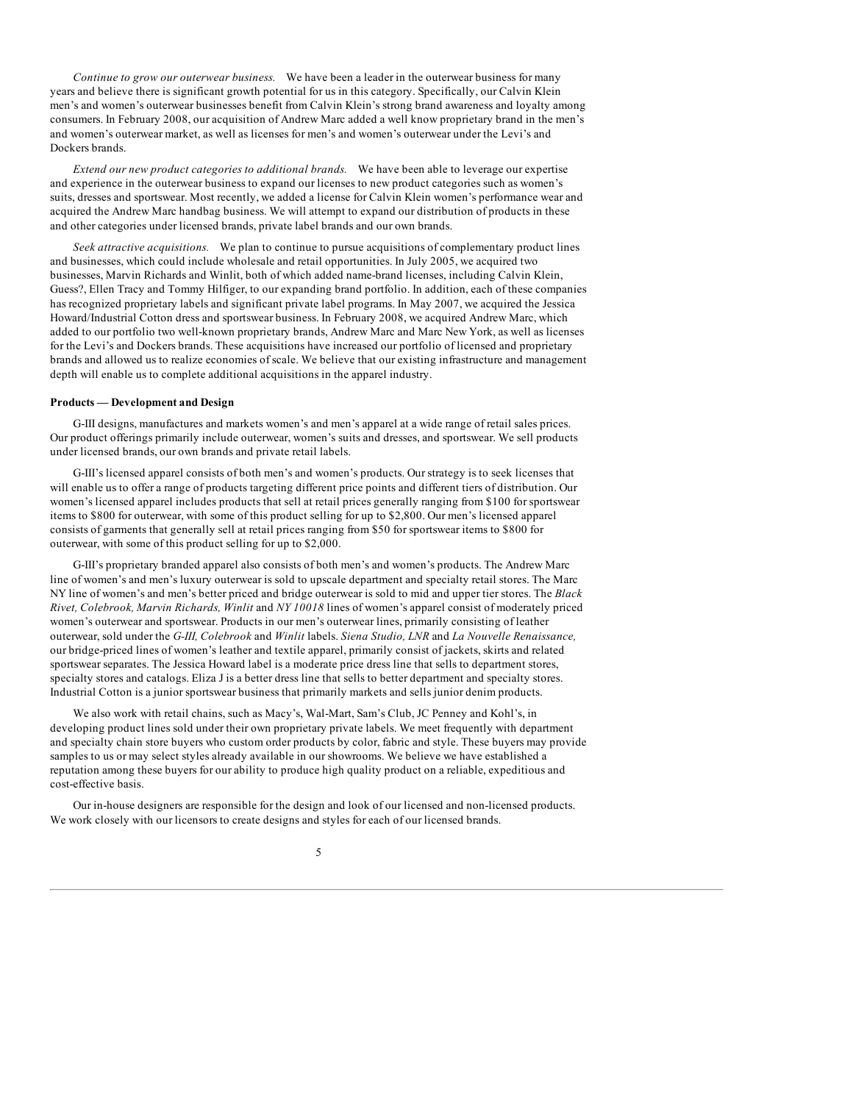*Continue to grow our outerwear business.* We have been a leader in the outerwear business for many years and believe there is significant growth potential for us in this category. Specifically, our Calvin Klein men's and women's outerwear businesses benefit from Calvin Klein's strong brand awareness and loyalty among consumers. In February 2008, our acquisition of Andrew Marc added a well know proprietary brand in the men's and women's outerwear market, as well as licenses for men's and women's outerwear under the Levi's and Dockers brands.

*Extend our new product categories to additional brands.* We have been able to leverage our expertise and experience in the outerwear business to expand our licenses to new product categories such as women's suits, dresses and sportswear. Most recently, we added a license for Calvin Klein women's performance wear and acquired the Andrew Marc handbag business. We will attempt to expand our distribution of products in these and other categories under licensed brands, private label brands and our own brands.

*Seek attractive acquisitions.* We plan to continue to pursue acquisitions of complementary product lines and businesses, which could include wholesale and retail opportunities. In July 2005, we acquired two businesses, Marvin Richards and Winlit, both of which added name-brand licenses, including Calvin Klein, Guess?, Ellen Tracy and Tommy Hilfiger, to our expanding brand portfolio. In addition, each of these companies has recognized proprietary labels and significant private label programs. In May 2007, we acquired the Jessica Howard/Industrial Cotton dress and sportswear business. In February 2008, we acquired Andrew Marc, which added to our portfolio two well-known proprietary brands, Andrew Marc and Marc New York, as well as licenses for the Levi's and Dockers brands. These acquisitions have increased our portfolio of licensed and proprietary brands and allowed us to realize economies of scale. We believe that our existing infrastructure and management depth will enable us to complete additional acquisitions in the apparel industry.

## **Products — Development and Design**

G-III designs, manufactures and markets women's and men's apparel at a wide range of retail sales prices. Our product offerings primarily include outerwear, women's suits and dresses, and sportswear. We sell products under licensed brands, our own brands and private retail labels.

G-III's licensed apparel consists of both men's and women's products. Our strategy is to seek licenses that will enable us to offer a range of products targeting different price points and different tiers of distribution. Our women's licensed apparel includes products that sell at retail prices generally ranging from \$100 for sportswear items to \$800 for outerwear, with some of this product selling for up to \$2,800. Our men's licensed apparel consists of garments that generally sell at retail prices ranging from \$50 for sportswear items to \$800 for outerwear, with some of this product selling for up to \$2,000.

G-III's proprietary branded apparel also consists of both men's and women's products. The Andrew Marc line of women's and men's luxury outerwear is sold to upscale department and specialty retail stores. The Marc NY line of women's and men's better priced and bridge outerwear is sold to mid and upper tier stores. The *Black Rivet, Colebrook, Marvin Richards, Winlit* and *NY 10018* lines of women's apparel consist of moderately priced women's outerwear and sportswear. Products in our men's outerwear lines, primarily consisting of leather outerwear, sold under the *G-III, Colebrook* and *Winlit* labels. *Siena Studio, LNR* and *La Nouvelle Renaissance,* our bridge-priced lines of women's leather and textile apparel, primarily consist of jackets, skirts and related sportswear separates. The Jessica Howard label is a moderate price dress line that sells to department stores, specialty stores and catalogs. Eliza J is a better dress line that sells to better department and specialty stores. Industrial Cotton is a junior sportswear business that primarily markets and sells junior denim products.

We also work with retail chains, such as Macy's, Wal-Mart, Sam's Club, JC Penney and Kohl's, in developing product lines sold under their own proprietary private labels. We meet frequently with department and specialty chain store buyers who custom order products by color, fabric and style. These buyers may provide samples to us or may select styles already available in our showrooms. We believe we have established a reputation among these buyers for our ability to produce high quality product on a reliable, expeditious and cost-effective basis.

Our in-house designers are responsible for the design and look of our licensed and non-licensed products. We work closely with our licensors to create designs and styles for each of our licensed brands.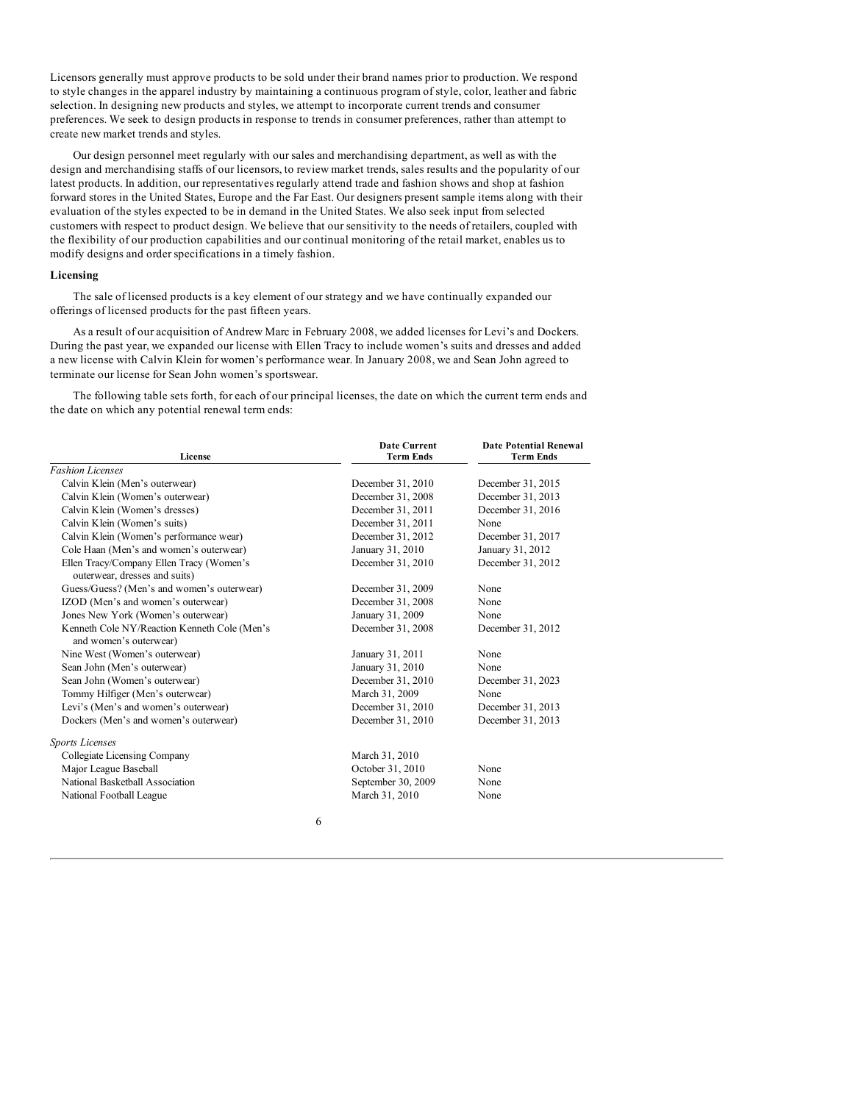Licensors generally must approve products to be sold under their brand names prior to production. We respond to style changes in the apparel industry by maintaining a continuous program of style, color, leather and fabric selection. In designing new products and styles, we attempt to incorporate current trends and consumer preferences. We seek to design products in response to trends in consumer preferences, rather than attempt to create new market trends and styles.

Our design personnel meet regularly with our sales and merchandising department, as well as with the design and merchandising staffs of our licensors, to review market trends, sales results and the popularity of our latest products. In addition, our representatives regularly attend trade and fashion shows and shop at fashion forward stores in the United States, Europe and the Far East. Our designers present sample items along with their evaluation of the styles expected to be in demand in the United States. We also seek input from selected customers with respect to product design. We believe that our sensitivity to the needs of retailers, coupled with the flexibility of our production capabilities and our continual monitoring of the retail market, enables us to modify designs and order specifications in a timely fashion.

# **Licensing**

The sale of licensed products is a key element of our strategy and we have continually expanded our offerings of licensed products for the past fifteen years.

As a result of our acquisition of Andrew Marc in February 2008, we added licenses for Levi's and Dockers. During the past year, we expanded our license with Ellen Tracy to include women's suits and dresses and added a new license with Calvin Klein for women's performance wear. In January 2008, we and Sean John agreed to terminate our license for Sean John women's sportswear.

The following table sets forth, for each of our principal licenses, the date on which the current term ends and the date on which any potential renewal term ends:

| License                                                                   | <b>Date Current</b><br><b>Term Ends</b> | <b>Date Potential Renewal</b><br><b>Term Ends</b> |  |  |
|---------------------------------------------------------------------------|-----------------------------------------|---------------------------------------------------|--|--|
| <b>Fashion Licenses</b>                                                   |                                         |                                                   |  |  |
| Calvin Klein (Men's outerwear)                                            | December 31, 2010                       | December 31, 2015                                 |  |  |
| Calvin Klein (Women's outerwear)                                          | December 31, 2008                       | December 31, 2013                                 |  |  |
| Calvin Klein (Women's dresses)                                            | December 31, 2011                       | December 31, 2016                                 |  |  |
| Calvin Klein (Women's suits)                                              | December 31, 2011                       | None                                              |  |  |
| Calvin Klein (Women's performance wear)                                   | December 31, 2012                       | December 31, 2017                                 |  |  |
| Cole Haan (Men's and women's outerwear)                                   | January 31, 2010                        | January 31, 2012                                  |  |  |
| Ellen Tracy/Company Ellen Tracy (Women's<br>outerwear, dresses and suits) | December 31, 2010                       | December 31, 2012                                 |  |  |
| Guess/Guess? (Men's and women's outerwear)                                | December 31, 2009                       | None                                              |  |  |
| IZOD (Men's and women's outerwear)                                        | December 31, 2008                       | None                                              |  |  |
| Jones New York (Women's outerwear)                                        | January 31, 2009                        | None                                              |  |  |
| Kenneth Cole NY/Reaction Kenneth Cole (Men's<br>and women's outerwear)    | December 31, 2008                       | December 31, 2012                                 |  |  |
| Nine West (Women's outerwear)                                             | January 31, 2011                        | None                                              |  |  |
| Sean John (Men's outerwear)                                               | January 31, 2010                        | None                                              |  |  |
| Sean John (Women's outerwear)                                             | December 31, 2010                       | December 31, 2023                                 |  |  |
| Tommy Hilfiger (Men's outerwear)                                          | March 31, 2009                          | None                                              |  |  |
| Levi's (Men's and women's outerwear)                                      | December 31, 2010                       | December 31, 2013                                 |  |  |
| Dockers (Men's and women's outerwear)                                     | December 31, 2010                       | December 31, 2013                                 |  |  |
| <b>Sports Licenses</b>                                                    |                                         |                                                   |  |  |
| Collegiate Licensing Company                                              | March 31, 2010                          |                                                   |  |  |
| Major League Baseball                                                     | October 31, 2010                        | None                                              |  |  |
| National Basketball Association                                           | September 30, 2009                      | None                                              |  |  |
| National Football League                                                  | March 31, 2010                          | None                                              |  |  |
|                                                                           | 6                                       |                                                   |  |  |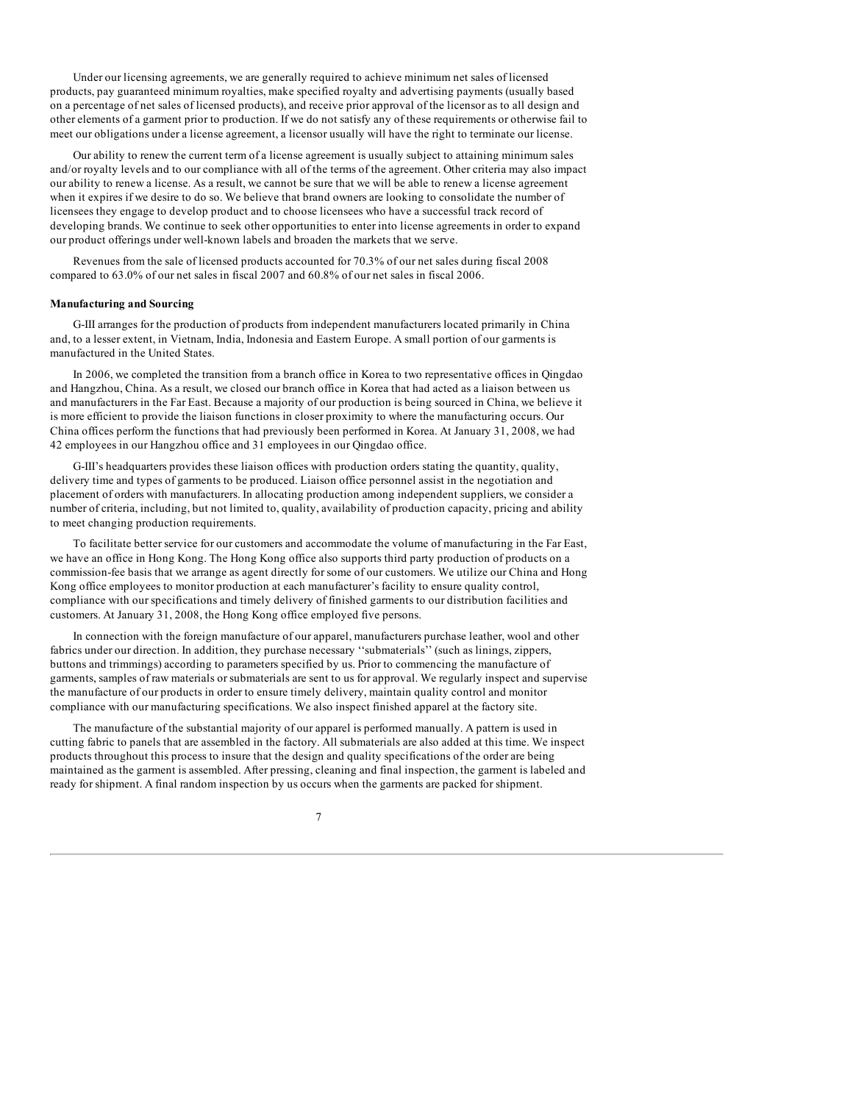Under our licensing agreements, we are generally required to achieve minimum net sales of licensed products, pay guaranteed minimum royalties, make specified royalty and advertising payments (usually based on a percentage of net sales of licensed products), and receive prior approval of the licensor as to all design and other elements of a garment prior to production. If we do not satisfy any of these requirements or otherwise fail to meet our obligations under a license agreement, a licensor usually will have the right to terminate our license.

Our ability to renew the current term of a license agreement is usually subject to attaining minimum sales and/or royalty levels and to our compliance with all of the terms of the agreement. Other criteria may also impact our ability to renew a license. As a result, we cannot be sure that we will be able to renew a license agreement when it expires if we desire to do so. We believe that brand owners are looking to consolidate the number of licensees they engage to develop product and to choose licensees who have a successful track record of developing brands. We continue to seek other opportunities to enter into license agreements in order to expand our product offerings under well-known labels and broaden the markets that we serve.

Revenues from the sale of licensed products accounted for 70.3% of our net sales during fiscal 2008 compared to 63.0% of our net sales in fiscal 2007 and 60.8% of our net sales in fiscal 2006.

# **Manufacturing and Sourcing**

G-III arranges for the production of products from independent manufacturers located primarily in China and, to a lesser extent, in Vietnam, India, Indonesia and Eastern Europe. A small portion of our garments is manufactured in the United States.

In 2006, we completed the transition from a branch office in Korea to two representative offices in Qingdao and Hangzhou, China. As a result, we closed our branch office in Korea that had acted as a liaison between us and manufacturers in the Far East. Because a majority of our production is being sourced in China, we believe it is more efficient to provide the liaison functions in closer proximity to where the manufacturing occurs. Our China offices perform the functions that had previously been performed in Korea. At January 31, 2008, we had 42 employees in our Hangzhou office and 31 employees in our Qingdao office.

G-III's headquarters provides these liaison offices with production orders stating the quantity, quality, delivery time and types of garments to be produced. Liaison office personnel assist in the negotiation and placement of orders with manufacturers. In allocating production among independent suppliers, we consider a number of criteria, including, but not limited to, quality, availability of production capacity, pricing and ability to meet changing production requirements.

To facilitate better service for our customers and accommodate the volume of manufacturing in the Far East, we have an office in Hong Kong. The Hong Kong office also supports third party production of products on a commission-fee basis that we arrange as agent directly for some of our customers. We utilize our China and Hong Kong office employees to monitor production at each manufacturer's facility to ensure quality control, compliance with our specifications and timely delivery of finished garments to our distribution facilities and customers. At January 31, 2008, the Hong Kong office employed five persons.

In connection with the foreign manufacture of our apparel, manufacturers purchase leather, wool and other fabrics under our direction. In addition, they purchase necessary ''submaterials'' (such as linings, zippers, buttons and trimmings) according to parameters specified by us. Prior to commencing the manufacture of garments, samples of raw materials or submaterials are sent to us for approval. We regularly inspect and supervise the manufacture of our products in order to ensure timely delivery, maintain quality control and monitor compliance with our manufacturing specifications. We also inspect finished apparel at the factory site.

The manufacture of the substantial majority of our apparel is performed manually. A pattern is used in cutting fabric to panels that are assembled in the factory. All submaterials are also added at this time. We inspect products throughout this process to insure that the design and quality specifications of the order are being maintained as the garment is assembled. After pressing, cleaning and final inspection, the garment is labeled and ready for shipment. A final random inspection by us occurs when the garments are packed for shipment.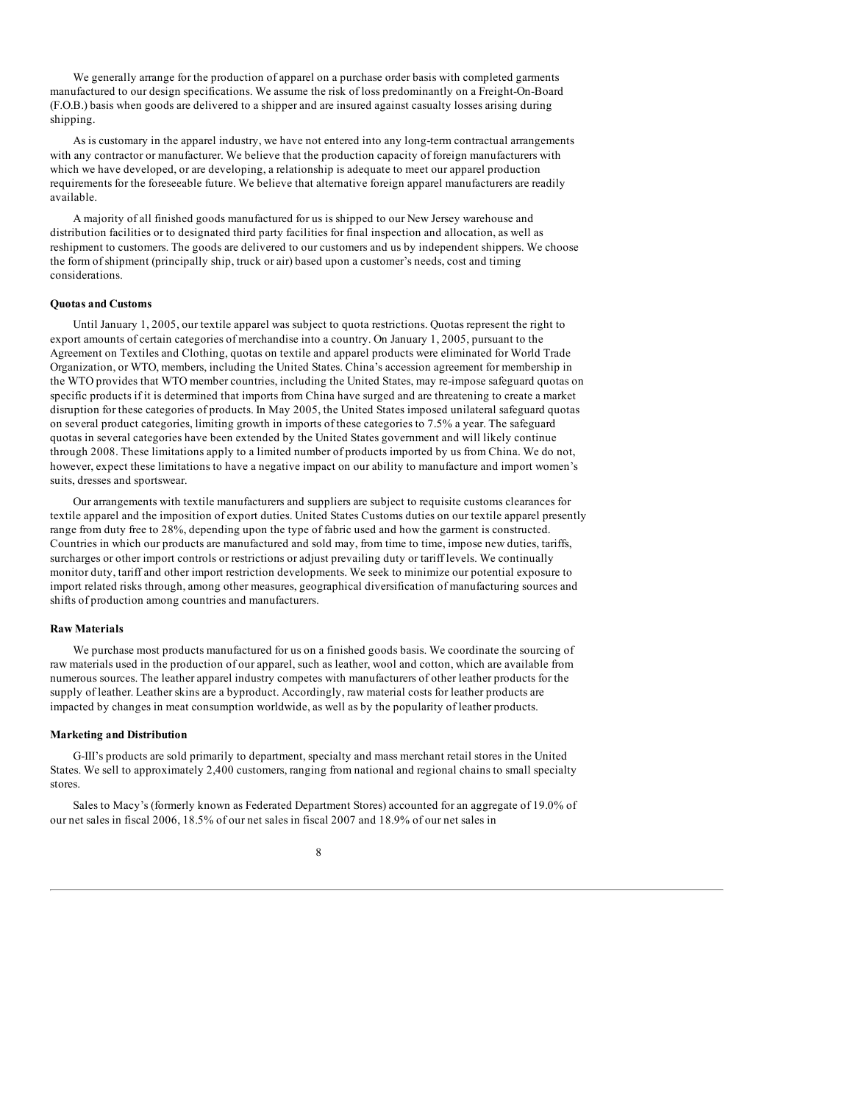We generally arrange for the production of apparel on a purchase order basis with completed garments manufactured to our design specifications. We assume the risk of loss predominantly on a Freight-On-Board (F.O.B.) basis when goods are delivered to a shipper and are insured against casualty losses arising during shipping.

As is customary in the apparel industry, we have not entered into any long-term contractual arrangements with any contractor or manufacturer. We believe that the production capacity of foreign manufacturers with which we have developed, or are developing, a relationship is adequate to meet our apparel production requirements for the foreseeable future. We believe that alternative foreign apparel manufacturers are readily available.

A majority of all finished goods manufactured for us is shipped to our New Jersey warehouse and distribution facilities or to designated third party facilities for final inspection and allocation, as well as reshipment to customers. The goods are delivered to our customers and us by independent shippers. We choose the form of shipment (principally ship, truck or air) based upon a customer's needs, cost and timing considerations.

#### **Quotas and Customs**

Until January 1, 2005, our textile apparel was subject to quota restrictions. Quotas represent the right to export amounts of certain categories of merchandise into a country. On January 1, 2005, pursuant to the Agreement on Textiles and Clothing, quotas on textile and apparel products were eliminated for World Trade Organization, or WTO, members, including the United States. China's accession agreement for membership in the WTO provides that WTO member countries, including the United States, may re-impose safeguard quotas on specific products if it is determined that imports from China have surged and are threatening to create a market disruption for these categories of products. In May 2005, the United States imposed unilateral safeguard quotas on several product categories, limiting growth in imports of these categories to 7.5% a year. The safeguard quotas in several categories have been extended by the United States government and will likely continue through 2008. These limitations apply to a limited number of products imported by us from China. We do not, however, expect these limitations to have a negative impact on our ability to manufacture and import women's suits, dresses and sportswear.

Our arrangements with textile manufacturers and suppliers are subject to requisite customs clearances for textile apparel and the imposition of export duties. United States Customs duties on our textile apparel presently range from duty free to 28%, depending upon the type of fabric used and how the garment is constructed. Countries in which our products are manufactured and sold may, from time to time, impose new duties, tariffs, surcharges or other import controls or restrictions or adjust prevailing duty or tariff levels. We continually monitor duty, tariff and other import restriction developments. We seek to minimize our potential exposure to import related risks through, among other measures, geographical diversification of manufacturing sources and shifts of production among countries and manufacturers.

# **Raw Materials**

We purchase most products manufactured for us on a finished goods basis. We coordinate the sourcing of raw materials used in the production of our apparel, such as leather, wool and cotton, which are available from numerous sources. The leather apparel industry competes with manufacturers of other leather products for the supply of leather. Leather skins are a byproduct. Accordingly, raw material costs for leather products are impacted by changes in meat consumption worldwide, as well as by the popularity of leather products.

#### **Marketing and Distribution**

G-III's products are sold primarily to department, specialty and mass merchant retail stores in the United States. We sell to approximately 2,400 customers, ranging from national and regional chains to small specialty stores.

Sales to Macy's (formerly known as Federated Department Stores) accounted for an aggregate of 19.0% of our net sales in fiscal 2006, 18.5% of our net sales in fiscal 2007 and 18.9% of our net sales in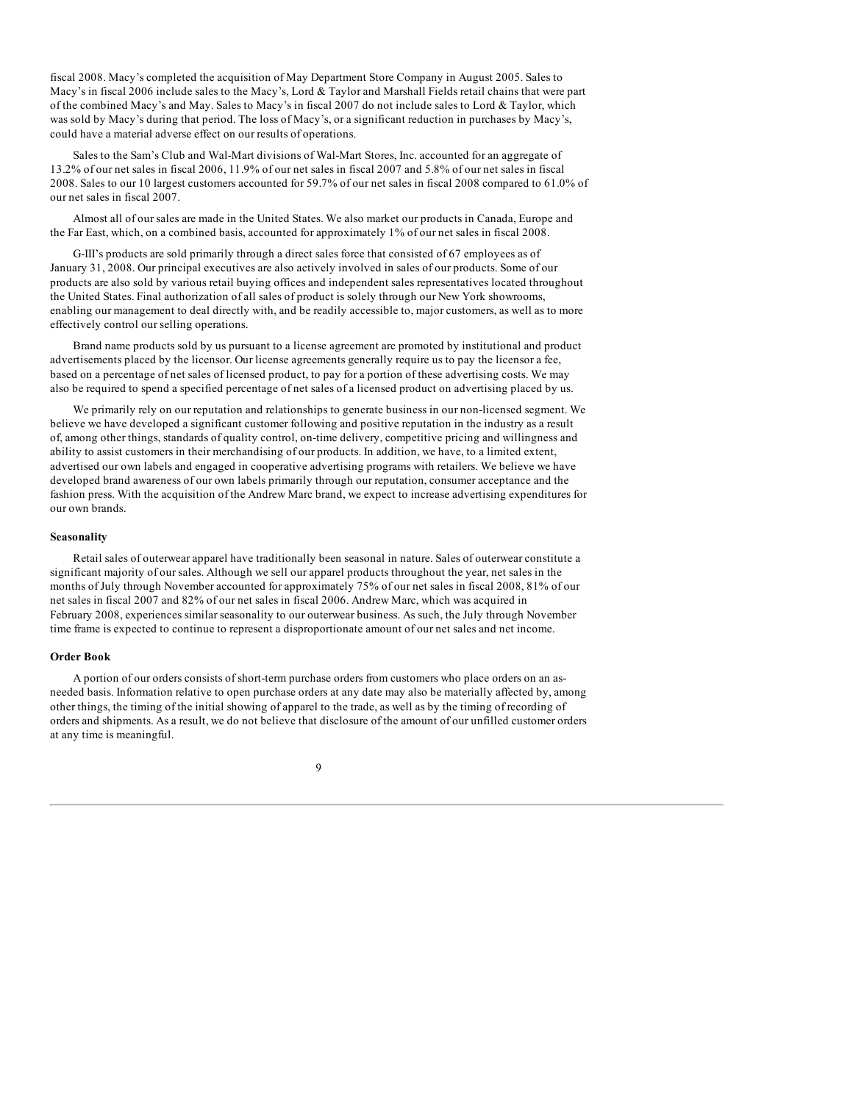fiscal 2008. Macy's completed the acquisition of May Department Store Company in August 2005. Sales to Macy's in fiscal 2006 include sales to the Macy's, Lord & Taylor and Marshall Fields retail chains that were part of the combined Macy's and May. Sales to Macy's in fiscal 2007 do not include sales to Lord & Taylor, which was sold by Macy's during that period. The loss of Macy's, or a significant reduction in purchases by Macy's, could have a material adverse effect on our results of operations.

Sales to the Sam's Club and Wal-Mart divisions of Wal-Mart Stores, Inc. accounted for an aggregate of 13.2% of our net sales in fiscal 2006, 11.9% of our net sales in fiscal 2007 and 5.8% of our net sales in fiscal 2008. Sales to our 10 largest customers accounted for 59.7% of our net sales in fiscal 2008 compared to 61.0% of our net sales in fiscal 2007.

Almost all of our sales are made in the United States. We also market our products in Canada, Europe and the Far East, which, on a combined basis, accounted for approximately 1% of our net sales in fiscal 2008.

G-III's products are sold primarily through a direct sales force that consisted of 67 employees as of January 31, 2008. Our principal executives are also actively involved in sales of our products. Some of our products are also sold by various retail buying offices and independent sales representatives located throughout the United States. Final authorization of all sales of product is solely through our New York showrooms, enabling our management to deal directly with, and be readily accessible to, major customers, as well as to more effectively control our selling operations.

Brand name products sold by us pursuant to a license agreement are promoted by institutional and product advertisements placed by the licensor. Our license agreements generally require us to pay the licensor a fee, based on a percentage of net sales of licensed product, to pay for a portion of these advertising costs. We may also be required to spend a specified percentage of net sales of a licensed product on advertising placed by us.

We primarily rely on our reputation and relationships to generate business in our non-licensed segment. We believe we have developed a significant customer following and positive reputation in the industry as a result of, among other things, standards of quality control, on-time delivery, competitive pricing and willingness and ability to assist customers in their merchandising of our products. In addition, we have, to a limited extent, advertised our own labels and engaged in cooperative advertising programs with retailers. We believe we have developed brand awareness of our own labels primarily through our reputation, consumer acceptance and the fashion press. With the acquisition of the Andrew Marc brand, we expect to increase advertising expenditures for our own brands.

## **Seasonality**

Retail sales of outerwear apparel have traditionally been seasonal in nature. Sales of outerwear constitute a significant majority of our sales. Although we sell our apparel products throughout the year, net sales in the months of July through November accounted for approximately 75% of our net sales in fiscal 2008, 81% of our net sales in fiscal 2007 and 82% of our net sales in fiscal 2006. Andrew Marc, which was acquired in February 2008, experiences similar seasonality to our outerwear business. As such, the July through November time frame is expected to continue to represent a disproportionate amount of our net sales and net income.

# **Order Book**

A portion of our orders consists of short-term purchase orders from customers who place orders on an asneeded basis. Information relative to open purchase orders at any date may also be materially affected by, among other things, the timing of the initial showing of apparel to the trade, as well as by the timing of recording of orders and shipments. As a result, we do not believe that disclosure of the amount of our unfilled customer orders at any time is meaningful.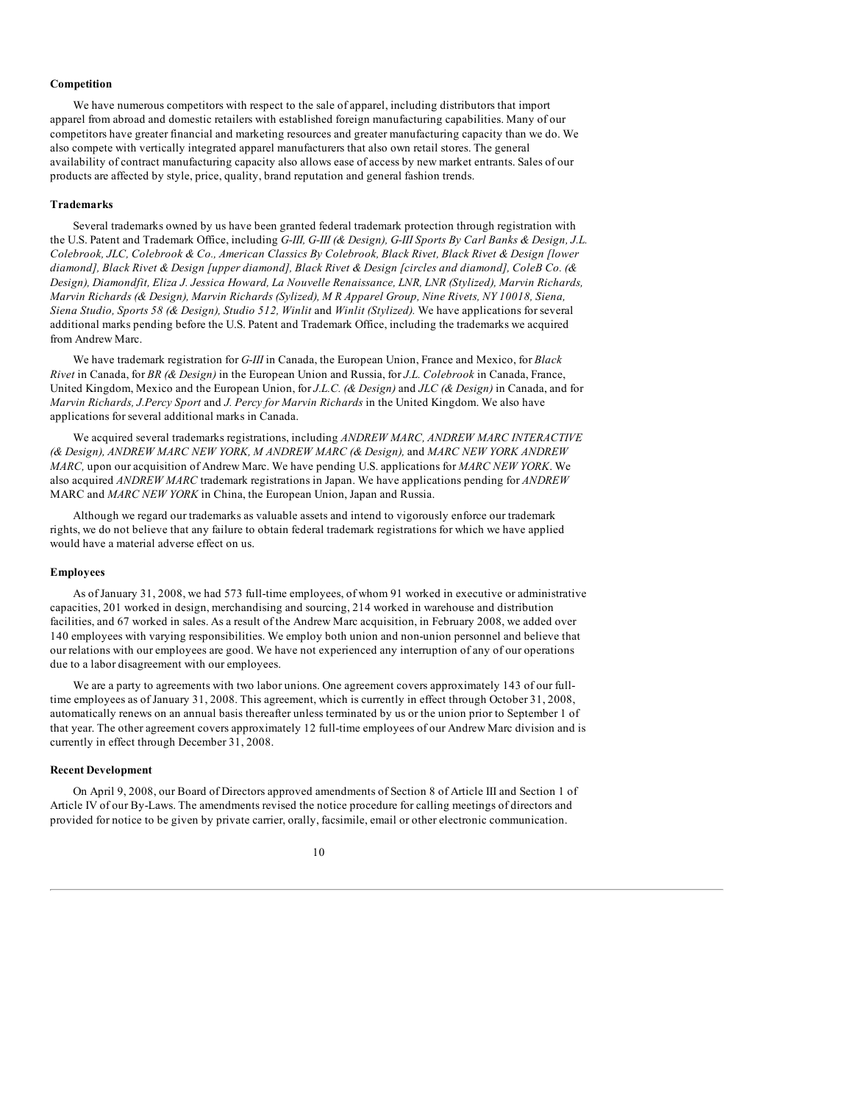## **Competition**

We have numerous competitors with respect to the sale of apparel, including distributors that import apparel from abroad and domestic retailers with established foreign manufacturing capabilities. Many of our competitors have greater financial and marketing resources and greater manufacturing capacity than we do. We also compete with vertically integrated apparel manufacturers that also own retail stores. The general availability of contract manufacturing capacity also allows ease of access by new market entrants. Sales of our products are affected by style, price, quality, brand reputation and general fashion trends.

## **Trademarks**

Several trademarks owned by us have been granted federal trademark protection through registration with the U.S. Patent and Trademark Office, including *G-III, G-III (& Design), G-III Sports By Carl Banks & Design, J.L. Colebrook, JLC, Colebrook & Co., American Classics By Colebrook, Black Rivet, Black Rivet & Design [lower diamond], Black Rivet & Design [upper diamond], Black Rivet & Design [circles and diamond], ColeB Co. (& Design), Diamondfit, Eliza J. Jessica Howard, La Nouvelle Renaissance, LNR, LNR (Stylized), Marvin Richards, Marvin Richards (& Design), Marvin Richards (Sylized), M R Apparel Group, Nine Rivets, NY 10018, Siena, Siena Studio, Sports 58 (& Design), Studio 512, Winlit* and *Winlit (Stylized).* We have applications for several additional marks pending before the U.S. Patent and Trademark Office, including the trademarks we acquired from Andrew Marc.

We have trademark registration for *G-III* in Canada, the European Union, France and Mexico, for *Black Rivet* in Canada, for *BR (& Design)* in the European Union and Russia, for *J.L. Colebrook* in Canada, France, United Kingdom, Mexico and the European Union, for *J.L.C. (& Design)* and *JLC (& Design)* in Canada, and for *Marvin Richards, J.Percy Sport* and *J. Percy for Marvin Richards* in the United Kingdom. We also have applications for several additional marks in Canada.

We acquired several trademarks registrations, including *ANDREW MARC, ANDREW MARC INTERACTIVE (& Design), ANDREW MARC NEW YORK, M ANDREW MARC (& Design),* and *MARC NEW YORK ANDREW MARC,* upon our acquisition of Andrew Marc. We have pending U.S. applications for *MARC NEW YORK*. We also acquired *ANDREW MARC* trademark registrations in Japan. We have applications pending for *ANDREW* MARC and *MARC NEW YORK* in China, the European Union, Japan and Russia.

Although we regard our trademarks as valuable assets and intend to vigorously enforce our trademark rights, we do not believe that any failure to obtain federal trademark registrations for which we have applied would have a material adverse effect on us.

## **Employees**

As of January 31, 2008, we had 573 full-time employees, of whom 91 worked in executive or administrative capacities, 201 worked in design, merchandising and sourcing, 214 worked in warehouse and distribution facilities, and 67 worked in sales. As a result of the Andrew Marc acquisition, in February 2008, we added over 140 employees with varying responsibilities. We employ both union and non-union personnel and believe that our relations with our employees are good. We have not experienced any interruption of any of our operations due to a labor disagreement with our employees.

We are a party to agreements with two labor unions. One agreement covers approximately 143 of our fulltime employees as of January 31, 2008. This agreement, which is currently in effect through October 31, 2008, automatically renews on an annual basis thereafter unless terminated by us or the union prior to September 1 of that year. The other agreement covers approximately 12 full-time employees of our Andrew Marc division and is currently in effect through December 31, 2008.

#### **Recent Development**

On April 9, 2008, our Board of Directors approved amendments of Section 8 of Article III and Section 1 of Article IV of our By-Laws. The amendments revised the notice procedure for calling meetings of directors and provided for notice to be given by private carrier, orally, facsimile, email or other electronic communication.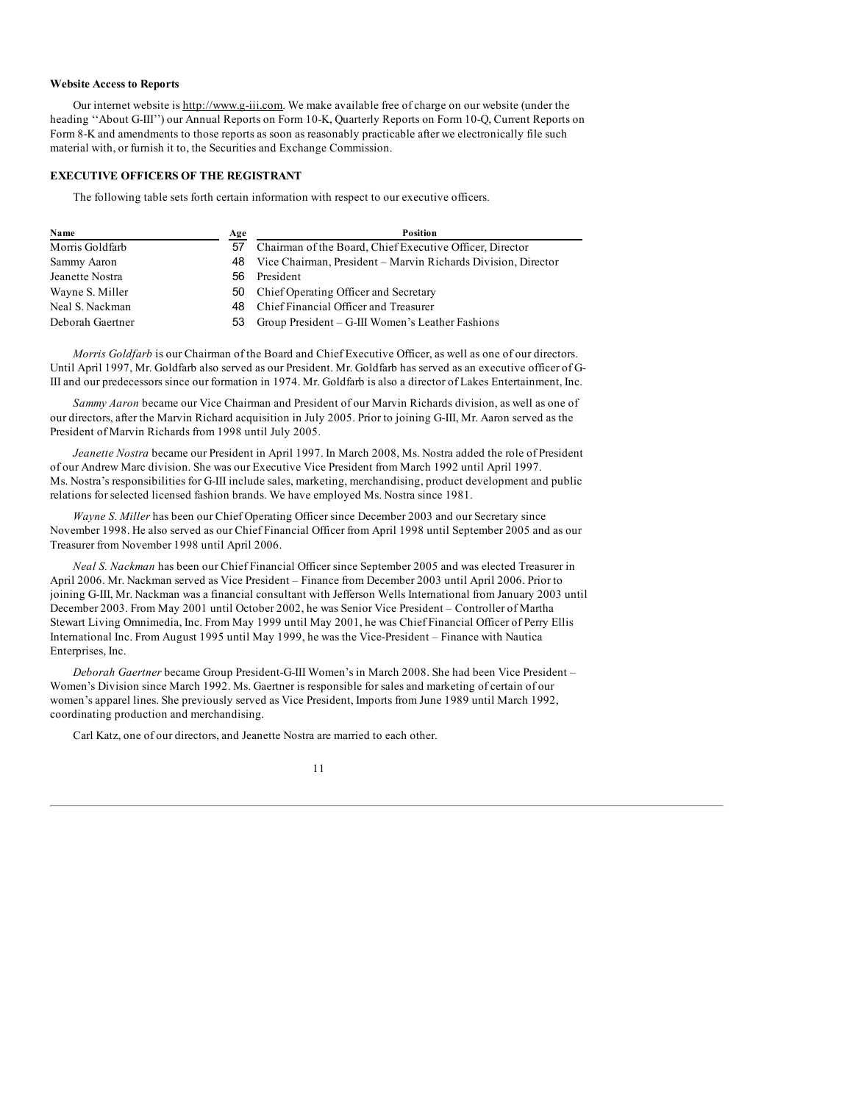## **Website Access to Reports**

Our internet website is http://www.g-iii.com. We make available free of charge on our website (under the heading ''About G-III'') our Annual Reports on Form 10-K, Quarterly Reports on Form 10-Q, Current Reports on Form 8-K and amendments to those reports as soon as reasonably practicable after we electronically file such material with, or furnish it to, the Securities and Exchange Commission.

# **EXECUTIVE OFFICERS OF THE REGISTRANT**

The following table sets forth certain information with respect to our executive officers.

| Name             | Age | Position                                                      |
|------------------|-----|---------------------------------------------------------------|
| Morris Goldfarb  | 57  | Chairman of the Board, Chief Executive Officer, Director      |
| Sammy Aaron      | 48. | Vice Chairman, President – Marvin Richards Division, Director |
| Jeanette Nostra  | 56. | President                                                     |
| Wayne S. Miller  | 50  | Chief Operating Officer and Secretary                         |
| Neal S. Nackman  | 48. | Chief Financial Officer and Treasurer                         |
| Deborah Gaertner | 53  | Group President – G-III Women's Leather Fashions              |

*Morris Goldfarb* is our Chairman of the Board and Chief Executive Officer, as well as one of our directors. Until April 1997, Mr. Goldfarb also served as our President. Mr. Goldfarb has served as an executive officer of G-III and our predecessors since our formation in 1974. Mr. Goldfarb is also a director of Lakes Entertainment, Inc.

*Sammy Aaron* became our Vice Chairman and President of our Marvin Richards division, as well as one of our directors, after the Marvin Richard acquisition in July 2005. Prior to joining G-III, Mr. Aaron served as the President of Marvin Richards from 1998 until July 2005.

*Jeanette Nostra* became our President in April 1997. In March 2008, Ms. Nostra added the role of President of our Andrew Marc division. She was our Executive Vice President from March 1992 until April 1997. Ms. Nostra's responsibilities for G-III include sales, marketing, merchandising, product development and public relations for selected licensed fashion brands. We have employed Ms. Nostra since 1981.

*Wayne S. Miller* has been our Chief Operating Officer since December 2003 and our Secretary since November 1998. He also served as our Chief Financial Officer from April 1998 until September 2005 and as our Treasurer from November 1998 until April 2006.

*Neal S. Nackman* has been our Chief Financial Officer since September 2005 and was elected Treasurer in April 2006. Mr. Nackman served as Vice President – Finance from December 2003 until April 2006. Prior to joining G-III, Mr. Nackman was a financial consultant with Jefferson Wells International from January 2003 until December 2003. From May 2001 until October 2002, he was Senior Vice President – Controller of Martha Stewart Living Omnimedia, Inc. From May 1999 until May 2001, he was Chief Financial Officer of Perry Ellis International Inc. From August 1995 until May 1999, he was the Vice-President – Finance with Nautica Enterprises, Inc.

*Deborah Gaertner* became Group President-G-III Women's in March 2008. She had been Vice President – Women's Division since March 1992. Ms. Gaertner is responsible for sales and marketing of certain of our women's apparel lines. She previously served as Vice President, Imports from June 1989 until March 1992, coordinating production and merchandising.

Carl Katz, one of our directors, and Jeanette Nostra are married to each other.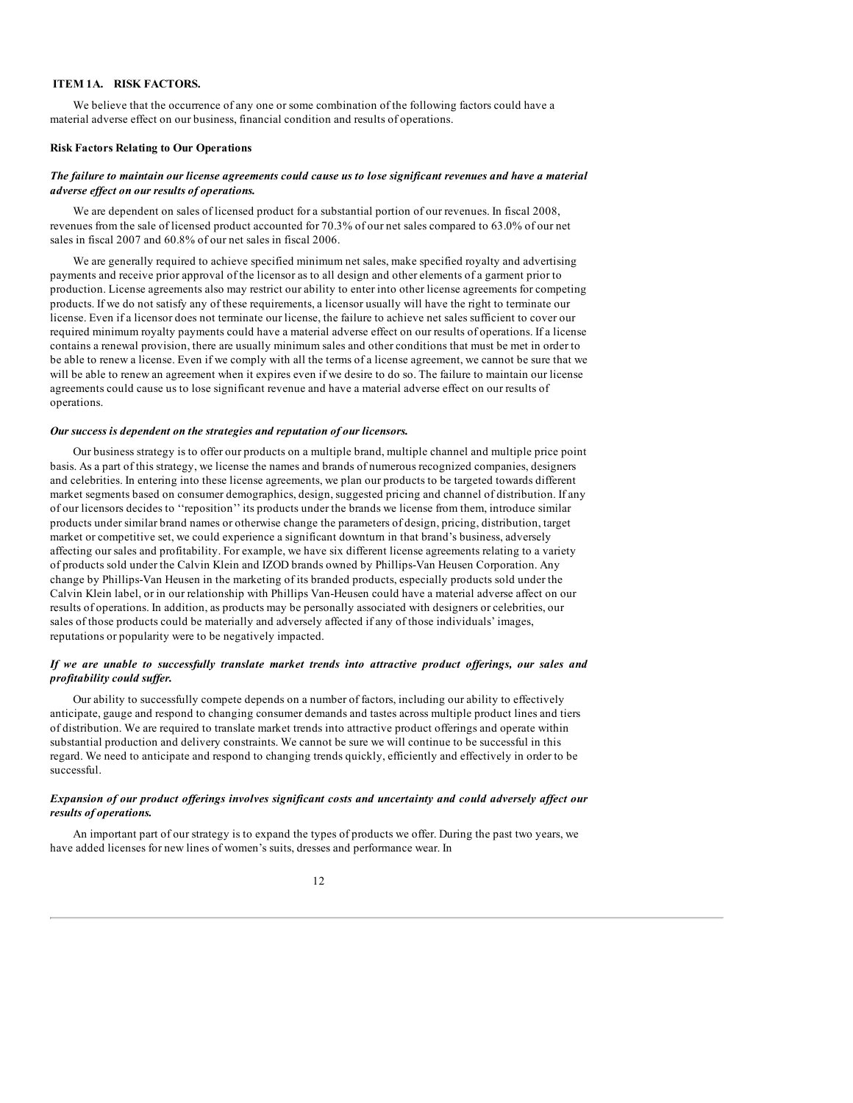# **ITEM 1A. RISK FACTORS.**

We believe that the occurrence of any one or some combination of the following factors could have a material adverse effect on our business, financial condition and results of operations.

#### **Risk Factors Relating to Our Operations**

# The failure to maintain our license agreements could cause us to lose significant revenues and have a material *adverse ef ect on our results of operations.*

We are dependent on sales of licensed product for a substantial portion of our revenues. In fiscal 2008, revenues from the sale of licensed product accounted for 70.3% of our net sales compared to 63.0% of our net sales in fiscal 2007 and 60.8% of our net sales in fiscal 2006.

We are generally required to achieve specified minimum net sales, make specified royalty and advertising payments and receive prior approval of the licensor as to all design and other elements of a garment prior to production. License agreements also may restrict our ability to enter into other license agreements for competing products. If we do not satisfy any of these requirements, a licensor usually will have the right to terminate our license. Even if a licensor does not terminate our license, the failure to achieve net sales sufficient to cover our required minimum royalty payments could have a material adverse effect on our results of operations. If a license contains a renewal provision, there are usually minimum sales and other conditions that must be met in order to be able to renew a license. Even if we comply with all the terms of a license agreement, we cannot be sure that we will be able to renew an agreement when it expires even if we desire to do so. The failure to maintain our license agreements could cause us to lose significant revenue and have a material adverse effect on our results of operations.

# *Our success is dependent on the strategies and reputation of our licensors.*

Our business strategy is to offer our products on a multiple brand, multiple channel and multiple price point basis. As a part of this strategy, we license the names and brands of numerous recognized companies, designers and celebrities. In entering into these license agreements, we plan our products to be targeted towards different market segments based on consumer demographics, design, suggested pricing and channel of distribution. If any of our licensors decides to ''reposition'' its products under the brands we license from them, introduce similar products under similar brand names or otherwise change the parameters of design, pricing, distribution, target market or competitive set, we could experience a significant downturn in that brand's business, adversely affecting our sales and profitability. For example, we have six different license agreements relating to a variety of products sold under the Calvin Klein and IZOD brands owned by Phillips-Van Heusen Corporation. Any change by Phillips-Van Heusen in the marketing of its branded products, especially products sold under the Calvin Klein label, or in our relationship with Phillips Van-Heusen could have a material adverse affect on our results of operations. In addition, as products may be personally associated with designers or celebrities, our sales of those products could be materially and adversely affected if any of those individuals' images, reputations or popularity were to be negatively impacted.

# *If we are unable to successfully translate market trends into attractive product of erings, our sales and*  $\mu$ *profitability could suffer.*

Our ability to successfully compete depends on a number of factors, including our ability to effectively anticipate, gauge and respond to changing consumer demands and tastes across multiple product lines and tiers of distribution. We are required to translate market trends into attractive product offerings and operate within substantial production and delivery constraints. We cannot be sure we will continue to be successful in this regard. We need to anticipate and respond to changing trends quickly, efficiently and effectively in order to be successful.

# Expansion of our product offerings involves significant costs and uncertainty and could adversely affect our *results of operations.*

An important part of our strategy is to expand the types of products we offer. During the past two years, we have added licenses for new lines of women's suits, dresses and performance wear. In

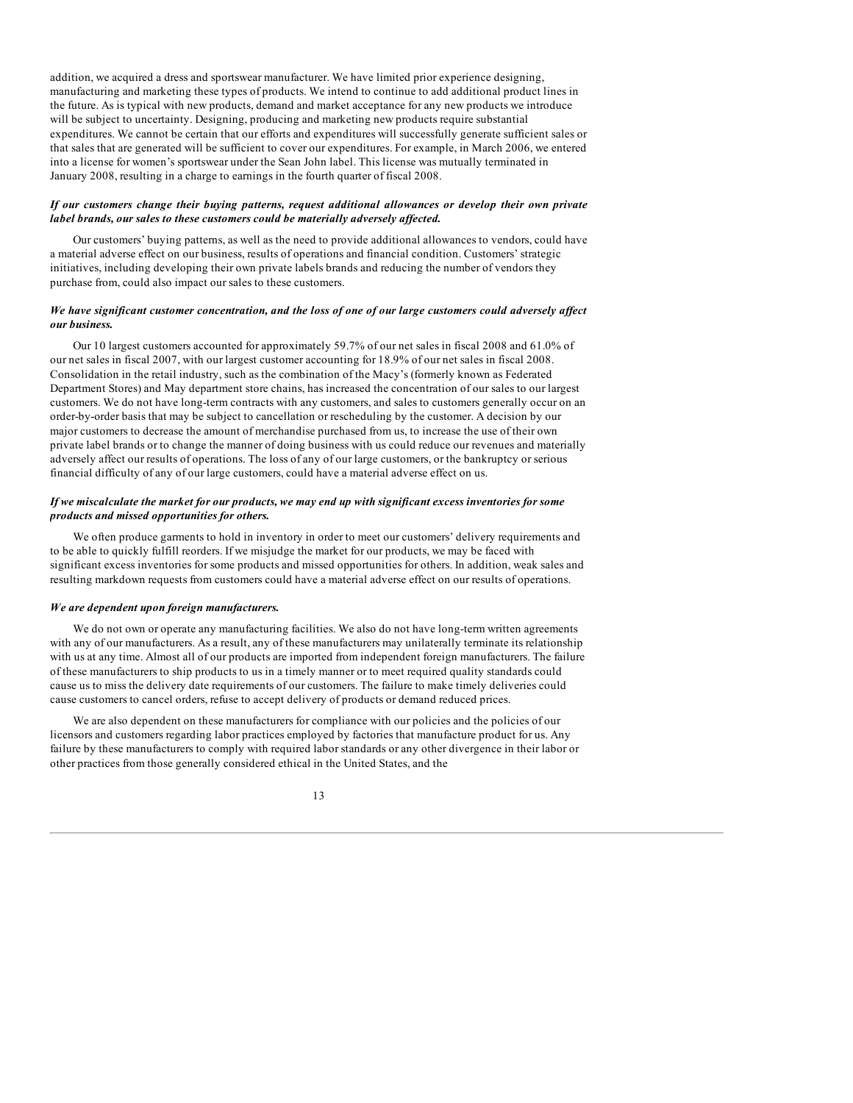addition, we acquired a dress and sportswear manufacturer. We have limited prior experience designing, manufacturing and marketing these types of products. We intend to continue to add additional product lines in the future. As is typical with new products, demand and market acceptance for any new products we introduce will be subject to uncertainty. Designing, producing and marketing new products require substantial expenditures. We cannot be certain that our efforts and expenditures will successfully generate sufficient sales or that sales that are generated will be sufficient to cover our expenditures. For example, in March 2006, we entered into a license for women's sportswear under the Sean John label. This license was mutually terminated in January 2008, resulting in a charge to earnings in the fourth quarter of fiscal 2008.

# *If our customers change their buying patterns, request additional allowances or develop their own private label brands, our sales to these customers could be materially adversely af ected.*

Our customers' buying patterns, as well as the need to provide additional allowances to vendors, could have a material adverse effect on our business, results of operations and financial condition. Customers' strategic initiatives, including developing their own private labels brands and reducing the number of vendors they purchase from, could also impact our sales to these customers.

# We have significant customer concentration, and the loss of one of our large customers could adversely affect *our business.*

Our 10 largest customers accounted for approximately 59.7% of our net sales in fiscal 2008 and 61.0% of our net sales in fiscal 2007, with our largest customer accounting for 18.9% of our net sales in fiscal 2008. Consolidation in the retail industry, such as the combination of the Macy's (formerly known as Federated Department Stores) and May department store chains, has increased the concentration of our sales to our largest customers. We do not have long-term contracts with any customers, and sales to customers generally occur on an order-by-order basis that may be subject to cancellation or rescheduling by the customer. A decision by our major customers to decrease the amount of merchandise purchased from us, to increase the use of their own private label brands or to change the manner of doing business with us could reduce our revenues and materially adversely affect our results of operations. The loss of any of our large customers, or the bankruptcy or serious financial difficulty of any of our large customers, could have a material adverse effect on us.

# If we miscalculate the market for our products, we may end up with significant excess inventories for some *products and missed opportunities for others.*

We often produce garments to hold in inventory in order to meet our customers' delivery requirements and to be able to quickly fulfill reorders. If we misjudge the market for our products, we may be faced with significant excess inventories for some products and missed opportunities for others. In addition, weak sales and resulting markdown requests from customers could have a material adverse effect on our results of operations.

# *We are dependent upon foreign manufacturers.*

We do not own or operate any manufacturing facilities. We also do not have long-term written agreements with any of our manufacturers. As a result, any of these manufacturers may unilaterally terminate its relationship with us at any time. Almost all of our products are imported from independent foreign manufacturers. The failure of these manufacturers to ship products to us in a timely manner or to meet required quality standards could cause us to miss the delivery date requirements of our customers. The failure to make timely deliveries could cause customers to cancel orders, refuse to accept delivery of products or demand reduced prices.

We are also dependent on these manufacturers for compliance with our policies and the policies of our licensors and customers regarding labor practices employed by factories that manufacture product for us. Any failure by these manufacturers to comply with required labor standards or any other divergence in their labor or other practices from those generally considered ethical in the United States, and the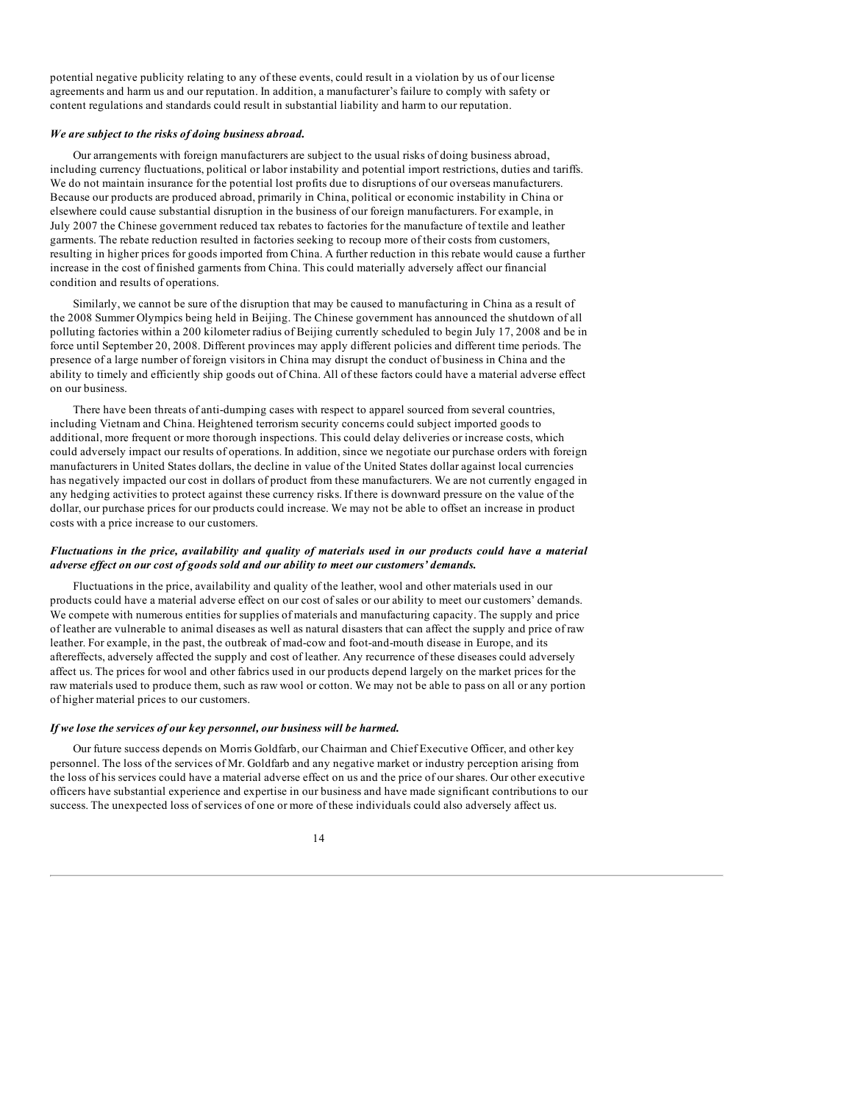potential negative publicity relating to any of these events, could result in a violation by us of our license agreements and harm us and our reputation. In addition, a manufacturer's failure to comply with safety or content regulations and standards could result in substantial liability and harm to our reputation.

## *We are subject to the risks of doing business abroad.*

Our arrangements with foreign manufacturers are subject to the usual risks of doing business abroad, including currency fluctuations, political or labor instability and potential import restrictions, duties and tariffs. We do not maintain insurance for the potential lost profits due to disruptions of our overseas manufacturers. Because our products are produced abroad, primarily in China, political or economic instability in China or elsewhere could cause substantial disruption in the business of our foreign manufacturers. For example, in July 2007 the Chinese government reduced tax rebates to factories for the manufacture of textile and leather garments. The rebate reduction resulted in factories seeking to recoup more of their costs from customers, resulting in higher prices for goods imported from China. A further reduction in this rebate would cause a further increase in the cost of finished garments from China. This could materially adversely affect our financial condition and results of operations.

Similarly, we cannot be sure of the disruption that may be caused to manufacturing in China as a result of the 2008 Summer Olympics being held in Beijing. The Chinese government has announced the shutdown of all polluting factories within a 200 kilometer radius of Beijing currently scheduled to begin July 17, 2008 and be in force until September 20, 2008. Different provinces may apply different policies and different time periods. The presence of a large number of foreign visitors in China may disrupt the conduct of business in China and the ability to timely and efficiently ship goods out of China. All of these factors could have a material adverse effect on our business.

There have been threats of anti-dumping cases with respect to apparel sourced from several countries, including Vietnam and China. Heightened terrorism security concerns could subject imported goods to additional, more frequent or more thorough inspections. This could delay deliveries or increase costs, which could adversely impact our results of operations. In addition, since we negotiate our purchase orders with foreign manufacturers in United States dollars, the decline in value of the United States dollar against local currencies has negatively impacted our cost in dollars of product from these manufacturers. We are not currently engaged in any hedging activities to protect against these currency risks. If there is downward pressure on the value of the dollar, our purchase prices for our products could increase. We may not be able to offset an increase in product costs with a price increase to our customers.

# Fluctuations in the price, availability and quality of materials used in our products could have a material *adverse ef ect on our cost of goods sold and our ability to meet our customers' demands.*

Fluctuations in the price, availability and quality of the leather, wool and other materials used in our products could have a material adverse effect on our cost of sales or our ability to meet our customers' demands. We compete with numerous entities for supplies of materials and manufacturing capacity. The supply and price of leather are vulnerable to animal diseases as well as natural disasters that can affect the supply and price of raw leather. For example, in the past, the outbreak of mad-cow and foot-and-mouth disease in Europe, and its aftereffects, adversely affected the supply and cost of leather. Any recurrence of these diseases could adversely affect us. The prices for wool and other fabrics used in our products depend largely on the market prices for the raw materials used to produce them, such as raw wool or cotton. We may not be able to pass on all or any portion of higher material prices to our customers.

# *If we lose the services of our key personnel, our business will be harmed.*

Our future success depends on Morris Goldfarb, our Chairman and Chief Executive Officer, and other key personnel. The loss of the services of Mr. Goldfarb and any negative market or industry perception arising from the loss of his services could have a material adverse effect on us and the price of our shares. Our other executive officers have substantial experience and expertise in our business and have made significant contributions to our success. The unexpected loss of services of one or more of these individuals could also adversely affect us.

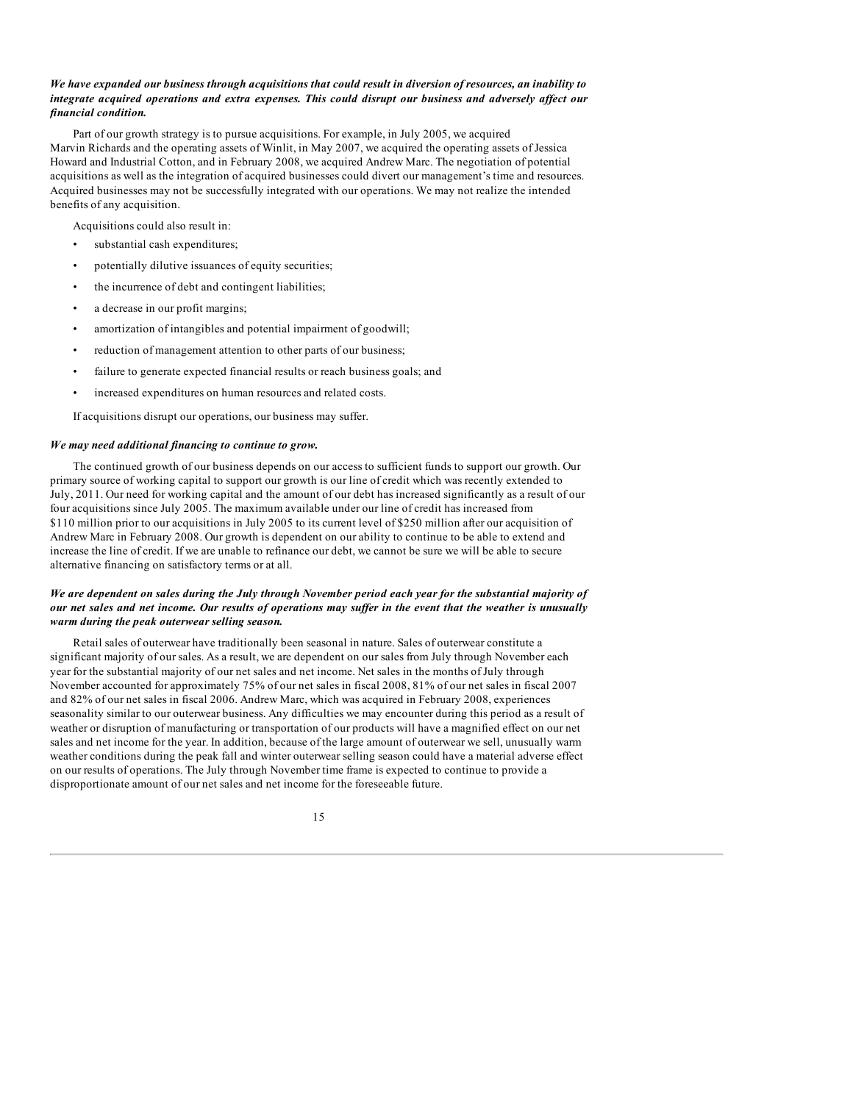# We have expanded our business through acquisitions that could result in diversion of resources, an inability to *integrate acquired operations and extra expenses. This could disrupt our business and adversely af ect our financial condition.*

Part of our growth strategy is to pursue acquisitions. For example, in July 2005, we acquired Marvin Richards and the operating assets of Winlit, in May 2007, we acquired the operating assets of Jessica Howard and Industrial Cotton, and in February 2008, we acquired Andrew Marc. The negotiation of potential acquisitions as well as the integration of acquired businesses could divert our management's time and resources. Acquired businesses may not be successfully integrated with our operations. We may not realize the intended benefits of any acquisition.

Acquisitions could also result in:

- substantial cash expenditures;
- potentially dilutive issuances of equity securities;
- the incurrence of debt and contingent liabilities;
- a decrease in our profit margins;
- amortization of intangibles and potential impairment of goodwill;
- reduction of management attention to other parts of our business;
- failure to generate expected financial results or reach business goals; and
- increased expenditures on human resources and related costs.

If acquisitions disrupt our operations, our business may suffer.

# *We may need additional financing to continue to grow.*

The continued growth of our business depends on our access to sufficient funds to support our growth. Our primary source of working capital to support our growth is our line of credit which was recently extended to July, 2011. Our need for working capital and the amount of our debt has increased significantly as a result of our four acquisitions since July 2005. The maximum available under our line of credit has increased from \$110 million prior to our acquisitions in July 2005 to its current level of \$250 million after our acquisition of Andrew Marc in February 2008. Our growth is dependent on our ability to continue to be able to extend and increase the line of credit. If we are unable to refinance our debt, we cannot be sure we will be able to secure alternative financing on satisfactory terms or at all.

# We are dependent on sales during the July through November period each year for the substantial majority of our net sales and net income. Our results of operations may suffer in the event that the weather is unusually *warm during the peak outerwear selling season.*

Retail sales of outerwear have traditionally been seasonal in nature. Sales of outerwear constitute a significant majority of our sales. As a result, we are dependent on our sales from July through November each year for the substantial majority of our net sales and net income. Net sales in the months of July through November accounted for approximately 75% of our net sales in fiscal 2008, 81% of our net sales in fiscal 2007 and 82% of our net sales in fiscal 2006. Andrew Marc, which was acquired in February 2008, experiences seasonality similar to our outerwear business. Any difficulties we may encounter during this period as a result of weather or disruption of manufacturing or transportation of our products will have a magnified effect on our net sales and net income for the year. In addition, because of the large amount of outerwear we sell, unusually warm weather conditions during the peak fall and winter outerwear selling season could have a material adverse effect on our results of operations. The July through November time frame is expected to continue to provide a disproportionate amount of our net sales and net income for the foreseeable future.

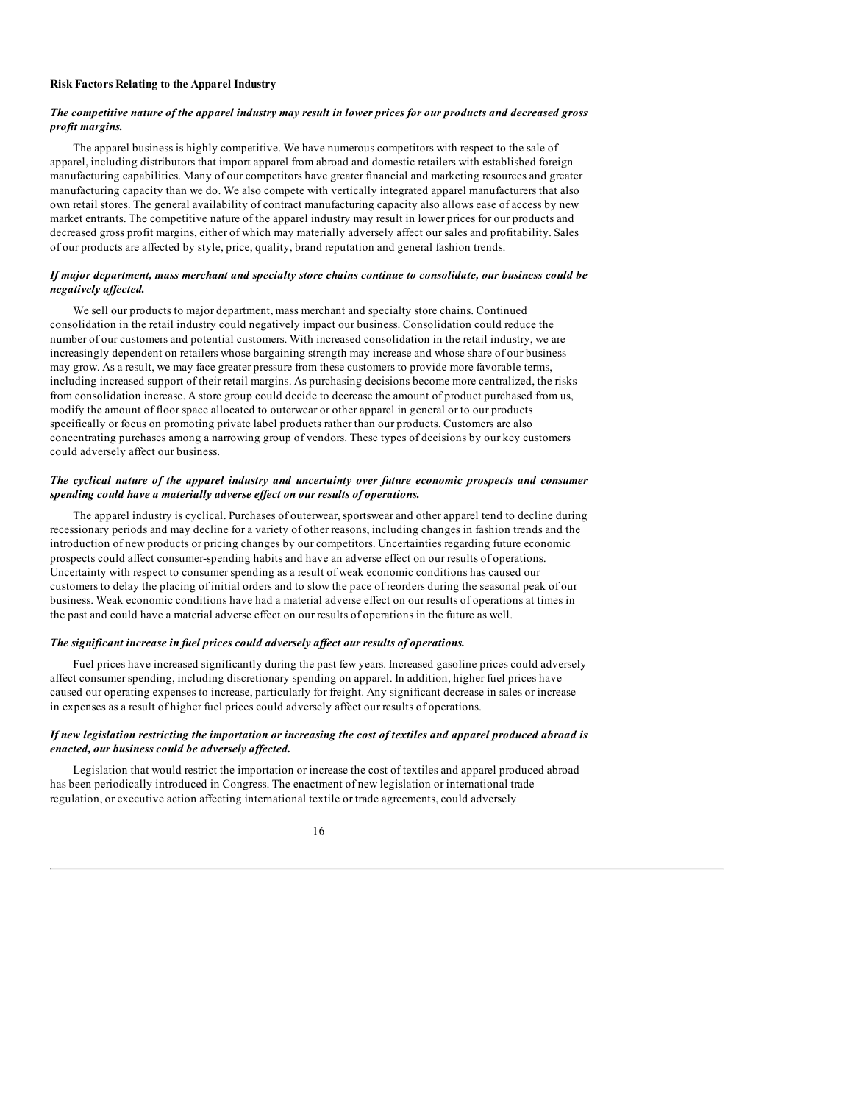## **Risk Factors Relating to the Apparel Industry**

# The competitive nature of the apparel industry may result in lower prices for our products and decreased gross *profit margins.*

The apparel business is highly competitive. We have numerous competitors with respect to the sale of apparel, including distributors that import apparel from abroad and domestic retailers with established foreign manufacturing capabilities. Many of our competitors have greater financial and marketing resources and greater manufacturing capacity than we do. We also compete with vertically integrated apparel manufacturers that also own retail stores. The general availability of contract manufacturing capacity also allows ease of access by new market entrants. The competitive nature of the apparel industry may result in lower prices for our products and decreased gross profit margins, either of which may materially adversely affect our sales and profitability. Sales of our products are affected by style, price, quality, brand reputation and general fashion trends.

# *If major department, mass merchant and specialty store chains continue to consolidate, our business could be negatively af ected.*

We sell our products to major department, mass merchant and specialty store chains. Continued consolidation in the retail industry could negatively impact our business. Consolidation could reduce the number of our customers and potential customers. With increased consolidation in the retail industry, we are increasingly dependent on retailers whose bargaining strength may increase and whose share of our business may grow. As a result, we may face greater pressure from these customers to provide more favorable terms, including increased support of their retail margins. As purchasing decisions become more centralized, the risks from consolidation increase. A store group could decide to decrease the amount of product purchased from us, modify the amount of floor space allocated to outerwear or other apparel in general or to our products specifically or focus on promoting private label products rather than our products. Customers are also concentrating purchases among a narrowing group of vendors. These types of decisions by our key customers could adversely affect our business.

## *The cyclical nature of the apparel industry and uncertainty over future economic prospects and consumer spending could have a materially adverse ef ect on our results of operations.*

The apparel industry is cyclical. Purchases of outerwear, sportswear and other apparel tend to decline during recessionary periods and may decline for a variety of other reasons, including changes in fashion trends and the introduction of new products or pricing changes by our competitors. Uncertainties regarding future economic prospects could affect consumer-spending habits and have an adverse effect on our results of operations. Uncertainty with respect to consumer spending as a result of weak economic conditions has caused our customers to delay the placing of initial orders and to slow the pace of reorders during the seasonal peak of our business. Weak economic conditions have had a material adverse effect on our results of operations at times in the past and could have a material adverse effect on our results of operations in the future as well.

## *The significant increase in fuel prices could adversely af ect our results of operations.*

Fuel prices have increased significantly during the past few years. Increased gasoline prices could adversely affect consumer spending, including discretionary spending on apparel. In addition, higher fuel prices have caused our operating expenses to increase, particularly for freight. Any significant decrease in sales or increase in expenses as a result of higher fuel prices could adversely affect our results of operations.

# If new legislation restricting the importation or increasing the cost of textiles and apparel produced abroad is *enacted, our business could be adversely af ected.*

Legislation that would restrict the importation or increase the cost of textiles and apparel produced abroad has been periodically introduced in Congress. The enactment of new legislation or international trade regulation, or executive action affecting international textile or trade agreements, could adversely

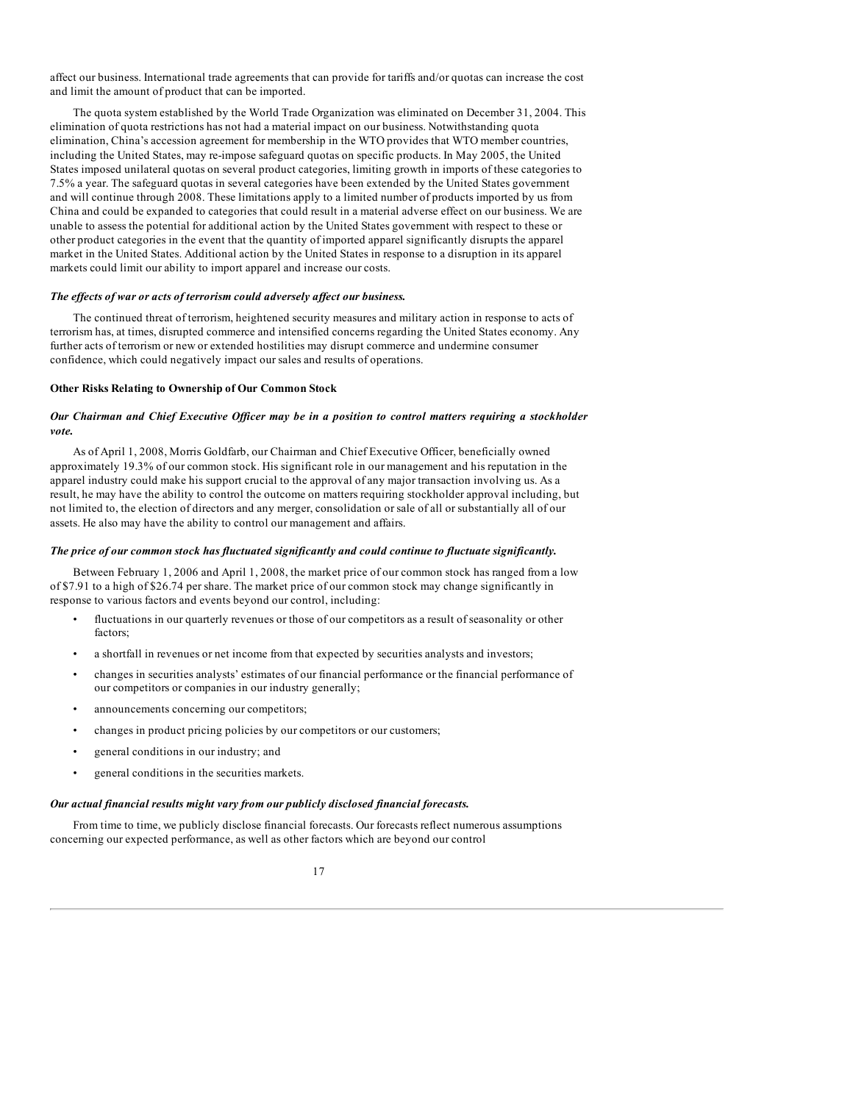affect our business. International trade agreements that can provide for tariffs and/or quotas can increase the cost and limit the amount of product that can be imported.

The quota system established by the World Trade Organization was eliminated on December 31, 2004. This elimination of quota restrictions has not had a material impact on our business. Notwithstanding quota elimination, China's accession agreement for membership in the WTO provides that WTO member countries, including the United States, may re-impose safeguard quotas on specific products. In May 2005, the United States imposed unilateral quotas on several product categories, limiting growth in imports of these categories to 7.5% a year. The safeguard quotas in several categories have been extended by the United States government and will continue through 2008. These limitations apply to a limited number of products imported by us from China and could be expanded to categories that could result in a material adverse effect on our business. We are unable to assess the potential for additional action by the United States government with respect to these or other product categories in the event that the quantity of imported apparel significantly disrupts the apparel market in the United States. Additional action by the United States in response to a disruption in its apparel markets could limit our ability to import apparel and increase our costs.

## *The ef ects of war or acts of terrorism could adversely af ect our business.*

The continued threat of terrorism, heightened security measures and military action in response to acts of terrorism has, at times, disrupted commerce and intensified concerns regarding the United States economy. Any further acts of terrorism or new or extended hostilities may disrupt commerce and undermine consumer confidence, which could negatively impact our sales and results of operations.

## **Other Risks Relating to Ownership of Our Common Stock**

# Our Chairman and Chief Executive Officer may be in a position to control matters requiring a stockholder *vote.*

As of April 1, 2008, Morris Goldfarb, our Chairman and Chief Executive Officer, beneficially owned approximately 19.3% of our common stock. His significant role in our management and his reputation in the apparel industry could make his support crucial to the approval of any major transaction involving us. As a result, he may have the ability to control the outcome on matters requiring stockholder approval including, but not limited to, the election of directors and any merger, consolidation or sale of all or substantially all of our assets. He also may have the ability to control our management and affairs.

#### *The price of our common stock has fluctuated significantly and could continue to fluctuate significantly.*

Between February 1, 2006 and April 1, 2008, the market price of our common stock has ranged from a low of \$7.91 to a high of \$26.74 per share. The market price of our common stock may change significantly in response to various factors and events beyond our control, including:

- fluctuations in our quarterly revenues or those of our competitors as a result of seasonality or other factors;
- a shortfall in revenues or net income from that expected by securities analysts and investors;
- changes in securities analysts' estimates of our financial performance or the financial performance of our competitors or companies in our industry generally;
- announcements concerning our competitors;
- changes in product pricing policies by our competitors or our customers;
- general conditions in our industry; and
- general conditions in the securities markets.

# *Our actual financial results might vary from our publicly disclosed financial forecasts.*

From time to time, we publicly disclose financial forecasts. Our forecasts reflect numerous assumptions concerning our expected performance, as well as other factors which are beyond our control

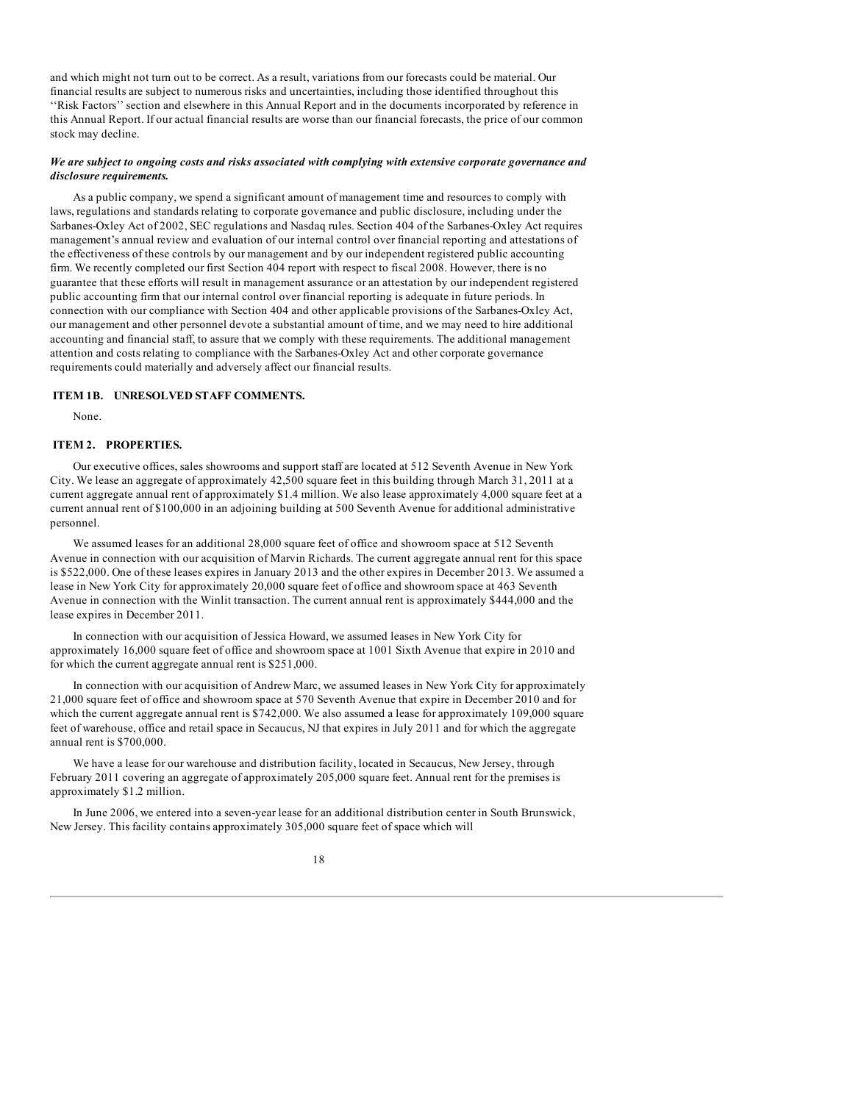and which might not turn out to be correct. As a result, variations from our forecasts could be material. Our financial results are subject to numerous risks and uncertainties, including those identified throughout this ''Risk Factors'' section and elsewhere in this Annual Report and in the documents incorporated by reference in this Annual Report. If our actual financial results are worse than our financial forecasts, the price of our common stock may decline.

# *We are subject to ongoing costs and risks associated with complying with extensive corporate governance and disclosure requirements.*

As a public company, we spend a significant amount of management time and resources to comply with laws, regulations and standards relating to corporate governance and public disclosure, including under the Sarbanes-Oxley Act of 2002, SEC regulations and Nasdaq rules. Section 404 of the Sarbanes-Oxley Act requires management's annual review and evaluation of our internal control over financial reporting and attestations of the effectiveness of these controls by our management and by our independent registered public accounting firm. We recently completed our first Section 404 report with respect to fiscal 2008. However, there is no guarantee that these efforts will result in management assurance or an attestation by our independent registered public accounting firm that our internal control over financial reporting is adequate in future periods. In connection with our compliance with Section 404 and other applicable provisions of the Sarbanes-Oxley Act, our management and other personnel devote a substantial amount of time, and we may need to hire additional accounting and financial staff, to assure that we comply with these requirements. The additional management attention and costs relating to compliance with the Sarbanes-Oxley Act and other corporate governance requirements could materially and adversely affect our financial results.

## **ITEM 1B. UNRESOLVED STAFF COMMENTS.**

None.

# **ITEM 2. PROPERTIES.**

Our executive offices, sales showrooms and support staff are located at 512 Seventh Avenue in New York City. We lease an aggregate of approximately 42,500 square feet in this building through March 31, 2011 at a current aggregate annual rent of approximately \$1.4 million. We also lease approximately 4,000 square feet at a current annual rent of \$100,000 in an adjoining building at 500 Seventh Avenue for additional administrative personnel.

We assumed leases for an additional 28,000 square feet of office and showroom space at 512 Seventh Avenue in connection with our acquisition of Marvin Richards. The current aggregate annual rent for this space is \$522,000. One of these leases expires in January 2013 and the other expires in December 2013. We assumed a lease in New York City for approximately 20,000 square feet of office and showroom space at 463 Seventh Avenue in connection with the Winlit transaction. The current annual rent is approximately \$444,000 and the lease expires in December 2011.

In connection with our acquisition of Jessica Howard, we assumed leases in New York City for approximately 16,000 square feet of office and showroom space at 1001 Sixth Avenue that expire in 2010 and for which the current aggregate annual rent is \$251,000.

In connection with our acquisition of Andrew Marc, we assumed leases in New York City for approximately 21,000 square feet of office and showroom space at 570 Seventh Avenue that expire in December 2010 and for which the current aggregate annual rent is \$742,000. We also assumed a lease for approximately 109,000 square feet of warehouse, office and retail space in Secaucus, NJ that expires in July 2011 and for which the aggregate annual rent is \$700,000.

We have a lease for our warehouse and distribution facility, located in Secaucus, New Jersey, through February 2011 covering an aggregate of approximately 205,000 square feet. Annual rent for the premises is approximately \$1.2 million.

In June 2006, we entered into a seven-year lease for an additional distribution center in South Brunswick, New Jersey. This facility contains approximately 305,000 square feet of space which will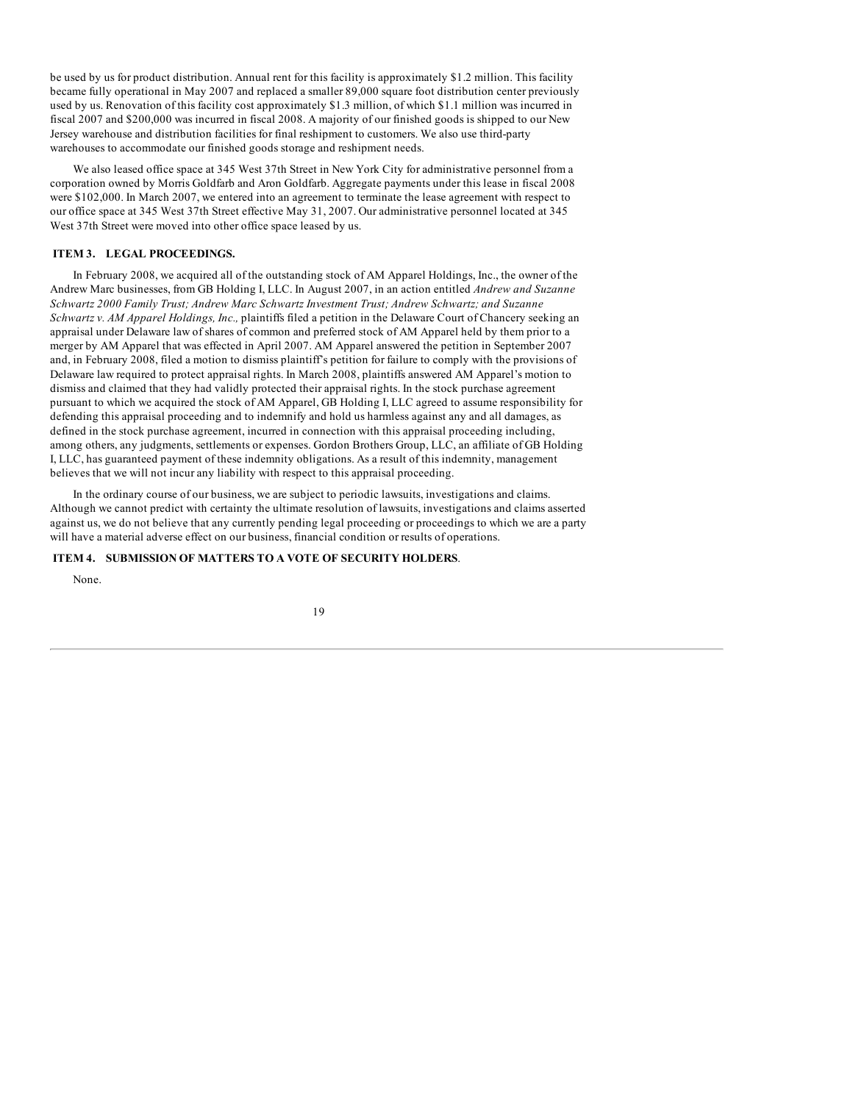be used by us for product distribution. Annual rent for this facility is approximately \$1.2 million. This facility became fully operational in May 2007 and replaced a smaller 89,000 square foot distribution center previously used by us. Renovation of this facility cost approximately \$1.3 million, of which \$1.1 million was incurred in fiscal 2007 and \$200,000 was incurred in fiscal 2008. A majority of our finished goods is shipped to our New Jersey warehouse and distribution facilities for final reshipment to customers. We also use third-party warehouses to accommodate our finished goods storage and reshipment needs.

We also leased office space at 345 West 37th Street in New York City for administrative personnel from a corporation owned by Morris Goldfarb and Aron Goldfarb. Aggregate payments under this lease in fiscal 2008 were \$102,000. In March 2007, we entered into an agreement to terminate the lease agreement with respect to our office space at 345 West 37th Street effective May 31, 2007. Our administrative personnel located at 345 West 37th Street were moved into other office space leased by us.

# **ITEM 3. LEGAL PROCEEDINGS.**

In February 2008, we acquired all of the outstanding stock of AM Apparel Holdings, Inc., the owner of the Andrew Marc businesses, from GB Holding I, LLC. In August 2007, in an action entitled *Andrew and Suzanne Schwartz 2000 Family Trust; Andrew Marc Schwartz Investment Trust; Andrew Schwartz; and Suzanne Schwartz v. AM Apparel Holdings, Inc.,* plaintiffs filed a petition in the Delaware Court of Chancery seeking an appraisal under Delaware law of shares of common and preferred stock of AM Apparel held by them prior to a merger by AM Apparel that was effected in April 2007. AM Apparel answered the petition in September 2007 and, in February 2008, filed a motion to dismiss plaintiff's petition for failure to comply with the provisions of Delaware law required to protect appraisal rights. In March 2008, plaintiffs answered AM Apparel's motion to dismiss and claimed that they had validly protected their appraisal rights. In the stock purchase agreement pursuant to which we acquired the stock of AM Apparel, GB Holding I, LLC agreed to assume responsibility for defending this appraisal proceeding and to indemnify and hold us harmless against any and all damages, as defined in the stock purchase agreement, incurred in connection with this appraisal proceeding including, among others, any judgments, settlements or expenses. Gordon Brothers Group, LLC, an affiliate of GB Holding I, LLC, has guaranteed payment of these indemnity obligations. As a result of this indemnity, management believes that we will not incur any liability with respect to this appraisal proceeding.

In the ordinary course of our business, we are subject to periodic lawsuits, investigations and claims. Although we cannot predict with certainty the ultimate resolution of lawsuits, investigations and claims asserted against us, we do not believe that any currently pending legal proceeding or proceedings to which we are a party will have a material adverse effect on our business, financial condition or results of operations.

# **ITEM 4. SUBMISSION OF MATTERS TO A VOTE OF SECURITY HOLDERS**.

None.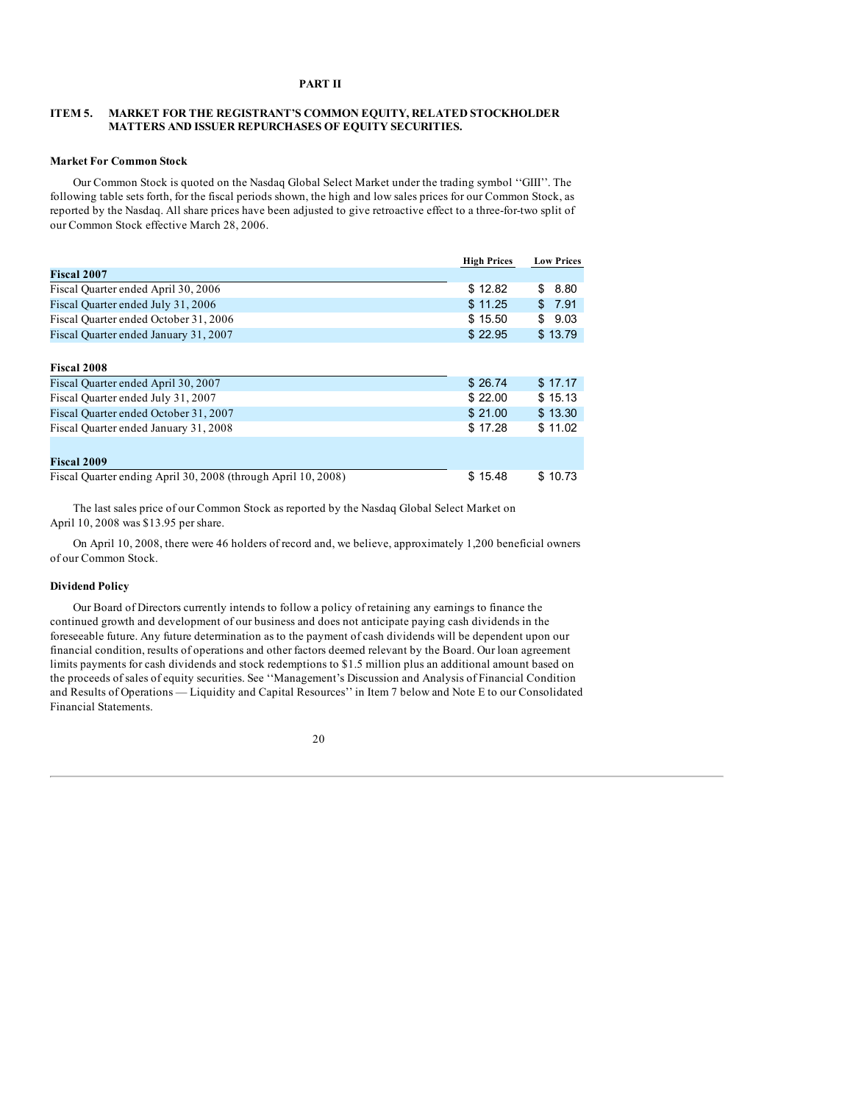# **PART II**

# **ITEM 5. MARKET FOR THE REGISTRANT'S COMMON EQUITY, RELATED STOCKHOLDER MATTERS AND ISSUER REPURCHASES OF EQUITY SECURITIES.**

## **Market For Common Stock**

Our Common Stock is quoted on the Nasdaq Global Select Market under the trading symbol ''GIII''. The following table sets forth, for the fiscal periods shown, the high and low sales prices for our Common Stock, as reported by the Nasdaq. All share prices have been adjusted to give retroactive effect to a three-for-two split of our Common Stock effective March 28, 2006.

|                                                               | <b>High Prices</b> | <b>Low Prices</b> |
|---------------------------------------------------------------|--------------------|-------------------|
| <b>Fiscal 2007</b>                                            |                    |                   |
| Fiscal Quarter ended April 30, 2006                           | \$12.82            | \$<br>8.80        |
| Fiscal Quarter ended July 31, 2006                            | \$11.25            | 7.91<br>\$        |
| Fiscal Quarter ended October 31, 2006                         | \$15.50            | 9.03<br>\$        |
| Fiscal Quarter ended January 31, 2007                         | \$22.95            | \$13.79           |
|                                                               |                    |                   |
| <b>Fiscal 2008</b>                                            |                    |                   |
| Fiscal Quarter ended April 30, 2007                           | \$26.74            | \$17.17           |
| Fiscal Quarter ended July 31, 2007                            | \$22.00            | \$15.13           |
| Fiscal Quarter ended October 31, 2007                         | \$21.00            | \$13.30           |
| Fiscal Quarter ended January 31, 2008                         | \$17.28            | \$11.02           |
|                                                               |                    |                   |
| <b>Fiscal 2009</b>                                            |                    |                   |
| Fiscal Quarter ending April 30, 2008 (through April 10, 2008) | \$15.48            | \$10.73           |

The last sales price of our Common Stock as reported by the Nasdaq Global Select Market on April 10, 2008 was \$13.95 per share.

On April 10, 2008, there were 46 holders of record and, we believe, approximately 1,200 beneficial owners of our Common Stock.

## **Dividend Policy**

Our Board of Directors currently intends to follow a policy of retaining any earnings to finance the continued growth and development of our business and does not anticipate paying cash dividends in the foreseeable future. Any future determination as to the payment of cash dividends will be dependent upon our financial condition, results of operations and other factors deemed relevant by the Board. Our loan agreement limits payments for cash dividends and stock redemptions to \$1.5 million plus an additional amount based on the proceeds of sales of equity securities. See ''Management's Discussion and Analysis of Financial Condition and Results of Operations — Liquidity and Capital Resources'' in Item 7 below and Note E to our Consolidated Financial Statements.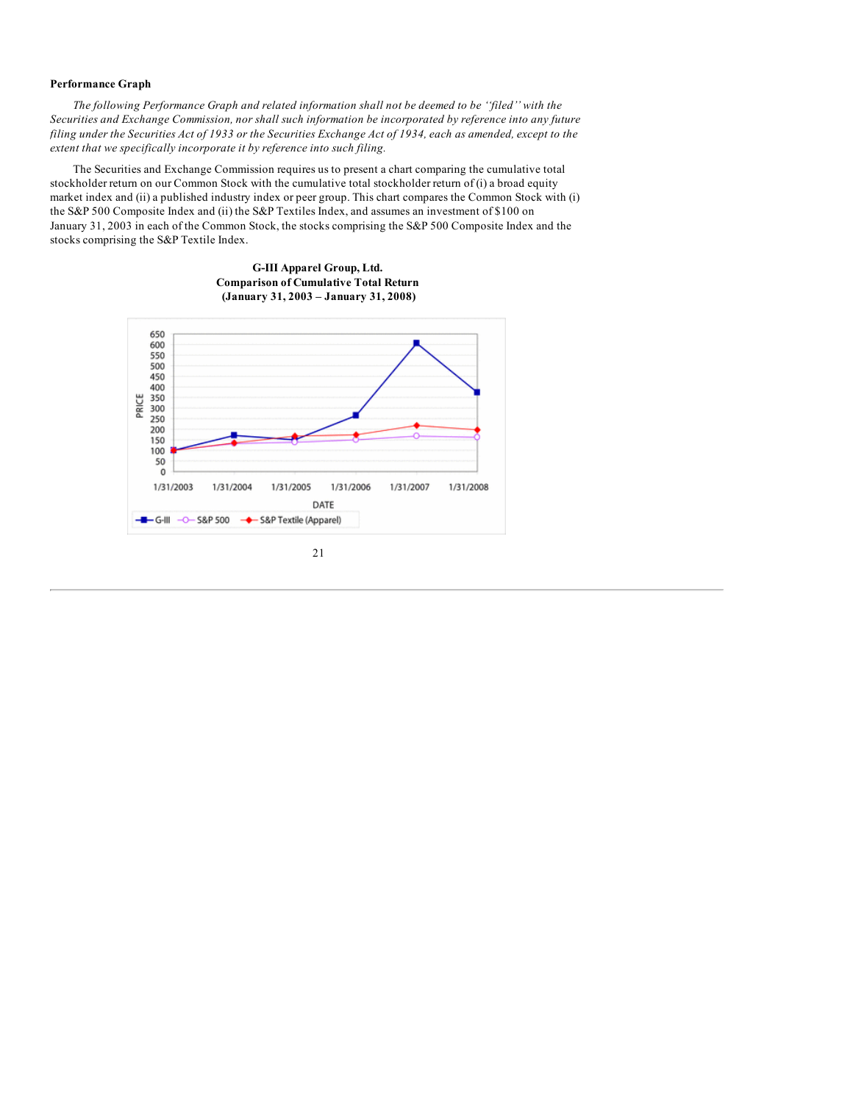# **Performance Graph**

*The following Performance Graph and related information shall not be deemed to be ''filed'' with the Securities and Exchange Commission, nor shall such information be incorporated by reference into any future* filing under the Securities Act of 1933 or the Securities Exchange Act of 1934, each as amended, except to the *extent that we specifically incorporate it by reference into such filing.*

The Securities and Exchange Commission requires us to present a chart comparing the cumulative total stockholder return on our Common Stock with the cumulative total stockholder return of (i) a broad equity market index and (ii) a published industry index or peer group. This chart compares the Common Stock with (i) the S&P 500 Composite Index and (ii) the S&P Textiles Index, and assumes an investment of \$100 on January 31, 2003 in each of the Common Stock, the stocks comprising the S&P 500 Composite Index and the stocks comprising the S&P Textile Index.

> **G-III Apparel Group, Ltd. Comparison of Cumulative Total Return (January 31, 2003 – January 31, 2008)**



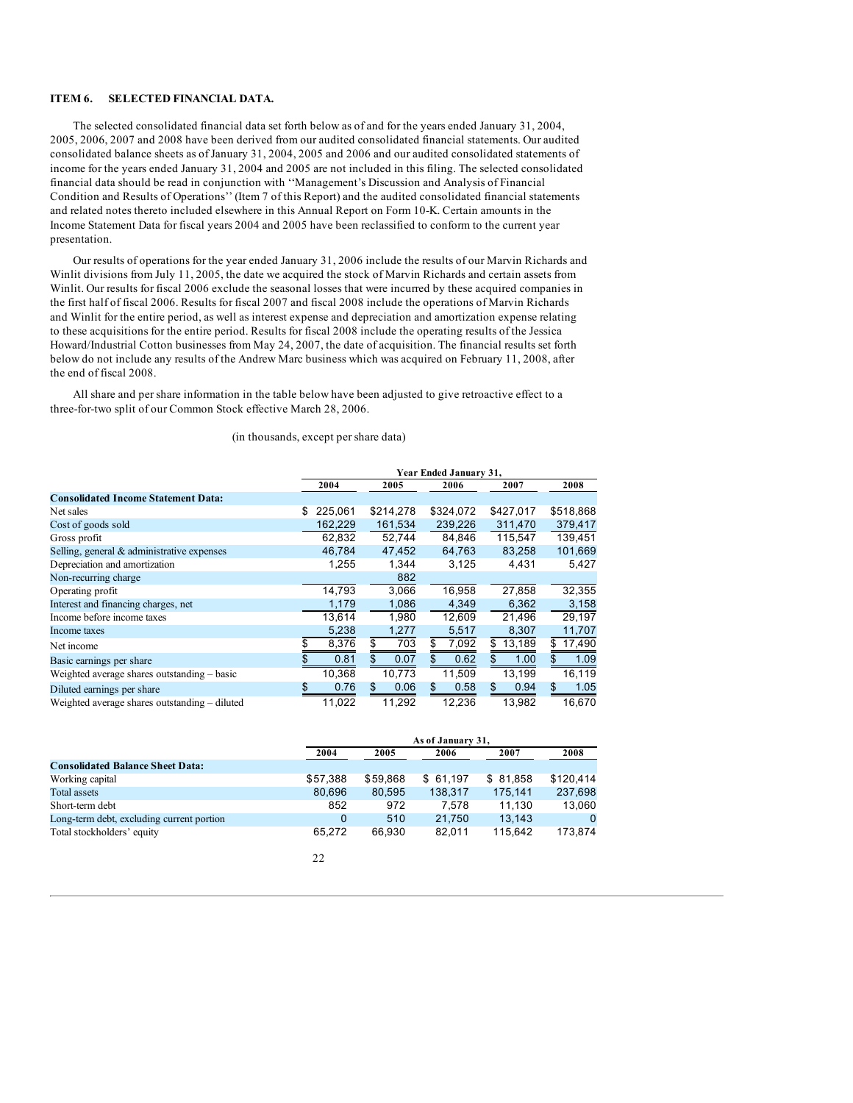# **ITEM 6. SELECTED FINANCIAL DATA.**

The selected consolidated financial data set forth below as of and for the years ended January 31, 2004, 2005, 2006, 2007 and 2008 have been derived from our audited consolidated financial statements. Our audited consolidated balance sheets as of January 31, 2004, 2005 and 2006 and our audited consolidated statements of income for the years ended January 31, 2004 and 2005 are not included in this filing. The selected consolidated financial data should be read in conjunction with ''Management's Discussion and Analysis of Financial Condition and Results of Operations'' (Item 7 of this Report) and the audited consolidated financial statements and related notes thereto included elsewhere in this Annual Report on Form 10-K. Certain amounts in the Income Statement Data for fiscal years 2004 and 2005 have been reclassified to conform to the current year presentation.

Our results of operations for the year ended January 31, 2006 include the results of our Marvin Richards and Winlit divisions from July 11, 2005, the date we acquired the stock of Marvin Richards and certain assets from Winlit. Our results for fiscal 2006 exclude the seasonal losses that were incurred by these acquired companies in the first half of fiscal 2006. Results for fiscal 2007 and fiscal 2008 include the operations of Marvin Richards and Winlit for the entire period, as well as interest expense and depreciation and amortization expense relating to these acquisitions for the entire period. Results for fiscal 2008 include the operating results of the Jessica Howard/Industrial Cotton businesses from May 24, 2007, the date of acquisition. The financial results set forth below do not include any results of the Andrew Marc business which was acquired on February 11, 2008, after the end of fiscal 2008.

All share and per share information in the table below have been adjusted to give retroactive effect to a three-for-two split of our Common Stock effective March 28, 2006.

(in thousands, except per share data)

|                                               |     | Year Ended January 31, |    |           |    |           |    |           |              |
|-----------------------------------------------|-----|------------------------|----|-----------|----|-----------|----|-----------|--------------|
|                                               |     | 2004                   |    | 2005      |    | 2006      |    | 2007      | 2008         |
| <b>Consolidated Income Statement Data:</b>    |     |                        |    |           |    |           |    |           |              |
| Net sales                                     | \$. | 225.061                |    | \$214,278 |    | \$324,072 |    | \$427,017 | \$518,868    |
| Cost of goods sold                            |     | 162,229                |    | 161,534   |    | 239,226   |    | 311,470   | 379,417      |
| Gross profit                                  |     | 62,832                 |    | 52,744    |    | 84,846    |    | 115,547   | 139,451      |
| Selling, general & administrative expenses    |     | 46,784                 |    | 47,452    |    | 64,763    |    | 83,258    | 101,669      |
| Depreciation and amortization                 |     | 1,255                  |    | 1.344     |    | 3,125     |    | 4,431     | 5,427        |
| Non-recurring charge                          |     |                        |    | 882       |    |           |    |           |              |
| Operating profit                              |     | 14.793                 |    | 3.066     |    | 16.958    |    | 27.858    | 32,355       |
| Interest and financing charges, net           |     | 1,179                  |    | 1,086     |    | 4,349     |    | 6,362     | 3,158        |
| Income before income taxes                    |     | 13,614                 |    | 1,980     |    | 12,609    |    | 21,496    | 29,197       |
| Income taxes                                  |     | 5,238                  |    | 1,277     |    | 5,517     |    | 8,307     | 11,707       |
| Net income                                    | \$  | 8,376                  | \$ | 703       | \$ | 7,092     | S  | 13,189    | \$<br>17,490 |
| Basic earnings per share                      | \$  | 0.81                   | \$ | 0.07      | \$ | 0.62      | \$ | 1.00      | \$<br>1.09   |
| Weighted average shares outstanding - basic   |     | 10.368                 |    | 10,773    |    | 11.509    |    | 13.199    | 16.119       |
| Diluted earnings per share                    | \$  | 0.76                   | \$ | 0.06      | \$ | 0.58      | \$ | 0.94      | \$<br>1.05   |
| Weighted average shares outstanding – diluted |     | 11.022                 |    | 11.292    |    | 12.236    |    | 13.982    | 16.670       |

|                                           |          | As of January 31, |          |              |              |  |  |  |
|-------------------------------------------|----------|-------------------|----------|--------------|--------------|--|--|--|
|                                           | 2004     | 2005              |          | 2006<br>2007 |              |  |  |  |
| <b>Consolidated Balance Sheet Data:</b>   |          |                   |          |              |              |  |  |  |
| Working capital                           | \$57.388 | \$59.868          | \$61.197 | \$81.858     | \$120.414    |  |  |  |
| Total assets                              | 80.696   | 80.595            | 138,317  | 175.141      | 237,698      |  |  |  |
| Short-term debt                           | 852      | 972               | 7.578    | 11.130       | 13,060       |  |  |  |
| Long-term debt, excluding current portion | $\Omega$ | 510               | 21.750   | 13.143       | $\mathbf{0}$ |  |  |  |
| Total stockholders' equity                | 65.272   | 66.930            | 82.011   | 115.642      | 173,874      |  |  |  |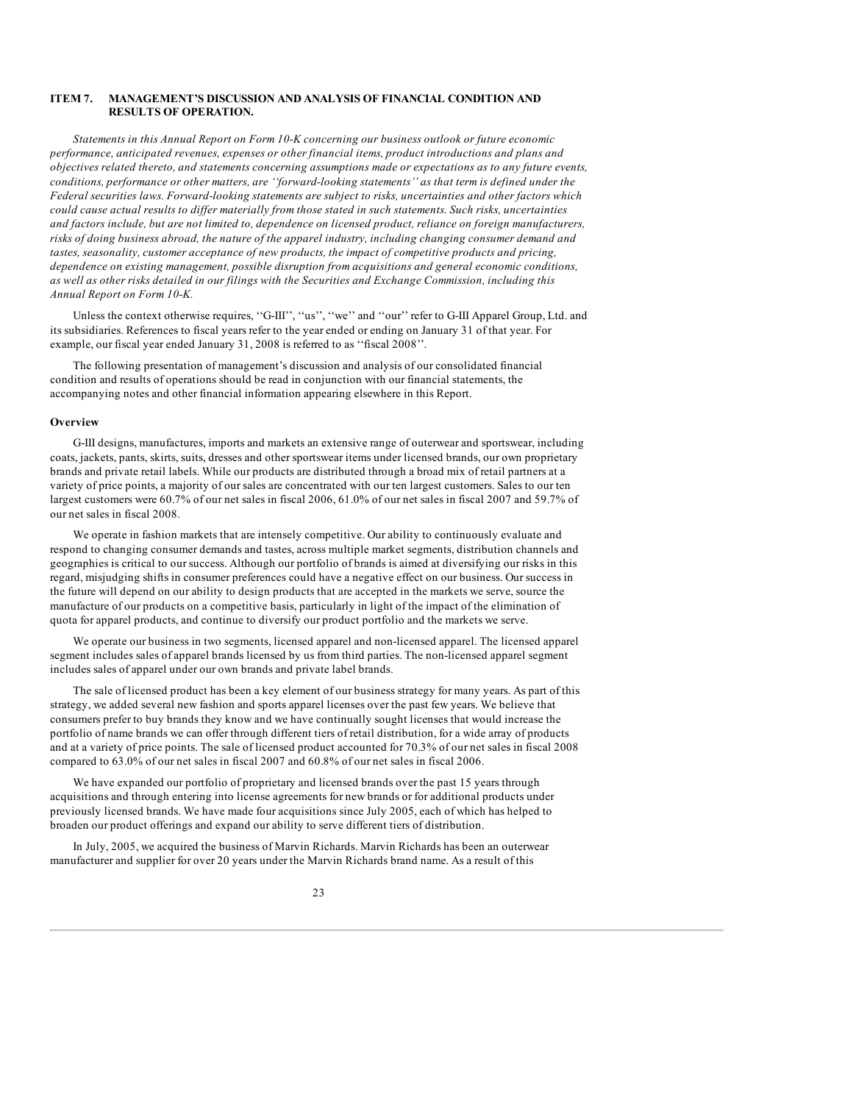# **ITEM 7. MANAGEMENT'S DISCUSSION AND ANALYSIS OF FINANCIAL CONDITION AND RESULTS OF OPERATION.**

*Statements in this Annual Report on Form 10-K concerning our business outlook or future economic performance, anticipated revenues, expenses or other financial items, product introductions and plans and objectives related thereto, and statements concerning assumptions made or expectations as to any future events, conditions, performance or other matters, are ''forward-looking statements'' as that term is defined under the Federal securities laws. Forward-looking statements are subject to risks, uncertainties and other factors which* could cause actual results to differ materially from those stated in such statements. Such risks, uncertainties *and factors include, but are not limited to, dependence on licensed product, reliance on foreign manufacturers, risks of doing business abroad, the nature of the apparel industry, including changing consumer demand and tastes, seasonality, customer acceptance of new products, the impact of competitive products and pricing, dependence on existing management, possible disruption from acquisitions and general economic conditions,* as well as other risks detailed in our filings with the Securities and Exchange Commission, including this *Annual Report on Form 10-K.*

Unless the context otherwise requires, ''G-III'', ''us'', ''we'' and ''our'' refer to G-III Apparel Group, Ltd. and its subsidiaries. References to fiscal years refer to the year ended or ending on January 31 of that year. For example, our fiscal year ended January 31, 2008 is referred to as ''fiscal 2008''.

The following presentation of management's discussion and analysis of our consolidated financial condition and results of operations should be read in conjunction with our financial statements, the accompanying notes and other financial information appearing elsewhere in this Report.

#### **Overview**

G-III designs, manufactures, imports and markets an extensive range of outerwear and sportswear, including coats, jackets, pants, skirts, suits, dresses and other sportswear items under licensed brands, our own proprietary brands and private retail labels. While our products are distributed through a broad mix of retail partners at a variety of price points, a majority of our sales are concentrated with our ten largest customers. Sales to our ten largest customers were 60.7% of our net sales in fiscal 2006, 61.0% of our net sales in fiscal 2007 and 59.7% of our net sales in fiscal 2008.

We operate in fashion markets that are intensely competitive. Our ability to continuously evaluate and respond to changing consumer demands and tastes, across multiple market segments, distribution channels and geographies is critical to our success. Although our portfolio of brands is aimed at diversifying our risks in this regard, misjudging shifts in consumer preferences could have a negative effect on our business. Our success in the future will depend on our ability to design products that are accepted in the markets we serve, source the manufacture of our products on a competitive basis, particularly in light of the impact of the elimination of quota for apparel products, and continue to diversify our product portfolio and the markets we serve.

We operate our business in two segments, licensed apparel and non-licensed apparel. The licensed apparel segment includes sales of apparel brands licensed by us from third parties. The non-licensed apparel segment includes sales of apparel under our own brands and private label brands.

The sale of licensed product has been a key element of our business strategy for many years. As part of this strategy, we added several new fashion and sports apparel licenses over the past few years. We believe that consumers prefer to buy brands they know and we have continually sought licenses that would increase the portfolio of name brands we can offer through different tiers of retail distribution, for a wide array of products and at a variety of price points. The sale of licensed product accounted for 70.3% of our net sales in fiscal 2008 compared to 63.0% of our net sales in fiscal 2007 and 60.8% of our net sales in fiscal 2006.

We have expanded our portfolio of proprietary and licensed brands over the past 15 years through acquisitions and through entering into license agreements for new brands or for additional products under previously licensed brands. We have made four acquisitions since July 2005, each of which has helped to broaden our product offerings and expand our ability to serve different tiers of distribution.

In July, 2005, we acquired the business of Marvin Richards. Marvin Richards has been an outerwear manufacturer and supplier for over 20 years under the Marvin Richards brand name. As a result of this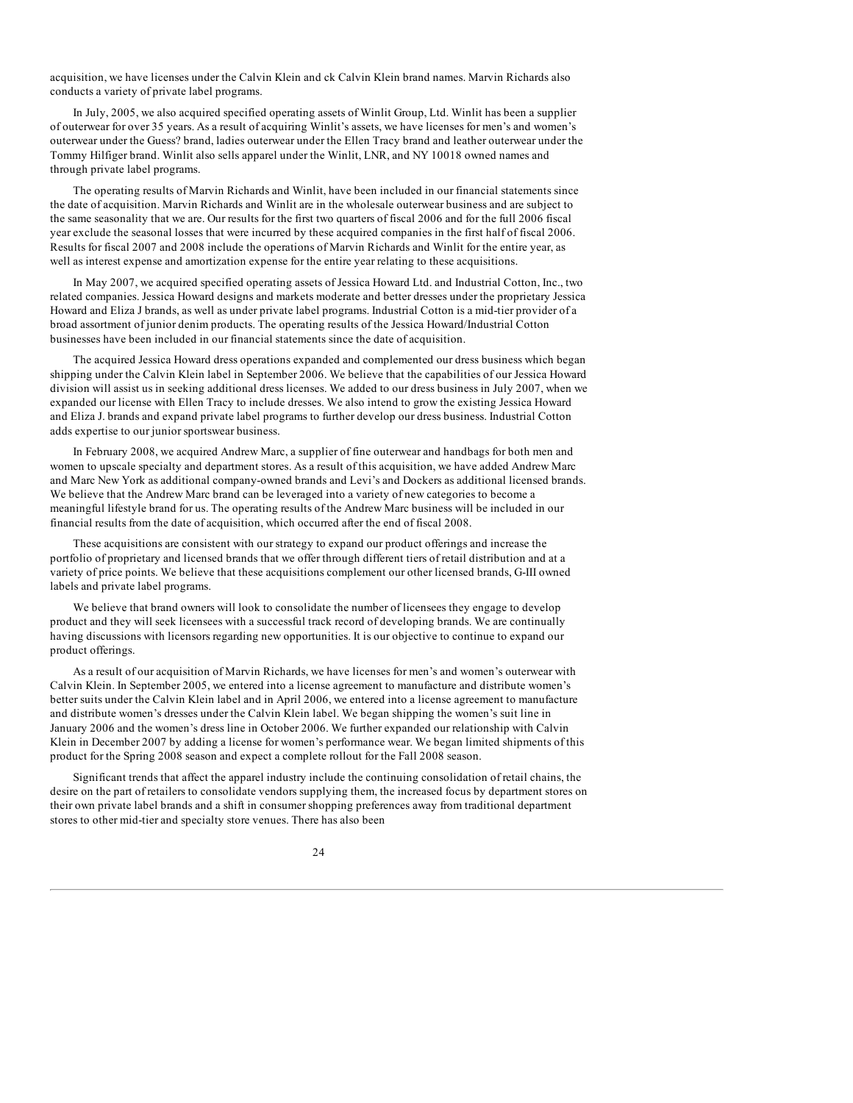acquisition, we have licenses under the Calvin Klein and ck Calvin Klein brand names. Marvin Richards also conducts a variety of private label programs.

In July, 2005, we also acquired specified operating assets of Winlit Group, Ltd. Winlit has been a supplier of outerwear for over 35 years. As a result of acquiring Winlit's assets, we have licenses for men's and women's outerwear under the Guess? brand, ladies outerwear under the Ellen Tracy brand and leather outerwear under the Tommy Hilfiger brand. Winlit also sells apparel under the Winlit, LNR, and NY 10018 owned names and through private label programs.

The operating results of Marvin Richards and Winlit, have been included in our financial statements since the date of acquisition. Marvin Richards and Winlit are in the wholesale outerwear business and are subject to the same seasonality that we are. Our results for the first two quarters of fiscal 2006 and for the full 2006 fiscal year exclude the seasonal losses that were incurred by these acquired companies in the first half of fiscal 2006. Results for fiscal 2007 and 2008 include the operations of Marvin Richards and Winlit for the entire year, as well as interest expense and amortization expense for the entire year relating to these acquisitions.

In May 2007, we acquired specified operating assets of Jessica Howard Ltd. and Industrial Cotton, Inc., two related companies. Jessica Howard designs and markets moderate and better dresses under the proprietary Jessica Howard and Eliza J brands, as well as under private label programs. Industrial Cotton is a mid-tier provider of a broad assortment of junior denim products. The operating results of the Jessica Howard/Industrial Cotton businesses have been included in our financial statements since the date of acquisition.

The acquired Jessica Howard dress operations expanded and complemented our dress business which began shipping under the Calvin Klein label in September 2006. We believe that the capabilities of our Jessica Howard division will assist us in seeking additional dress licenses. We added to our dress business in July 2007, when we expanded our license with Ellen Tracy to include dresses. We also intend to grow the existing Jessica Howard and Eliza J. brands and expand private label programs to further develop our dress business. Industrial Cotton adds expertise to our junior sportswear business.

In February 2008, we acquired Andrew Marc, a supplier of fine outerwear and handbags for both men and women to upscale specialty and department stores. As a result of this acquisition, we have added Andrew Marc and Marc New York as additional company-owned brands and Levi's and Dockers as additional licensed brands. We believe that the Andrew Marc brand can be leveraged into a variety of new categories to become a meaningful lifestyle brand for us. The operating results of the Andrew Marc business will be included in our financial results from the date of acquisition, which occurred after the end of fiscal 2008.

These acquisitions are consistent with our strategy to expand our product offerings and increase the portfolio of proprietary and licensed brands that we offer through different tiers of retail distribution and at a variety of price points. We believe that these acquisitions complement our other licensed brands, G-III owned labels and private label programs.

We believe that brand owners will look to consolidate the number of licensees they engage to develop product and they will seek licensees with a successful track record of developing brands. We are continually having discussions with licensors regarding new opportunities. It is our objective to continue to expand our product offerings.

As a result of our acquisition of Marvin Richards, we have licenses for men's and women's outerwear with Calvin Klein. In September 2005, we entered into a license agreement to manufacture and distribute women's better suits under the Calvin Klein label and in April 2006, we entered into a license agreement to manufacture and distribute women's dresses under the Calvin Klein label. We began shipping the women's suit line in January 2006 and the women's dress line in October 2006. We further expanded our relationship with Calvin Klein in December 2007 by adding a license for women's performance wear. We began limited shipments of this product for the Spring 2008 season and expect a complete rollout for the Fall 2008 season.

Significant trends that affect the apparel industry include the continuing consolidation of retail chains, the desire on the part of retailers to consolidate vendors supplying them, the increased focus by department stores on their own private label brands and a shift in consumer shopping preferences away from traditional department stores to other mid-tier and specialty store venues. There has also been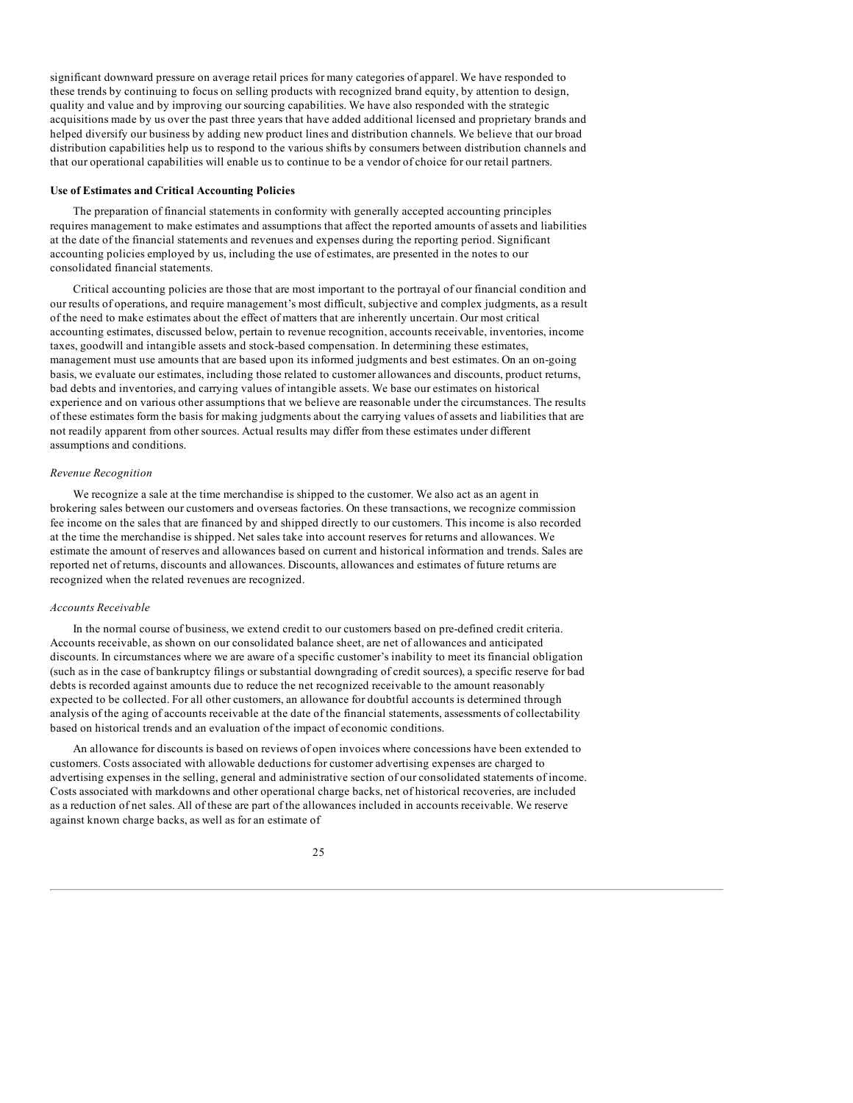significant downward pressure on average retail prices for many categories of apparel. We have responded to these trends by continuing to focus on selling products with recognized brand equity, by attention to design, quality and value and by improving our sourcing capabilities. We have also responded with the strategic acquisitions made by us over the past three years that have added additional licensed and proprietary brands and helped diversify our business by adding new product lines and distribution channels. We believe that our broad distribution capabilities help us to respond to the various shifts by consumers between distribution channels and that our operational capabilities will enable us to continue to be a vendor of choice for our retail partners.

## **Use of Estimates and Critical Accounting Policies**

The preparation of financial statements in conformity with generally accepted accounting principles requires management to make estimates and assumptions that affect the reported amounts of assets and liabilities at the date of the financial statements and revenues and expenses during the reporting period. Significant accounting policies employed by us, including the use of estimates, are presented in the notes to our consolidated financial statements.

Critical accounting policies are those that are most important to the portrayal of our financial condition and our results of operations, and require management's most difficult, subjective and complex judgments, as a result of the need to make estimates about the effect of matters that are inherently uncertain. Our most critical accounting estimates, discussed below, pertain to revenue recognition, accounts receivable, inventories, income taxes, goodwill and intangible assets and stock-based compensation. In determining these estimates, management must use amounts that are based upon its informed judgments and best estimates. On an on-going basis, we evaluate our estimates, including those related to customer allowances and discounts, product returns, bad debts and inventories, and carrying values of intangible assets. We base our estimates on historical experience and on various other assumptions that we believe are reasonable under the circumstances. The results of these estimates form the basis for making judgments about the carrying values of assets and liabilities that are not readily apparent from other sources. Actual results may differ from these estimates under different assumptions and conditions.

## *Revenue Recognition*

We recognize a sale at the time merchandise is shipped to the customer. We also act as an agent in brokering sales between our customers and overseas factories. On these transactions, we recognize commission fee income on the sales that are financed by and shipped directly to our customers. This income is also recorded at the time the merchandise is shipped. Net sales take into account reserves for returns and allowances. We estimate the amount of reserves and allowances based on current and historical information and trends. Sales are reported net of returns, discounts and allowances. Discounts, allowances and estimates of future returns are recognized when the related revenues are recognized.

## *Accounts Receivable*

In the normal course of business, we extend credit to our customers based on pre-defined credit criteria. Accounts receivable, as shown on our consolidated balance sheet, are net of allowances and anticipated discounts. In circumstances where we are aware of a specific customer's inability to meet its financial obligation (such as in the case of bankruptcy filings or substantial downgrading of credit sources), a specific reserve for bad debts is recorded against amounts due to reduce the net recognized receivable to the amount reasonably expected to be collected. For all other customers, an allowance for doubtful accounts is determined through analysis of the aging of accounts receivable at the date of the financial statements, assessments of collectability based on historical trends and an evaluation of the impact of economic conditions.

An allowance for discounts is based on reviews of open invoices where concessions have been extended to customers. Costs associated with allowable deductions for customer advertising expenses are charged to advertising expenses in the selling, general and administrative section of our consolidated statements of income. Costs associated with markdowns and other operational charge backs, net of historical recoveries, are included as a reduction of net sales. All of these are part of the allowances included in accounts receivable. We reserve against known charge backs, as well as for an estimate of

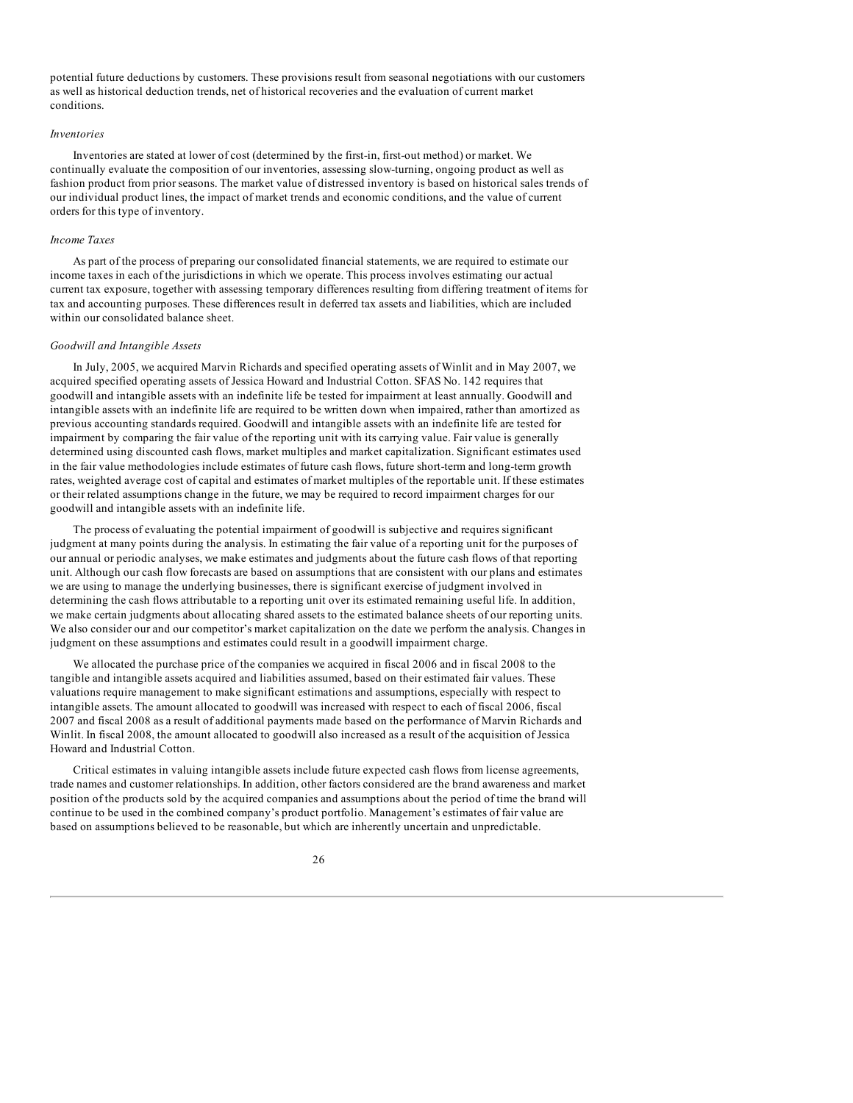potential future deductions by customers. These provisions result from seasonal negotiations with our customers as well as historical deduction trends, net of historical recoveries and the evaluation of current market conditions.

#### *Inventories*

Inventories are stated at lower of cost (determined by the first-in, first-out method) or market. We continually evaluate the composition of our inventories, assessing slow-turning, ongoing product as well as fashion product from prior seasons. The market value of distressed inventory is based on historical sales trends of our individual product lines, the impact of market trends and economic conditions, and the value of current orders for this type of inventory.

## *Income Taxes*

As part of the process of preparing our consolidated financial statements, we are required to estimate our income taxes in each of the jurisdictions in which we operate. This process involves estimating our actual current tax exposure, together with assessing temporary differences resulting from differing treatment of items for tax and accounting purposes. These differences result in deferred tax assets and liabilities, which are included within our consolidated balance sheet.

# *Goodwill and Intangible Assets*

In July, 2005, we acquired Marvin Richards and specified operating assets of Winlit and in May 2007, we acquired specified operating assets of Jessica Howard and Industrial Cotton. SFAS No. 142 requires that goodwill and intangible assets with an indefinite life be tested for impairment at least annually. Goodwill and intangible assets with an indefinite life are required to be written down when impaired, rather than amortized as previous accounting standards required. Goodwill and intangible assets with an indefinite life are tested for impairment by comparing the fair value of the reporting unit with its carrying value. Fair value is generally determined using discounted cash flows, market multiples and market capitalization. Significant estimates used in the fair value methodologies include estimates of future cash flows, future short-term and long-term growth rates, weighted average cost of capital and estimates of market multiples of the reportable unit. If these estimates or their related assumptions change in the future, we may be required to record impairment charges for our goodwill and intangible assets with an indefinite life.

The process of evaluating the potential impairment of goodwill is subjective and requires significant judgment at many points during the analysis. In estimating the fair value of a reporting unit for the purposes of our annual or periodic analyses, we make estimates and judgments about the future cash flows of that reporting unit. Although our cash flow forecasts are based on assumptions that are consistent with our plans and estimates we are using to manage the underlying businesses, there is significant exercise of judgment involved in determining the cash flows attributable to a reporting unit over its estimated remaining useful life. In addition, we make certain judgments about allocating shared assets to the estimated balance sheets of our reporting units. We also consider our and our competitor's market capitalization on the date we perform the analysis. Changes in judgment on these assumptions and estimates could result in a goodwill impairment charge.

We allocated the purchase price of the companies we acquired in fiscal 2006 and in fiscal 2008 to the tangible and intangible assets acquired and liabilities assumed, based on their estimated fair values. These valuations require management to make significant estimations and assumptions, especially with respect to intangible assets. The amount allocated to goodwill was increased with respect to each of fiscal 2006, fiscal 2007 and fiscal 2008 as a result of additional payments made based on the performance of Marvin Richards and Winlit. In fiscal 2008, the amount allocated to goodwill also increased as a result of the acquisition of Jessica Howard and Industrial Cotton.

Critical estimates in valuing intangible assets include future expected cash flows from license agreements, trade names and customer relationships. In addition, other factors considered are the brand awareness and market position of the products sold by the acquired companies and assumptions about the period of time the brand will continue to be used in the combined company's product portfolio. Management's estimates of fair value are based on assumptions believed to be reasonable, but which are inherently uncertain and unpredictable.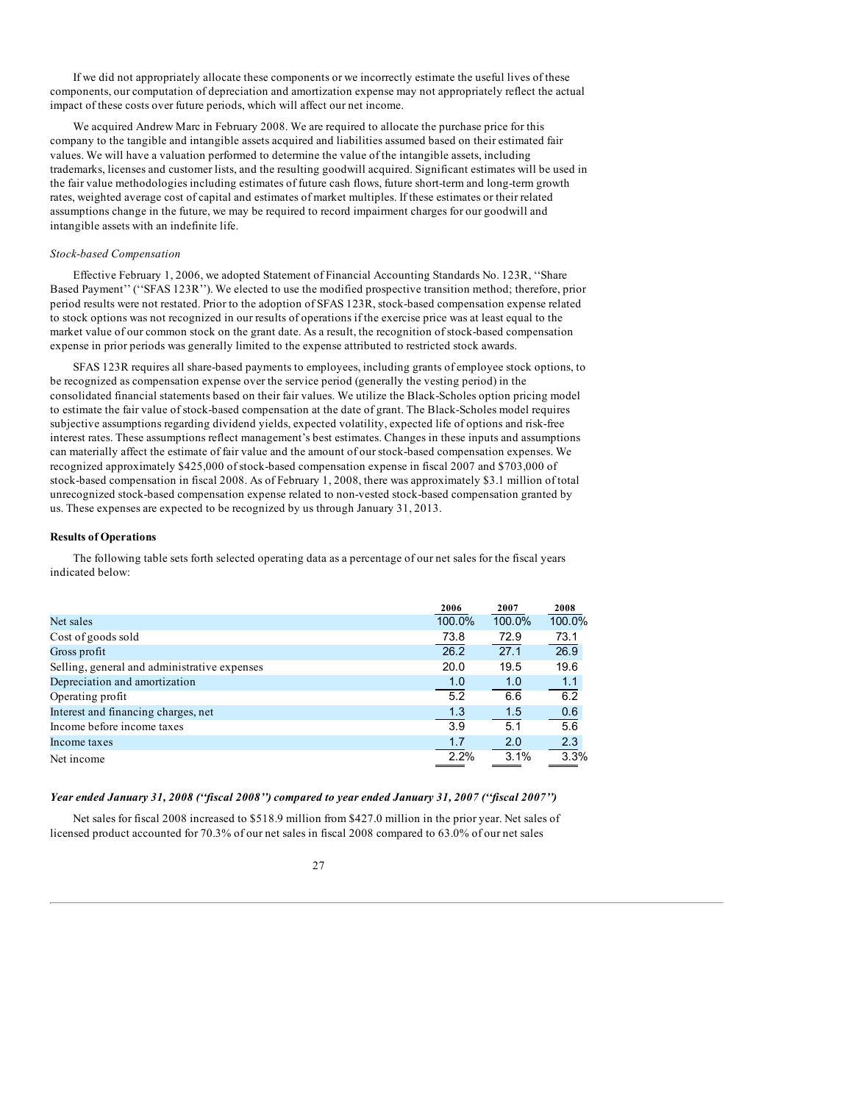If we did not appropriately allocate these components or we incorrectly estimate the useful lives of these components, our computation of depreciation and amortization expense may not appropriately reflect the actual impact of these costs over future periods, which will affect our net income.

We acquired Andrew Marc in February 2008. We are required to allocate the purchase price for this company to the tangible and intangible assets acquired and liabilities assumed based on their estimated fair values. We will have a valuation performed to determine the value of the intangible assets, including trademarks, licenses and customer lists, and the resulting goodwill acquired. Significant estimates will be used in the fair value methodologies including estimates of future cash flows, future short-term and long-term growth rates, weighted average cost of capital and estimates of market multiples. If these estimates or their related assumptions change in the future, we may be required to record impairment charges for our goodwill and intangible assets with an indefinite life.

# *Stock-based Compensation*

Effective February 1, 2006, we adopted Statement of Financial Accounting Standards No. 123R, ''Share Based Payment'' (''SFAS 123R''). We elected to use the modified prospective transition method; therefore, prior period results were not restated. Prior to the adoption of SFAS 123R, stock-based compensation expense related to stock options was not recognized in our results of operations if the exercise price was at least equal to the market value of our common stock on the grant date. As a result, the recognition of stock-based compensation expense in prior periods was generally limited to the expense attributed to restricted stock awards.

SFAS 123R requires all share-based payments to employees, including grants of employee stock options, to be recognized as compensation expense over the service period (generally the vesting period) in the consolidated financial statements based on their fair values. We utilize the Black-Scholes option pricing model to estimate the fair value of stock-based compensation at the date of grant. The Black-Scholes model requires subjective assumptions regarding dividend yields, expected volatility, expected life of options and risk-free interest rates. These assumptions reflect management's best estimates. Changes in these inputs and assumptions can materially affect the estimate of fair value and the amount of our stock-based compensation expenses. We recognized approximately \$425,000 of stock-based compensation expense in fiscal 2007 and \$703,000 of stock-based compensation in fiscal 2008. As of February 1, 2008, there was approximately \$3.1 million of total unrecognized stock-based compensation expense related to non-vested stock-based compensation granted by us. These expenses are expected to be recognized by us through January 31, 2013.

## **Results of Operations**

The following table sets forth selected operating data as a percentage of our net sales for the fiscal years indicated below:

|                                              | 2006   | 2007   | 2008   |
|----------------------------------------------|--------|--------|--------|
| Net sales                                    | 100.0% | 100.0% | 100.0% |
| Cost of goods sold                           | 73.8   | 72.9   | 73.1   |
| Gross profit                                 | 26.2   | 27.1   | 26.9   |
| Selling, general and administrative expenses | 20.0   | 19.5   | 19.6   |
| Depreciation and amortization                | 1.0    | 1.0    | 1.1    |
| Operating profit                             | 5.2    | 6.6    | 6.2    |
| Interest and financing charges, net          | 1.3    | 1.5    | 0.6    |
| Income before income taxes                   | 3.9    | 5.1    | 5.6    |
| Income taxes                                 | 1.7    | 2.0    | 2.3    |
| Net income                                   | 2.2%   | 3.1%   | 3.3%   |

#### *Year ended January 31, 2008 (''fiscal 2008'') compared to year ended January 31, 2007 (''fiscal 2007'')*

Net sales for fiscal 2008 increased to \$518.9 million from \$427.0 million in the prior year. Net sales of licensed product accounted for 70.3% of our net sales in fiscal 2008 compared to 63.0% of our net sales

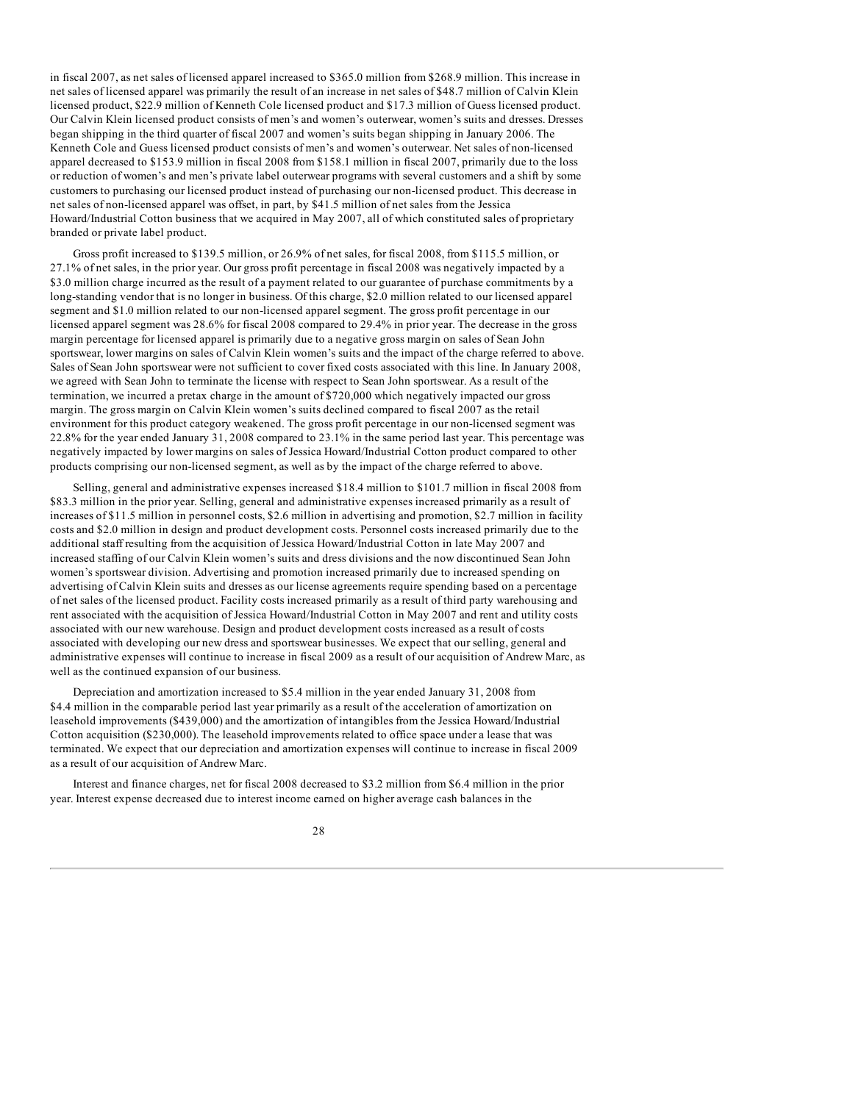in fiscal 2007, as net sales of licensed apparel increased to \$365.0 million from \$268.9 million. This increase in net sales of licensed apparel was primarily the result of an increase in net sales of \$48.7 million of Calvin Klein licensed product, \$22.9 million of Kenneth Cole licensed product and \$17.3 million of Guess licensed product. Our Calvin Klein licensed product consists of men's and women's outerwear, women's suits and dresses. Dresses began shipping in the third quarter of fiscal 2007 and women's suits began shipping in January 2006. The Kenneth Cole and Guess licensed product consists of men's and women's outerwear. Net sales of non-licensed apparel decreased to \$153.9 million in fiscal 2008 from \$158.1 million in fiscal 2007, primarily due to the loss or reduction of women's and men's private label outerwear programs with several customers and a shift by some customers to purchasing our licensed product instead of purchasing our non-licensed product. This decrease in net sales of non-licensed apparel was offset, in part, by \$41.5 million of net sales from the Jessica Howard/Industrial Cotton business that we acquired in May 2007, all of which constituted sales of proprietary branded or private label product.

Gross profit increased to \$139.5 million, or 26.9% of net sales, for fiscal 2008, from \$115.5 million, or 27.1% of net sales, in the prior year. Our gross profit percentage in fiscal 2008 was negatively impacted by a \$3.0 million charge incurred as the result of a payment related to our guarantee of purchase commitments by a long-standing vendor that is no longer in business. Of this charge, \$2.0 million related to our licensed apparel segment and \$1.0 million related to our non-licensed apparel segment. The gross profit percentage in our licensed apparel segment was 28.6% for fiscal 2008 compared to 29.4% in prior year. The decrease in the gross margin percentage for licensed apparel is primarily due to a negative gross margin on sales of Sean John sportswear, lower margins on sales of Calvin Klein women's suits and the impact of the charge referred to above. Sales of Sean John sportswear were not sufficient to cover fixed costs associated with this line. In January 2008, we agreed with Sean John to terminate the license with respect to Sean John sportswear. As a result of the termination, we incurred a pretax charge in the amount of \$720,000 which negatively impacted our gross margin. The gross margin on Calvin Klein women's suits declined compared to fiscal 2007 as the retail environment for this product category weakened. The gross profit percentage in our non-licensed segment was 22.8% for the year ended January 31, 2008 compared to 23.1% in the same period last year. This percentage was negatively impacted by lower margins on sales of Jessica Howard/Industrial Cotton product compared to other products comprising our non-licensed segment, as well as by the impact of the charge referred to above.

Selling, general and administrative expenses increased \$18.4 million to \$101.7 million in fiscal 2008 from \$83.3 million in the prior year. Selling, general and administrative expenses increased primarily as a result of increases of \$11.5 million in personnel costs, \$2.6 million in advertising and promotion, \$2.7 million in facility costs and \$2.0 million in design and product development costs. Personnel costs increased primarily due to the additional staff resulting from the acquisition of Jessica Howard/Industrial Cotton in late May 2007 and increased staffing of our Calvin Klein women's suits and dress divisions and the now discontinued Sean John women's sportswear division. Advertising and promotion increased primarily due to increased spending on advertising of Calvin Klein suits and dresses as our license agreements require spending based on a percentage of net sales of the licensed product. Facility costs increased primarily as a result of third party warehousing and rent associated with the acquisition of Jessica Howard/Industrial Cotton in May 2007 and rent and utility costs associated with our new warehouse. Design and product development costs increased as a result of costs associated with developing our new dress and sportswear businesses. We expect that our selling, general and administrative expenses will continue to increase in fiscal 2009 as a result of our acquisition of Andrew Marc, as well as the continued expansion of our business.

Depreciation and amortization increased to \$5.4 million in the year ended January 31, 2008 from \$4.4 million in the comparable period last year primarily as a result of the acceleration of amortization on leasehold improvements (\$439,000) and the amortization of intangibles from the Jessica Howard/Industrial Cotton acquisition (\$230,000). The leasehold improvements related to office space under a lease that was terminated. We expect that our depreciation and amortization expenses will continue to increase in fiscal 2009 as a result of our acquisition of Andrew Marc.

Interest and finance charges, net for fiscal 2008 decreased to \$3.2 million from \$6.4 million in the prior year. Interest expense decreased due to interest income earned on higher average cash balances in the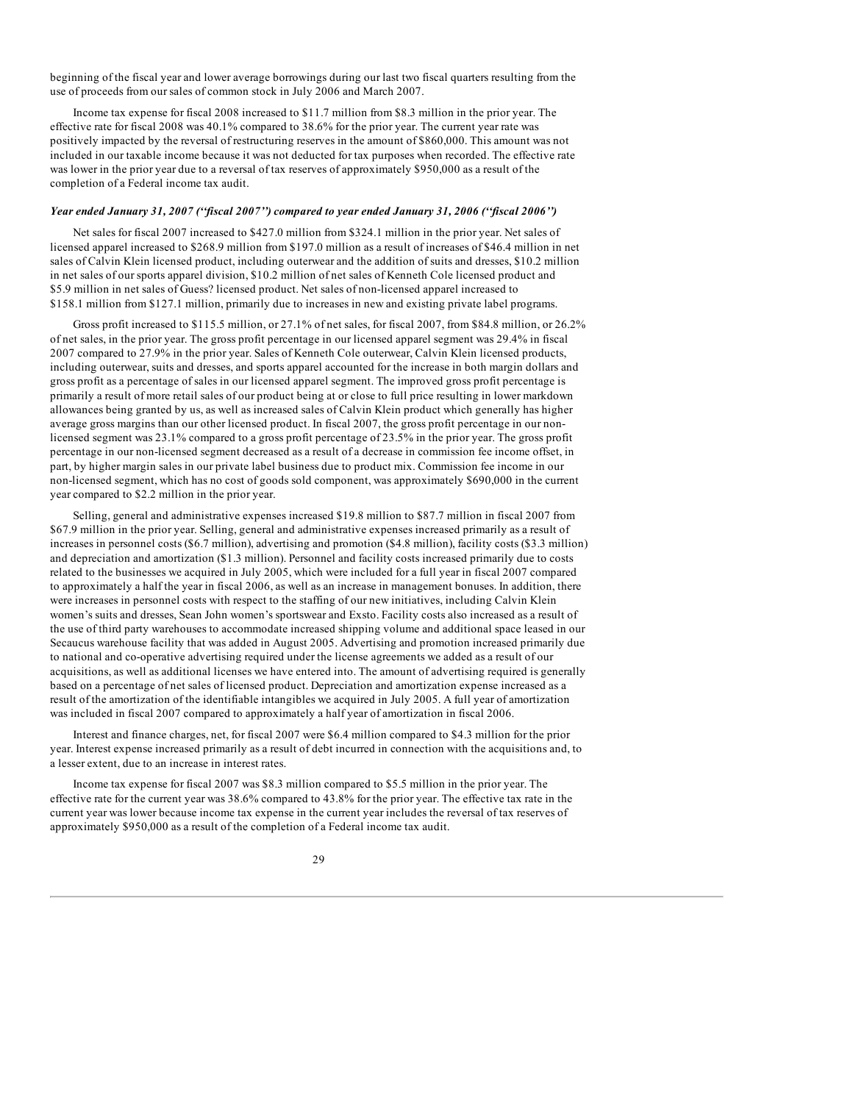beginning of the fiscal year and lower average borrowings during our last two fiscal quarters resulting from the use of proceeds from our sales of common stock in July 2006 and March 2007.

Income tax expense for fiscal 2008 increased to \$11.7 million from \$8.3 million in the prior year. The effective rate for fiscal 2008 was 40.1% compared to 38.6% for the prior year. The current year rate was positively impacted by the reversal of restructuring reserves in the amount of \$860,000. This amount was not included in our taxable income because it was not deducted for tax purposes when recorded. The effective rate was lower in the prior year due to a reversal of tax reserves of approximately \$950,000 as a result of the completion of a Federal income tax audit.

## *Year ended January 31, 2007 (''fiscal 2007'') compared to year ended January 31, 2006 (''fiscal 2006'')*

Net sales for fiscal 2007 increased to \$427.0 million from \$324.1 million in the prior year. Net sales of licensed apparel increased to \$268.9 million from \$197.0 million as a result of increases of \$46.4 million in net sales of Calvin Klein licensed product, including outerwear and the addition of suits and dresses, \$10.2 million in net sales of our sports apparel division, \$10.2 million of net sales of Kenneth Cole licensed product and \$5.9 million in net sales of Guess? licensed product. Net sales of non-licensed apparel increased to \$158.1 million from \$127.1 million, primarily due to increases in new and existing private label programs.

Gross profit increased to \$115.5 million, or 27.1% of net sales, for fiscal 2007, from \$84.8 million, or 26.2% of net sales, in the prior year. The gross profit percentage in our licensed apparel segment was 29.4% in fiscal 2007 compared to 27.9% in the prior year. Sales of Kenneth Cole outerwear, Calvin Klein licensed products, including outerwear, suits and dresses, and sports apparel accounted for the increase in both margin dollars and gross profit as a percentage of sales in our licensed apparel segment. The improved gross profit percentage is primarily a result of more retail sales of our product being at or close to full price resulting in lower markdown allowances being granted by us, as well as increased sales of Calvin Klein product which generally has higher average gross margins than our other licensed product. In fiscal 2007, the gross profit percentage in our nonlicensed segment was 23.1% compared to a gross profit percentage of 23.5% in the prior year. The gross profit percentage in our non-licensed segment decreased as a result of a decrease in commission fee income offset, in part, by higher margin sales in our private label business due to product mix. Commission fee income in our non-licensed segment, which has no cost of goods sold component, was approximately \$690,000 in the current year compared to \$2.2 million in the prior year.

Selling, general and administrative expenses increased \$19.8 million to \$87.7 million in fiscal 2007 from \$67.9 million in the prior year. Selling, general and administrative expenses increased primarily as a result of increases in personnel costs (\$6.7 million), advertising and promotion (\$4.8 million), facility costs (\$3.3 million) and depreciation and amortization (\$1.3 million). Personnel and facility costs increased primarily due to costs related to the businesses we acquired in July 2005, which were included for a full year in fiscal 2007 compared to approximately a half the year in fiscal 2006, as well as an increase in management bonuses. In addition, there were increases in personnel costs with respect to the staffing of our new initiatives, including Calvin Klein women's suits and dresses, Sean John women's sportswear and Exsto. Facility costs also increased as a result of the use of third party warehouses to accommodate increased shipping volume and additional space leased in our Secaucus warehouse facility that was added in August 2005. Advertising and promotion increased primarily due to national and co-operative advertising required under the license agreements we added as a result of our acquisitions, as well as additional licenses we have entered into. The amount of advertising required is generally based on a percentage of net sales of licensed product. Depreciation and amortization expense increased as a result of the amortization of the identifiable intangibles we acquired in July 2005. A full year of amortization was included in fiscal 2007 compared to approximately a half year of amortization in fiscal 2006.

Interest and finance charges, net, for fiscal 2007 were \$6.4 million compared to \$4.3 million for the prior year. Interest expense increased primarily as a result of debt incurred in connection with the acquisitions and, to a lesser extent, due to an increase in interest rates.

Income tax expense for fiscal 2007 was \$8.3 million compared to \$5.5 million in the prior year. The effective rate for the current year was 38.6% compared to 43.8% for the prior year. The effective tax rate in the current year was lower because income tax expense in the current year includes the reversal of tax reserves of approximately \$950,000 as a result of the completion of a Federal income tax audit.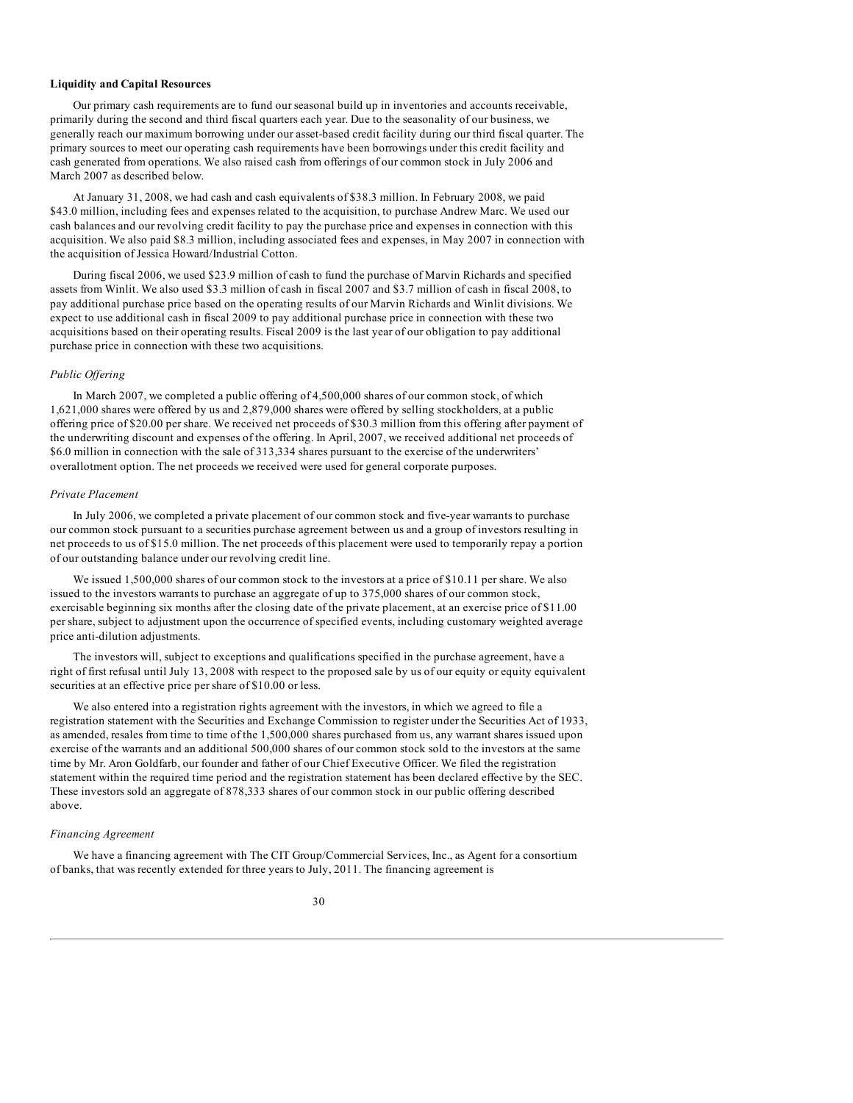## **Liquidity and Capital Resources**

Our primary cash requirements are to fund our seasonal build up in inventories and accounts receivable, primarily during the second and third fiscal quarters each year. Due to the seasonality of our business, we generally reach our maximum borrowing under our asset-based credit facility during our third fiscal quarter. The primary sources to meet our operating cash requirements have been borrowings under this credit facility and cash generated from operations. We also raised cash from offerings of our common stock in July 2006 and March 2007 as described below.

At January 31, 2008, we had cash and cash equivalents of \$38.3 million. In February 2008, we paid \$43.0 million, including fees and expenses related to the acquisition, to purchase Andrew Marc. We used our cash balances and our revolving credit facility to pay the purchase price and expenses in connection with this acquisition. We also paid \$8.3 million, including associated fees and expenses, in May 2007 in connection with the acquisition of Jessica Howard/Industrial Cotton.

During fiscal 2006, we used \$23.9 million of cash to fund the purchase of Marvin Richards and specified assets from Winlit. We also used \$3.3 million of cash in fiscal 2007 and \$3.7 million of cash in fiscal 2008, to pay additional purchase price based on the operating results of our Marvin Richards and Winlit divisions. We expect to use additional cash in fiscal 2009 to pay additional purchase price in connection with these two acquisitions based on their operating results. Fiscal 2009 is the last year of our obligation to pay additional purchase price in connection with these two acquisitions.

### *Public Of ering*

In March 2007, we completed a public offering of 4,500,000 shares of our common stock, of which 1,621,000 shares were offered by us and 2,879,000 shares were offered by selling stockholders, at a public offering price of \$20.00 per share. We received net proceeds of \$30.3 million from this offering after payment of the underwriting discount and expenses of the offering. In April, 2007, we received additional net proceeds of \$6.0 million in connection with the sale of 313,334 shares pursuant to the exercise of the underwriters' overallotment option. The net proceeds we received were used for general corporate purposes.

## *Private Placement*

In July 2006, we completed a private placement of our common stock and five-year warrants to purchase our common stock pursuant to a securities purchase agreement between us and a group of investors resulting in net proceeds to us of \$15.0 million. The net proceeds of this placement were used to temporarily repay a portion of our outstanding balance under our revolving credit line.

We issued 1,500,000 shares of our common stock to the investors at a price of \$10.11 per share. We also issued to the investors warrants to purchase an aggregate of up to 375,000 shares of our common stock, exercisable beginning six months after the closing date of the private placement, at an exercise price of \$11.00 per share, subject to adjustment upon the occurrence of specified events, including customary weighted average price anti-dilution adjustments.

The investors will, subject to exceptions and qualifications specified in the purchase agreement, have a right of first refusal until July 13, 2008 with respect to the proposed sale by us of our equity or equity equivalent securities at an effective price per share of \$10.00 or less.

We also entered into a registration rights agreement with the investors, in which we agreed to file a registration statement with the Securities and Exchange Commission to register under the Securities Act of 1933, as amended, resales from time to time of the 1,500,000 shares purchased from us, any warrant shares issued upon exercise of the warrants and an additional 500,000 shares of our common stock sold to the investors at the same time by Mr. Aron Goldfarb, our founder and father of our Chief Executive Officer. We filed the registration statement within the required time period and the registration statement has been declared effective by the SEC. These investors sold an aggregate of 878,333 shares of our common stock in our public offering described above.

#### *Financing Agreement*

We have a financing agreement with The CIT Group/Commercial Services, Inc., as Agent for a consortium of banks, that was recently extended for three years to July, 2011. The financing agreement is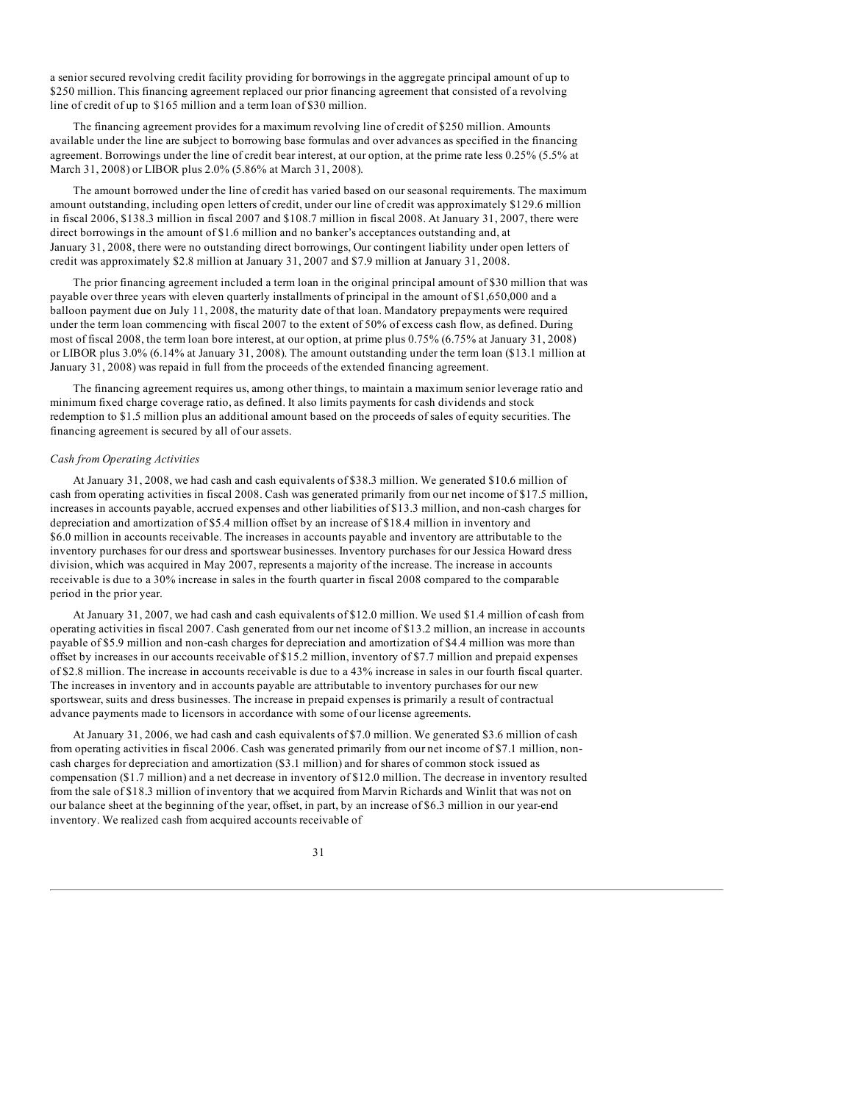a senior secured revolving credit facility providing for borrowings in the aggregate principal amount of up to \$250 million. This financing agreement replaced our prior financing agreement that consisted of a revolving line of credit of up to \$165 million and a term loan of \$30 million.

The financing agreement provides for a maximum revolving line of credit of \$250 million. Amounts available under the line are subject to borrowing base formulas and over advances as specified in the financing agreement. Borrowings under the line of credit bear interest, at our option, at the prime rate less 0.25% (5.5% at March 31, 2008) or LIBOR plus 2.0% (5.86% at March 31, 2008).

The amount borrowed under the line of credit has varied based on our seasonal requirements. The maximum amount outstanding, including open letters of credit, under our line of credit was approximately \$129.6 million in fiscal 2006, \$138.3 million in fiscal 2007 and \$108.7 million in fiscal 2008. At January 31, 2007, there were direct borrowings in the amount of \$1.6 million and no banker's acceptances outstanding and, at January 31, 2008, there were no outstanding direct borrowings, Our contingent liability under open letters of credit was approximately \$2.8 million at January 31, 2007 and \$7.9 million at January 31, 2008.

The prior financing agreement included a term loan in the original principal amount of \$30 million that was payable over three years with eleven quarterly installments of principal in the amount of \$1,650,000 and a balloon payment due on July 11, 2008, the maturity date of that loan. Mandatory prepayments were required under the term loan commencing with fiscal 2007 to the extent of 50% of excess cash flow, as defined. During most of fiscal 2008, the term loan bore interest, at our option, at prime plus 0.75% (6.75% at January 31, 2008) or LIBOR plus 3.0% (6.14% at January 31, 2008). The amount outstanding under the term loan (\$13.1 million at January 31, 2008) was repaid in full from the proceeds of the extended financing agreement.

The financing agreement requires us, among other things, to maintain a maximum senior leverage ratio and minimum fixed charge coverage ratio, as defined. It also limits payments for cash dividends and stock redemption to \$1.5 million plus an additional amount based on the proceeds of sales of equity securities. The financing agreement is secured by all of our assets.

## *Cash from Operating Activities*

At January 31, 2008, we had cash and cash equivalents of \$38.3 million. We generated \$10.6 million of cash from operating activities in fiscal 2008. Cash was generated primarily from our net income of \$17.5 million, increases in accounts payable, accrued expenses and other liabilities of \$13.3 million, and non-cash charges for depreciation and amortization of \$5.4 million offset by an increase of \$18.4 million in inventory and \$6.0 million in accounts receivable. The increases in accounts payable and inventory are attributable to the inventory purchases for our dress and sportswear businesses. Inventory purchases for our Jessica Howard dress division, which was acquired in May 2007, represents a majority of the increase. The increase in accounts receivable is due to a 30% increase in sales in the fourth quarter in fiscal 2008 compared to the comparable period in the prior year.

At January 31, 2007, we had cash and cash equivalents of \$12.0 million. We used \$1.4 million of cash from operating activities in fiscal 2007. Cash generated from our net income of \$13.2 million, an increase in accounts payable of \$5.9 million and non-cash charges for depreciation and amortization of \$4.4 million was more than offset by increases in our accounts receivable of \$15.2 million, inventory of \$7.7 million and prepaid expenses of \$2.8 million. The increase in accounts receivable is due to a 43% increase in sales in our fourth fiscal quarter. The increases in inventory and in accounts payable are attributable to inventory purchases for our new sportswear, suits and dress businesses. The increase in prepaid expenses is primarily a result of contractual advance payments made to licensors in accordance with some of our license agreements.

At January 31, 2006, we had cash and cash equivalents of \$7.0 million. We generated \$3.6 million of cash from operating activities in fiscal 2006. Cash was generated primarily from our net income of \$7.1 million, noncash charges for depreciation and amortization (\$3.1 million) and for shares of common stock issued as compensation (\$1.7 million) and a net decrease in inventory of \$12.0 million. The decrease in inventory resulted from the sale of \$18.3 million of inventory that we acquired from Marvin Richards and Winlit that was not on our balance sheet at the beginning of the year, offset, in part, by an increase of \$6.3 million in our year-end inventory. We realized cash from acquired accounts receivable of

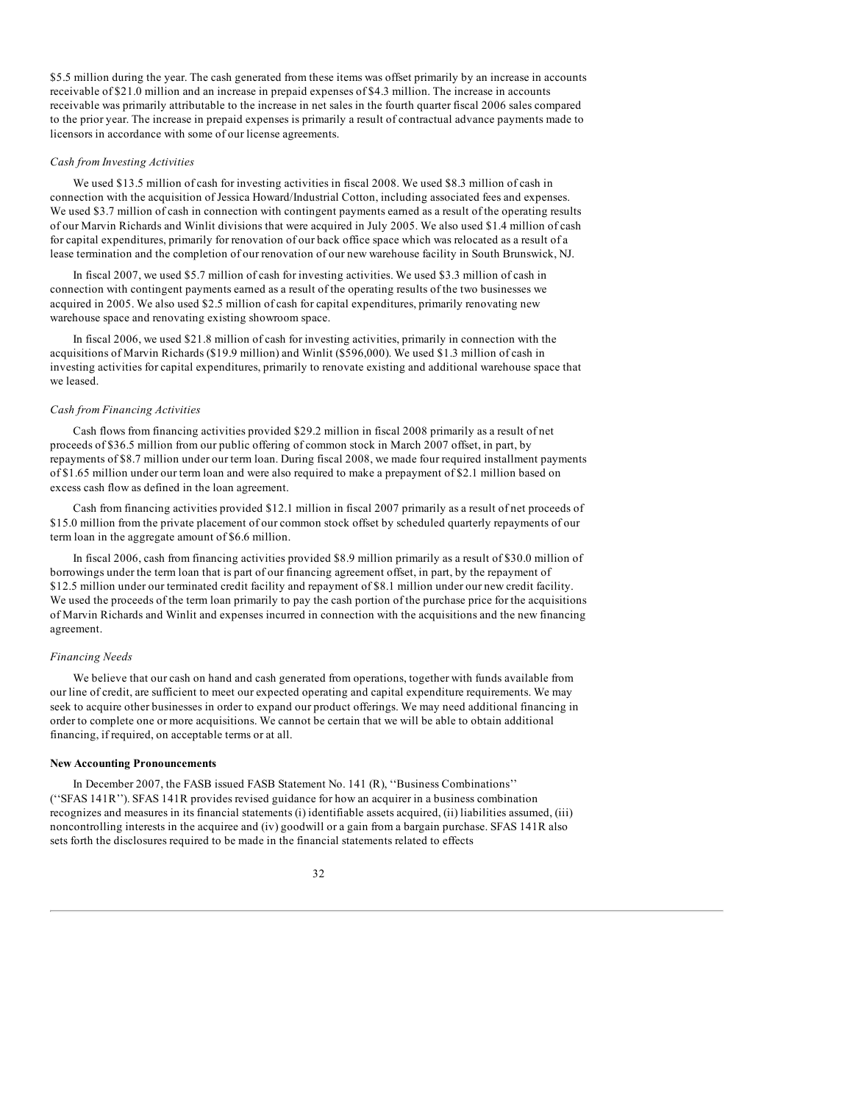\$5.5 million during the year. The cash generated from these items was offset primarily by an increase in accounts receivable of \$21.0 million and an increase in prepaid expenses of \$4.3 million. The increase in accounts receivable was primarily attributable to the increase in net sales in the fourth quarter fiscal 2006 sales compared to the prior year. The increase in prepaid expenses is primarily a result of contractual advance payments made to licensors in accordance with some of our license agreements.

## *Cash from Investing Activities*

We used \$13.5 million of cash for investing activities in fiscal 2008. We used \$8.3 million of cash in connection with the acquisition of Jessica Howard/Industrial Cotton, including associated fees and expenses. We used \$3.7 million of cash in connection with contingent payments earned as a result of the operating results of our Marvin Richards and Winlit divisions that were acquired in July 2005. We also used \$1.4 million of cash for capital expenditures, primarily for renovation of our back office space which was relocated as a result of a lease termination and the completion of our renovation of our new warehouse facility in South Brunswick, NJ.

In fiscal 2007, we used \$5.7 million of cash for investing activities. We used \$3.3 million of cash in connection with contingent payments earned as a result of the operating results of the two businesses we acquired in 2005. We also used \$2.5 million of cash for capital expenditures, primarily renovating new warehouse space and renovating existing showroom space.

In fiscal 2006, we used \$21.8 million of cash for investing activities, primarily in connection with the acquisitions of Marvin Richards (\$19.9 million) and Winlit (\$596,000). We used \$1.3 million of cash in investing activities for capital expenditures, primarily to renovate existing and additional warehouse space that we leased.

#### *Cash from Financing Activities*

Cash flows from financing activities provided \$29.2 million in fiscal 2008 primarily as a result of net proceeds of \$36.5 million from our public offering of common stock in March 2007 offset, in part, by repayments of \$8.7 million under our term loan. During fiscal 2008, we made four required installment payments of \$1.65 million under our term loan and were also required to make a prepayment of \$2.1 million based on excess cash flow as defined in the loan agreement.

Cash from financing activities provided \$12.1 million in fiscal 2007 primarily as a result of net proceeds of \$15.0 million from the private placement of our common stock offset by scheduled quarterly repayments of our term loan in the aggregate amount of \$6.6 million.

In fiscal 2006, cash from financing activities provided \$8.9 million primarily as a result of \$30.0 million of borrowings under the term loan that is part of our financing agreement offset, in part, by the repayment of \$12.5 million under our terminated credit facility and repayment of \$8.1 million under our new credit facility. We used the proceeds of the term loan primarily to pay the cash portion of the purchase price for the acquisitions of Marvin Richards and Winlit and expenses incurred in connection with the acquisitions and the new financing agreement.

## *Financing Needs*

We believe that our cash on hand and cash generated from operations, together with funds available from our line of credit, are sufficient to meet our expected operating and capital expenditure requirements. We may seek to acquire other businesses in order to expand our product offerings. We may need additional financing in order to complete one or more acquisitions. We cannot be certain that we will be able to obtain additional financing, if required, on acceptable terms or at all.

#### **New Accounting Pronouncements**

In December 2007, the FASB issued FASB Statement No. 141 (R), ''Business Combinations'' (''SFAS 141R''). SFAS 141R provides revised guidance for how an acquirer in a business combination recognizes and measures in its financial statements (i) identifiable assets acquired, (ii) liabilities assumed, (iii) noncontrolling interests in the acquiree and (iv) goodwill or a gain from a bargain purchase. SFAS 141R also sets forth the disclosures required to be made in the financial statements related to effects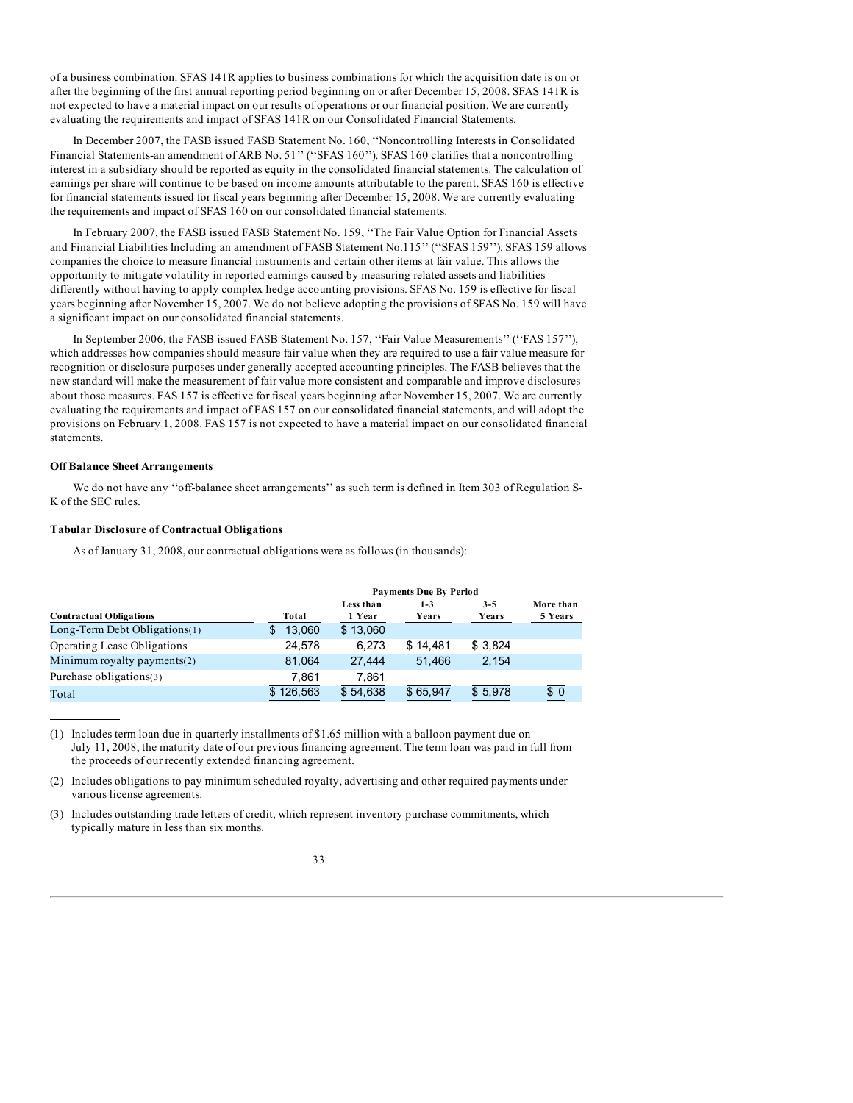of a business combination. SFAS 141R applies to business combinations for which the acquisition date is on or after the beginning of the first annual reporting period beginning on or after December 15, 2008. SFAS 141R is not expected to have a material impact on our results of operations or our financial position. We are currently evaluating the requirements and impact of SFAS 141R on our Consolidated Financial Statements.

In December 2007, the FASB issued FASB Statement No. 160, ''Noncontrolling Interests in Consolidated Financial Statements-an amendment of ARB No. 51'' (''SFAS 160''). SFAS 160 clarifies that a noncontrolling interest in a subsidiary should be reported as equity in the consolidated financial statements. The calculation of earnings per share will continue to be based on income amounts attributable to the parent. SFAS 160 is effective for financial statements issued for fiscal years beginning after December 15, 2008. We are currently evaluating the requirements and impact of SFAS 160 on our consolidated financial statements.

In February 2007, the FASB issued FASB Statement No. 159, ''The Fair Value Option for Financial Assets and Financial Liabilities Including an amendment of FASB Statement No.115'' (''SFAS 159''). SFAS 159 allows companies the choice to measure financial instruments and certain other items at fair value. This allows the opportunity to mitigate volatility in reported earnings caused by measuring related assets and liabilities differently without having to apply complex hedge accounting provisions. SFAS No. 159 is effective for fiscal years beginning after November 15, 2007. We do not believe adopting the provisions of SFAS No. 159 will have a significant impact on our consolidated financial statements.

In September 2006, the FASB issued FASB Statement No. 157, ''Fair Value Measurements'' (''FAS 157''), which addresses how companies should measure fair value when they are required to use a fair value measure for recognition or disclosure purposes under generally accepted accounting principles. The FASB believes that the new standard will make the measurement of fair value more consistent and comparable and improve disclosures about those measures. FAS 157 is effective for fiscal years beginning after November 15, 2007. We are currently evaluating the requirements and impact of FAS 157 on our consolidated financial statements, and will adopt the provisions on February 1, 2008. FAS 157 is not expected to have a material impact on our consolidated financial statements.

# **Off Balance Sheet Arrangements**

We do not have any "off-balance sheet arrangements" as such term is defined in Item 303 of Regulation S-K of the SEC rules.

## **Tabular Disclosure of Contractual Obligations**

As of January 31, 2008, our contractual obligations were as follows (in thousands):

| <b>Contractual Obligations</b>  | <b>Payments Due By Period</b> |                     |                  |                  |                      |  |  |  |
|---------------------------------|-------------------------------|---------------------|------------------|------------------|----------------------|--|--|--|
|                                 | Total                         | Less than<br>1 Year | $1 - 3$<br>Years | $3 - 5$<br>Years | More than<br>5 Years |  |  |  |
| $Long-Term Debt Obligations(1)$ | 13.060                        | \$13,060            |                  |                  |                      |  |  |  |
| Operating Lease Obligations     | 24.578                        | 6.273               | \$14.481         | \$3.824          |                      |  |  |  |
| Minimum royalty payments(2)     | 81.064                        | 27.444              | 51.466           | 2.154            |                      |  |  |  |
| Purchase obligations(3)         | 7.861                         | 7,861               |                  |                  |                      |  |  |  |
| Total                           | \$126,563                     | \$54,638            | \$65,947         | \$5,978          | \$0                  |  |  |  |

(1) Includes term loan due in quarterly installments of \$1.65 million with a balloon payment due on July 11, 2008, the maturity date of our previous financing agreement. The term loan was paid in full from the proceeds of our recently extended financing agreement.

(2) Includes obligations to pay minimum scheduled royalty, advertising and other required payments under various license agreements.

(3) Includes outstanding trade letters of credit, which represent inventory purchase commitments, which typically mature in less than six months.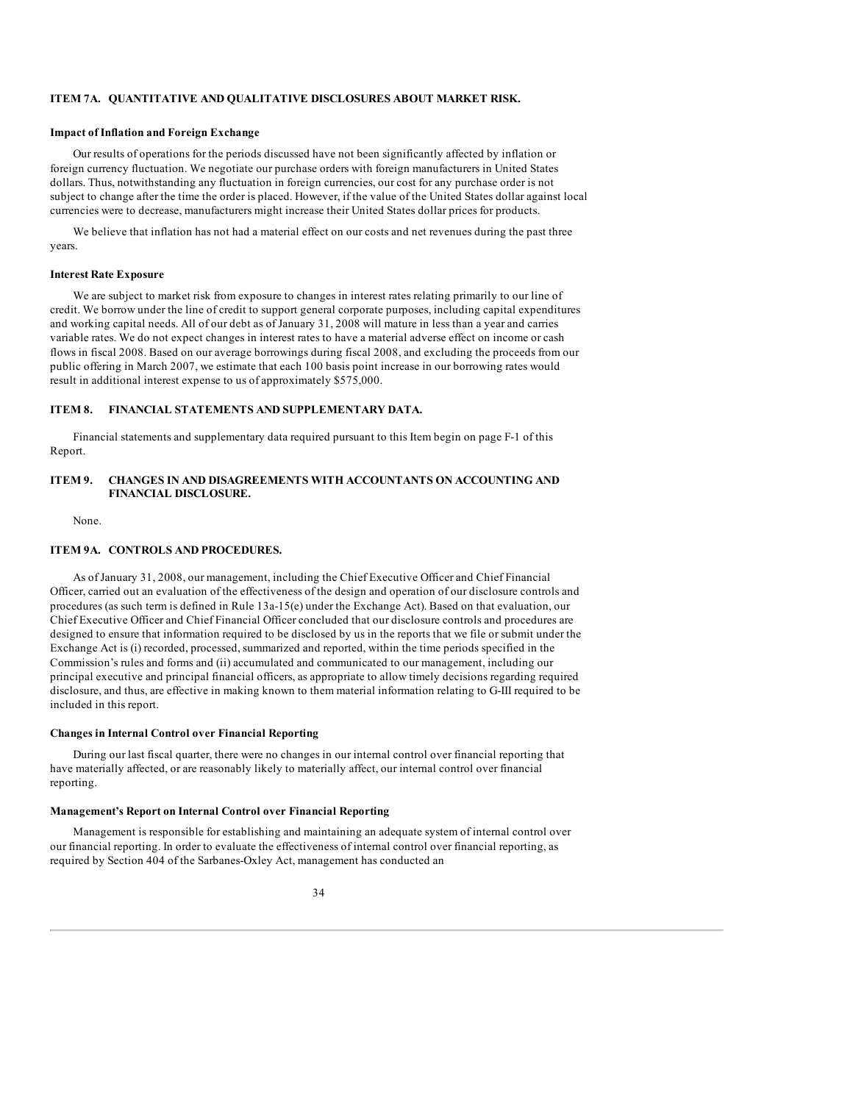## **ITEM 7A. QUANTITATIVE AND QUALITATIVE DISCLOSURES ABOUT MARKET RISK.**

## **Impact of Inflation and Foreign Exchange**

Our results of operations for the periods discussed have not been significantly affected by inflation or foreign currency fluctuation. We negotiate our purchase orders with foreign manufacturers in United States dollars. Thus, notwithstanding any fluctuation in foreign currencies, our cost for any purchase order is not subject to change after the time the order is placed. However, if the value of the United States dollar against local currencies were to decrease, manufacturers might increase their United States dollar prices for products.

We believe that inflation has not had a material effect on our costs and net revenues during the past three years.

## **Interest Rate Exposure**

We are subject to market risk from exposure to changes in interest rates relating primarily to our line of credit. We borrow under the line of credit to support general corporate purposes, including capital expenditures and working capital needs. All of our debt as of January 31, 2008 will mature in less than a year and carries variable rates. We do not expect changes in interest rates to have a material adverse effect on income or cash flows in fiscal 2008. Based on our average borrowings during fiscal 2008, and excluding the proceeds from our public offering in March 2007, we estimate that each 100 basis point increase in our borrowing rates would result in additional interest expense to us of approximately \$575,000.

# **ITEM 8. FINANCIAL STATEMENTS AND SUPPLEMENTARY DATA.**

Financial statements and supplementary data required pursuant to this Item begin on page F-1 of this Report.

# **ITEM 9. CHANGES IN AND DISAGREEMENTS WITH ACCOUNTANTS ON ACCOUNTING AND FINANCIAL DISCLOSURE.**

None.

# **ITEM 9A. CONTROLS AND PROCEDURES.**

As of January 31, 2008, our management, including the Chief Executive Officer and Chief Financial Officer, carried out an evaluation of the effectiveness of the design and operation of our disclosure controls and procedures (as such term is defined in Rule 13a-15(e) under the Exchange Act). Based on that evaluation, our Chief Executive Officer and Chief Financial Officer concluded that our disclosure controls and procedures are designed to ensure that information required to be disclosed by us in the reports that we file or submit under the Exchange Act is (i) recorded, processed, summarized and reported, within the time periods specified in the Commission's rules and forms and (ii) accumulated and communicated to our management, including our principal executive and principal financial officers, as appropriate to allow timely decisions regarding required disclosure, and thus, are effective in making known to them material information relating to G-III required to be included in this report.

#### **Changes in Internal Control over Financial Reporting**

During our last fiscal quarter, there were no changes in our internal control over financial reporting that have materially affected, or are reasonably likely to materially affect, our internal control over financial reporting.

# **Management's Report on Internal Control over Financial Reporting**

Management is responsible for establishing and maintaining an adequate system of internal control over our financial reporting. In order to evaluate the effectiveness of internal control over financial reporting, as required by Section 404 of the Sarbanes-Oxley Act, management has conducted an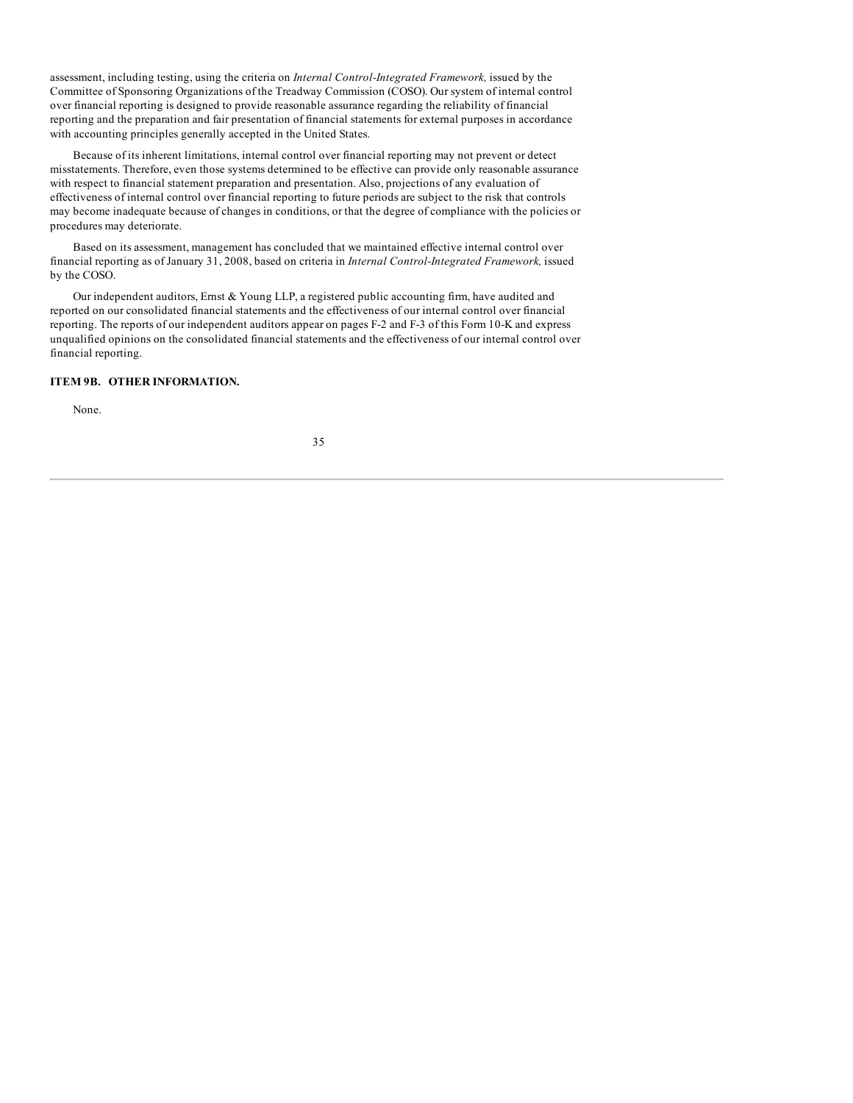assessment, including testing, using the criteria on *Internal Control-Integrated Framework,* issued by the Committee of Sponsoring Organizations of the Treadway Commission (COSO). Our system of internal control over financial reporting is designed to provide reasonable assurance regarding the reliability of financial reporting and the preparation and fair presentation of financial statements for external purposes in accordance with accounting principles generally accepted in the United States.

Because of its inherent limitations, internal control over financial reporting may not prevent or detect misstatements. Therefore, even those systems determined to be effective can provide only reasonable assurance with respect to financial statement preparation and presentation. Also, projections of any evaluation of effectiveness of internal control over financial reporting to future periods are subject to the risk that controls may become inadequate because of changes in conditions, or that the degree of compliance with the policies or procedures may deteriorate.

Based on its assessment, management has concluded that we maintained effective internal control over financial reporting as of January 31, 2008, based on criteria in *Internal Control-Integrated Framework,* issued by the COSO.

Our independent auditors, Ernst & Young LLP, a registered public accounting firm, have audited and reported on our consolidated financial statements and the effectiveness of our internal control over financial reporting. The reports of our independent auditors appear on pages F-2 and F-3 of this Form 10-K and express unqualified opinions on the consolidated financial statements and the effectiveness of our internal control over financial reporting.

### **ITEM 9B. OTHER INFORMATION.**

None.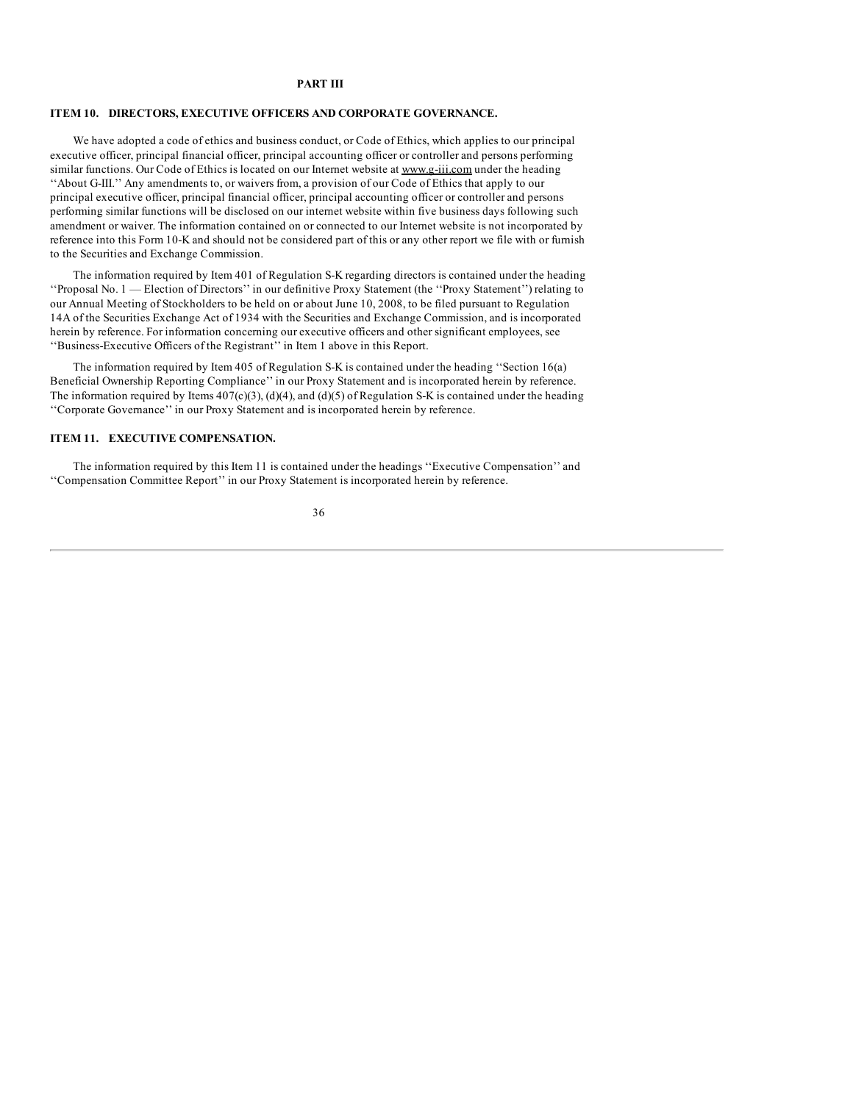### **PART III**

### **ITEM 10. DIRECTORS, EXECUTIVE OFFICERS AND CORPORATE GOVERNANCE.**

We have adopted a code of ethics and business conduct, or Code of Ethics, which applies to our principal executive officer, principal financial officer, principal accounting officer or controller and persons performing similar functions. Our Code of Ethics is located on our Internet website at www.g-iii.com under the heading ''About G-III.'' Any amendments to, or waivers from, a provision of our Code of Ethics that apply to our principal executive officer, principal financial officer, principal accounting officer or controller and persons performing similar functions will be disclosed on our internet website within five business days following such amendment or waiver. The information contained on or connected to our Internet website is not incorporated by reference into this Form 10-K and should not be considered part of this or any other report we file with or furnish to the Securities and Exchange Commission.

The information required by Item 401 of Regulation S-K regarding directors is contained under the heading ''Proposal No. 1 — Election of Directors'' in our definitive Proxy Statement (the ''Proxy Statement'') relating to our Annual Meeting of Stockholders to be held on or about June 10, 2008, to be filed pursuant to Regulation 14A of the Securities Exchange Act of 1934 with the Securities and Exchange Commission, and is incorporated herein by reference. For information concerning our executive officers and other significant employees, see ''Business-Executive Officers of the Registrant'' in Item 1 above in this Report.

The information required by Item 405 of Regulation S-K is contained under the heading ''Section 16(a) Beneficial Ownership Reporting Compliance'' in our Proxy Statement and is incorporated herein by reference. The information required by Items  $407(c)(3)$ , (d)(4), and (d)(5) of Regulation S-K is contained under the heading ''Corporate Governance'' in our Proxy Statement and is incorporated herein by reference.

# **ITEM 11. EXECUTIVE COMPENSATION.**

The information required by this Item 11 is contained under the headings ''Executive Compensation'' and ''Compensation Committee Report'' in our Proxy Statement is incorporated herein by reference.

36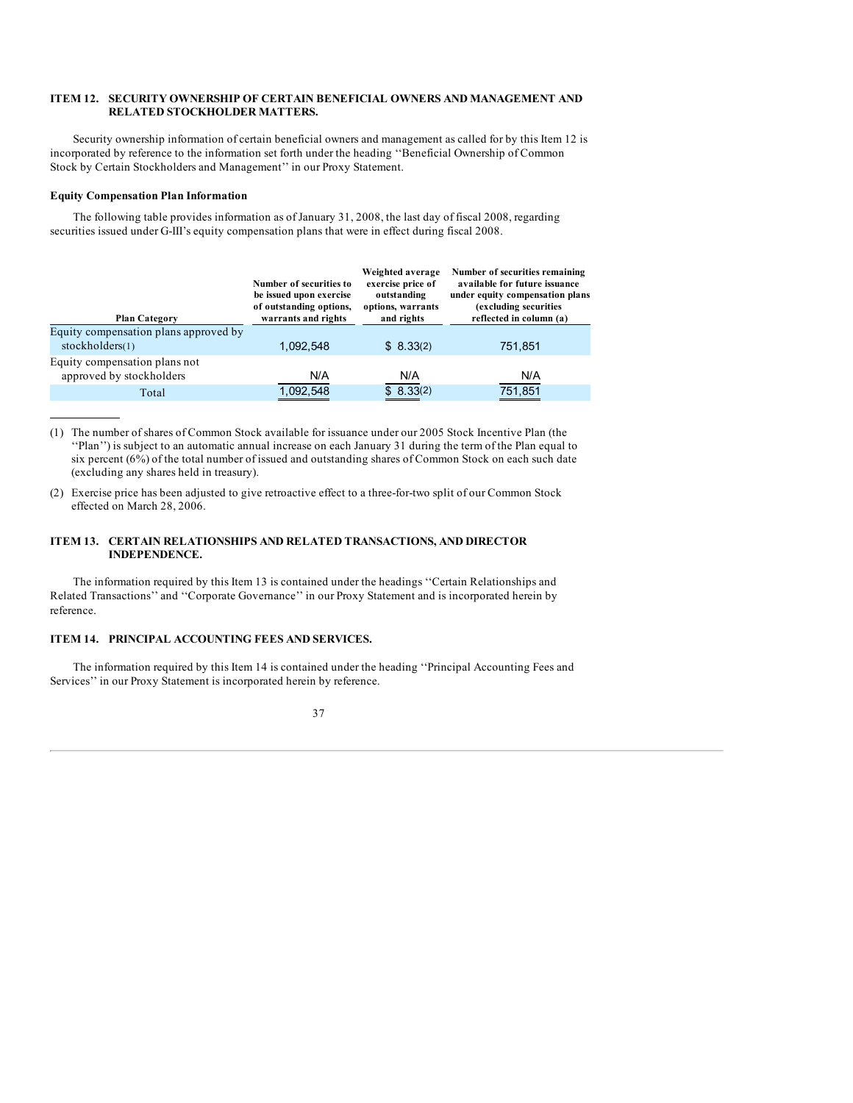## **ITEM 12. SECURITY OWNERSHIP OF CERTAIN BENEFICIAL OWNERS AND MANAGEMENT AND RELATED STOCKHOLDER MATTERS.**

Security ownership information of certain beneficial owners and management as called for by this Item 12 is incorporated by reference to the information set forth under the heading ''Beneficial Ownership of Common Stock by Certain Stockholders and Management'' in our Proxy Statement.

### **Equity Compensation Plan Information**

The following table provides information as of January 31, 2008, the last day of fiscal 2008, regarding securities issued under G-III's equity compensation plans that were in effect during fiscal 2008.

| <b>Plan Category</b>                  | Number of securities to<br>be issued upon exercise<br>of outstanding options,<br>warrants and rights | Weighted average<br>exercise price of<br>outstanding<br>options, warrants<br>and rights | Number of securities remaining<br>available for future issuance<br>under equity compensation plans<br>(excluding securities)<br>reflected in column (a) |
|---------------------------------------|------------------------------------------------------------------------------------------------------|-----------------------------------------------------------------------------------------|---------------------------------------------------------------------------------------------------------------------------------------------------------|
| Equity compensation plans approved by |                                                                                                      |                                                                                         |                                                                                                                                                         |
| stockholders(1)                       | 1.092.548                                                                                            | \$8.33(2)                                                                               | 751,851                                                                                                                                                 |
| Equity compensation plans not         |                                                                                                      |                                                                                         |                                                                                                                                                         |
| approved by stockholders              | N/A                                                                                                  | N/A                                                                                     | N/A                                                                                                                                                     |
| Total                                 | 1,092,548                                                                                            | \$8.33(2)                                                                               | 751,851                                                                                                                                                 |

(1) The number of shares of Common Stock available for issuance under our 2005 Stock Incentive Plan (the ''Plan'') is subject to an automatic annual increase on each January 31 during the term of the Plan equal to six percent (6%) of the total number of issued and outstanding shares of Common Stock on each such date (excluding any shares held in treasury).

(2) Exercise price has been adjusted to give retroactive effect to a three-for-two split of our Common Stock effected on March 28, 2006.

### **ITEM 13. CERTAIN RELATIONSHIPS AND RELATED TRANSACTIONS, AND DIRECTOR INDEPENDENCE.**

The information required by this Item 13 is contained under the headings ''Certain Relationships and Related Transactions'' and ''Corporate Governance'' in our Proxy Statement and is incorporated herein by reference.

## **ITEM 14. PRINCIPAL ACCOUNTING FEES AND SERVICES.**

The information required by this Item 14 is contained under the heading ''Principal Accounting Fees and Services'' in our Proxy Statement is incorporated herein by reference.

37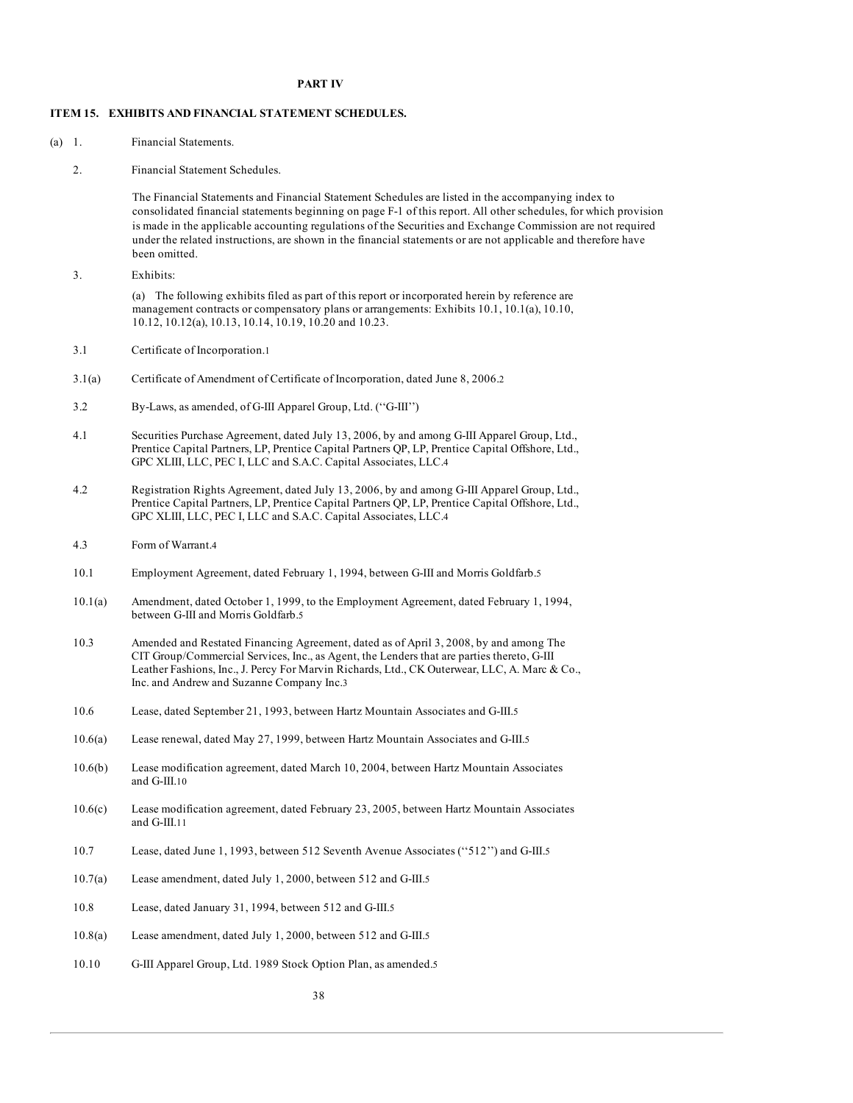### **PART IV**

### **ITEM 15. EXHIBITS AND FINANCIAL STATEMENT SCHEDULES.**

- (a) 1. Financial Statements.
	- 2. Financial Statement Schedules.

The Financial Statements and Financial Statement Schedules are listed in the accompanying index to consolidated financial statements beginning on page F-1 of this report. All other schedules, for which provision is made in the applicable accounting regulations of the Securities and Exchange Commission are not required under the related instructions, are shown in the financial statements or are not applicable and therefore have been omitted.

3. Exhibits:

(a) The following exhibits filed as part of this report or incorporated herein by reference are management contracts or compensatory plans or arrangements: Exhibits 10.1, 10.1(a), 10.10, 10.12, 10.12(a), 10.13, 10.14, 10.19, 10.20 and 10.23.

- 3.1 Certificate of Incorporation.1
- 3.1(a) Certificate of Amendment of Certificate of Incorporation, dated June 8, 2006.2
- 3.2 By-Laws, as amended, of G-III Apparel Group, Ltd. (''G-III'')
- 4.1 Securities Purchase Agreement, dated July 13, 2006, by and among G-III Apparel Group, Ltd., Prentice Capital Partners, LP, Prentice Capital Partners QP, LP, Prentice Capital Offshore, Ltd., GPC XLIII, LLC, PEC I, LLC and S.A.C. Capital Associates, LLC.4
- 4.2 Registration Rights Agreement, dated July 13, 2006, by and among G-III Apparel Group, Ltd., Prentice Capital Partners, LP, Prentice Capital Partners QP, LP, Prentice Capital Offshore, Ltd., GPC XLIII, LLC, PEC I, LLC and S.A.C. Capital Associates, LLC.4
- 4.3 Form of Warrant.4
- 10.1 Employment Agreement, dated February 1, 1994, between G-III and Morris Goldfarb.5
- 10.1(a) Amendment, dated October 1, 1999, to the Employment Agreement, dated February 1, 1994, between G-III and Morris Goldfarb.5
- 10.3 Amended and Restated Financing Agreement, dated as of April 3, 2008, by and among The CIT Group/Commercial Services, Inc., as Agent, the Lenders that are parties thereto, G-III Leather Fashions, Inc., J. Percy For Marvin Richards, Ltd., CK Outerwear, LLC, A. Marc & Co., Inc. and Andrew and Suzanne Company Inc.3
- 10.6 Lease, dated September 21, 1993, between Hartz Mountain Associates and G-III.5
- 10.6(a) Lease renewal, dated May 27, 1999, between Hartz Mountain Associates and G-III.5
- 10.6(b) Lease modification agreement, dated March 10, 2004, between Hartz Mountain Associates and G-III.10
- 10.6(c) Lease modification agreement, dated February 23, 2005, between Hartz Mountain Associates and G-III.11
- 10.7 Lease, dated June 1, 1993, between 512 Seventh Avenue Associates (''512'') and G-III.5
- 10.7(a) Lease amendment, dated July 1, 2000, between 512 and G-III.5
- 10.8 Lease, dated January 31, 1994, between 512 and G-III.5
- 10.8(a) Lease amendment, dated July 1, 2000, between 512 and G-III.5
- 10.10 G-III Apparel Group, Ltd. 1989 Stock Option Plan, as amended.5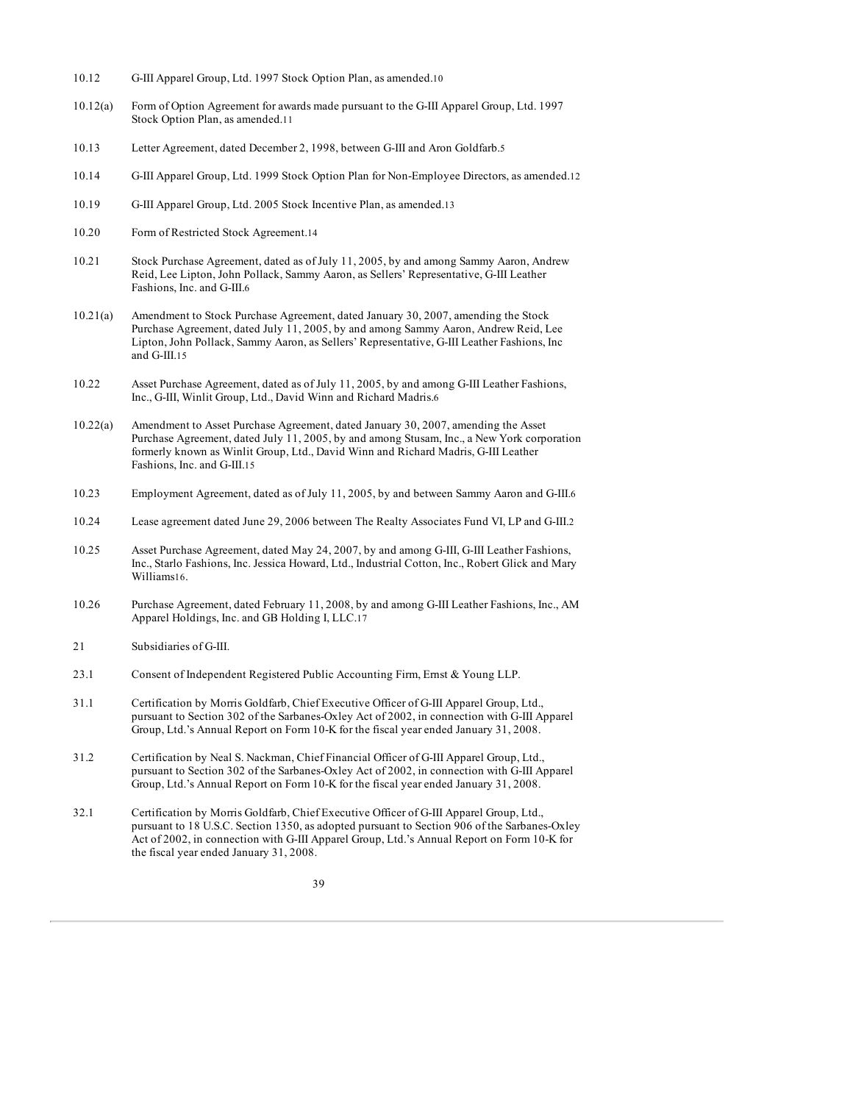- 10.12 G-III Apparel Group, Ltd. 1997 Stock Option Plan, as amended.10
- 10.12(a) Form of Option Agreement for awards made pursuant to the G-III Apparel Group, Ltd. 1997 Stock Option Plan, as amended.11
- 10.13 Letter Agreement, dated December 2, 1998, between G-III and Aron Goldfarb.5
- 10.14 G-III Apparel Group, Ltd. 1999 Stock Option Plan for Non-Employee Directors, as amended.12
- 10.19 G-III Apparel Group, Ltd. 2005 Stock Incentive Plan, as amended.13
- 10.20 Form of Restricted Stock Agreement.14
- 10.21 Stock Purchase Agreement, dated as of July 11, 2005, by and among Sammy Aaron, Andrew Reid, Lee Lipton, John Pollack, Sammy Aaron, as Sellers' Representative, G-III Leather Fashions, Inc. and G-III.6
- 10.21(a) Amendment to Stock Purchase Agreement, dated January 30, 2007, amending the Stock Purchase Agreement, dated July 11, 2005, by and among Sammy Aaron, Andrew Reid, Lee Lipton, John Pollack, Sammy Aaron, as Sellers' Representative, G-III Leather Fashions, Inc and G-III.15
- 10.22 Asset Purchase Agreement, dated as of July 11, 2005, by and among G-III Leather Fashions, Inc., G-III, Winlit Group, Ltd., David Winn and Richard Madris.6
- 10.22(a) Amendment to Asset Purchase Agreement, dated January 30, 2007, amending the Asset Purchase Agreement, dated July 11, 2005, by and among Stusam, Inc., a New York corporation formerly known as Winlit Group, Ltd., David Winn and Richard Madris, G-III Leather Fashions, Inc. and G-III.15
- 10.23 Employment Agreement, dated as of July 11, 2005, by and between Sammy Aaron and G-III.6
- 10.24 Lease agreement dated June 29, 2006 between The Realty Associates Fund VI, LP and G-III.2
- 10.25 Asset Purchase Agreement, dated May 24, 2007, by and among G-III, G-III Leather Fashions, Inc., Starlo Fashions, Inc. Jessica Howard, Ltd., Industrial Cotton, Inc., Robert Glick and Mary Williams16.
- 10.26 Purchase Agreement, dated February 11, 2008, by and among G-III Leather Fashions, Inc., AM Apparel Holdings, Inc. and GB Holding I, LLC.17
- 21 Subsidiaries of G-III.
- 23.1 Consent of Independent Registered Public Accounting Firm, Ernst & Young LLP.
- 31.1 Certification by Morris Goldfarb, Chief Executive Officer of G-III Apparel Group, Ltd., pursuant to Section 302 of the Sarbanes-Oxley Act of 2002, in connection with G-III Apparel Group, Ltd.'s Annual Report on Form 10-K for the fiscal year ended January 31, 2008.
- 31.2 Certification by Neal S. Nackman, Chief Financial Officer of G-III Apparel Group, Ltd., pursuant to Section 302 of the Sarbanes-Oxley Act of 2002, in connection with G-III Apparel Group, Ltd.'s Annual Report on Form 10-K for the fiscal year ended January 31, 2008.
- 32.1 Certification by Morris Goldfarb, Chief Executive Officer of G-III Apparel Group, Ltd., pursuant to 18 U.S.C. Section 1350, as adopted pursuant to Section 906 of the Sarbanes-Oxley Act of 2002, in connection with G-III Apparel Group, Ltd.'s Annual Report on Form 10-K for the fiscal year ended January 31, 2008.
	- 39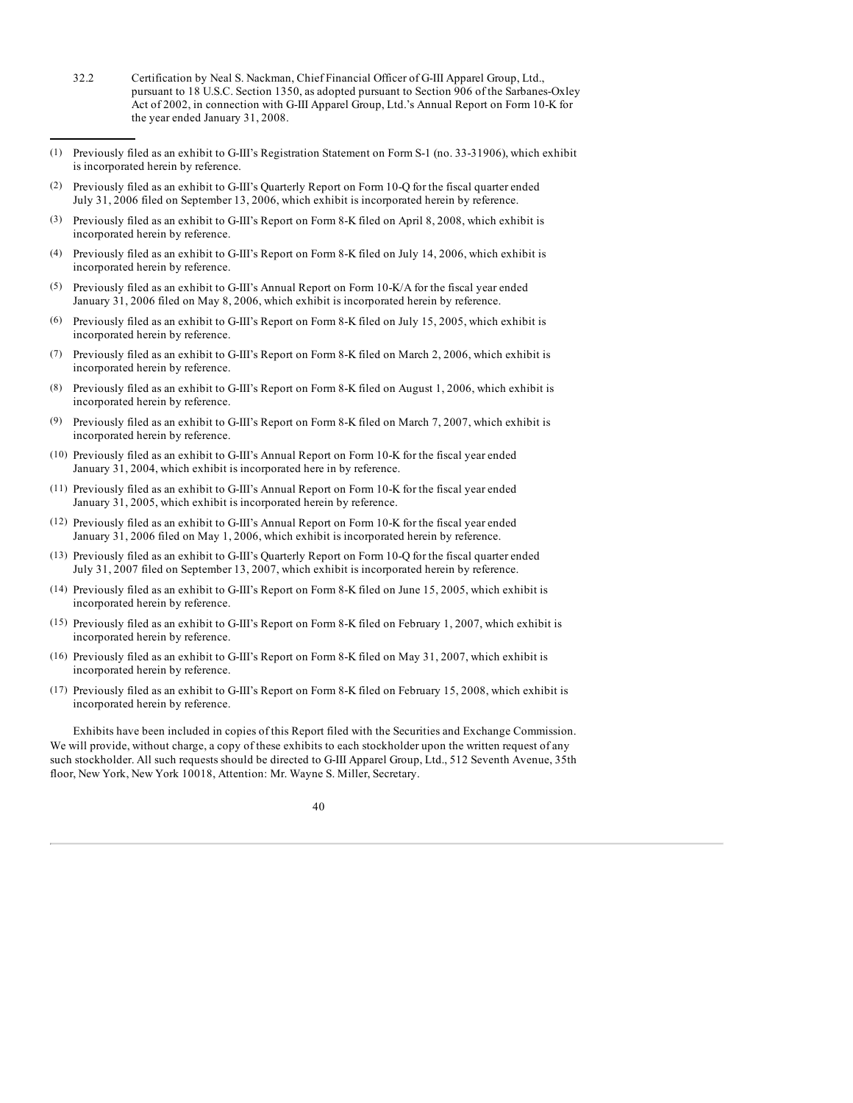- 32.2 Certification by Neal S. Nackman, Chief Financial Officer of G-III Apparel Group, Ltd., pursuant to 18 U.S.C. Section 1350, as adopted pursuant to Section 906 of the Sarbanes-Oxley Act of 2002, in connection with G-III Apparel Group, Ltd.'s Annual Report on Form 10-K for the year ended January 31, 2008.
- (1) Previously filed as an exhibit to G-III's Registration Statement on Form S-1 (no. 33-31906), which exhibit is incorporated herein by reference.
- (2) Previously filed as an exhibit to G-III's Quarterly Report on Form 10-Q for the fiscal quarter ended July 31, 2006 filed on September 13, 2006, which exhibit is incorporated herein by reference.
- Previously filed as an exhibit to G-III's Report on Form 8-K filed on April 8, 2008, which exhibit is incorporated herein by reference.
- (4) Previously filed as an exhibit to G-III's Report on Form 8-K filed on July 14, 2006, which exhibit is incorporated herein by reference.
- (5) Previously filed as an exhibit to G-III's Annual Report on Form 10-K/A for the fiscal year ended January 31, 2006 filed on May 8, 2006, which exhibit is incorporated herein by reference.
- (6) Previously filed as an exhibit to G-III's Report on Form 8-K filed on July 15, 2005, which exhibit is incorporated herein by reference.
- (7) Previously filed as an exhibit to G-III's Report on Form 8-K filed on March 2, 2006, which exhibit is incorporated herein by reference.
- (8) Previously filed as an exhibit to G-III's Report on Form 8-K filed on August 1, 2006, which exhibit is incorporated herein by reference.
- (9) Previously filed as an exhibit to G-III's Report on Form 8-K filed on March 7, 2007, which exhibit is incorporated herein by reference.
- (10) Previously filed as an exhibit to G-III's Annual Report on Form 10-K for the fiscal year ended January 31, 2004, which exhibit is incorporated here in by reference.
- (11) Previously filed as an exhibit to G-III's Annual Report on Form 10-K for the fiscal year ended January 31, 2005, which exhibit is incorporated herein by reference.
- (12) Previously filed as an exhibit to G-III's Annual Report on Form 10-K for the fiscal year ended January 31, 2006 filed on May 1, 2006, which exhibit is incorporated herein by reference.
- (13) Previously filed as an exhibit to G-III's Quarterly Report on Form 10-Q for the fiscal quarter ended July 31, 2007 filed on September 13, 2007, which exhibit is incorporated herein by reference.
- (14) Previously filed as an exhibit to G-III's Report on Form 8-K filed on June 15, 2005, which exhibit is incorporated herein by reference.
- (15) Previously filed as an exhibit to G-III's Report on Form 8-K filed on February 1, 2007, which exhibit is incorporated herein by reference.
- (16) Previously filed as an exhibit to G-III's Report on Form 8-K filed on May 31, 2007, which exhibit is incorporated herein by reference.
- (17) Previously filed as an exhibit to G-III's Report on Form 8-K filed on February 15, 2008, which exhibit is incorporated herein by reference.

Exhibits have been included in copies of this Report filed with the Securities and Exchange Commission. We will provide, without charge, a copy of these exhibits to each stockholder upon the written request of any such stockholder. All such requests should be directed to G-III Apparel Group, Ltd., 512 Seventh Avenue, 35th floor, New York, New York 10018, Attention: Mr. Wayne S. Miller, Secretary.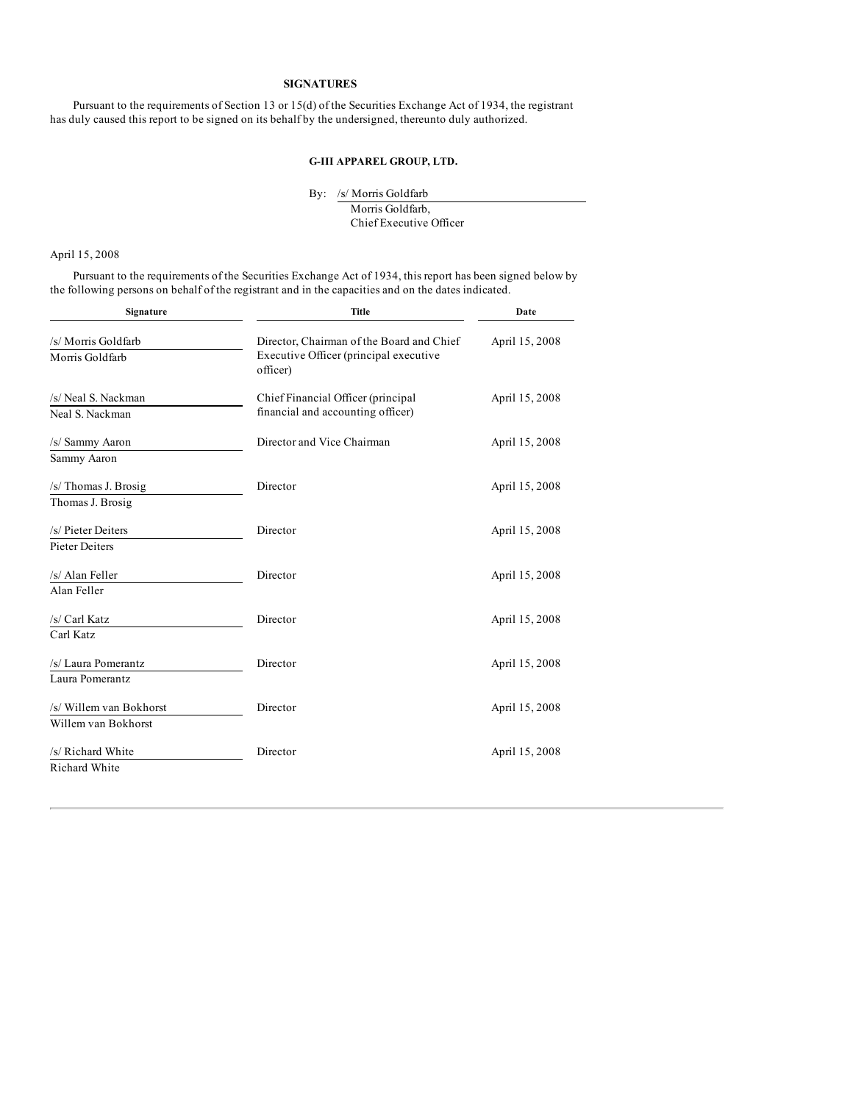# **SIGNATURES**

Pursuant to the requirements of Section 13 or 15(d) of the Securities Exchange Act of 1934, the registrant has duly caused this report to be signed on its behalf by the undersigned, thereunto duly authorized.

### **G-III APPAREL GROUP, LTD.**

By: /s/ Morris Goldfarb Morris Goldfarb, Chief Executive Officer

April 15, 2008

Pursuant to the requirements of the Securities Exchange Act of 1934, this report has been signed below by the following persons on behalf of the registrant and in the capacities and on the dates indicated.

| Signature                                      | <b>Title</b>                                                                                    | Date           |
|------------------------------------------------|-------------------------------------------------------------------------------------------------|----------------|
| /s/ Morris Goldfarb<br>Morris Goldfarb         | Director, Chairman of the Board and Chief<br>Executive Officer (principal executive<br>officer) | April 15, 2008 |
| /s/ Neal S. Nackman<br>Neal S. Nackman         | Chief Financial Officer (principal<br>financial and accounting officer)                         | April 15, 2008 |
| /s/ Sammy Aaron<br>Sammy Aaron                 | Director and Vice Chairman                                                                      | April 15, 2008 |
| /s/ Thomas J. Brosig<br>Thomas J. Brosig       | Director                                                                                        | April 15, 2008 |
| /s/ Pieter Deiters<br><b>Pieter Deiters</b>    | Director                                                                                        | April 15, 2008 |
| /s/ Alan Feller<br>Alan Feller                 | Director                                                                                        | April 15, 2008 |
| /s/ Carl Katz<br>Carl Katz                     | Director                                                                                        | April 15, 2008 |
| /s/ Laura Pomerantz<br>Laura Pomerantz         | Director                                                                                        | April 15, 2008 |
| /s/ Willem van Bokhorst<br>Willem van Bokhorst | Director                                                                                        | April 15, 2008 |
| /s/ Richard White<br><b>Richard White</b>      | Director                                                                                        | April 15, 2008 |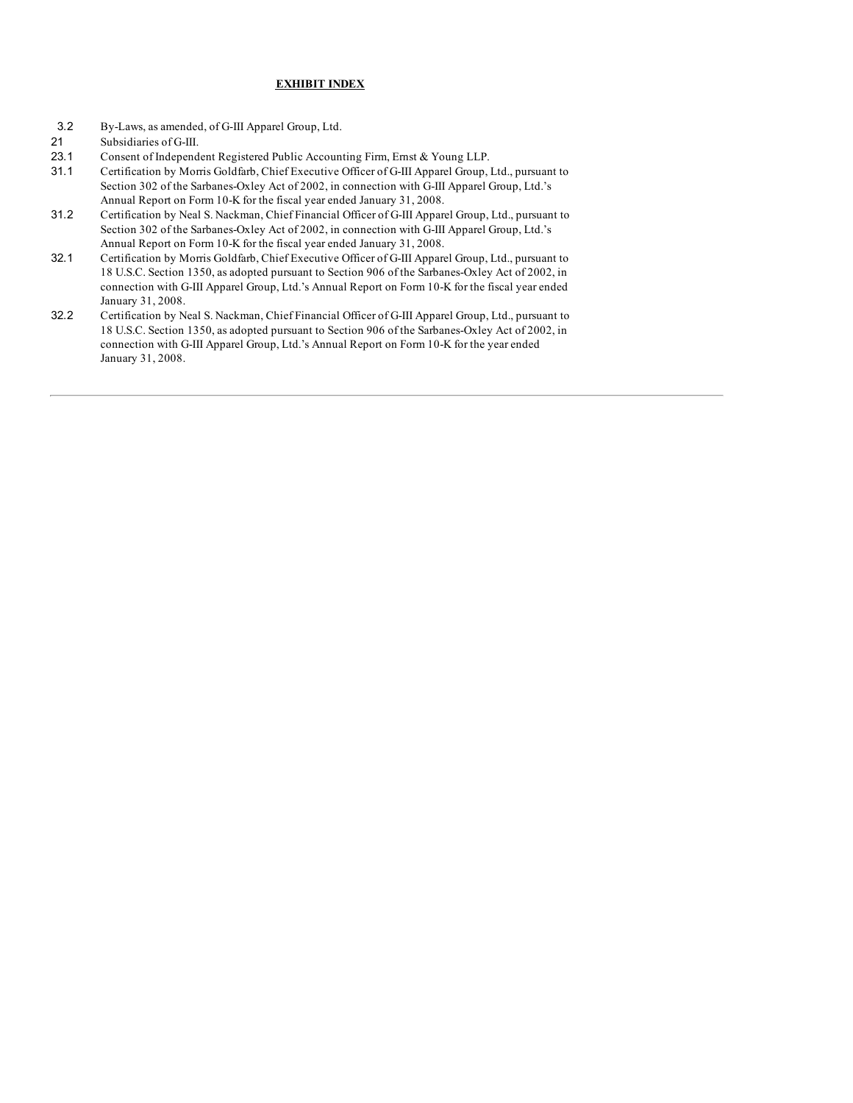# **EXHIBIT INDEX**

- 3.2 By-Laws, as amended, of G-III Apparel Group, Ltd.
- 21 Subsidiaries of G-III.
- 23.1 Consent of Independent Registered Public Accounting Firm, Ernst & Young LLP.
- 31.1 Certification by Morris Goldfarb, Chief Executive Officer of G-III Apparel Group, Ltd., pursuant to Section 302 of the Sarbanes-Oxley Act of 2002, in connection with G-III Apparel Group, Ltd.'s Annual Report on Form 10-K for the fiscal year ended January 31, 2008.
- 31.2 Certification by Neal S. Nackman, Chief Financial Officer of G-III Apparel Group, Ltd., pursuant to Section 302 of the Sarbanes-Oxley Act of 2002, in connection with G-III Apparel Group, Ltd.'s Annual Report on Form 10-K for the fiscal year ended January 31, 2008.
- 32.1 Certification by Morris Goldfarb, Chief Executive Officer of G-III Apparel Group, Ltd., pursuant to 18 U.S.C. Section 1350, as adopted pursuant to Section 906 of the Sarbanes-Oxley Act of 2002, in connection with G-III Apparel Group, Ltd.'s Annual Report on Form 10-K for the fiscal year ended January 31, 2008.
- 32.2 Certification by Neal S. Nackman, Chief Financial Officer of G-III Apparel Group, Ltd., pursuant to 18 U.S.C. Section 1350, as adopted pursuant to Section 906 of the Sarbanes-Oxley Act of 2002, in connection with G-III Apparel Group, Ltd.'s Annual Report on Form 10-K for the year ended January 31, 2008.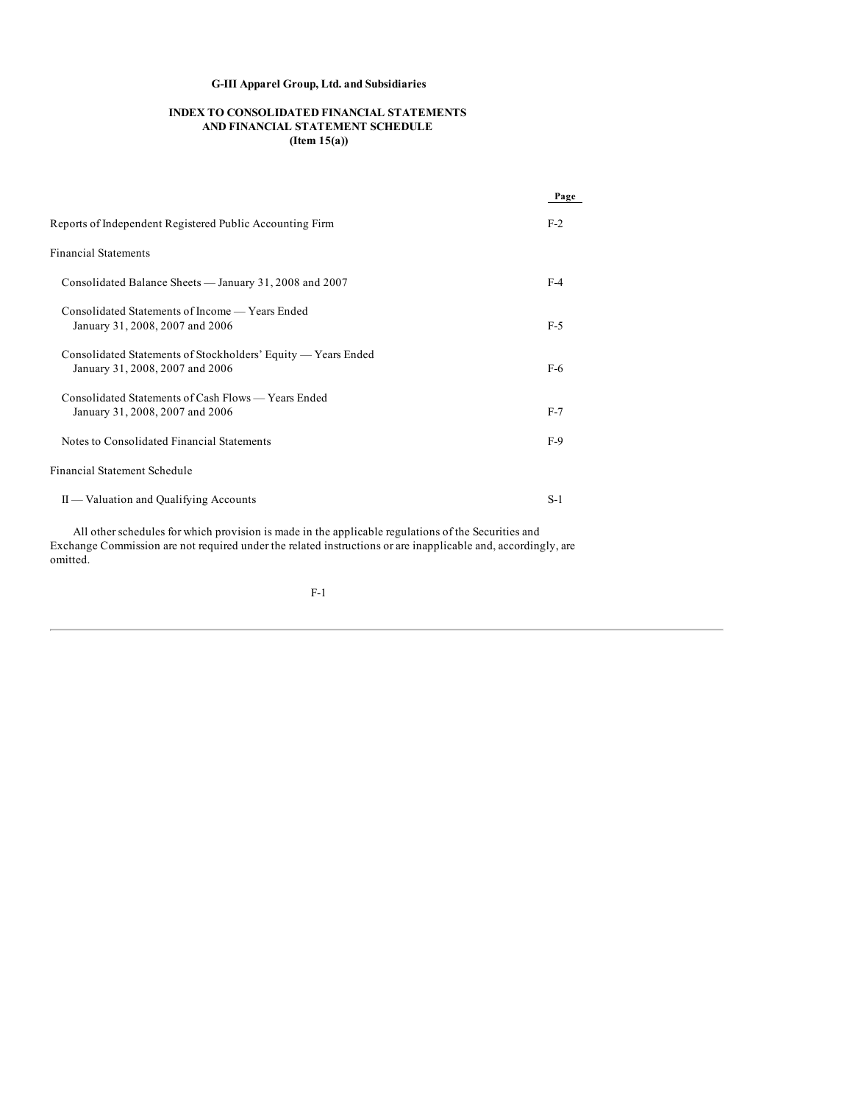# **INDEX TO CONSOLIDATED FINANCIAL STATEMENTS AND FINANCIAL STATEMENT SCHEDULE (Item 15(a))**

|                                                                                                  | Page  |
|--------------------------------------------------------------------------------------------------|-------|
| Reports of Independent Registered Public Accounting Firm                                         | $F-2$ |
| <b>Financial Statements</b>                                                                      |       |
| Consolidated Balance Sheets — January 31, 2008 and 2007                                          | $F-4$ |
| Consolidated Statements of Income — Years Ended<br>January 31, 2008, 2007 and 2006               | $F-5$ |
| Consolidated Statements of Stockholders' Equity — Years Ended<br>January 31, 2008, 2007 and 2006 | $F-6$ |
| Consolidated Statements of Cash Flows — Years Ended<br>January 31, 2008, 2007 and 2006           | $F-7$ |
| Notes to Consolidated Financial Statements                                                       | $F-9$ |
| Financial Statement Schedule                                                                     |       |
| $II$ — Valuation and Qualifying Accounts                                                         | $S-1$ |

All other schedules for which provision is made in the applicable regulations of the Securities and Exchange Commission are not required under the related instructions or are inapplicable and, accordingly, are omitted.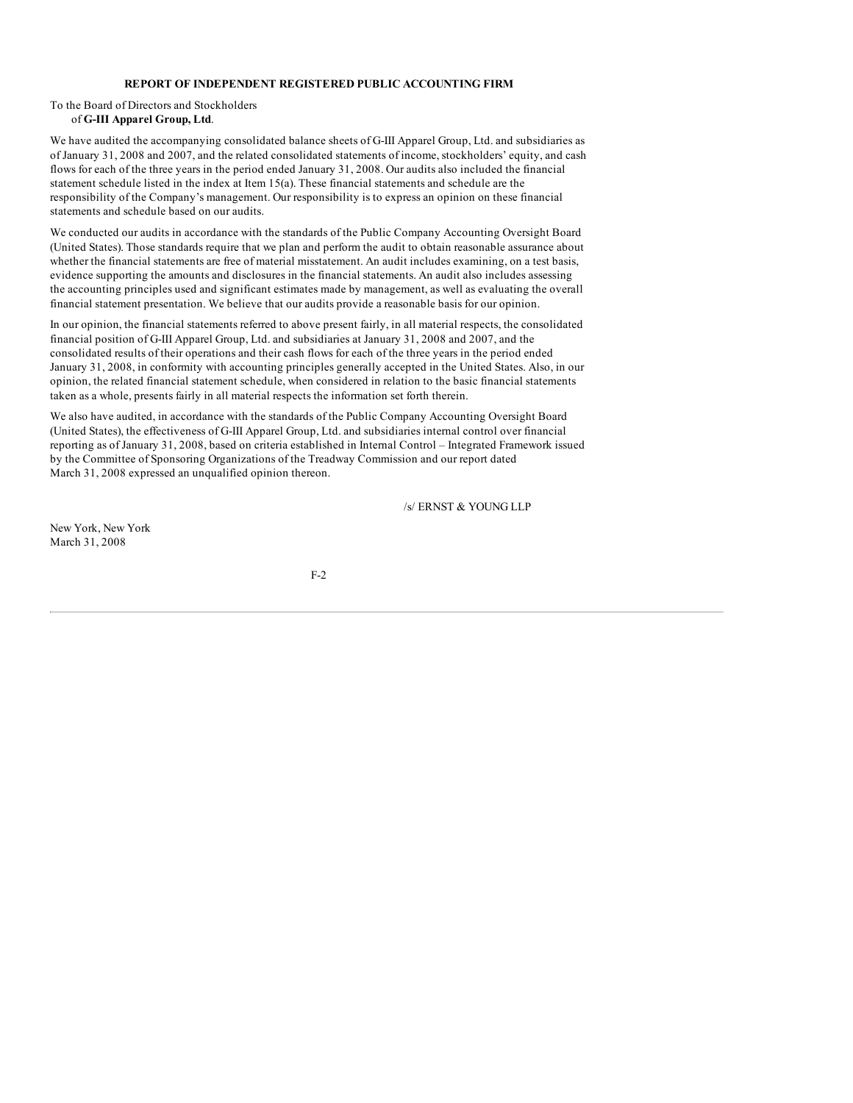## **REPORT OF INDEPENDENT REGISTERED PUBLIC ACCOUNTING FIRM**

### To the Board of Directors and Stockholders of **G-III Apparel Group, Ltd**.

We have audited the accompanying consolidated balance sheets of G-III Apparel Group, Ltd. and subsidiaries as of January 31, 2008 and 2007, and the related consolidated statements of income, stockholders' equity, and cash flows for each of the three years in the period ended January 31, 2008. Our audits also included the financial statement schedule listed in the index at Item 15(a). These financial statements and schedule are the responsibility of the Company's management. Our responsibility is to express an opinion on these financial statements and schedule based on our audits.

We conducted our audits in accordance with the standards of the Public Company Accounting Oversight Board (United States). Those standards require that we plan and perform the audit to obtain reasonable assurance about whether the financial statements are free of material misstatement. An audit includes examining, on a test basis, evidence supporting the amounts and disclosures in the financial statements. An audit also includes assessing the accounting principles used and significant estimates made by management, as well as evaluating the overall financial statement presentation. We believe that our audits provide a reasonable basis for our opinion.

In our opinion, the financial statements referred to above present fairly, in all material respects, the consolidated financial position of G-III Apparel Group, Ltd. and subsidiaries at January 31, 2008 and 2007, and the consolidated results of their operations and their cash flows for each of the three years in the period ended January 31, 2008, in conformity with accounting principles generally accepted in the United States. Also, in our opinion, the related financial statement schedule, when considered in relation to the basic financial statements taken as a whole, presents fairly in all material respects the information set forth therein.

We also have audited, in accordance with the standards of the Public Company Accounting Oversight Board (United States), the effectiveness of G-III Apparel Group, Ltd. and subsidiaries internal control over financial reporting as of January 31, 2008, based on criteria established in Internal Control – Integrated Framework issued by the Committee of Sponsoring Organizations of the Treadway Commission and our report dated March 31, 2008 expressed an unqualified opinion thereon.

/s/ ERNST & YOUNG LLP

New York, New York March 31, 2008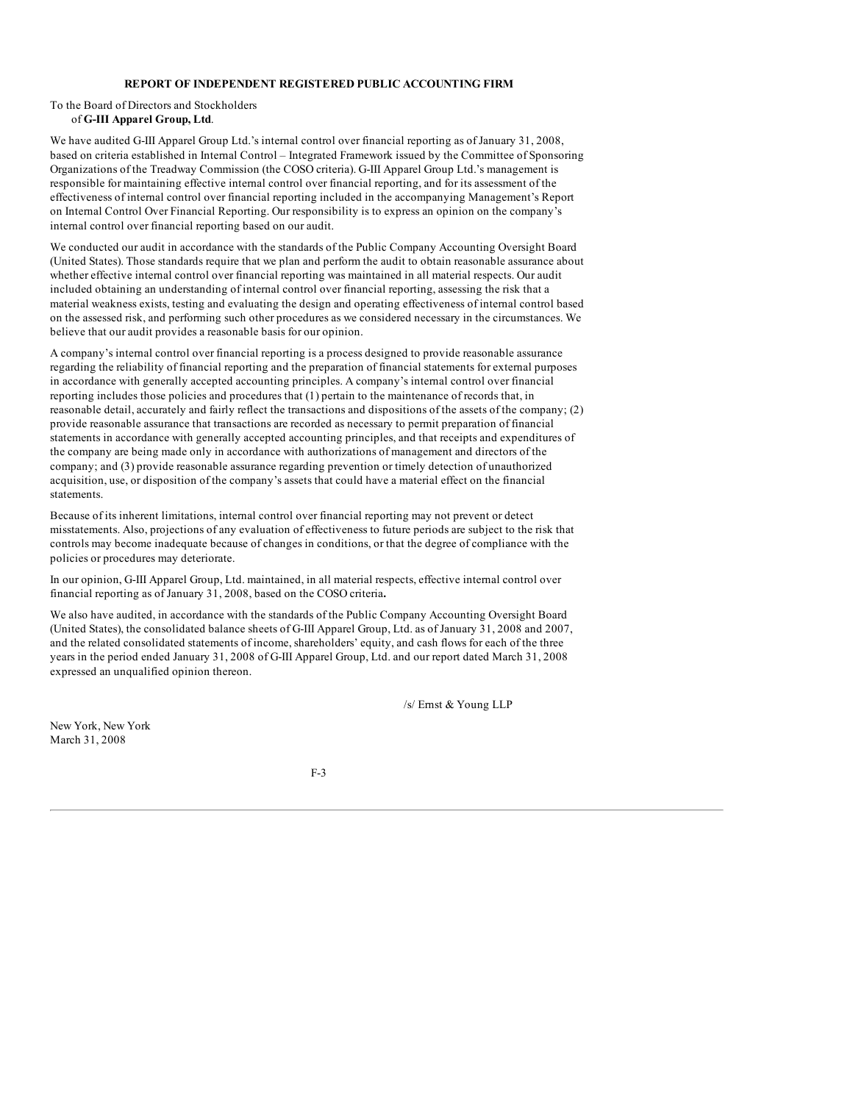### **REPORT OF INDEPENDENT REGISTERED PUBLIC ACCOUNTING FIRM**

### To the Board of Directors and Stockholders of **G-III Apparel Group, Ltd**.

We have audited G-III Apparel Group Ltd.'s internal control over financial reporting as of January 31, 2008, based on criteria established in Internal Control – Integrated Framework issued by the Committee of Sponsoring Organizations of the Treadway Commission (the COSO criteria). G-III Apparel Group Ltd.'s management is responsible for maintaining effective internal control over financial reporting, and for its assessment of the effectiveness of internal control over financial reporting included in the accompanying Management's Report on Internal Control Over Financial Reporting. Our responsibility is to express an opinion on the company's internal control over financial reporting based on our audit.

We conducted our audit in accordance with the standards of the Public Company Accounting Oversight Board (United States). Those standards require that we plan and perform the audit to obtain reasonable assurance about whether effective internal control over financial reporting was maintained in all material respects. Our audit included obtaining an understanding of internal control over financial reporting, assessing the risk that a material weakness exists, testing and evaluating the design and operating effectiveness of internal control based on the assessed risk, and performing such other procedures as we considered necessary in the circumstances. We believe that our audit provides a reasonable basis for our opinion.

A company's internal control over financial reporting is a process designed to provide reasonable assurance regarding the reliability of financial reporting and the preparation of financial statements for external purposes in accordance with generally accepted accounting principles. A company's internal control over financial reporting includes those policies and procedures that (1) pertain to the maintenance of records that, in reasonable detail, accurately and fairly reflect the transactions and dispositions of the assets of the company; (2) provide reasonable assurance that transactions are recorded as necessary to permit preparation of financial statements in accordance with generally accepted accounting principles, and that receipts and expenditures of the company are being made only in accordance with authorizations of management and directors of the company; and (3) provide reasonable assurance regarding prevention or timely detection of unauthorized acquisition, use, or disposition of the company's assets that could have a material effect on the financial statements.

Because of its inherent limitations, internal control over financial reporting may not prevent or detect misstatements. Also, projections of any evaluation of effectiveness to future periods are subject to the risk that controls may become inadequate because of changes in conditions, or that the degree of compliance with the policies or procedures may deteriorate.

In our opinion, G-III Apparel Group, Ltd. maintained, in all material respects, effective internal control over financial reporting as of January 31, 2008, based on the COSO criteria**.**

We also have audited, in accordance with the standards of the Public Company Accounting Oversight Board (United States), the consolidated balance sheets of G-III Apparel Group, Ltd. as of January 31, 2008 and 2007, and the related consolidated statements of income, shareholders' equity, and cash flows for each of the three years in the period ended January 31, 2008 of G-III Apparel Group, Ltd. and our report dated March 31, 2008 expressed an unqualified opinion thereon.

/s/ Ernst & Young LLP

New York, New York March 31, 2008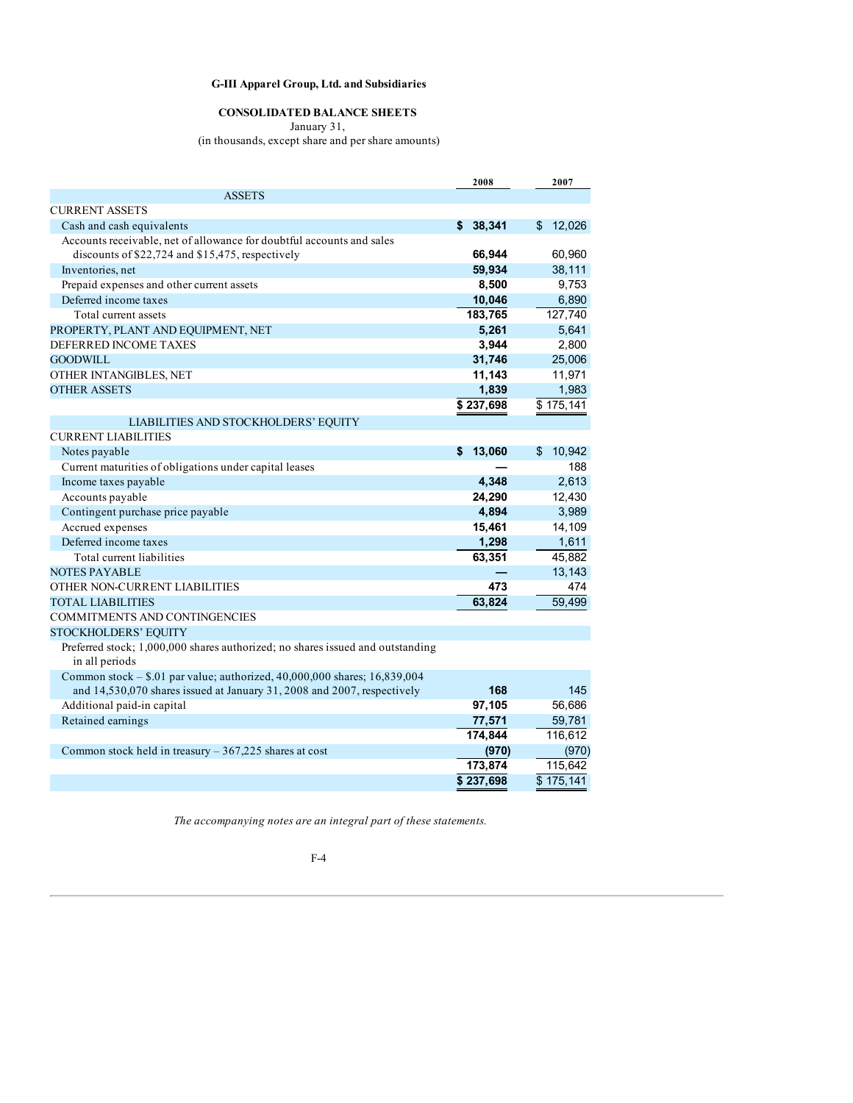# **CONSOLIDATED BALANCE SHEETS**

January 31,

(in thousands, except share and per share amounts)

|                                                                                | 2008         | 2007         |
|--------------------------------------------------------------------------------|--------------|--------------|
| <b>ASSETS</b>                                                                  |              |              |
| <b>CURRENT ASSETS</b>                                                          |              |              |
| Cash and cash equivalents                                                      | \$38,341     | \$<br>12,026 |
| Accounts receivable, net of allowance for doubtful accounts and sales          |              |              |
| discounts of \$22,724 and \$15,475, respectively                               | 66,944       | 60,960       |
| Inventories, net                                                               | 59,934       | 38,111       |
| Prepaid expenses and other current assets                                      | 8,500        | 9,753        |
| Deferred income taxes                                                          | 10,046       | 6,890        |
| Total current assets                                                           | 183,765      | 127,740      |
| PROPERTY, PLANT AND EQUIPMENT, NET                                             | 5,261        | 5,641        |
| DEFERRED INCOME TAXES                                                          | 3,944        | 2,800        |
| <b>GOODWILL</b>                                                                | 31,746       | 25,006       |
| OTHER INTANGIBLES, NET                                                         | 11,143       | 11,971       |
| <b>OTHER ASSETS</b>                                                            | 1,839        | 1,983        |
|                                                                                | \$237,698    | \$175,141    |
| LIABILITIES AND STOCKHOLDERS' EQUITY                                           |              |              |
| <b>CURRENT LIABILITIES</b>                                                     |              |              |
| Notes payable                                                                  | \$<br>13,060 | 10,942<br>\$ |
| Current maturities of obligations under capital leases                         |              | 188          |
| Income taxes payable                                                           | 4,348        | 2,613        |
| Accounts payable                                                               | 24,290       | 12,430       |
| Contingent purchase price payable                                              | 4,894        | 3,989        |
| Accrued expenses                                                               | 15,461       | 14,109       |
| Deferred income taxes                                                          | 1,298        | 1,611        |
| Total current liabilities                                                      | 63,351       | 45,882       |
| <b>NOTES PAYABLE</b>                                                           |              | 13,143       |
| OTHER NON-CURRENT LIABILITIES                                                  | 473          | 474          |
| <b>TOTAL LIABILITIES</b>                                                       | 63,824       | 59,499       |
| <b>COMMITMENTS AND CONTINGENCIES</b>                                           |              |              |
| STOCKHOLDERS' EQUITY                                                           |              |              |
| Preferred stock; 1,000,000 shares authorized; no shares issued and outstanding |              |              |
| in all periods                                                                 |              |              |
| Common stock - \$.01 par value; authorized, 40,000,000 shares; 16,839,004      |              |              |
| and 14,530,070 shares issued at January 31, 2008 and 2007, respectively        | 168          | 145          |
| Additional paid-in capital                                                     | 97.105       | 56,686       |
| Retained earnings                                                              | 77,571       | 59,781       |
|                                                                                | 174,844      | 116,612      |
| Common stock held in treasury $-367,225$ shares at cost                        | (970)        | (970)        |
|                                                                                | 173,874      | 115,642      |
|                                                                                | \$237,698    | \$175,141    |

*The accompanying notes are an integral part of these statements.*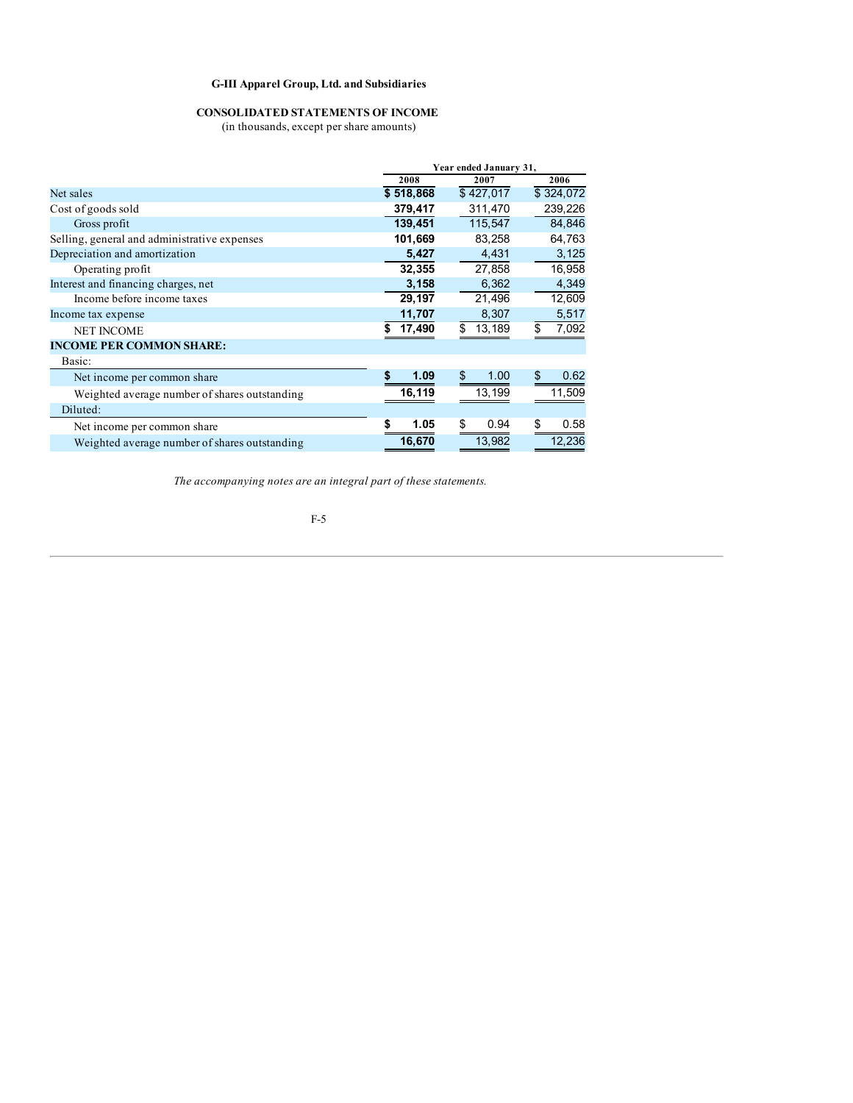# **CONSOLIDATED STATEMENTS OF INCOME**

(in thousands, except per share amounts)

|                                               |           | Year ended January 31, |             |  |
|-----------------------------------------------|-----------|------------------------|-------------|--|
|                                               | 2008      | 2007                   | 2006        |  |
| Net sales                                     | \$518,868 | \$427,017              | \$324,072   |  |
| Cost of goods sold                            | 379,417   | 311,470                | 239,226     |  |
| Gross profit                                  | 139,451   | 115,547                | 84,846      |  |
| Selling, general and administrative expenses  | 101,669   | 83,258                 | 64,763      |  |
| Depreciation and amortization                 | 5,427     | 4,431                  | 3,125       |  |
| Operating profit                              | 32,355    | 27.858                 | 16,958      |  |
| Interest and financing charges, net           | 3,158     | 6,362                  | 4,349       |  |
| Income before income taxes                    | 29,197    | 21,496                 | 12,609      |  |
| Income tax expense                            | 11,707    | 8,307                  | 5,517       |  |
| <b>NET INCOME</b>                             | 17,490    | \$<br>13,189           | \$<br>7,092 |  |
| <b>INCOME PER COMMON SHARE:</b>               |           |                        |             |  |
| Basic:                                        |           |                        |             |  |
| Net income per common share                   | 1.09      | \$<br>1.00             | \$<br>0.62  |  |
| Weighted average number of shares outstanding | 16,119    | 13,199                 | 11,509      |  |
| Diluted:                                      |           |                        |             |  |
| Net income per common share                   | 1.05<br>S | S<br>0.94              | \$<br>0.58  |  |
| Weighted average number of shares outstanding | 16,670    | 13.982                 | 12,236      |  |

*The accompanying notes are an integral part of these statements.*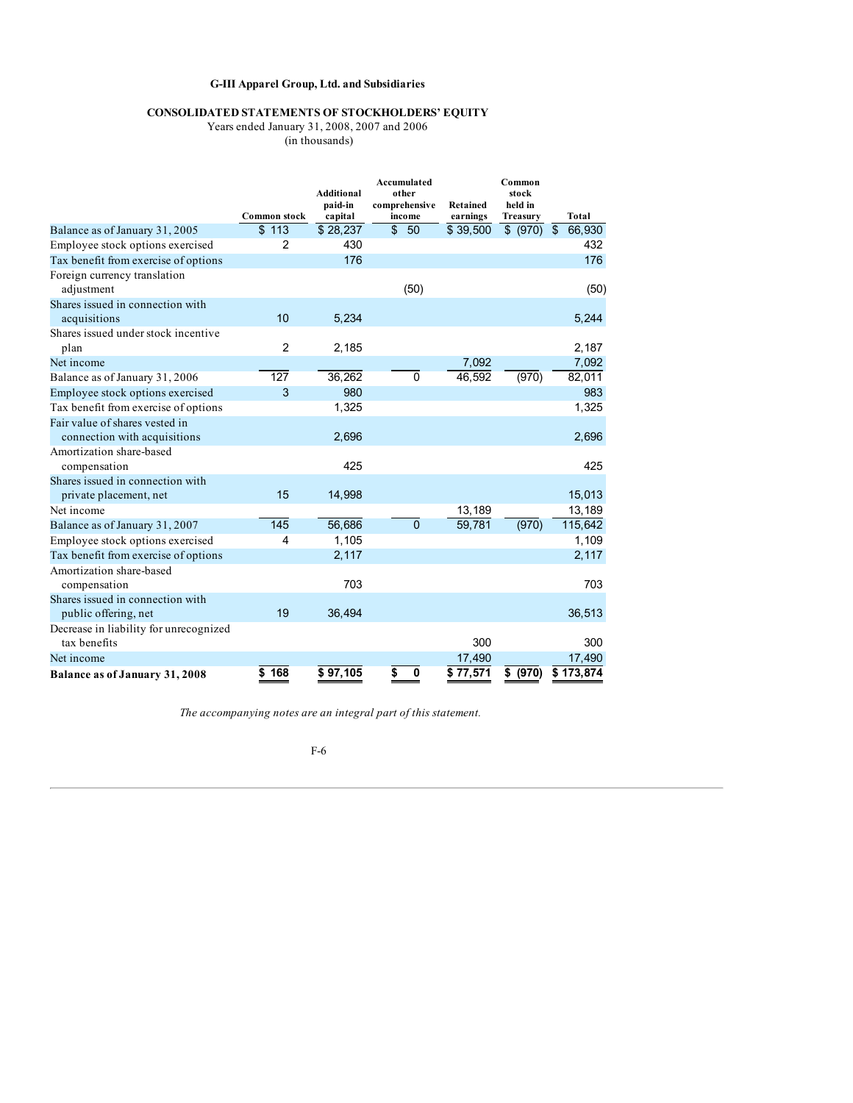# **CONSOLIDATED STATEMENTS OF STOCKHOLDERS' EQUITY**

Years ended January 31, 2008, 2007 and 2006

(in thousands)

|                                                                | <b>Common stock</b> | Additional<br>paid-in<br>capital | Accumulated<br>other<br>comprehensive<br>income | Retained<br>earnings | Common<br>stock<br>held in<br>Treasury | Total                   |
|----------------------------------------------------------------|---------------------|----------------------------------|-------------------------------------------------|----------------------|----------------------------------------|-------------------------|
| Balance as of January 31, 2005                                 | \$113               | \$28,237                         | \$<br>50                                        | \$39,500             | \$ (970)                               | $\mathsf{\$}$<br>66,930 |
| Employee stock options exercised                               | 2                   | 430                              |                                                 |                      |                                        | 432                     |
| Tax benefit from exercise of options                           |                     | 176                              |                                                 |                      |                                        | 176                     |
| Foreign currency translation<br>adjustment                     |                     |                                  | (50)                                            |                      |                                        | (50)                    |
| Shares issued in connection with<br>acquisitions               | 10                  | 5,234                            |                                                 |                      |                                        | 5,244                   |
| Shares issued under stock incentive<br>plan                    | $\overline{2}$      | 2,185                            |                                                 |                      |                                        | 2,187                   |
| Net income                                                     |                     |                                  |                                                 | 7,092                |                                        | 7,092                   |
| Balance as of January 31, 2006                                 | 127                 | 36,262                           | $\mathbf 0$                                     | 46,592               | (970)                                  | 82,011                  |
| Employee stock options exercised                               | 3                   | 980                              |                                                 |                      |                                        | 983                     |
| Tax benefit from exercise of options                           |                     | 1,325                            |                                                 |                      |                                        | 1,325                   |
| Fair value of shares vested in<br>connection with acquisitions |                     | 2,696                            |                                                 |                      |                                        | 2,696                   |
| Amortization share-based<br>compensation                       |                     | 425                              |                                                 |                      |                                        | 425                     |
| Shares issued in connection with<br>private placement, net     | 15                  | 14,998                           |                                                 |                      |                                        | 15,013                  |
| Net income                                                     |                     |                                  |                                                 | 13,189               |                                        | 13,189                  |
| Balance as of January 31, 2007                                 | 145                 | 56,686                           | $\overline{0}$                                  | 59,781               | (970)                                  | 115,642                 |
| Employee stock options exercised                               | 4                   | 1,105                            |                                                 |                      |                                        | 1,109                   |
| Tax benefit from exercise of options                           |                     | 2,117                            |                                                 |                      |                                        | 2,117                   |
| Amortization share-based<br>compensation                       |                     | 703                              |                                                 |                      |                                        | 703                     |
| Shares issued in connection with<br>public offering, net       | 19                  | 36,494                           |                                                 |                      |                                        | 36,513                  |
| Decrease in liability for unrecognized<br>tax benefits         |                     |                                  |                                                 | 300                  |                                        | 300                     |
| Net income                                                     |                     |                                  |                                                 | 17,490               |                                        | 17,490                  |
| Balance as of January 31, 2008                                 | \$168               | \$97,105                         | \$<br>$\mathbf 0$                               | \$77,571             | \$ (970)                               | \$173,874               |

*The accompanying notes are an integral part of this statement.*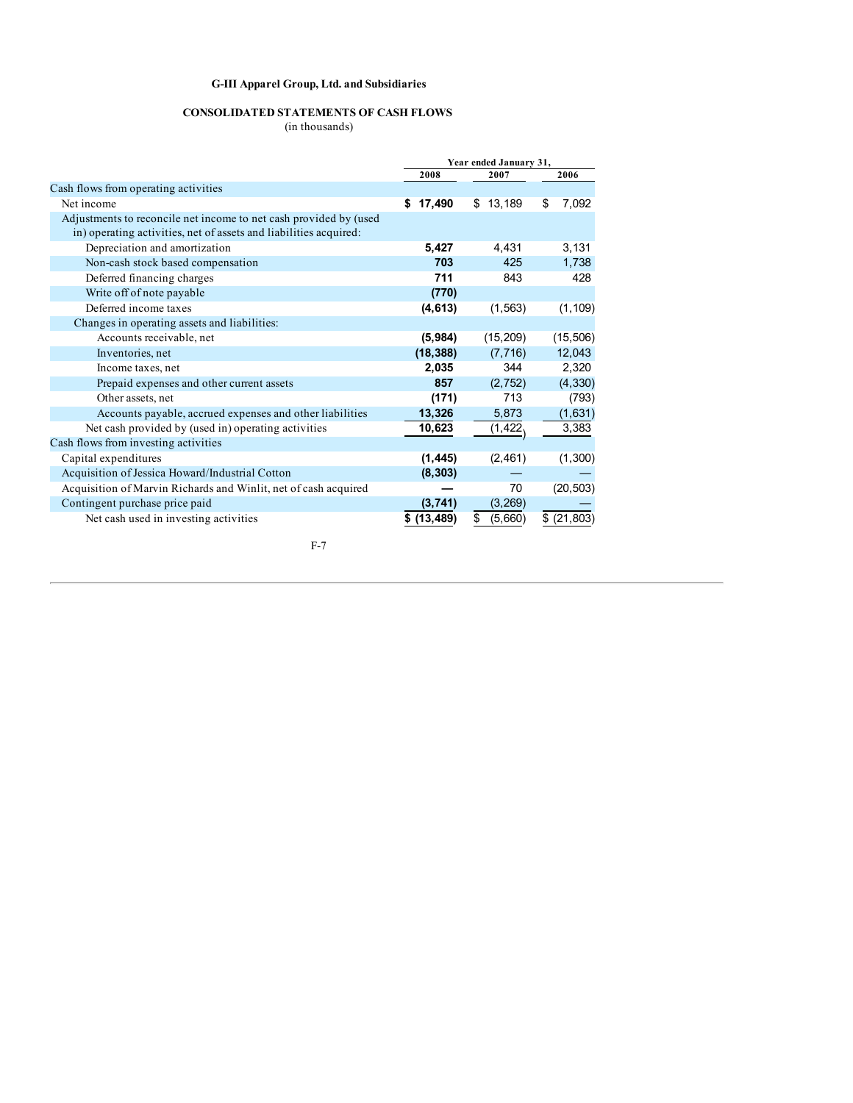# **CONSOLIDATED STATEMENTS OF CASH FLOWS**

(in thousands)

|                                                                   | Year ended January 31, |               |                 |
|-------------------------------------------------------------------|------------------------|---------------|-----------------|
|                                                                   | 2008                   | 2007          | 2006            |
| Cash flows from operating activities                              |                        |               |                 |
| Net income                                                        | 17,490<br>\$           | 13,189<br>\$  | 7,092<br>\$     |
| Adjustments to reconcile net income to net cash provided by (used |                        |               |                 |
| in) operating activities, net of assets and liabilities acquired: |                        |               |                 |
| Depreciation and amortization                                     | 5,427                  | 4,431         | 3,131           |
| Non-cash stock based compensation                                 | 703                    | 425           | 1,738           |
| Deferred financing charges                                        | 711                    | 843           | 428             |
| Write off of note payable                                         | (770)                  |               |                 |
| Deferred income taxes                                             | (4, 613)               | (1, 563)      | (1, 109)        |
| Changes in operating assets and liabilities:                      |                        |               |                 |
| Accounts receivable, net                                          | (5,984)                | (15, 209)     | (15, 506)       |
| Inventories, net                                                  | (18, 388)              | (7,716)       | 12,043          |
| Income taxes, net                                                 | 2,035                  | 344           | 2,320           |
| Prepaid expenses and other current assets                         | 857                    | (2,752)       | (4, 330)        |
| Other assets, net                                                 | (171)                  | 713           | (793)           |
| Accounts payable, accrued expenses and other liabilities          | 13,326                 | 5,873         | (1,631)         |
| Net cash provided by (used in) operating activities               | 10,623                 | (1, 422)      | 3,383           |
| Cash flows from investing activities                              |                        |               |                 |
| Capital expenditures                                              | (1, 445)               | (2, 461)      | (1,300)         |
| Acquisition of Jessica Howard/Industrial Cotton                   | (8, 303)               |               |                 |
| Acquisition of Marvin Richards and Winlit, net of cash acquired   |                        | 70            | (20, 503)       |
| Contingent purchase price paid                                    | (3,741)                | (3,269)       |                 |
| Net cash used in investing activities                             | \$ (13, 489)           | \$<br>(5,660) | (21, 803)<br>\$ |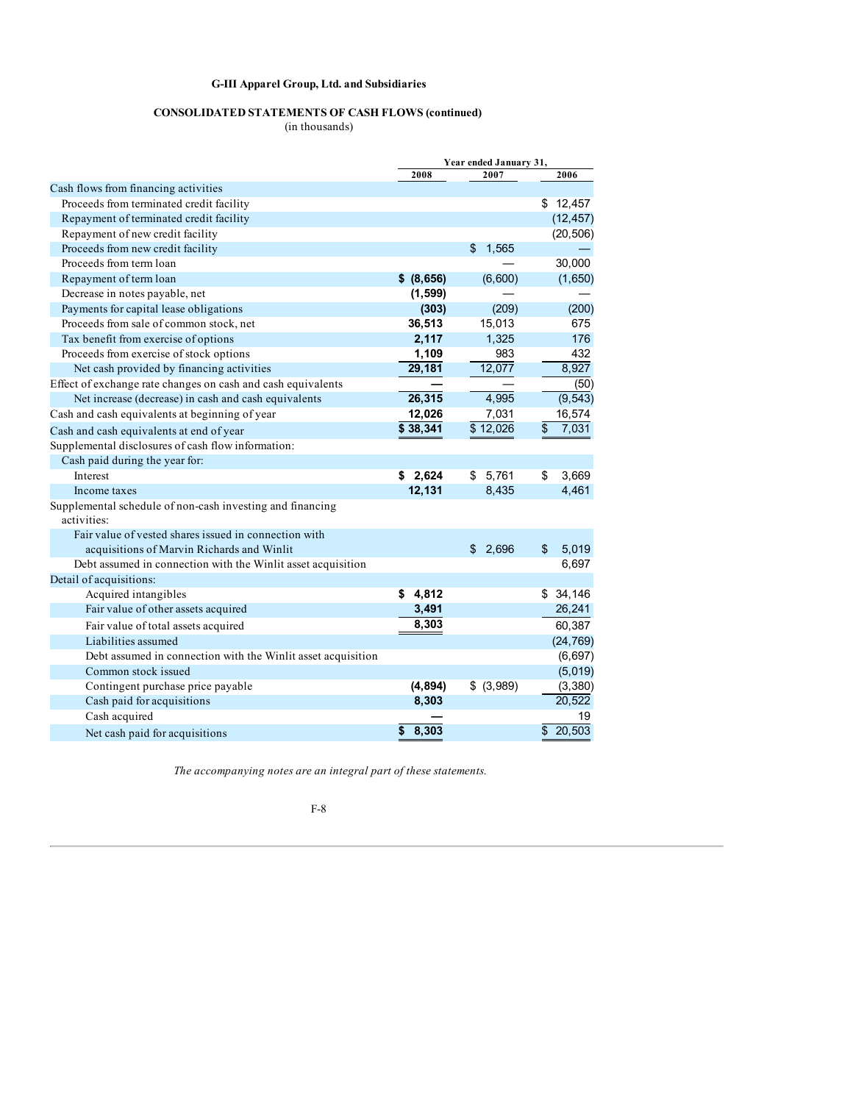# **CONSOLIDATED STATEMENTS OF CASH FLOWS (continued)**

(in thousands)

|                                                                          | Year ended January 31, |             |                          |
|--------------------------------------------------------------------------|------------------------|-------------|--------------------------|
|                                                                          | 2008                   | 2007        | 2006                     |
| Cash flows from financing activities                                     |                        |             |                          |
| Proceeds from terminated credit facility                                 |                        |             | \$12,457                 |
| Repayment of terminated credit facility                                  |                        |             | (12, 457)                |
| Repayment of new credit facility                                         |                        |             | (20, 506)                |
| Proceeds from new credit facility                                        |                        | \$<br>1,565 |                          |
| Proceeds from term loan                                                  |                        |             | 30,000                   |
| Repayment of term loan                                                   | \$ (8,656)             | (6,600)     | (1,650)                  |
| Decrease in notes payable, net                                           | (1, 599)               |             |                          |
| Payments for capital lease obligations                                   | (303)                  | (209)       | (200)                    |
| Proceeds from sale of common stock, net                                  | 36,513                 | 15,013      | 675                      |
| Tax benefit from exercise of options                                     | 2,117                  | 1,325       | 176                      |
| Proceeds from exercise of stock options                                  | 1,109                  | 983         | 432                      |
| Net cash provided by financing activities                                | 29,181                 | 12,077      | 8,927                    |
| Effect of exchange rate changes on cash and cash equivalents             |                        |             | (50)                     |
| Net increase (decrease) in cash and cash equivalents                     | 26,315                 | 4,995       | (9, 543)                 |
| Cash and cash equivalents at beginning of year                           | 12,026                 | 7,031       | 16,574                   |
| Cash and cash equivalents at end of year                                 | \$38,341               | \$12,026    | $\overline{\$}$<br>7,031 |
| Supplemental disclosures of cash flow information:                       |                        |             |                          |
| Cash paid during the year for:                                           |                        |             |                          |
| Interest                                                                 | \$2,624                | \$5,761     | \$<br>3,669              |
| Income taxes                                                             | 12,131                 | 8,435       | 4,461                    |
| Supplemental schedule of non-cash investing and financing<br>activities: |                        |             |                          |
| Fair value of vested shares issued in connection with                    |                        |             |                          |
| acquisitions of Marvin Richards and Winlit                               |                        | \$2,696     | $\mathfrak{S}$<br>5,019  |
| Debt assumed in connection with the Winlit asset acquisition             |                        |             | 6,697                    |
| Detail of acquisitions:                                                  |                        |             |                          |
| Acquired intangibles                                                     | \$4,812                |             | \$34,146                 |
| Fair value of other assets acquired                                      | 3,491                  |             | 26,241                   |
| Fair value of total assets acquired                                      | 8,303                  |             | 60,387                   |
| Liabilities assumed                                                      |                        |             | (24, 769)                |
| Debt assumed in connection with the Winlit asset acquisition             |                        |             | (6, 697)                 |
| Common stock issued                                                      |                        |             | (5,019)                  |
| Contingent purchase price payable                                        | (4,894)                | \$ (3,989)  | (3, 380)                 |
| Cash paid for acquisitions                                               | 8,303                  |             | 20,522                   |
| Cash acquired                                                            |                        |             | 19                       |
| Net cash paid for acquisitions                                           | 8,303<br>\$            |             | 20,503<br>\$             |

*The accompanying notes are an integral part of these statements.*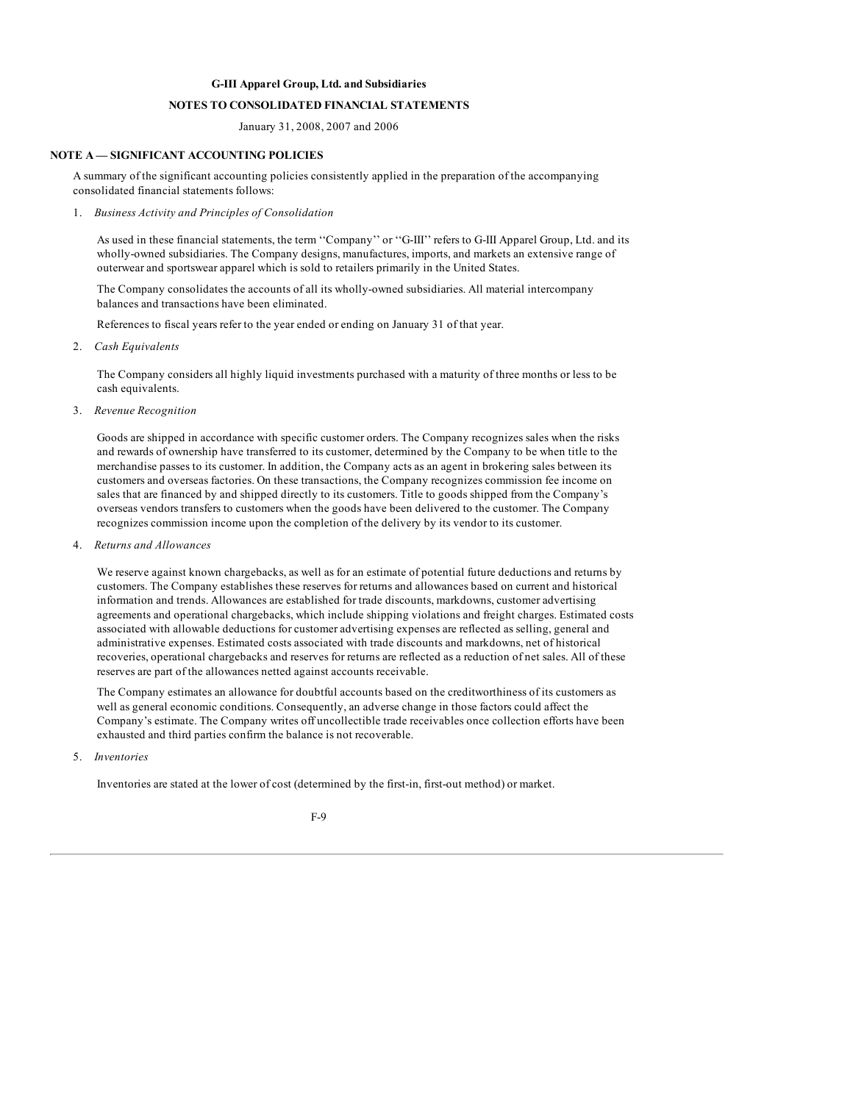# **NOTES TO CONSOLIDATED FINANCIAL STATEMENTS**

January 31, 2008, 2007 and 2006

### **NOTE A — SIGNIFICANT ACCOUNTING POLICIES**

A summary of the significant accounting policies consistently applied in the preparation of the accompanying consolidated financial statements follows:

### 1. *Business Activity and Principles of Consolidation*

As used in these financial statements, the term "Company" or "G-III" refers to G-III Apparel Group, Ltd. and its wholly-owned subsidiaries. The Company designs, manufactures, imports, and markets an extensive range of outerwear and sportswear apparel which is sold to retailers primarily in the United States.

The Company consolidates the accounts of all its wholly-owned subsidiaries. All material intercompany balances and transactions have been eliminated.

References to fiscal years refer to the year ended or ending on January 31 of that year.

2. *Cash Equivalents*

The Company considers all highly liquid investments purchased with a maturity of three months or less to be cash equivalents.

3. *Revenue Recognition*

Goods are shipped in accordance with specific customer orders. The Company recognizes sales when the risks and rewards of ownership have transferred to its customer, determined by the Company to be when title to the merchandise passes to its customer. In addition, the Company acts as an agent in brokering sales between its customers and overseas factories. On these transactions, the Company recognizes commission fee income on sales that are financed by and shipped directly to its customers. Title to goods shipped from the Company's overseas vendors transfers to customers when the goods have been delivered to the customer. The Company recognizes commission income upon the completion of the delivery by its vendor to its customer.

4. *Returns and Allowances*

We reserve against known chargebacks, as well as for an estimate of potential future deductions and returns by customers. The Company establishes these reserves for returns and allowances based on current and historical information and trends. Allowances are established for trade discounts, markdowns, customer advertising agreements and operational chargebacks, which include shipping violations and freight charges. Estimated costs associated with allowable deductions for customer advertising expenses are reflected as selling, general and administrative expenses. Estimated costs associated with trade discounts and markdowns, net of historical recoveries, operational chargebacks and reserves for returns are reflected as a reduction of net sales. All of these reserves are part of the allowances netted against accounts receivable.

The Company estimates an allowance for doubtful accounts based on the creditworthiness of its customers as well as general economic conditions. Consequently, an adverse change in those factors could affect the Company's estimate. The Company writes off uncollectible trade receivables once collection efforts have been exhausted and third parties confirm the balance is not recoverable.

### 5. *Inventories*

Inventories are stated at the lower of cost (determined by the first-in, first-out method) or market.

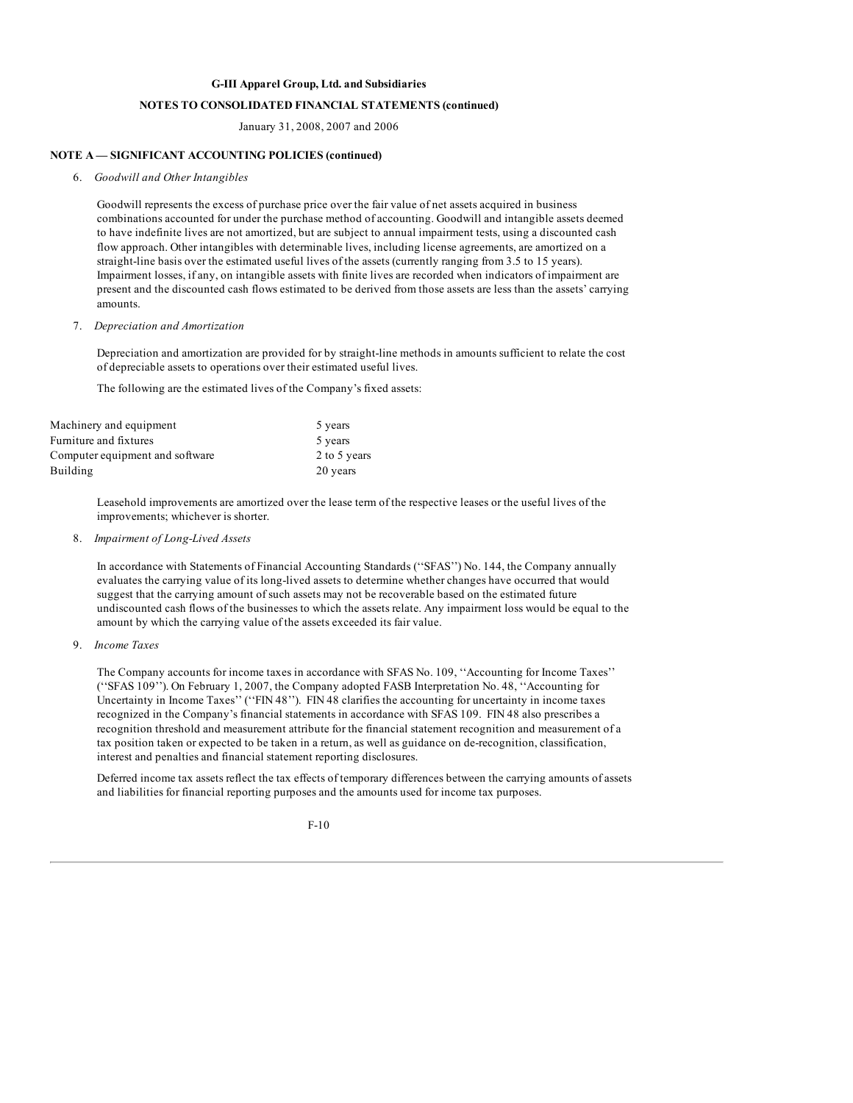#### **(continued) NOTES TO CONSOLIDATED FINANCIAL STATEMENTS**

January 31, 2008, 2007 and 2006

# **NOTE A — SIGNIFICANT ACCOUNTING POLICIES (continued)**

6. *Goodwill and Other Intangibles*

Goodwill represents the excess of purchase price over the fair value of net assets acquired in business combinations accounted for under the purchase method of accounting. Goodwill and intangible assets deemed to have indefinite lives are not amortized, but are subject to annual impairment tests, using a discounted cash flow approach. Other intangibles with determinable lives, including license agreements, are amortized on a straight-line basis over the estimated useful lives of the assets (currently ranging from 3.5 to 15 years). Impairment losses, if any, on intangible assets with finite lives are recorded when indicators of impairment are present and the discounted cash flows estimated to be derived from those assets are less than the assets' carrying amounts.

#### 7. *Depreciation and Amortization*

Depreciation and amortization are provided for by straight-line methods in amounts sufficient to relate the cost of depreciable assets to operations over their estimated useful lives.

The following are the estimated lives of the Company's fixed assets:

| Machinery and equipment         | 5 years      |
|---------------------------------|--------------|
| Furniture and fixtures          | 5 years      |
| Computer equipment and software | 2 to 5 years |
| Building                        | 20 years     |

Leasehold improvements are amortized over the lease term of the respective leases or the useful lives of the improvements; whichever is shorter.

### 8. *Impairment of Long-Lived Assets*

In accordance with Statements of Financial Accounting Standards (''SFAS'') No. 144, the Company annually evaluates the carrying value of its long-lived assets to determine whether changes have occurred that would suggest that the carrying amount of such assets may not be recoverable based on the estimated future undiscounted cash flows of the businesses to which the assets relate. Any impairment loss would be equal to the amount by which the carrying value of the assets exceeded its fair value.

### 9. *Income Taxes*

The Company accounts for income taxes in accordance with SFAS No. 109, ''Accounting for Income Taxes'' (''SFAS 109''). On February 1, 2007, the Company adopted FASB Interpretation No. 48, ''Accounting for Uncertainty in Income Taxes" ("FIN 48"). FIN 48 clarifies the accounting for uncertainty in income taxes recognized in the Company's financial statements in accordance with SFAS 109. FIN 48 also prescribes a recognition threshold and measurement attribute for the financial statement recognition and measurement of a tax position taken or expected to be taken in a return, as well as guidance on de-recognition, classification, interest and penalties and financial statement reporting disclosures.

Deferred income tax assets reflect the tax effects of temporary differences between the carrying amounts of assets and liabilities for financial reporting purposes and the amounts used for income tax purposes.

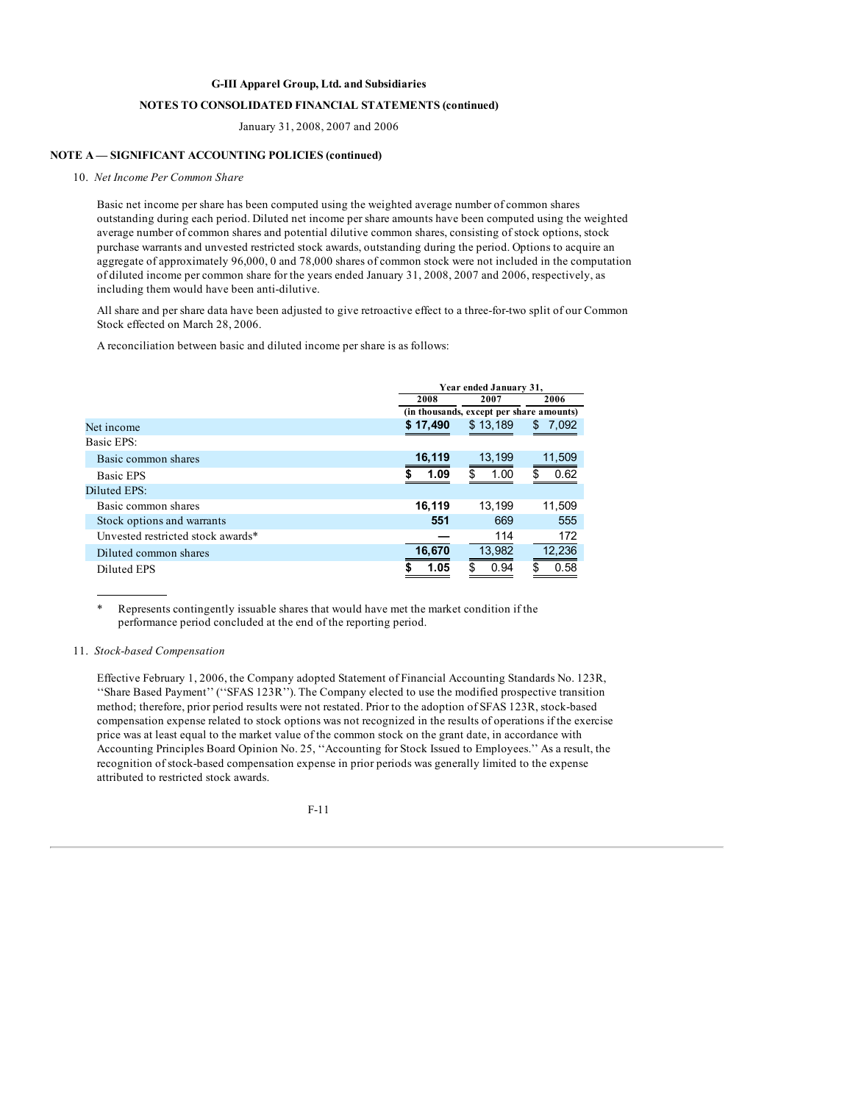#### **(continued) NOTES TO CONSOLIDATED FINANCIAL STATEMENTS**

January 31, 2008, 2007 and 2006

## **NOTE A — SIGNIFICANT ACCOUNTING POLICIES (continued)**

### 10. *Net Income Per Common Share*

Basic net income per share has been computed using the weighted average number of common shares outstanding during each period. Diluted net income per share amounts have been computed using the weighted average number of common shares and potential dilutive common shares, consisting of stock options, stock purchase warrants and unvested restricted stock awards, outstanding during the period. Options to acquire an aggregate of approximately 96,000, 0 and 78,000 shares of common stock were not included in the computation of diluted income per common share for the years ended January 31, 2008, 2007 and 2006, respectively, as including them would have been anti-dilutive.

All share and per share data have been adjusted to give retroactive effect to a three-for-two split of our Common Stock effected on March 28, 2006.

A reconciliation between basic and diluted income per share is as follows:

|                                   |          | Year ended January 31,                   |            |  |  |
|-----------------------------------|----------|------------------------------------------|------------|--|--|
|                                   | 2008     | 2007                                     | 2006       |  |  |
|                                   |          | (in thousands, except per share amounts) |            |  |  |
| Net income                        | \$17,490 | \$13,189                                 | 7,092<br>S |  |  |
| Basic EPS:                        |          |                                          |            |  |  |
| Basic common shares               | 16,119   | 13,199                                   | 11,509     |  |  |
| <b>Basic EPS</b>                  | 1.09     | 1.00<br>S.                               | 0.62       |  |  |
| Diluted EPS:                      |          |                                          |            |  |  |
| Basic common shares               | 16,119   | 13.199                                   | 11,509     |  |  |
| Stock options and warrants        | 551      | 669                                      | 555        |  |  |
| Unvested restricted stock awards* |          | 114                                      | 172        |  |  |
| Diluted common shares             | 16,670   | 13,982                                   | 12,236     |  |  |
| Diluted EPS                       | 1.05     | 0.94<br>\$                               | 0.58       |  |  |

\* Represents contingently issuable shares that would have met the market condition if the performance period concluded at the end of the reporting period.

# 11. *Stock-based Compensation*

Effective February 1, 2006, the Company adopted Statement of Financial Accounting Standards No. 123R, ''Share Based Payment'' (''SFAS 123R''). The Company elected to use the modified prospective transition method; therefore, prior period results were not restated. Prior to the adoption of SFAS 123R, stock-based compensation expense related to stock options was not recognized in the results of operations if the exercise price was at least equal to the market value of the common stock on the grant date, in accordance with Accounting Principles Board Opinion No. 25, ''Accounting for Stock Issued to Employees.'' As a result, the recognition of stock-based compensation expense in prior periods was generally limited to the expense attributed to restricted stock awards.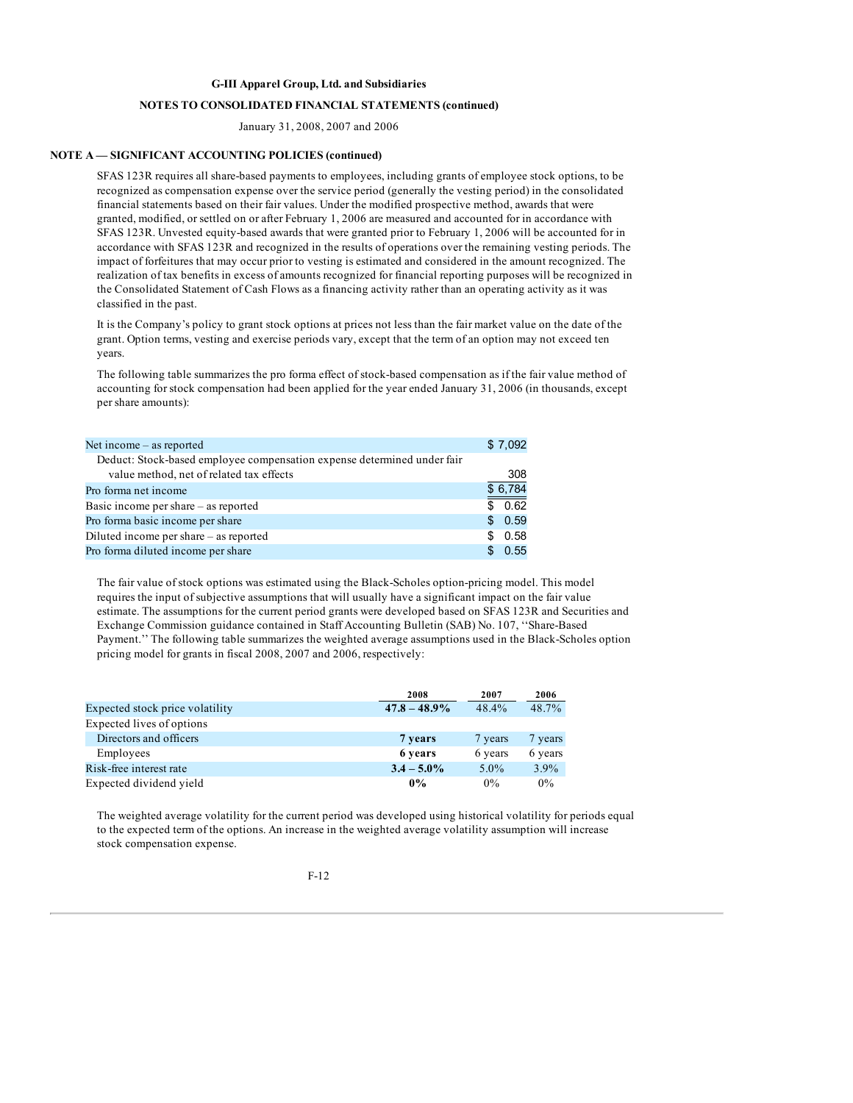### **(continued) NOTES TO CONSOLIDATED FINANCIAL STATEMENTS**

January 31, 2008, 2007 and 2006

### **NOTE A — SIGNIFICANT ACCOUNTING POLICIES (continued)**

SFAS 123R requires all share-based payments to employees, including grants of employee stock options, to be recognized as compensation expense over the service period (generally the vesting period) in the consolidated financial statements based on their fair values. Under the modified prospective method, awards that were granted, modified, or settled on or after February 1, 2006 are measured and accounted for in accordance with SFAS 123R. Unvested equity-based awards that were granted prior to February 1, 2006 will be accounted for in accordance with SFAS 123R and recognized in the results of operations over the remaining vesting periods. The impact of forfeitures that may occur prior to vesting is estimated and considered in the amount recognized. The realization of tax benefits in excess of amounts recognized for financial reporting purposes will be recognized in the Consolidated Statement of Cash Flows as a financing activity rather than an operating activity as it was classified in the past.

It is the Company's policy to grant stock options at prices not less than the fair market value on the date of the grant. Option terms, vesting and exercise periods vary, except that the term of an option may not exceed ten years.

The following table summarizes the pro forma effect of stock-based compensation as if the fair value method of accounting for stock compensation had been applied for the year ended January 31, 2006 (in thousands, except per share amounts):

| Net income $-$ as reported                                              |     | \$7,092 |
|-------------------------------------------------------------------------|-----|---------|
| Deduct: Stock-based employee compensation expense determined under fair |     |         |
| value method, net of related tax effects                                |     | 308     |
| Pro forma net income                                                    |     | \$6,784 |
| Basic income per share $-$ as reported                                  | \$. | 0.62    |
| Pro forma basic income per share                                        | \$. | 0.59    |
| Diluted income per share $-$ as reported                                | \$. | 0.58    |
| Pro forma diluted income per share                                      | S.  | 0.55    |

The fair value of stock options was estimated using the Black-Scholes option-pricing model. This model requires the input of subjective assumptions that will usually have a significant impact on the fair value estimate. The assumptions for the current period grants were developed based on SFAS 123R and Securities and Exchange Commission guidance contained in Staff Accounting Bulletin (SAB) No. 107, ''Share-Based Payment.'' The following table summarizes the weighted average assumptions used in the Black-Scholes option pricing model for grants in fiscal 2008, 2007 and 2006, respectively:

|                                 | 2008            | 2007     | 2006    |
|---------------------------------|-----------------|----------|---------|
| Expected stock price volatility | $47.8 - 48.9\%$ | $48.4\%$ | 48.7%   |
| Expected lives of options       |                 |          |         |
| Directors and officers          | 7 years         | 7 years  | 7 years |
| Employees                       | 6 years         | 6 years  | 6 years |
| Risk-free interest rate         | $3.4 - 5.0\%$   | $5.0\%$  | $3.9\%$ |
| Expected dividend yield         | $0\%$           | $0\%$    | 0%      |

The weighted average volatility for the current period was developed using historical volatility for periods equal to the expected term of the options. An increase in the weighted average volatility assumption will increase stock compensation expense.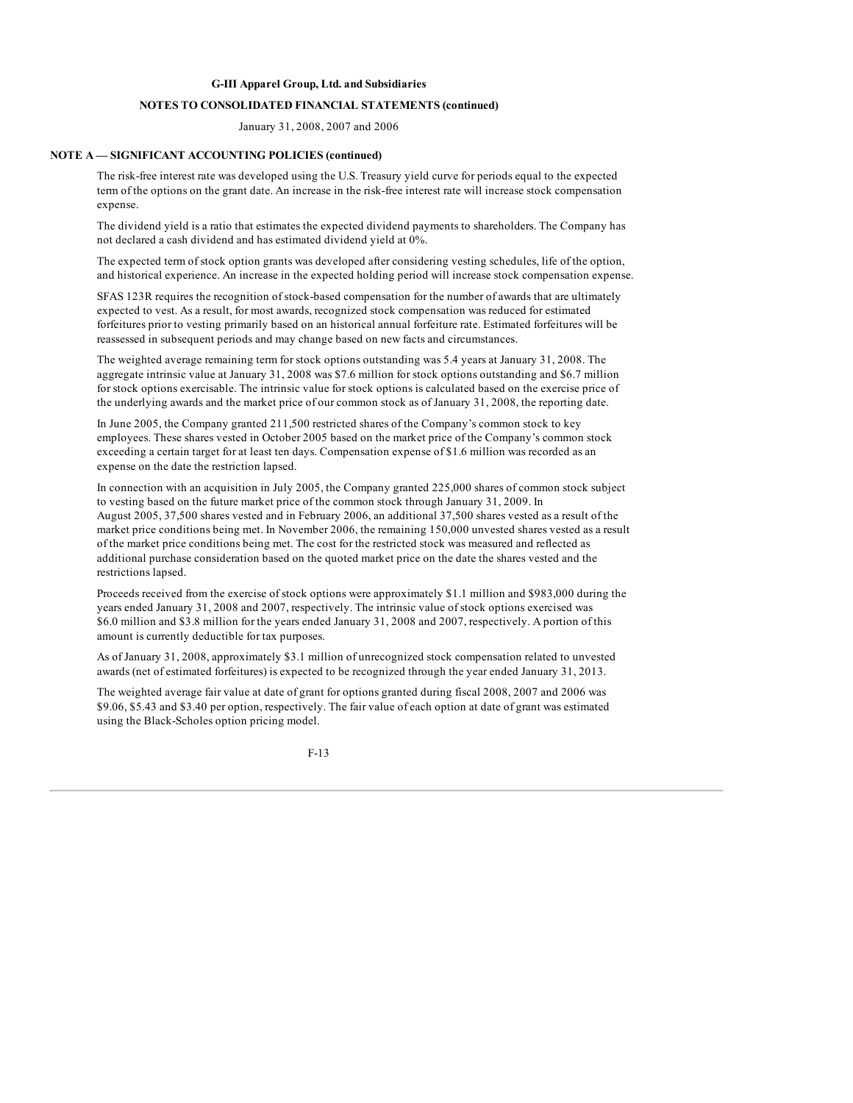#### **(continued) NOTES TO CONSOLIDATED FINANCIAL STATEMENTS**

January 31, 2008, 2007 and 2006

### **NOTE A — SIGNIFICANT ACCOUNTING POLICIES (continued)**

The risk-free interest rate was developed using the U.S. Treasury yield curve for periods equal to the expected term of the options on the grant date. An increase in the risk-free interest rate will increase stock compensation expense.

The dividend yield is a ratio that estimates the expected dividend payments to shareholders. The Company has not declared a cash dividend and has estimated dividend yield at 0%.

The expected term of stock option grants was developed after considering vesting schedules, life of the option, and historical experience. An increase in the expected holding period will increase stock compensation expense.

SFAS 123R requires the recognition of stock-based compensation for the number of awards that are ultimately expected to vest. As a result, for most awards, recognized stock compensation was reduced for estimated forfeitures prior to vesting primarily based on an historical annual forfeiture rate. Estimated forfeitures will be reassessed in subsequent periods and may change based on new facts and circumstances.

The weighted average remaining term for stock options outstanding was 5.4 years at January 31, 2008. The aggregate intrinsic value at January 31, 2008 was \$7.6 million for stock options outstanding and \$6.7 million for stock options exercisable. The intrinsic value for stock options is calculated based on the exercise price of the underlying awards and the market price of our common stock as of January 31, 2008, the reporting date.

In June 2005, the Company granted 211,500 restricted shares of the Company's common stock to key employees. These shares vested in October 2005 based on the market price of the Company's common stock exceeding a certain target for at least ten days. Compensation expense of \$1.6 million was recorded as an expense on the date the restriction lapsed.

In connection with an acquisition in July 2005, the Company granted 225,000 shares of common stock subject to vesting based on the future market price of the common stock through January 31, 2009. In August 2005, 37,500 shares vested and in February 2006, an additional 37,500 shares vested as a result of the market price conditions being met. In November 2006, the remaining 150,000 unvested shares vested as a result of the market price conditions being met. The cost for the restricted stock was measured and reflected as additional purchase consideration based on the quoted market price on the date the shares vested and the restrictions lapsed.

Proceeds received from the exercise of stock options were approximately \$1.1 million and \$983,000 during the years ended January 31, 2008 and 2007, respectively. The intrinsic value of stock options exercised was \$6.0 million and \$3.8 million for the years ended January 31, 2008 and 2007, respectively. A portion of this amount is currently deductible for tax purposes.

As of January 31, 2008, approximately \$3.1 million of unrecognized stock compensation related to unvested awards (net of estimated forfeitures) is expected to be recognized through the year ended January 31, 2013.

The weighted average fair value at date of grant for options granted during fiscal 2008, 2007 and 2006 was \$9.06, \$5.43 and \$3.40 per option, respectively. The fair value of each option at date of grant was estimated using the Black-Scholes option pricing model.

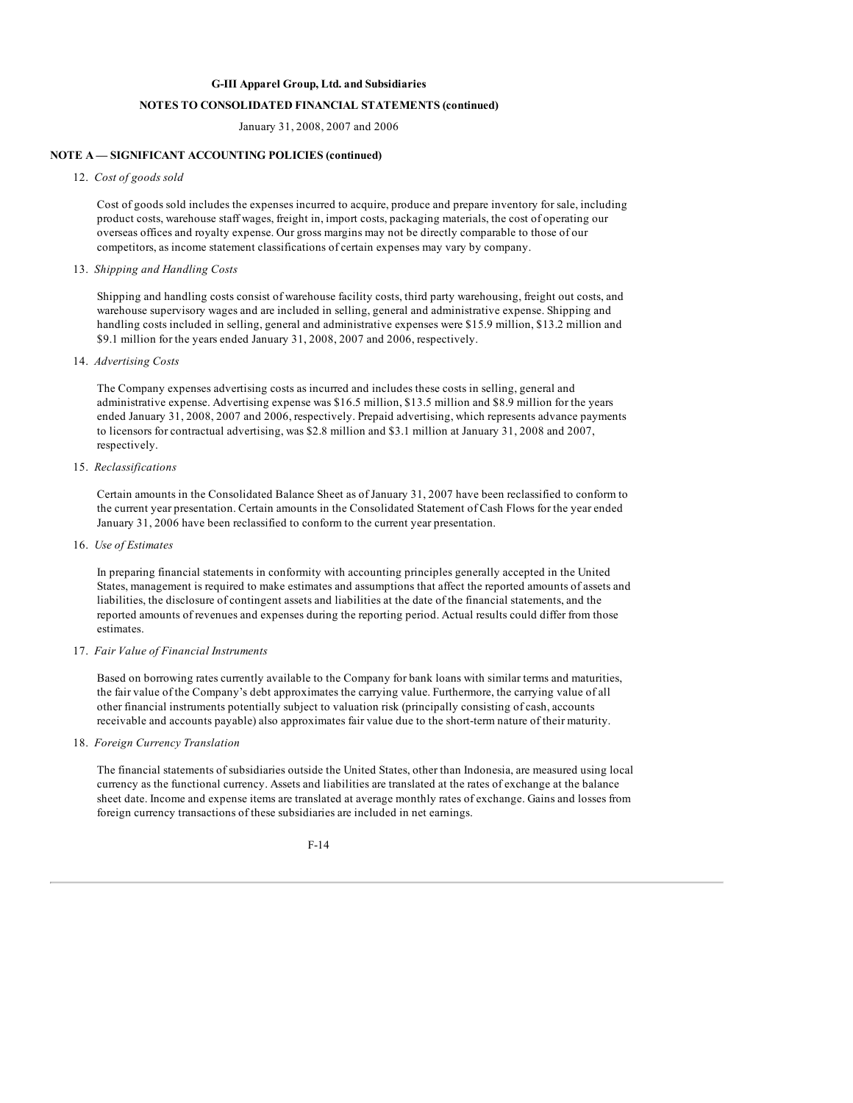#### **(continued) NOTES TO CONSOLIDATED FINANCIAL STATEMENTS**

### January 31, 2008, 2007 and 2006

## **NOTE A — SIGNIFICANT ACCOUNTING POLICIES (continued)**

### 12. *Cost of goods sold*

Cost of goods sold includes the expenses incurred to acquire, produce and prepare inventory for sale, including product costs, warehouse staff wages, freight in, import costs, packaging materials, the cost of operating our overseas offices and royalty expense. Our gross margins may not be directly comparable to those of our competitors, as income statement classifications of certain expenses may vary by company.

# 13. *Shipping and Handling Costs*

Shipping and handling costs consist of warehouse facility costs, third party warehousing, freight out costs, and warehouse supervisory wages and are included in selling, general and administrative expense. Shipping and handling costs included in selling, general and administrative expenses were \$15.9 million, \$13.2 million and \$9.1 million for the years ended January 31, 2008, 2007 and 2006, respectively.

# 14. *Advertising Costs*

The Company expenses advertising costs as incurred and includes these costs in selling, general and administrative expense. Advertising expense was \$16.5 million, \$13.5 million and \$8.9 million for the years ended January 31, 2008, 2007 and 2006, respectively. Prepaid advertising, which represents advance payments to licensors for contractual advertising, was \$2.8 million and \$3.1 million at January 31, 2008 and 2007, respectively.

# 15. *Reclassifications*

Certain amounts in the Consolidated Balance Sheet as of January 31, 2007 have been reclassified to conform to the current year presentation. Certain amounts in the Consolidated Statement of Cash Flows for the year ended January 31, 2006 have been reclassified to conform to the current year presentation.

#### 16. *Use of Estimates*

In preparing financial statements in conformity with accounting principles generally accepted in the United States, management is required to make estimates and assumptions that affect the reported amounts of assets and liabilities, the disclosure of contingent assets and liabilities at the date of the financial statements, and the reported amounts of revenues and expenses during the reporting period. Actual results could differ from those estimates.

# 17. *Fair Value of Financial Instruments*

Based on borrowing rates currently available to the Company for bank loans with similar terms and maturities, the fair value of the Company's debt approximates the carrying value. Furthermore, the carrying value of all other financial instruments potentially subject to valuation risk (principally consisting of cash, accounts receivable and accounts payable) also approximates fair value due to the short-term nature of their maturity.

# 18. *Foreign Currency Translation*

The financial statements of subsidiaries outside the United States, other than Indonesia, are measured using local currency as the functional currency. Assets and liabilities are translated at the rates of exchange at the balance sheet date. Income and expense items are translated at average monthly rates of exchange. Gains and losses from foreign currency transactions of these subsidiaries are included in net earnings.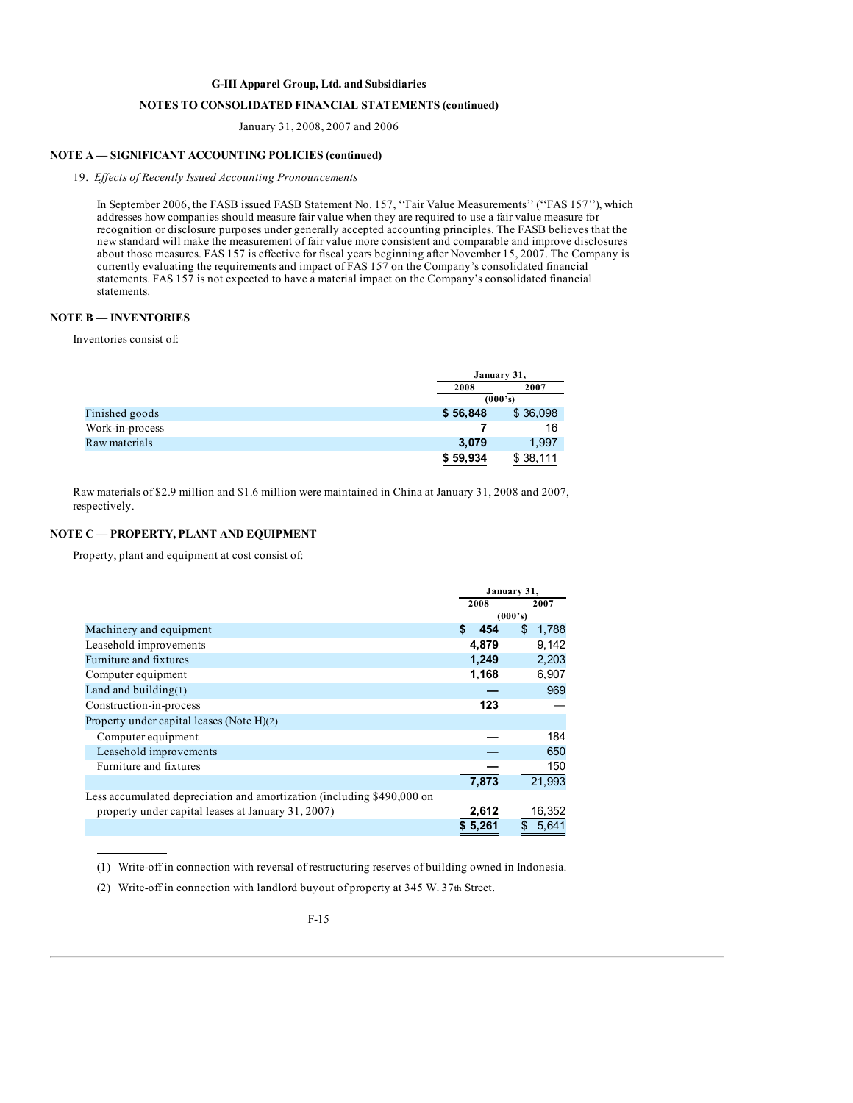#### **(continued) NOTES TO CONSOLIDATED FINANCIAL STATEMENTS**

January 31, 2008, 2007 and 2006

# **NOTE A — SIGNIFICANT ACCOUNTING POLICIES (continued)**

# 19. *Ef ects of Recently Issued Accounting Pronouncements*

In September 2006, the FASB issued FASB Statement No. 157, ''Fair Value Measurements'' (''FAS 157''), which addresses how companies should measure fair value when they are required to use a fair value measure for recognition or disclosure purposes under generally accepted accounting principles. The FASB believes that the new standard will make the measurement of fair value more consistent and comparable and improve disclosures about those measures. FAS 157 is effective for fiscal years beginning after November 15, 2007. The Company is currently evaluating the requirements and impact of FAS 157 on the Company's consolidated financial statements. FAS 157 is not expected to have a material impact on the Company's consolidated financial statements.

# **NOTE B — INVENTORIES**

Inventories consist of:

|                 |          | January 31, |  |
|-----------------|----------|-------------|--|
|                 | 2008     | 2007        |  |
|                 |          | (000's)     |  |
| Finished goods  | \$56,848 | \$36,098    |  |
| Work-in-process |          | 16          |  |
| Raw materials   | 3.079    | 1,997       |  |
|                 | \$59,934 | \$38,111    |  |

Raw materials of \$2.9 million and \$1.6 million were maintained in China at January 31, 2008 and 2007, respectively.

### **NOTE C — PROPERTY, PLANT AND EQUIPMENT**

Property, plant and equipment at cost consist of:

|                                                                        | January 31, |             |
|------------------------------------------------------------------------|-------------|-------------|
|                                                                        | 2008        | 2007        |
|                                                                        |             | (000's)     |
| Machinery and equipment                                                | 454<br>S    | 1,788<br>S  |
| Leasehold improvements                                                 | 4,879       | 9,142       |
| Furniture and fixtures                                                 | 1,249       | 2,203       |
| Computer equipment                                                     | 1,168       | 6,907       |
| Land and building $(1)$                                                |             | 969         |
| Construction-in-process                                                | 123         |             |
| Property under capital leases (Note $H(2)$ )                           |             |             |
| Computer equipment                                                     |             | 184         |
| Leasehold improvements                                                 |             | 650         |
| Furniture and fixtures                                                 |             | 150         |
|                                                                        | 7.873       | 21,993      |
| Less accumulated depreciation and amortization (including \$490,000 on |             |             |
| property under capital leases at January 31, 2007)                     | 2,612       | 16,352      |
|                                                                        | \$5,261     | \$<br>5,641 |

(1) Write-off in connection with reversal of restructuring reserves of building owned in Indonesia.

(2) Write-off in connection with landlord buyout of property at 345 W. 37th Street.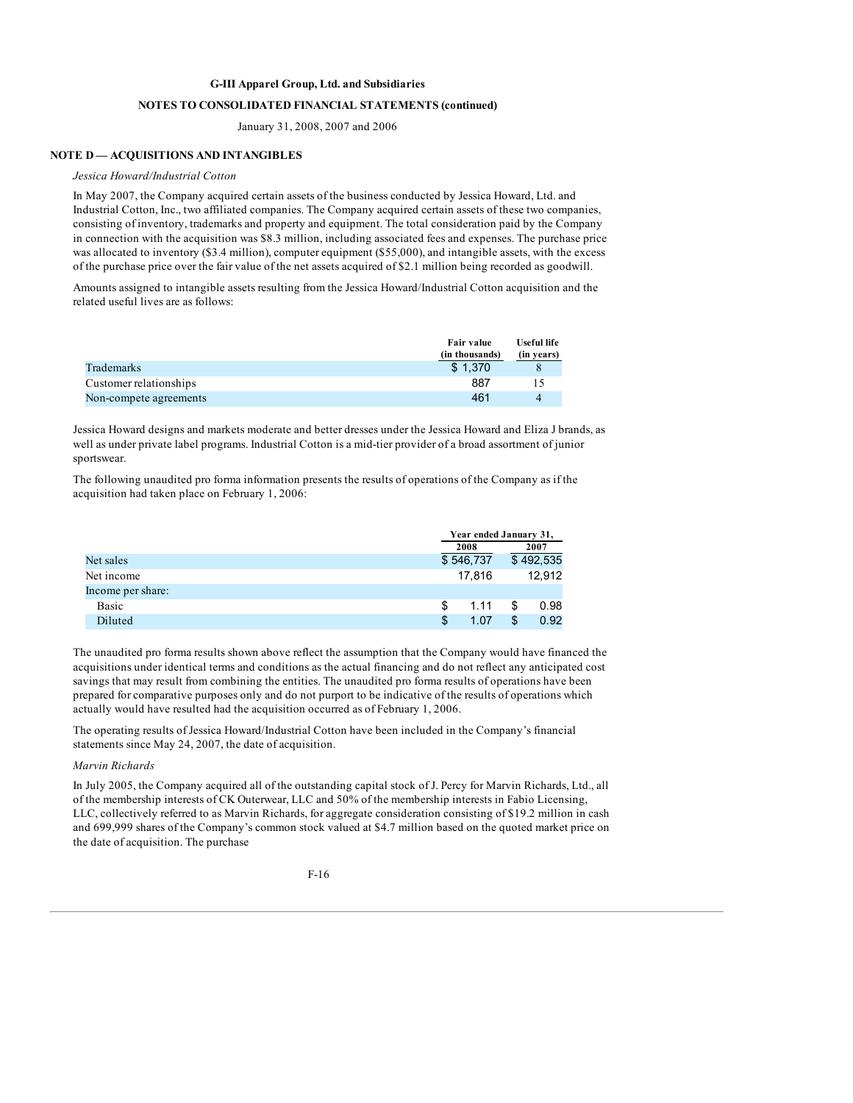# **NOTES TO CONSOLIDATED FINANCIAL STATEMENTS (continued)**

### January 31, 2008, 2007 and 2006

# **NOTE D — ACQUISITIONS AND INTANGIBLES**

#### *Jessica Howard/Industrial Cotton*

In May 2007, the Company acquired certain assets of the business conducted by Jessica Howard, Ltd. and Industrial Cotton, Inc., two affiliated companies. The Company acquired certain assets of these two companies, consisting of inventory, trademarks and property and equipment. The total consideration paid by the Company in connection with the acquisition was \$8.3 million, including associated fees and expenses. The purchase price was allocated to inventory (\$3.4 million), computer equipment (\$55,000), and intangible assets, with the excess of the purchase price over the fair value of the net assets acquired of \$2.1 million being recorded as goodwill.

Amounts assigned to intangible assets resulting from the Jessica Howard/Industrial Cotton acquisition and the related useful lives are as follows:

|                        | Fair value     | <b>Useful life</b> |
|------------------------|----------------|--------------------|
|                        | (in thousands) | (in years)         |
| Trademarks             | \$1.370        |                    |
| Customer relationships | 887            |                    |
| Non-compete agreements | 461            | 4                  |

Jessica Howard designs and markets moderate and better dresses under the Jessica Howard and Eliza J brands, as well as under private label programs. Industrial Cotton is a mid-tier provider of a broad assortment of junior sportswear.

The following unaudited pro forma information presents the results of operations of the Company as if the acquisition had taken place on February 1, 2006:

|                   |     | Year ended January 31, |    |           |
|-------------------|-----|------------------------|----|-----------|
|                   |     | 2008                   |    | 2007      |
| Net sales         |     | \$546,737              |    | \$492,535 |
| Net income        |     | 17.816                 |    | 12.912    |
| Income per share: |     |                        |    |           |
| Basic             | S   | 1.11                   | \$ | 0.98      |
| Diluted           | \$. | 1.07                   | \$ | 0.92      |

The unaudited pro forma results shown above reflect the assumption that the Company would have financed the acquisitions under identical terms and conditions as the actual financing and do not reflect any anticipated cost savings that may result from combining the entities. The unaudited pro forma results of operations have been prepared for comparative purposes only and do not purport to be indicative of the results of operations which actually would have resulted had the acquisition occurred as of February 1, 2006.

The operating results of Jessica Howard/Industrial Cotton have been included in the Company's financial statements since May 24, 2007, the date of acquisition.

## *Marvin Richards*

In July 2005, the Company acquired all of the outstanding capital stock of J. Percy for Marvin Richards, Ltd., all of the membership interests of CK Outerwear, LLC and 50% of the membership interests in Fabio Licensing, LLC, collectively referred to as Marvin Richards, for aggregate consideration consisting of \$19.2 million in cash and 699,999 shares of the Company's common stock valued at \$4.7 million based on the quoted market price on the date of acquisition. The purchase

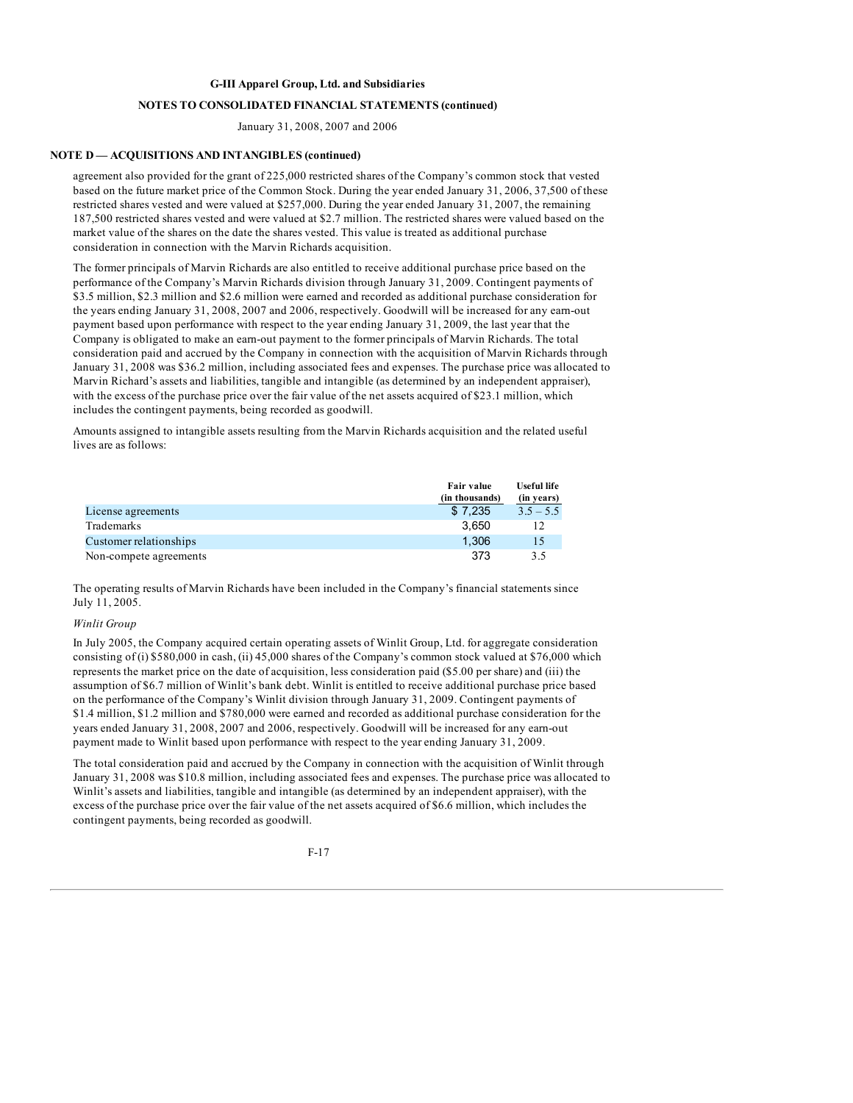# **NOTES TO CONSOLIDATED FINANCIAL STATEMENTS (continued)**

January 31, 2008, 2007 and 2006

#### **(continued) NOTE D — ACQUISITIONS AND INTANGIBLES**

agreement also provided for the grant of 225,000 restricted shares of the Company's common stock that vested based on the future market price of the Common Stock. During the year ended January 31, 2006, 37,500 of these restricted shares vested and were valued at \$257,000. During the year ended January 31, 2007, the remaining 187,500 restricted shares vested and were valued at \$2.7 million. The restricted shares were valued based on the market value of the shares on the date the shares vested. This value is treated as additional purchase consideration in connection with the Marvin Richards acquisition.

The former principals of Marvin Richards are also entitled to receive additional purchase price based on the performance of the Company's Marvin Richards division through January 31, 2009. Contingent payments of \$3.5 million, \$2.3 million and \$2.6 million were earned and recorded as additional purchase consideration for the years ending January 31, 2008, 2007 and 2006, respectively. Goodwill will be increased for any earn-out payment based upon performance with respect to the year ending January 31, 2009, the last year that the Company is obligated to make an earn-out payment to the former principals of Marvin Richards. The total consideration paid and accrued by the Company in connection with the acquisition of Marvin Richards through January 31, 2008 was \$36.2 million, including associated fees and expenses. The purchase price was allocated to Marvin Richard's assets and liabilities, tangible and intangible (as determined by an independent appraiser), with the excess of the purchase price over the fair value of the net assets acquired of \$23.1 million, which includes the contingent payments, being recorded as goodwill.

Amounts assigned to intangible assets resulting from the Marvin Richards acquisition and the related useful lives are as follows:

|                        | Fair value     | <b>Useful life</b> |
|------------------------|----------------|--------------------|
|                        | (in thousands) | (in years)         |
| License agreements     | \$7.235        | $3.5 - 5.5$        |
| Trademarks             | 3.650          | 12                 |
| Customer relationships | 1.306          | 15                 |
| Non-compete agreements | 373            | 3.5                |

The operating results of Marvin Richards have been included in the Company's financial statements since July 11, 2005.

### *Winlit Group*

In July 2005, the Company acquired certain operating assets of Winlit Group, Ltd. for aggregate consideration consisting of (i) \$580,000 in cash, (ii) 45,000 shares of the Company's common stock valued at \$76,000 which represents the market price on the date of acquisition, less consideration paid (\$5.00 per share) and (iii) the assumption of \$6.7 million of Winlit's bank debt. Winlit is entitled to receive additional purchase price based on the performance of the Company's Winlit division through January 31, 2009. Contingent payments of \$1.4 million, \$1.2 million and \$780,000 were earned and recorded as additional purchase consideration for the years ended January 31, 2008, 2007 and 2006, respectively. Goodwill will be increased for any earn-out payment made to Winlit based upon performance with respect to the year ending January 31, 2009.

The total consideration paid and accrued by the Company in connection with the acquisition of Winlit through January 31, 2008 was \$10.8 million, including associated fees and expenses. The purchase price was allocated to Winlit's assets and liabilities, tangible and intangible (as determined by an independent appraiser), with the excess of the purchase price over the fair value of the net assets acquired of \$6.6 million, which includes the contingent payments, being recorded as goodwill.

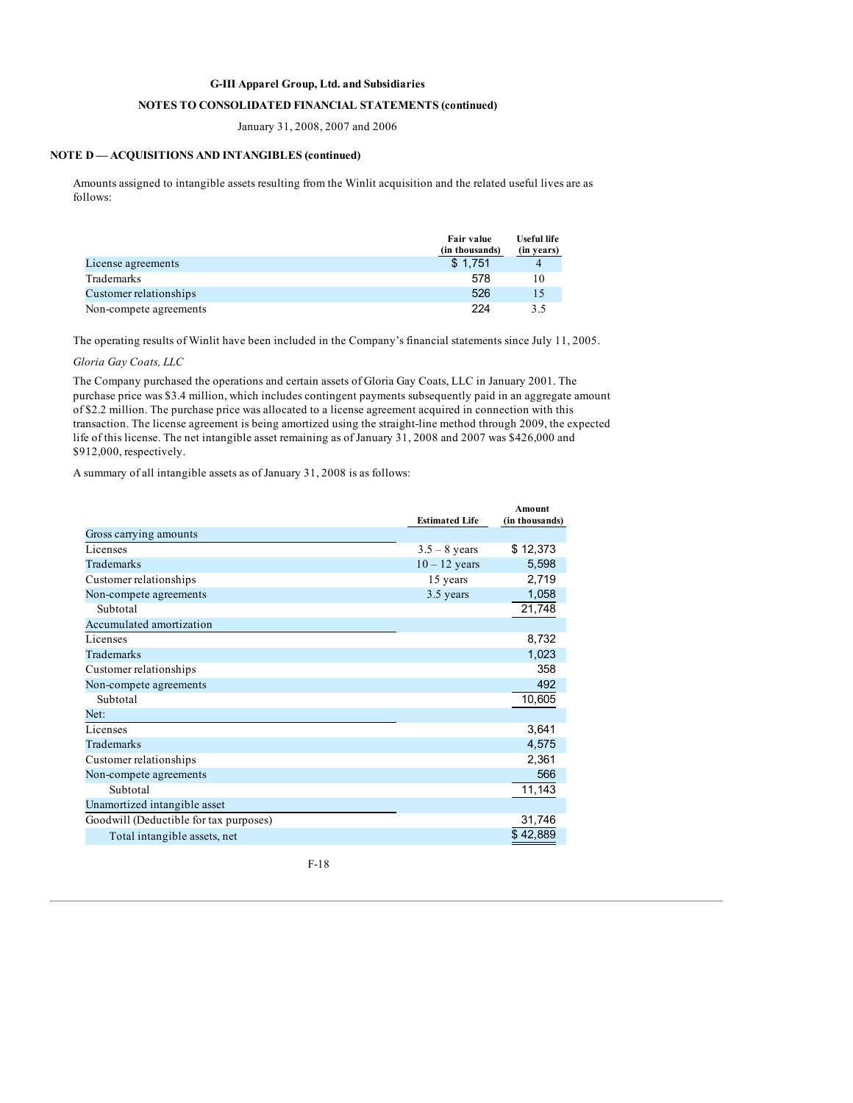# **NOTES TO CONSOLIDATED FINANCIAL STATEMENTS (continued)**

January 31, 2008, 2007 and 2006

#### **(continued) NOTE D — ACQUISITIONS AND INTANGIBLES**

Amounts assigned to intangible assets resulting from the Winlit acquisition and the related useful lives are as follows:

|                        | Fair value<br>(in thousands) | <b>Useful life</b><br>(in years) |
|------------------------|------------------------------|----------------------------------|
| License agreements     | \$1.751                      |                                  |
| Trademarks             | 578                          | 10                               |
| Customer relationships | 526                          | 15                               |
| Non-compete agreements | 224                          | 35                               |

The operating results of Winlit have been included in the Company's financial statements since July 11, 2005.

### *Gloria Gay Coats, LLC*

The Company purchased the operations and certain assets of Gloria Gay Coats, LLC in January 2001. The purchase price was \$3.4 million, which includes contingent payments subsequently paid in an aggregate amount of \$2.2 million. The purchase price was allocated to a license agreement acquired in connection with this transaction. The license agreement is being amortized using the straight-line method through 2009, the expected life of this license. The net intangible asset remaining as of January 31, 2008 and 2007 was \$426,000 and \$912,000, respectively.

A summary of all intangible assets as of January 31, 2008 is as follows:

|                                        | <b>Estimated Life</b> | Amount<br>(in thousands) |
|----------------------------------------|-----------------------|--------------------------|
| Gross carrying amounts                 |                       |                          |
| Licenses                               | $3.5 - 8$ years       | \$12,373                 |
| Trademarks                             | $10 - 12$ years       | 5,598                    |
| Customer relationships                 | 15 years              | 2,719                    |
| Non-compete agreements                 | 3.5 years             | 1,058                    |
| Subtotal                               |                       | 21,748                   |
| Accumulated amortization               |                       |                          |
| Licenses                               |                       | 8,732                    |
| <b>Trademarks</b>                      |                       | 1,023                    |
| Customer relationships                 |                       | 358                      |
| Non-compete agreements                 |                       | 492                      |
| Subtotal                               |                       | 10,605                   |
| Net:                                   |                       |                          |
| Licenses                               |                       | 3,641                    |
| Trademarks                             |                       | 4,575                    |
| Customer relationships                 |                       | 2,361                    |
| Non-compete agreements                 |                       | 566                      |
| Subtotal                               |                       | 11,143                   |
| Unamortized intangible asset           |                       |                          |
| Goodwill (Deductible for tax purposes) |                       | 31,746                   |
| Total intangible assets, net           |                       | \$42,889                 |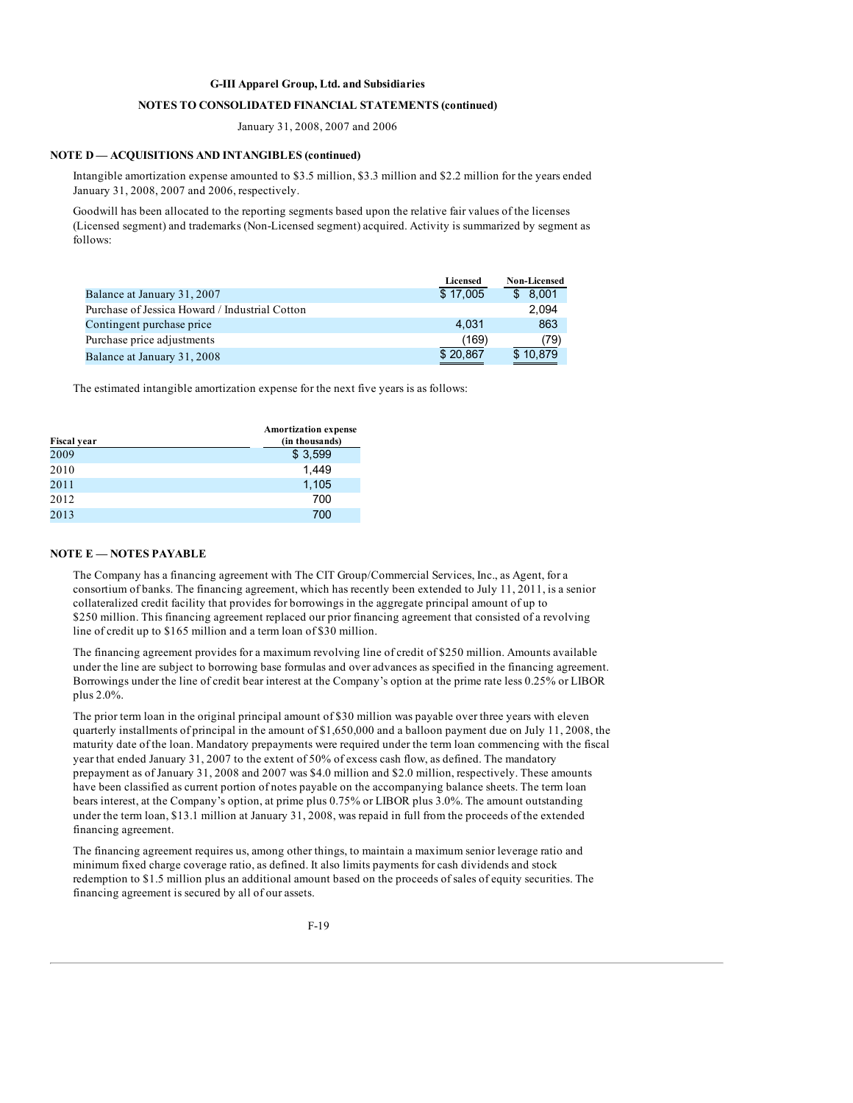### **NOTES TO CONSOLIDATED FINANCIAL STATEMENTS (continued)**

January 31, 2008, 2007 and 2006

#### **(continued) NOTE D — ACQUISITIONS AND INTANGIBLES**

Intangible amortization expense amounted to \$3.5 million, \$3.3 million and \$2.2 million for the years ended January 31, 2008, 2007 and 2006, respectively.

Goodwill has been allocated to the reporting segments based upon the relative fair values of the licenses (Licensed segment) and trademarks (Non-Licensed segment) acquired. Activity is summarized by segment as follows:

|                                                | Licensed | <b>Non-Licensed</b> |
|------------------------------------------------|----------|---------------------|
| Balance at January 31, 2007                    | \$17,005 | \$8.001             |
| Purchase of Jessica Howard / Industrial Cotton |          | 2.094               |
| Contingent purchase price                      | 4.031    | 863                 |
| Purchase price adjustments                     | (169)    | (79)                |
| Balance at January 31, 2008                    | \$20,867 | \$10,879            |

The estimated intangible amortization expense for the next five years is as follows:

| <b>Fiscal year</b> | <b>Amortization expense</b><br>(in thousands) |
|--------------------|-----------------------------------------------|
| 2009               | \$3,599                                       |
| 2010               | 1,449                                         |
| 2011               | 1,105                                         |
| 2012               | 700                                           |
| 2013               | 700                                           |

### **NOTE E — NOTES PAYABLE**

The Company has a financing agreement with The CIT Group/Commercial Services, Inc., as Agent, for a consortium of banks. The financing agreement, which has recently been extended to July 11, 2011, is a senior collateralized credit facility that provides for borrowings in the aggregate principal amount of up to \$250 million. This financing agreement replaced our prior financing agreement that consisted of a revolving line of credit up to \$165 million and a term loan of \$30 million.

The financing agreement provides for a maximum revolving line of credit of \$250 million. Amounts available under the line are subject to borrowing base formulas and over advances as specified in the financing agreement. Borrowings under the line of credit bear interest at the Company's option at the prime rate less 0.25% or LIBOR plus 2.0%.

The prior term loan in the original principal amount of \$30 million was payable over three years with eleven quarterly installments of principal in the amount of \$1,650,000 and a balloon payment due on July 11, 2008, the maturity date of the loan. Mandatory prepayments were required under the term loan commencing with the fiscal year that ended January 31, 2007 to the extent of 50% of excess cash flow, as defined. The mandatory prepayment as of January 31, 2008 and 2007 was \$4.0 million and \$2.0 million, respectively. These amounts have been classified as current portion of notes payable on the accompanying balance sheets. The term loan bears interest, at the Company's option, at prime plus 0.75% or LIBOR plus 3.0%. The amount outstanding under the term loan, \$13.1 million at January 31, 2008, was repaid in full from the proceeds of the extended financing agreement.

The financing agreement requires us, among other things, to maintain a maximum senior leverage ratio and minimum fixed charge coverage ratio, as defined. It also limits payments for cash dividends and stock redemption to \$1.5 million plus an additional amount based on the proceeds of sales of equity securities. The financing agreement is secured by all of our assets.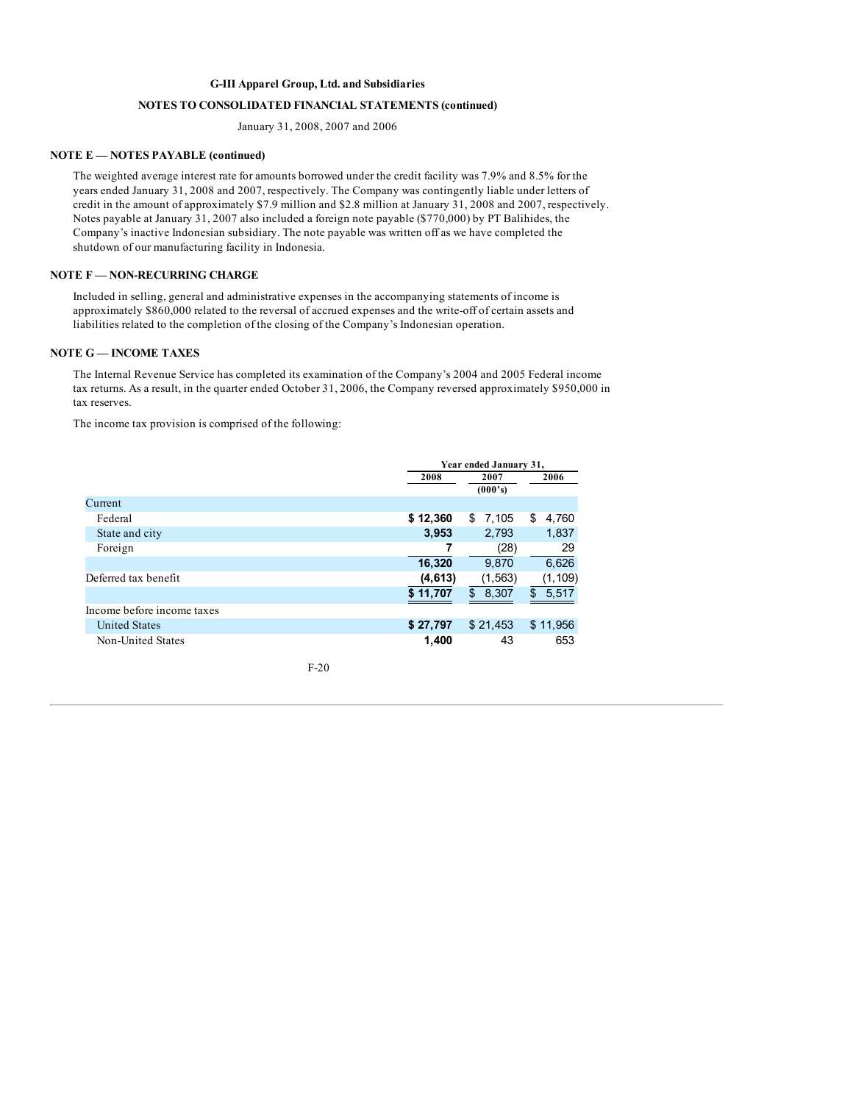# **NOTES TO CONSOLIDATED FINANCIAL STATEMENTS (continued)**

January 31, 2008, 2007 and 2006

#### **(continued) NOTE E — NOTES PAYABLE**

The weighted average interest rate for amounts borrowed under the credit facility was 7.9% and 8.5% for the years ended January 31, 2008 and 2007, respectively. The Company was contingently liable under letters of credit in the amount of approximately \$7.9 million and \$2.8 million at January 31, 2008 and 2007, respectively. Notes payable at January 31, 2007 also included a foreign note payable (\$770,000) by PT Balihides, the Company's inactive Indonesian subsidiary. The note payable was written off as we have completed the shutdown of our manufacturing facility in Indonesia.

# **NOTE F — NON-RECURRING CHARGE**

Included in selling, general and administrative expenses in the accompanying statements of income is approximately \$860,000 related to the reversal of accrued expenses and the write-off of certain assets and liabilities related to the completion of the closing of the Company's Indonesian operation.

# **NOTE G — INCOME TAXES**

The Internal Revenue Service has completed its examination of the Company's 2004 and 2005 Federal income tax returns. As a result, in the quarter ended October 31, 2006, the Company reversed approximately \$950,000 in tax reserves.

The income tax provision is comprised of the following:

|                            |          | Year ended January 31, |             |  |
|----------------------------|----------|------------------------|-------------|--|
|                            | 2008     | 2007                   | 2006        |  |
|                            |          | (000's)                |             |  |
| Current                    |          |                        |             |  |
| Federal                    | \$12,360 | \$<br>7,105            | \$<br>4,760 |  |
| State and city             | 3,953    | 2,793                  | 1,837       |  |
| Foreign                    |          | (28)                   | 29          |  |
|                            | 16,320   | 9.870                  | 6,626       |  |
| Deferred tax benefit       | (4, 613) | (1, 563)               | (1, 109)    |  |
|                            | \$11,707 | \$<br>8,307            | \$<br>5,517 |  |
| Income before income taxes |          |                        |             |  |
| <b>United States</b>       | \$27,797 | \$21,453               | \$11,956    |  |
| Non-United States          | 1,400    | 43                     | 653         |  |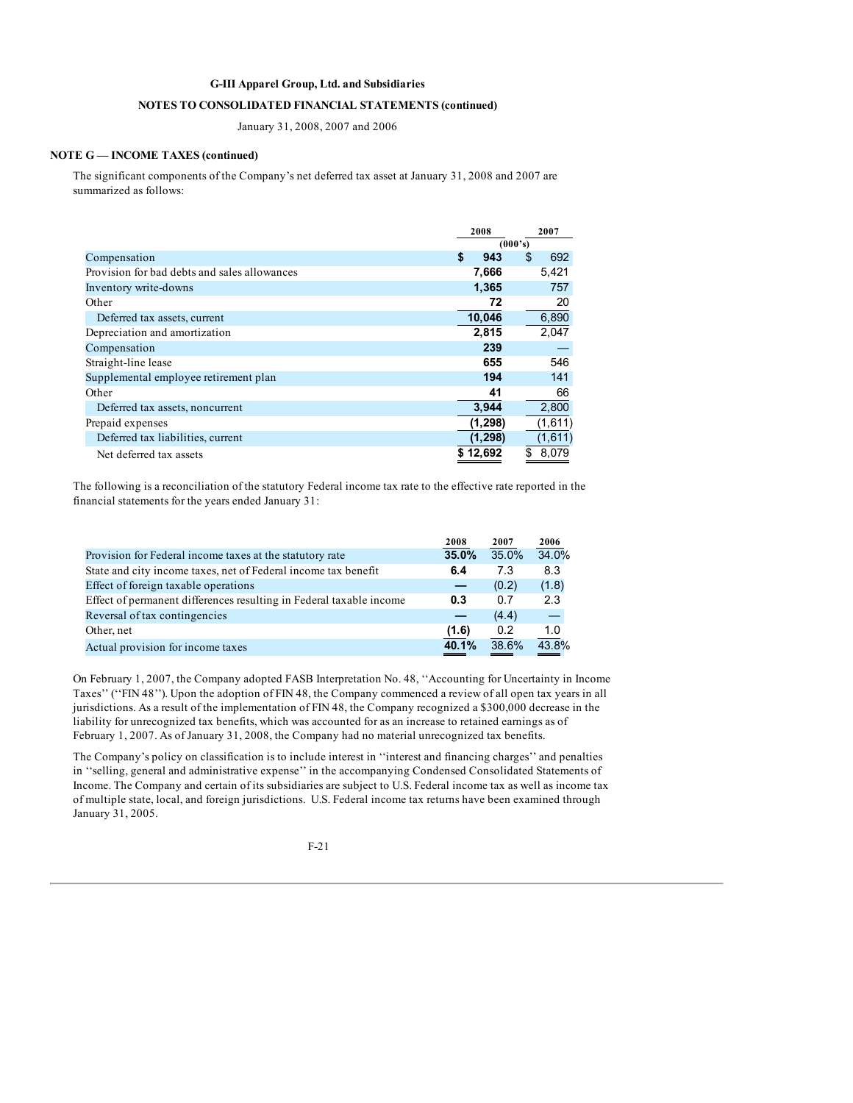# **NOTES TO CONSOLIDATED FINANCIAL STATEMENTS (continued)**

January 31, 2008, 2007 and 2006

#### **(continued) NOTE G — INCOME TAXES**

The significant components of the Company's net deferred tax asset at January 31, 2008 and 2007 are summarized as follows:

|                                              | 2008      | 2007        |
|----------------------------------------------|-----------|-------------|
|                                              |           | (000's)     |
| Compensation                                 | \$<br>943 | \$<br>692   |
| Provision for bad debts and sales allowances | 7,666     | 5,421       |
| Inventory write-downs                        | 1,365     | 757         |
| Other                                        | 72        | 20          |
| Deferred tax assets, current                 | 10,046    | 6,890       |
| Depreciation and amortization                | 2,815     | 2,047       |
| Compensation                                 | 239       |             |
| Straight-line lease                          | 655       | 546         |
| Supplemental employee retirement plan        | 194       | 141         |
| Other                                        | 41        | 66          |
| Deferred tax assets, noncurrent              | 3,944     | 2,800       |
| Prepaid expenses                             | (1, 298)  | (1,611)     |
| Deferred tax liabilities, current            | (1, 298)  | (1,611)     |
| Net deferred tax assets                      | \$12.692  | 8,079<br>\$ |

The following is a reconciliation of the statutory Federal income tax rate to the effective rate reported in the financial statements for the years ended January 31:

|                                                                     | 2008              | 2007           | 2006        |
|---------------------------------------------------------------------|-------------------|----------------|-------------|
| Provision for Federal income taxes at the statutory rate            | 35.0%             | 35.0%          | 34.0%       |
| State and city income taxes, net of Federal income tax benefit      | 6.4               | 7.3            | 8.3         |
| Effect of foreign taxable operations                                |                   | (0.2)          | (1.8)       |
| Effect of permanent differences resulting in Federal taxable income | 0.3               | 0.7            | 2.3         |
| Reversal of tax contingencies                                       |                   | (4.4)          | 느           |
| Other, net                                                          | (1.6)             | 0.2            | 1.0         |
| Actual provision for income taxes                                   | 40.1%<br>$\equiv$ | 38.6%<br>_____ | 43.8%<br>__ |

On February 1, 2007, the Company adopted FASB Interpretation No. 48, ''Accounting for Uncertainty in Income Taxes'' (''FIN 48''). Upon the adoption of FIN 48, the Company commenced a review of all open tax years in all jurisdictions. As a result of the implementation of FIN 48, the Company recognized a \$300,000 decrease in the liability for unrecognized tax benefits, which was accounted for as an increase to retained earnings as of February 1, 2007. As of January 31, 2008, the Company had no material unrecognized tax benefits.

The Company's policy on classification is to include interest in ''interest and financing charges'' and penalties in ''selling, general and administrative expense'' in the accompanying Condensed Consolidated Statements of Income. The Company and certain of its subsidiaries are subject to U.S. Federal income tax as well as income tax of multiple state, local, and foreign jurisdictions. U.S. Federal income tax returns have been examined through January 31, 2005.

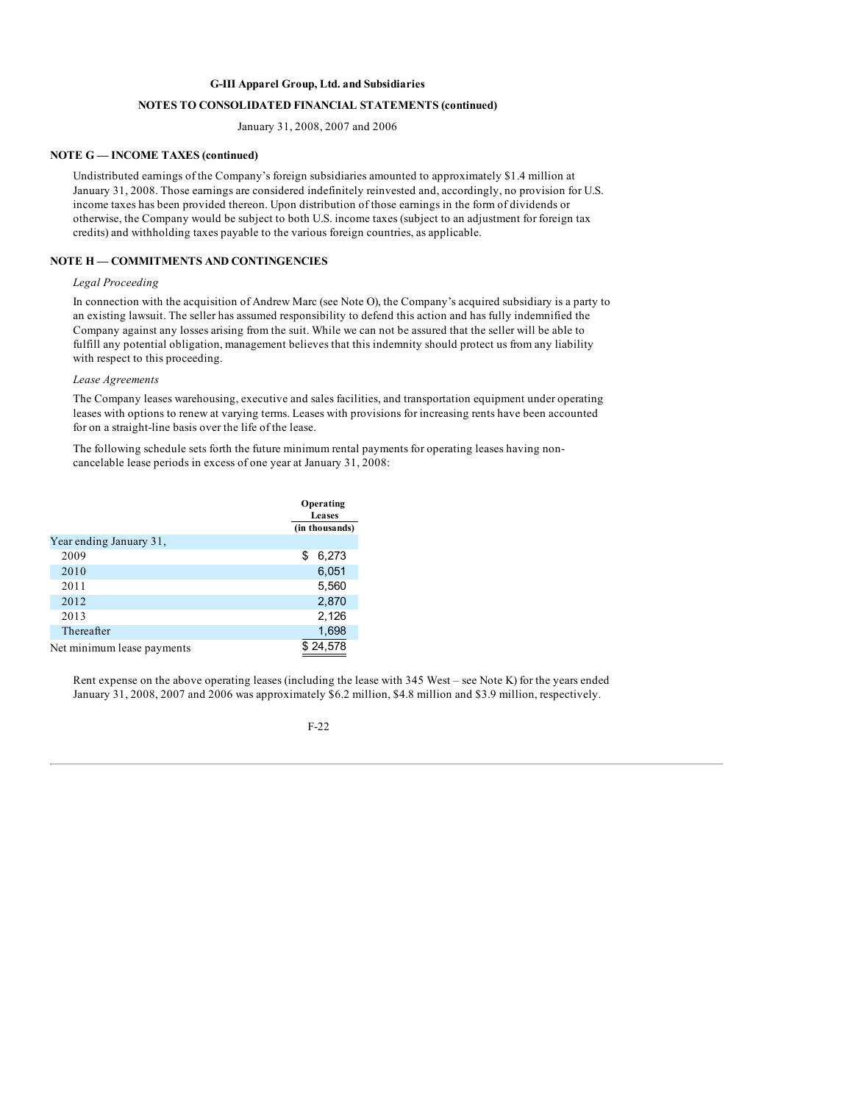# **NOTES TO CONSOLIDATED FINANCIAL STATEMENTS (continued)**

January 31, 2008, 2007 and 2006

#### **(continued) NOTE G — INCOME TAXES**

Undistributed earnings of the Company's foreign subsidiaries amounted to approximately \$1.4 million at January 31, 2008. Those earnings are considered indefinitely reinvested and, accordingly, no provision for U.S. income taxes has been provided thereon. Upon distribution of those earnings in the form of dividends or otherwise, the Company would be subject to both U.S. income taxes (subject to an adjustment for foreign tax credits) and withholding taxes payable to the various foreign countries, as applicable.

# **NOTE H — COMMITMENTS AND CONTINGENCIES**

### *Legal Proceeding*

In connection with the acquisition of Andrew Marc (see Note O), the Company's acquired subsidiary is a party to an existing lawsuit. The seller has assumed responsibility to defend this action and has fully indemnified the Company against any losses arising from the suit. While we can not be assured that the seller will be able to fulfill any potential obligation, management believes that this indemnity should protect us from any liability with respect to this proceeding.

### *Lease Agreements*

The Company leases warehousing, executive and sales facilities, and transportation equipment under operating leases with options to renew at varying terms. Leases with provisions for increasing rents have been accounted for on a straight-line basis over the life of the lease.

The following schedule sets forth the future minimum rental payments for operating leases having noncancelable lease periods in excess of one year at January 31, 2008:

|                            | Operating<br>Leases |
|----------------------------|---------------------|
|                            | (in thousands)      |
| Year ending January 31,    |                     |
| 2009                       | 6,273<br>\$         |
| 2010                       | 6,051               |
| 2011                       | 5,560               |
| 2012                       | 2,870               |
| 2013                       | 2,126               |
| Thereafter                 | 1,698               |
| Net minimum lease payments | 24.578              |

Rent expense on the above operating leases (including the lease with 345 West – see Note K) for the years ended January 31, 2008, 2007 and 2006 was approximately \$6.2 million, \$4.8 million and \$3.9 million, respectively.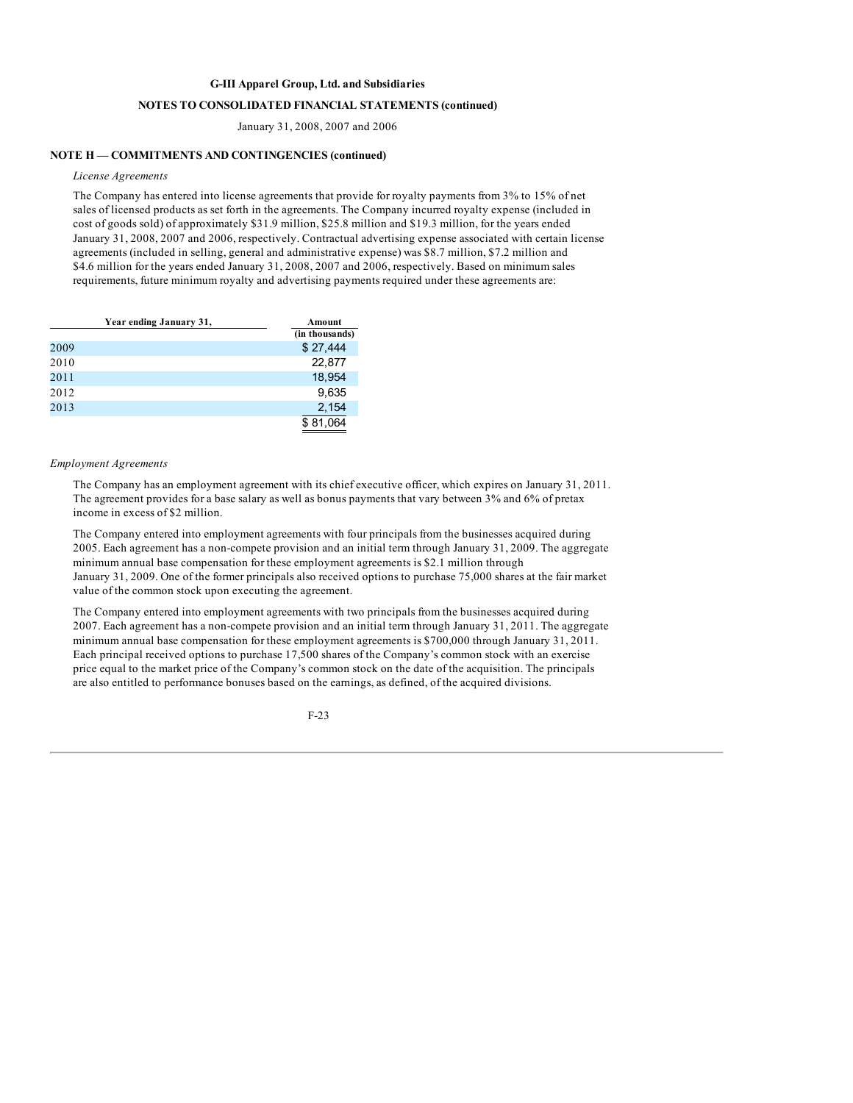# **NOTES TO CONSOLIDATED FINANCIAL STATEMENTS (continued)**

January 31, 2008, 2007 and 2006

#### **(continued) NOTE H — COMMITMENTS AND CONTINGENCIES**

# *License Agreements*

The Company has entered into license agreements that provide for royalty payments from 3% to 15% of net sales of licensed products as set forth in the agreements. The Company incurred royalty expense (included in cost of goods sold) of approximately \$31.9 million, \$25.8 million and \$19.3 million, for the years ended January 31, 2008, 2007 and 2006, respectively. Contractual advertising expense associated with certain license agreements (included in selling, general and administrative expense) was \$8.7 million, \$7.2 million and \$4.6 million for the years ended January 31, 2008, 2007 and 2006, respectively. Based on minimum sales requirements, future minimum royalty and advertising payments required under these agreements are:

| Year ending January 31, |  | Amount         |
|-------------------------|--|----------------|
|                         |  | (in thousands) |
| 2009                    |  | \$27,444       |
| 2010                    |  | 22,877         |
| 2011                    |  | 18,954         |
| 2012                    |  | 9,635          |
| 2013                    |  | 2,154          |
|                         |  | \$81,064       |

### *Employment Agreements*

The Company has an employment agreement with its chief executive officer, which expires on January 31, 2011. The agreement provides for a base salary as well as bonus payments that vary between 3% and 6% of pretax income in excess of \$2 million.

The Company entered into employment agreements with four principals from the businesses acquired during 2005. Each agreement has a non-compete provision and an initial term through January 31, 2009. The aggregate minimum annual base compensation for these employment agreements is \$2.1 million through January 31, 2009. One of the former principals also received options to purchase 75,000 shares at the fair market value of the common stock upon executing the agreement.

The Company entered into employment agreements with two principals from the businesses acquired during 2007. Each agreement has a non-compete provision and an initial term through January 31, 2011. The aggregate minimum annual base compensation for these employment agreements is \$700,000 through January 31, 2011. Each principal received options to purchase 17,500 shares of the Company's common stock with an exercise price equal to the market price of the Company's common stock on the date of the acquisition. The principals are also entitled to performance bonuses based on the earnings, as defined, of the acquired divisions.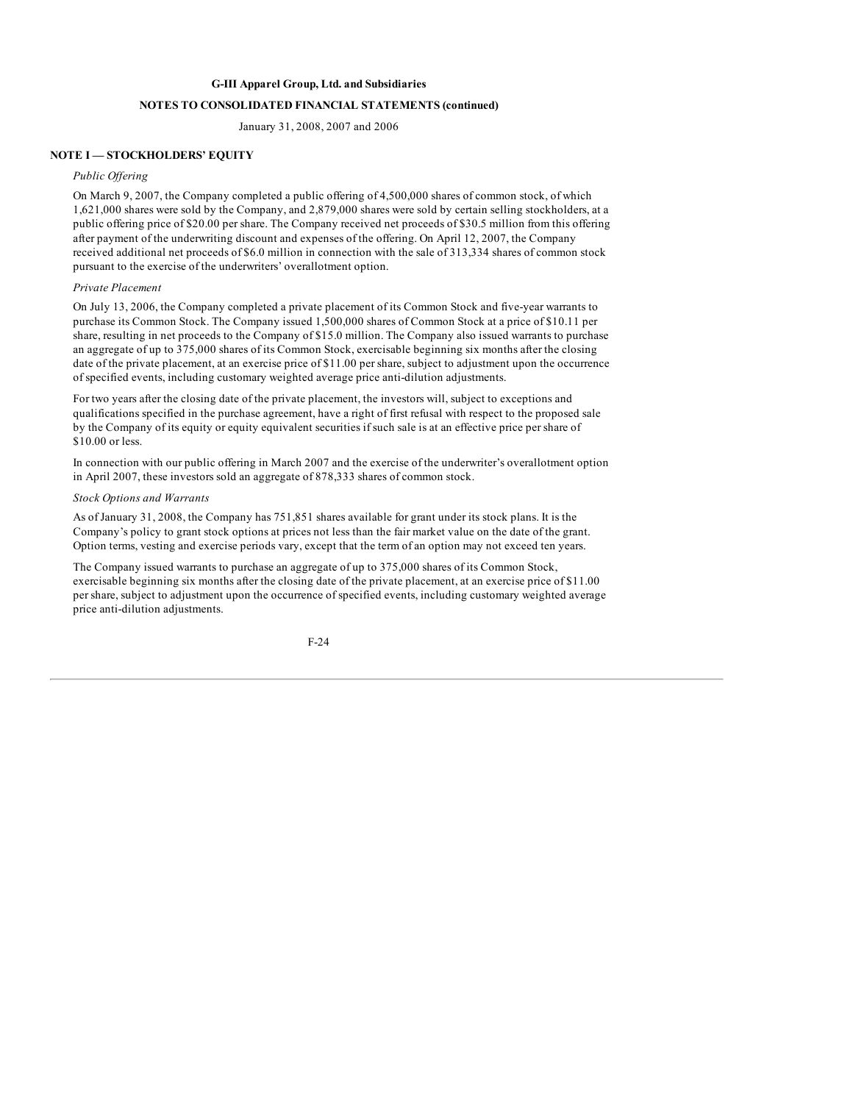# **NOTES TO CONSOLIDATED FINANCIAL STATEMENTS (continued)**

### January 31, 2008, 2007 and 2006

# **NOTE I — STOCKHOLDERS' EQUITY**

## *Public Of ering*

On March 9, 2007, the Company completed a public offering of 4,500,000 shares of common stock, of which 1,621,000 shares were sold by the Company, and 2,879,000 shares were sold by certain selling stockholders, at a public offering price of \$20.00 per share. The Company received net proceeds of \$30.5 million from this offering after payment of the underwriting discount and expenses of the offering. On April 12, 2007, the Company received additional net proceeds of \$6.0 million in connection with the sale of 313,334 shares of common stock pursuant to the exercise of the underwriters' overallotment option.

### *Private Placement*

On July 13, 2006, the Company completed a private placement of its Common Stock and five-year warrants to purchase its Common Stock. The Company issued 1,500,000 shares of Common Stock at a price of \$10.11 per share, resulting in net proceeds to the Company of \$15.0 million. The Company also issued warrants to purchase an aggregate of up to 375,000 shares of its Common Stock, exercisable beginning six months after the closing date of the private placement, at an exercise price of \$11.00 per share, subject to adjustment upon the occurrence of specified events, including customary weighted average price anti-dilution adjustments.

For two years after the closing date of the private placement, the investors will, subject to exceptions and qualifications specified in the purchase agreement, have a right of first refusal with respect to the proposed sale by the Company of its equity or equity equivalent securities if such sale is at an effective price per share of \$10.00 or less.

In connection with our public offering in March 2007 and the exercise of the underwriter's overallotment option in April 2007, these investors sold an aggregate of 878,333 shares of common stock.

#### *Stock Options and Warrants*

As of January 31, 2008, the Company has 751,851 shares available for grant under its stock plans. It is the Company's policy to grant stock options at prices not less than the fair market value on the date of the grant. Option terms, vesting and exercise periods vary, except that the term of an option may not exceed ten years.

The Company issued warrants to purchase an aggregate of up to 375,000 shares of its Common Stock, exercisable beginning six months after the closing date of the private placement, at an exercise price of \$11.00 per share, subject to adjustment upon the occurrence of specified events, including customary weighted average price anti-dilution adjustments.

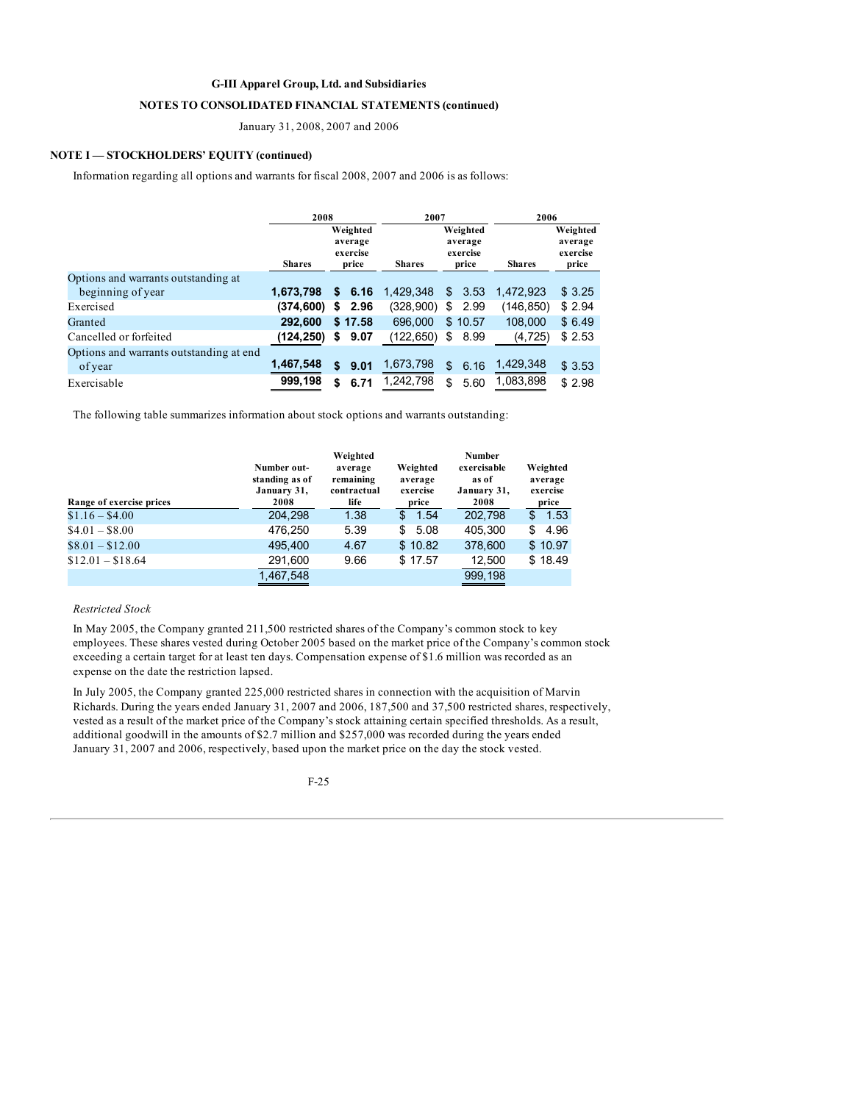#### **(continued) NOTES TO CONSOLIDATED FINANCIAL STATEMENTS**

January 31, 2008, 2007 and 2006

## **NOTE I — STOCKHOLDERS' EQUITY (continued)**

Information regarding all options and warrants for fiscal 2008, 2007 and 2006 is as follows:

|                                                     | 2008          |                                          | 2007          |                                          | 2006          |                                          |  |
|-----------------------------------------------------|---------------|------------------------------------------|---------------|------------------------------------------|---------------|------------------------------------------|--|
|                                                     | <b>Shares</b> | Weighted<br>average<br>exercise<br>price | <b>Shares</b> | Weighted<br>average<br>exercise<br>price | <b>Shares</b> | Weighted<br>average<br>exercise<br>price |  |
| Options and warrants outstanding at                 |               |                                          |               |                                          |               |                                          |  |
| beginning of year                                   | 1,673,798     | 6.16<br>S                                | 1,429,348     | 3.53<br>\$.                              | 1,472,923     | \$3.25                                   |  |
| Exercised                                           | (374,600)     | 2.96<br>\$                               | (328,900)     | 2.99<br>\$                               | (146, 850)    | \$2.94                                   |  |
| Granted                                             | 292,600       | \$17.58                                  | 696,000       | \$10.57                                  | 108,000       | \$6.49                                   |  |
| Cancelled or forfeited                              | (124, 250)    | 9.07<br>\$                               | (122,650)     | \$<br>8.99                               | (4, 725)      | \$2.53                                   |  |
| Options and warrants outstanding at end.<br>of year | 1,467,548     | 9.01<br>\$                               | 1,673,798     | \$<br>6.16                               | 1,429,348     | \$3.53                                   |  |
| Exercisable                                         | 999,198       | 6.71<br>\$                               | 1,242,798     | \$<br>5.60                               | 1,083,898     | \$2.98                                   |  |

The following table summarizes information about stock options and warrants outstanding:

| Range of exercise prices | Number out-<br>standing as of<br>January 31,<br>2008 | Weighted<br>average<br>remaining<br>contractual<br>life | Weighted<br>average<br>exercise<br>price | Number<br>exercisable<br>as of<br>January 31,<br>2008 | Weighted<br>average<br>exercise<br>price |  |
|--------------------------|------------------------------------------------------|---------------------------------------------------------|------------------------------------------|-------------------------------------------------------|------------------------------------------|--|
| $$1.16 - $4.00$          | 204.298                                              | 1.38                                                    | 1.54<br>\$.                              | 202,798                                               | 1.53<br>\$                               |  |
| $$4.01 - $8.00$          | 476.250                                              | 5.39                                                    | 5.08<br>\$                               | 405.300                                               | 4.96<br>S                                |  |
| $$8.01 - $12.00$         | 495.400                                              | 4.67                                                    | \$10.82                                  | 378,600                                               | \$10.97                                  |  |
| $$12.01 - $18.64$        | 291,600                                              | 9.66                                                    | \$17.57                                  | 12,500                                                | \$18.49                                  |  |
|                          | 1.467.548                                            |                                                         |                                          | 999,198                                               |                                          |  |

### *Restricted Stock*

In May 2005, the Company granted 211,500 restricted shares of the Company's common stock to key employees. These shares vested during October 2005 based on the market price of the Company's common stock exceeding a certain target for at least ten days. Compensation expense of \$1.6 million was recorded as an expense on the date the restriction lapsed.

In July 2005, the Company granted 225,000 restricted shares in connection with the acquisition of Marvin Richards. During the years ended January 31, 2007 and 2006, 187,500 and 37,500 restricted shares, respectively, vested as a result of the market price of the Company's stock attaining certain specified thresholds. As a result, additional goodwill in the amounts of \$2.7 million and \$257,000 was recorded during the years ended January 31, 2007 and 2006, respectively, based upon the market price on the day the stock vested.

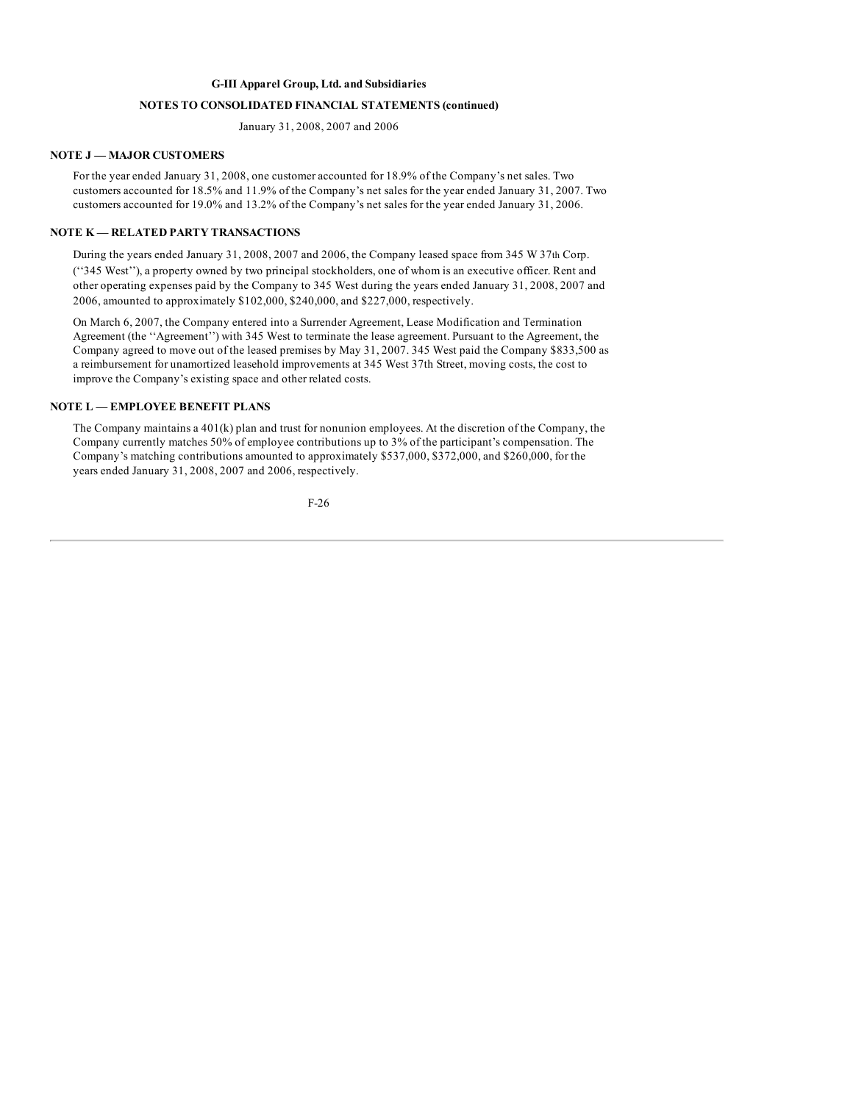#### **(continued) NOTES TO CONSOLIDATED FINANCIAL STATEMENTS**

January 31, 2008, 2007 and 2006

### **NOTE J — MAJOR CUSTOMERS**

For the year ended January 31, 2008, one customer accounted for 18.9% of the Company's net sales. Two customers accounted for 18.5% and 11.9% of the Company's net sales for the year ended January 31, 2007. Two customers accounted for 19.0% and 13.2% of the Company's net sales for the year ended January 31, 2006.

# **NOTE K — RELATED PARTY TRANSACTIONS**

During the years ended January 31, 2008, 2007 and 2006, the Company leased space from 345 W 37th Corp. (''345 West''), a property owned by two principal stockholders, one of whom is an executive officer. Rent and other operating expenses paid by the Company to 345 West during the years ended January 31, 2008, 2007 and 2006, amounted to approximately \$102,000, \$240,000, and \$227,000, respectively.

On March 6, 2007, the Company entered into a Surrender Agreement, Lease Modification and Termination Agreement (the ''Agreement'') with 345 West to terminate the lease agreement. Pursuant to the Agreement, the Company agreed to move out of the leased premises by May 31, 2007. 345 West paid the Company \$833,500 as a reimbursement for unamortized leasehold improvements at 345 West 37th Street, moving costs, the cost to improve the Company's existing space and other related costs.

## **NOTE L — EMPLOYEE BENEFIT PLANS**

The Company maintains a 401(k) plan and trust for nonunion employees. At the discretion of the Company, the Company currently matches 50% of employee contributions up to 3% of the participant's compensation. The Company's matching contributions amounted to approximately \$537,000, \$372,000, and \$260,000, for the years ended January 31, 2008, 2007 and 2006, respectively.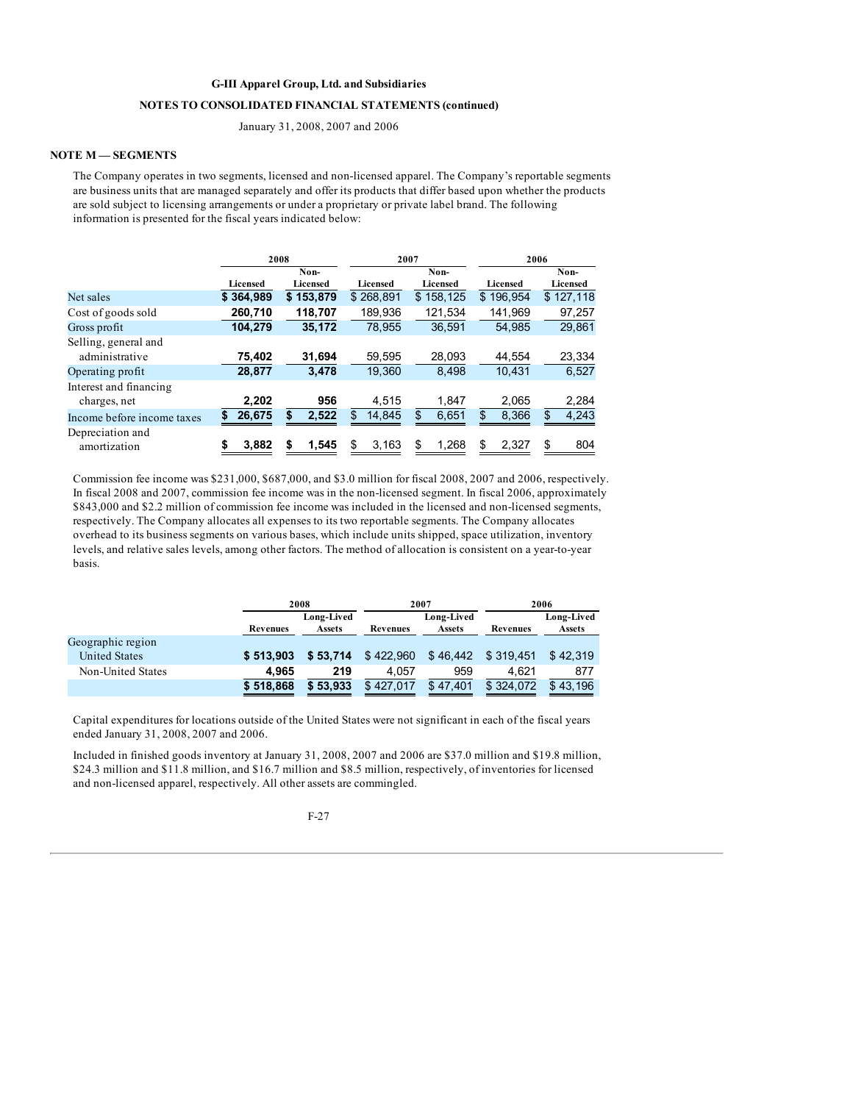#### **(continued) NOTES TO CONSOLIDATED FINANCIAL STATEMENTS**

January 31, 2008, 2007 and 2006

### **NOTE M — SEGMENTS**

The Company operates in two segments, licensed and non-licensed apparel. The Company's reportable segments are business units that are managed separately and offer its products that differ based upon whether the products are sold subject to licensing arrangements or under a proprietary or private label brand. The following information is presented for the fiscal years indicated below:

|                            |           | 2008<br>2007    |                 |                 | 2006            |                 |  |
|----------------------------|-----------|-----------------|-----------------|-----------------|-----------------|-----------------|--|
|                            |           | Non-            | Non-            |                 |                 | Non-            |  |
|                            | Licensed  | <b>Licensed</b> | <b>Licensed</b> | <b>Licensed</b> | <b>Licensed</b> | <b>Licensed</b> |  |
| Net sales                  | \$364,989 | \$153,879       | \$268,891       | \$158,125       | \$196,954       | \$127,118       |  |
| Cost of goods sold         | 260,710   | 118,707         | 189,936         | 121,534         | 141.969         | 97,257          |  |
| Gross profit               | 104,279   | 35,172          | 78,955          | 36.591          | 54,985          | 29,861          |  |
| Selling, general and       |           |                 |                 |                 |                 |                 |  |
| administrative             | 75,402    | 31.694          | 59,595          | 28.093          | 44.554          | 23,334          |  |
| Operating profit           | 28,877    | 3.478           | 19.360          | 8.498           | 10.431          | 6,527           |  |
| Interest and financing     |           |                 |                 |                 |                 |                 |  |
| charges, net               | 2,202     | 956             | 4.515           | 1.847           | 2,065           | 2,284           |  |
| Income before income taxes | 26,675    | 2,522           | 14,845<br>\$.   | 6,651<br>\$     | 8,366<br>\$     | 4,243<br>\$     |  |
| Depreciation and           |           |                 |                 |                 |                 |                 |  |
| amortization               | 3,882     | 1,545           | \$<br>3,163     | 1,268<br>\$     | \$<br>2,327     | \$<br>804       |  |

Commission fee income was \$231,000, \$687,000, and \$3.0 million for fiscal 2008, 2007 and 2006, respectively. In fiscal 2008 and 2007, commission fee income was in the non-licensed segment. In fiscal 2006, approximately \$843,000 and \$2.2 million of commission fee income was included in the licensed and non-licensed segments, respectively. The Company allocates all expenses to its two reportable segments. The Company allocates overhead to its business segments on various bases, which include units shipped, space utilization, inventory levels, and relative sales levels, among other factors. The method of allocation is consistent on a year-to-year basis.

|                                           |           | 2008                        |           | 2007                 | 2006      |                      |  |  |
|-------------------------------------------|-----------|-----------------------------|-----------|----------------------|-----------|----------------------|--|--|
|                                           | Revenues  | Long-Lived<br><b>Assets</b> | Revenues  | Long-Lived<br>Assets |           | Long-Lived<br>Assets |  |  |
| Geographic region<br><b>United States</b> | \$513,903 | \$53.714                    | \$422,960 | \$46.442             | \$319.451 | \$42.319             |  |  |
| Non-United States                         | 4.965     | 219                         | 4.057     | 959                  | 4.621     | 877                  |  |  |
|                                           | \$518,868 | \$53.933                    | \$427.017 | \$47.401             | \$324,072 | \$43.196             |  |  |

Capital expenditures for locations outside of the United States were not significant in each of the fiscal years ended January 31, 2008, 2007 and 2006.

Included in finished goods inventory at January 31, 2008, 2007 and 2006 are \$37.0 million and \$19.8 million, \$24.3 million and \$11.8 million, and \$16.7 million and \$8.5 million, respectively, of inventories for licensed and non-licensed apparel, respectively. All other assets are commingled.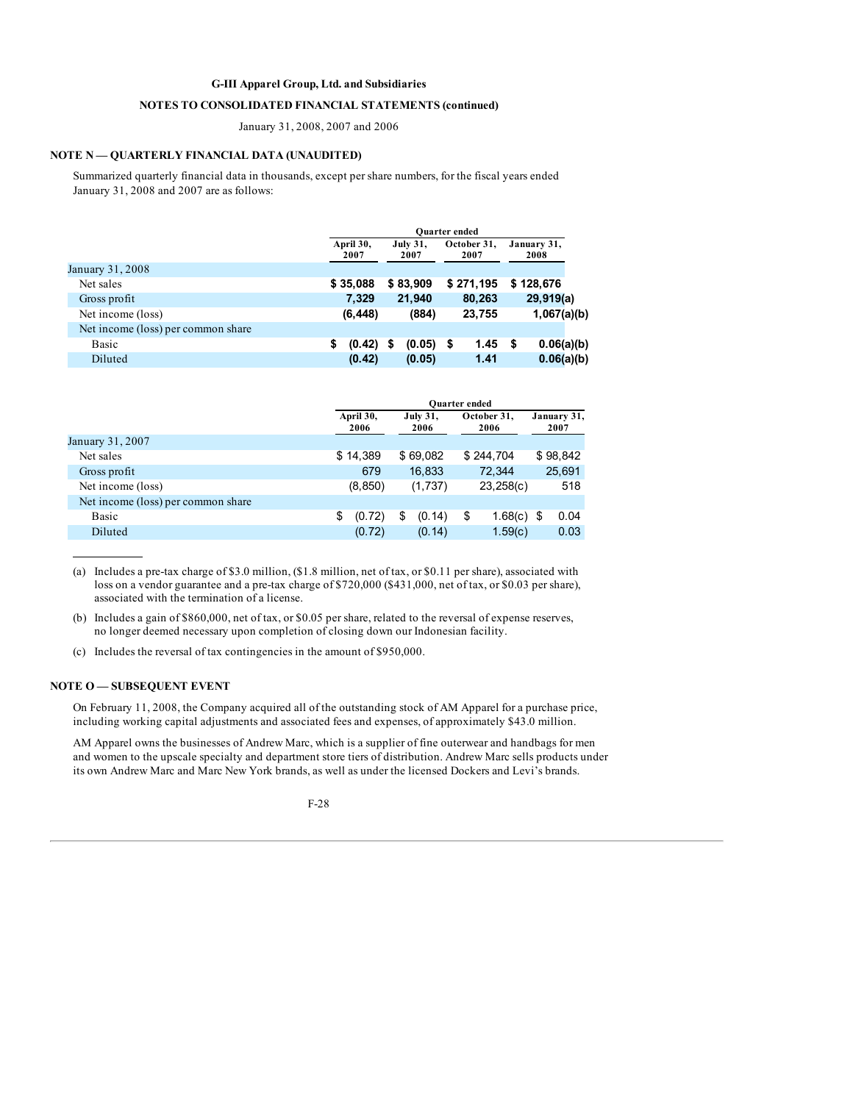#### **(continued) NOTES TO CONSOLIDATED FINANCIAL STATEMENTS**

January 31, 2008, 2007 and 2006

### **NOTE N — QUARTERLY FINANCIAL DATA (UNAUDITED)**

Summarized quarterly financial data in thousands, except per share numbers, for the fiscal years ended January 31, 2008 and 2007 are as follows:

|                                    | <b>Ouarter</b> ended |                   |   |                         |    |                     |   |                     |            |
|------------------------------------|----------------------|-------------------|---|-------------------------|----|---------------------|---|---------------------|------------|
|                                    |                      | April 30,<br>2007 |   | <b>July 31,</b><br>2007 |    | October 31,<br>2007 |   | January 31,<br>2008 |            |
| January 31, 2008                   |                      |                   |   |                         |    |                     |   |                     |            |
| Net sales                          |                      | \$35,088          |   | \$83,909                |    | \$271,195           |   | \$128,676           |            |
| Gross profit                       |                      | 7,329             |   | 21,940                  |    | 80,263              |   | 29,919(a)           |            |
| Net income (loss)                  |                      | (6, 448)          |   | (884)                   |    | 23,755              |   | 1,067(a)(b)         |            |
| Net income (loss) per common share |                      |                   |   |                         |    |                     |   |                     |            |
| Basic                              | \$                   | (0.42)            | S | (0.05)                  | -S | 1.45                | S |                     | 0.06(a)(b) |
| Diluted                            |                      | (0.42)            |   | (0.05)                  |    | 1.41                |   |                     | 0.06(a)(b) |

|                                    | <b>Ouarter</b> ended |                         |    |                     |  |                     |  |  |
|------------------------------------|----------------------|-------------------------|----|---------------------|--|---------------------|--|--|
|                                    | April 30,<br>2006    | <b>July 31,</b><br>2006 |    | October 31,<br>2006 |  | January 31,<br>2007 |  |  |
| January 31, 2007                   |                      |                         |    |                     |  |                     |  |  |
| Net sales                          | \$14,389             | \$69.082                |    | \$244.704           |  | \$98.842            |  |  |
| Gross profit                       | 679                  | 16.833                  |    | 72.344              |  | 25,691              |  |  |
| Net income (loss)                  | (8, 850)             | (1,737)                 |    | 23,258(c)           |  | 518                 |  |  |
| Net income (loss) per common share |                      |                         |    |                     |  |                     |  |  |
| Basic                              | \$<br>(0.72)         | \$<br>(0.14)            | \$ | $1.68(c)$ \$        |  | 0.04                |  |  |
| Diluted                            | (0.72)               | (0.14)                  |    | 1.59(c)             |  | 0.03                |  |  |
|                                    |                      |                         |    |                     |  |                     |  |  |

(a) Includes a pre-tax charge of \$3.0 million, (\$1.8 million, net of tax, or \$0.11 per share), associated with loss on a vendor guarantee and a pre-tax charge of \$720,000 (\$431,000, net of tax, or \$0.03 per share), associated with the termination of a license.

(b) Includes a gain of \$860,000, net of tax, or \$0.05 per share, related to the reversal of expense reserves, no longer deemed necessary upon completion of closing down our Indonesian facility.

(c) Includes the reversal of tax contingencies in the amount of \$950,000.

### **NOTE O — SUBSEQUENT EVENT**

On February 11, 2008, the Company acquired all of the outstanding stock of AM Apparel for a purchase price, including working capital adjustments and associated fees and expenses, of approximately \$43.0 million.

AM Apparel owns the businesses of Andrew Marc, which is a supplier of fine outerwear and handbags for men and women to the upscale specialty and department store tiers of distribution. Andrew Marc sells products under its own Andrew Marc and Marc New York brands, as well as under the licensed Dockers and Levi's brands.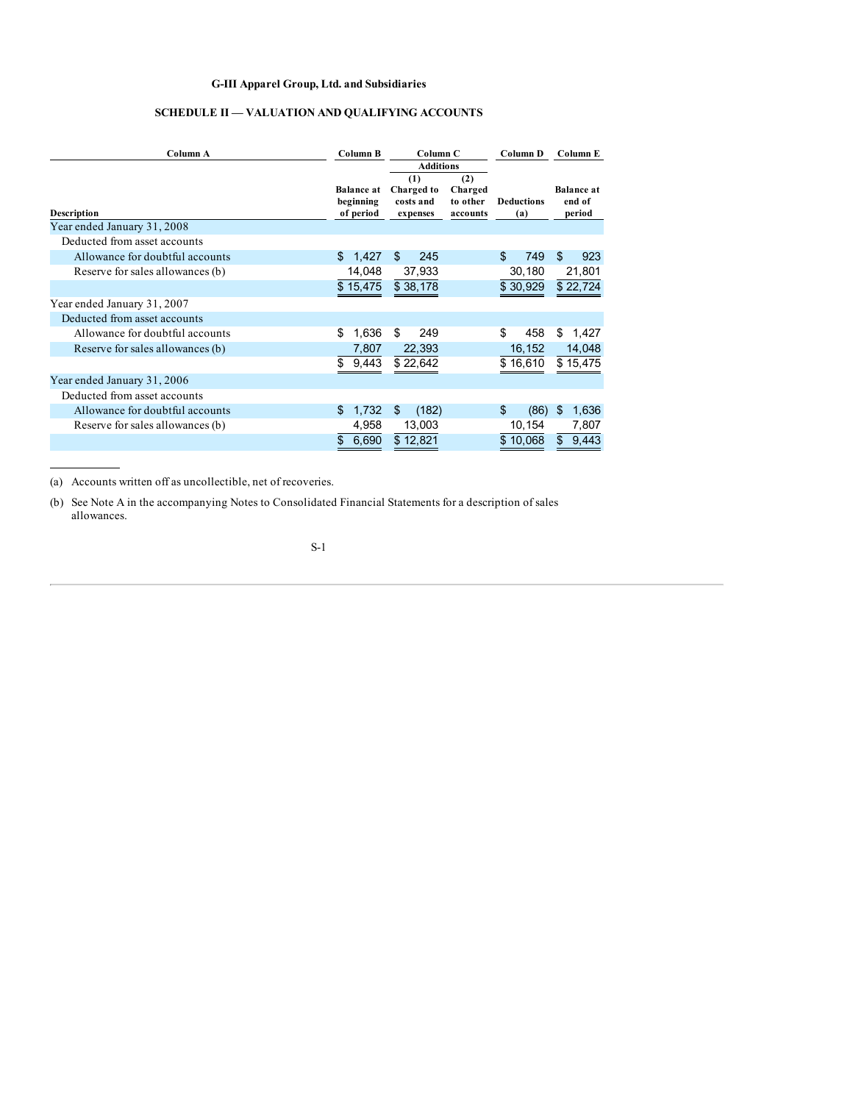# **G-III Apparel Group, Ltd. and Subsidiaries**

# **SCHEDULE II — VALUATION AND QUALIFYING ACCOUNTS**

| Column A                         | Column B                                    | Column <sub>C</sub><br><b>Additions</b>    |                                        | Column D                 | Column E                              |
|----------------------------------|---------------------------------------------|--------------------------------------------|----------------------------------------|--------------------------|---------------------------------------|
| <b>Description</b>               | <b>Balance</b> at<br>beginning<br>of period | (1)<br>Charged to<br>costs and<br>expenses | (2)<br>Charged<br>to other<br>accounts | <b>Deductions</b><br>(a) | <b>Balance at</b><br>end of<br>period |
| Year ended January 31, 2008      |                                             |                                            |                                        |                          |                                       |
| Deducted from asset accounts     |                                             |                                            |                                        |                          |                                       |
| Allowance for doubtful accounts  | 1.427<br>\$.                                | \$<br>245                                  |                                        | 749<br>\$                | \$.<br>923                            |
| Reserve for sales allowances (b) | 14,048                                      | 37,933                                     |                                        | 30,180                   | 21,801                                |
|                                  | \$15,475                                    | \$38,178                                   |                                        | \$30,929                 | \$22,724                              |
| Year ended January 31, 2007      |                                             |                                            |                                        |                          |                                       |
| Deducted from asset accounts     |                                             |                                            |                                        |                          |                                       |
| Allowance for doubtful accounts  | \$.<br>1.636                                | 249<br>\$                                  |                                        | \$.<br>458               | \$<br>1,427                           |
| Reserve for sales allowances (b) | 7,807                                       | 22,393                                     |                                        | 16,152                   | 14,048                                |
|                                  | \$<br>9,443                                 | \$22,642                                   |                                        | \$16,610                 | \$15,475                              |
| Year ended January 31, 2006      |                                             |                                            |                                        |                          |                                       |
| Deducted from asset accounts     |                                             |                                            |                                        |                          |                                       |
| Allowance for doubtful accounts  | 1,732<br>\$                                 | \$<br>(182)                                |                                        | \$<br>(86)               | \$<br>1,636                           |
| Reserve for sales allowances (b) | 4,958                                       | 13,003                                     |                                        | 10,154                   | 7,807                                 |
|                                  | 6,690<br>\$                                 | \$12,821                                   |                                        | \$10,068                 | \$<br>9,443                           |

(a) Accounts written off as uncollectible, net of recoveries.

(b) See Note A in the accompanying Notes to Consolidated Financial Statements for a description of sales allowances.

S-1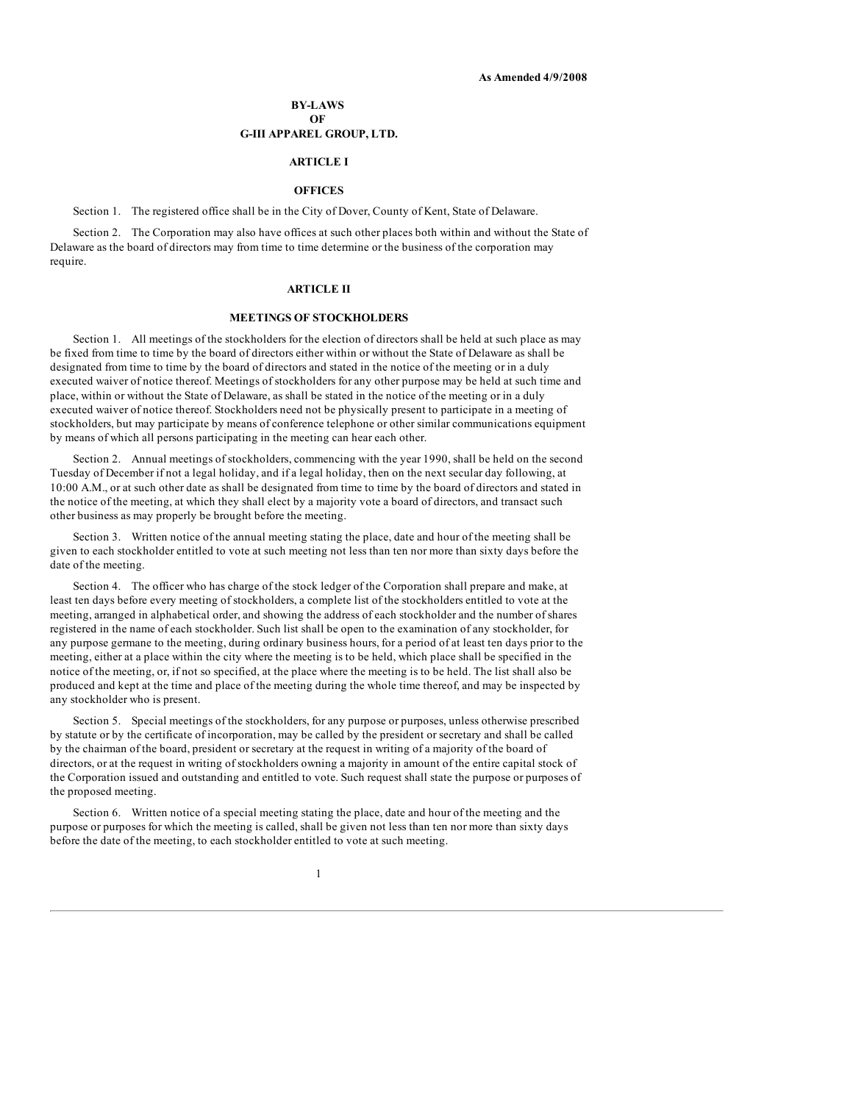#### **As Amended 4/9/2008**

### **BY-LAWS OF G-III APPAREL GROUP, LTD.**

# **ARTICLE I**

#### **OFFICES**

Section 1. The registered office shall be in the City of Dover, County of Kent, State of Delaware.

Section 2. The Corporation may also have offices at such other places both within and without the State of Delaware as the board of directors may from time to time determine or the business of the corporation may require.

### **ARTICLE II**

## **MEETINGS OF STOCKHOLDERS**

Section 1. All meetings of the stockholders for the election of directors shall be held at such place as may be fixed from time to time by the board of directors either within or without the State of Delaware as shall be designated from time to time by the board of directors and stated in the notice of the meeting or in a duly executed waiver of notice thereof. Meetings of stockholders for any other purpose may be held at such time and place, within or without the State of Delaware, as shall be stated in the notice of the meeting or in a duly executed waiver of notice thereof. Stockholders need not be physically present to participate in a meeting of stockholders, but may participate by means of conference telephone or other similar communications equipment by means of which all persons participating in the meeting can hear each other.

Section 2. Annual meetings of stockholders, commencing with the year 1990, shall be held on the second Tuesday of December if not a legal holiday, and if a legal holiday, then on the next secular day following, at 10:00 A.M., or at such other date as shall be designated from time to time by the board of directors and stated in the notice of the meeting, at which they shall elect by a majority vote a board of directors, and transact such other business as may properly be brought before the meeting.

Section 3. Written notice of the annual meeting stating the place, date and hour of the meeting shall be given to each stockholder entitled to vote at such meeting not less than ten nor more than sixty days before the date of the meeting.

Section 4. The officer who has charge of the stock ledger of the Corporation shall prepare and make, at least ten days before every meeting of stockholders, a complete list of the stockholders entitled to vote at the meeting, arranged in alphabetical order, and showing the address of each stockholder and the number of shares registered in the name of each stockholder. Such list shall be open to the examination of any stockholder, for any purpose germane to the meeting, during ordinary business hours, for a period of at least ten days prior to the meeting, either at a place within the city where the meeting is to be held, which place shall be specified in the notice of the meeting, or, if not so specified, at the place where the meeting is to be held. The list shall also be produced and kept at the time and place of the meeting during the whole time thereof, and may be inspected by any stockholder who is present.

Section 5. Special meetings of the stockholders, for any purpose or purposes, unless otherwise prescribed by statute or by the certificate of incorporation, may be called by the president or secretary and shall be called by the chairman of the board, president or secretary at the request in writing of a majority of the board of directors, or at the request in writing of stockholders owning a majority in amount of the entire capital stock of the Corporation issued and outstanding and entitled to vote. Such request shall state the purpose or purposes of the proposed meeting.

Section 6. Written notice of a special meeting stating the place, date and hour of the meeting and the purpose or purposes for which the meeting is called, shall be given not less than ten nor more than sixty days before the date of the meeting, to each stockholder entitled to vote at such meeting.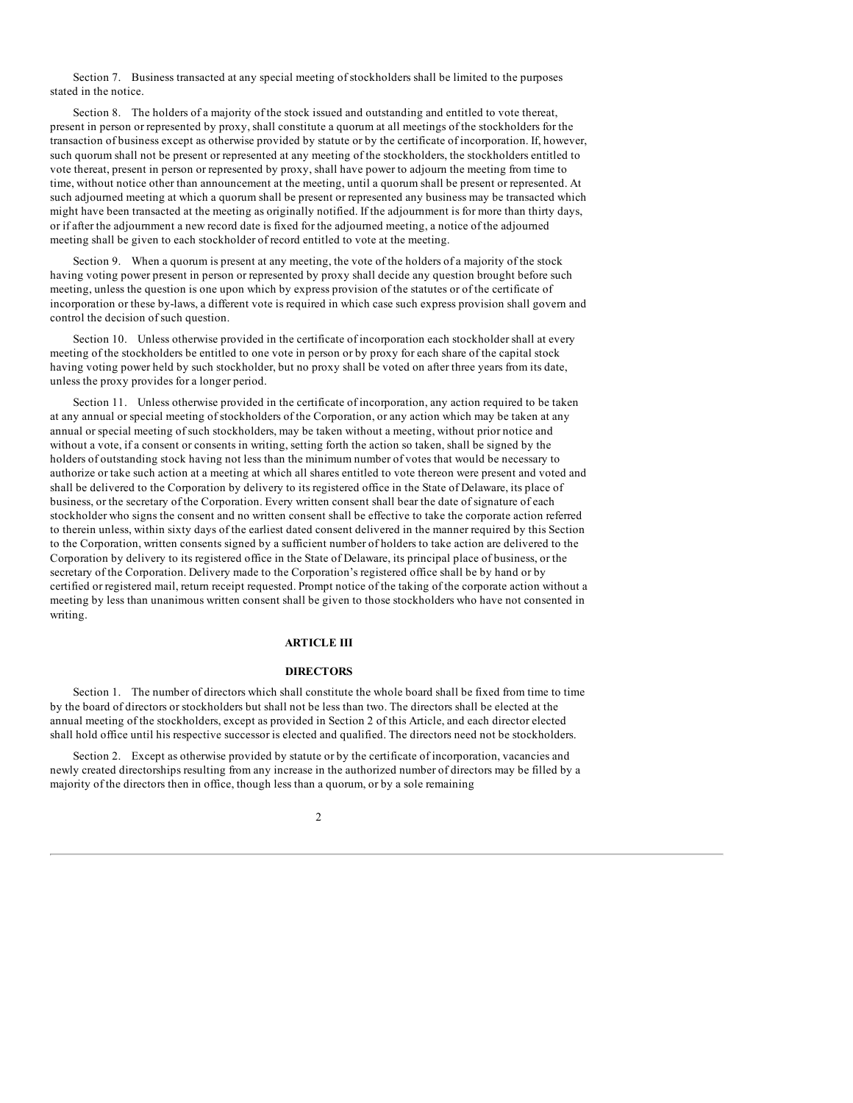Section 7. Business transacted at any special meeting of stockholders shall be limited to the purposes stated in the notice.

Section 8. The holders of a majority of the stock issued and outstanding and entitled to vote thereat, present in person or represented by proxy, shall constitute a quorum at all meetings of the stockholders for the transaction of business except as otherwise provided by statute or by the certificate of incorporation. If, however, such quorum shall not be present or represented at any meeting of the stockholders, the stockholders entitled to vote thereat, present in person or represented by proxy, shall have power to adjourn the meeting from time to time, without notice other than announcement at the meeting, until a quorum shall be present or represented. At such adjourned meeting at which a quorum shall be present or represented any business may be transacted which might have been transacted at the meeting as originally notified. If the adjournment is for more than thirty days, or if after the adjournment a new record date is fixed for the adjourned meeting, a notice of the adjourned meeting shall be given to each stockholder of record entitled to vote at the meeting.

Section 9. When a quorum is present at any meeting, the vote of the holders of a majority of the stock having voting power present in person or represented by proxy shall decide any question brought before such meeting, unless the question is one upon which by express provision of the statutes or of the certificate of incorporation or these by-laws, a different vote is required in which case such express provision shall govern and control the decision of such question.

Section 10. Unless otherwise provided in the certificate of incorporation each stockholder shall at every meeting of the stockholders be entitled to one vote in person or by proxy for each share of the capital stock having voting power held by such stockholder, but no proxy shall be voted on after three years from its date, unless the proxy provides for a longer period.

Section 11. Unless otherwise provided in the certificate of incorporation, any action required to be taken at any annual or special meeting of stockholders of the Corporation, or any action which may be taken at any annual or special meeting of such stockholders, may be taken without a meeting, without prior notice and without a vote, if a consent or consents in writing, setting forth the action so taken, shall be signed by the holders of outstanding stock having not less than the minimum number of votes that would be necessary to authorize or take such action at a meeting at which all shares entitled to vote thereon were present and voted and shall be delivered to the Corporation by delivery to its registered office in the State of Delaware, its place of business, or the secretary of the Corporation. Every written consent shall bear the date of signature of each stockholder who signs the consent and no written consent shall be effective to take the corporate action referred to therein unless, within sixty days of the earliest dated consent delivered in the manner required by this Section to the Corporation, written consents signed by a sufficient number of holders to take action are delivered to the Corporation by delivery to its registered office in the State of Delaware, its principal place of business, or the secretary of the Corporation. Delivery made to the Corporation's registered office shall be by hand or by certified or registered mail, return receipt requested. Prompt notice of the taking of the corporate action without a meeting by less than unanimous written consent shall be given to those stockholders who have not consented in writing.

## **ARTICLE III**

#### **DIRECTORS**

Section 1. The number of directors which shall constitute the whole board shall be fixed from time to time by the board of directors or stockholders but shall not be less than two. The directors shall be elected at the annual meeting of the stockholders, except as provided in Section 2 of this Article, and each director elected shall hold office until his respective successor is elected and qualified. The directors need not be stockholders.

Section 2. Except as otherwise provided by statute or by the certificate of incorporation, vacancies and newly created directorships resulting from any increase in the authorized number of directors may be filled by a majority of the directors then in office, though less than a quorum, or by a sole remaining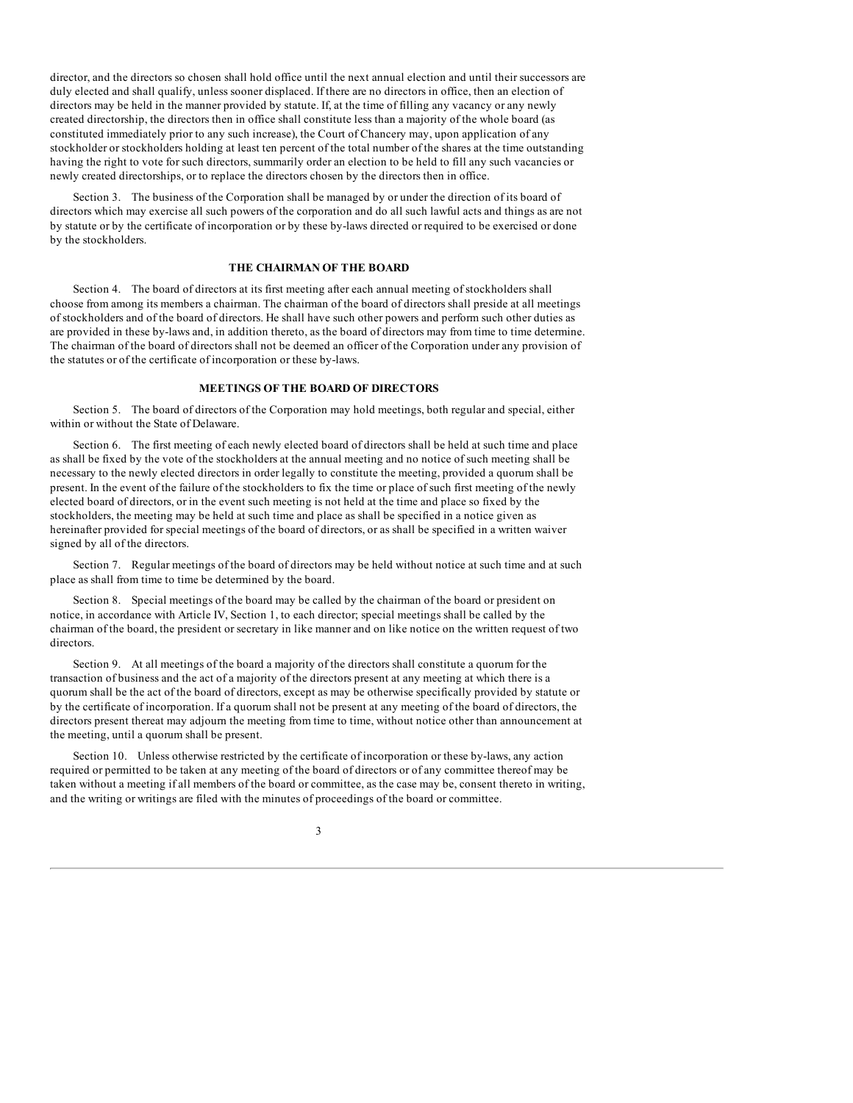director, and the directors so chosen shall hold office until the next annual election and until their successors are duly elected and shall qualify, unless sooner displaced. If there are no directors in office, then an election of directors may be held in the manner provided by statute. If, at the time of filling any vacancy or any newly created directorship, the directors then in office shall constitute less than a majority of the whole board (as constituted immediately prior to any such increase), the Court of Chancery may, upon application of any stockholder or stockholders holding at least ten percent of the total number of the shares at the time outstanding having the right to vote for such directors, summarily order an election to be held to fill any such vacancies or newly created directorships, or to replace the directors chosen by the directors then in office.

Section 3. The business of the Corporation shall be managed by or under the direction of its board of directors which may exercise all such powers of the corporation and do all such lawful acts and things as are not by statute or by the certificate of incorporation or by these by-laws directed or required to be exercised or done by the stockholders.

### **THE CHAIRMAN OF THE BOARD**

Section 4. The board of directors at its first meeting after each annual meeting of stockholders shall choose from among its members a chairman. The chairman of the board of directors shall preside at all meetings of stockholders and of the board of directors. He shall have such other powers and perform such other duties as are provided in these by-laws and, in addition thereto, as the board of directors may from time to time determine. The chairman of the board of directors shall not be deemed an officer of the Corporation under any provision of the statutes or of the certificate of incorporation or these by-laws.

## **MEETINGS OF THE BOARD OF DIRECTORS**

Section 5. The board of directors of the Corporation may hold meetings, both regular and special, either within or without the State of Delaware.

Section 6. The first meeting of each newly elected board of directors shall be held at such time and place as shall be fixed by the vote of the stockholders at the annual meeting and no notice of such meeting shall be necessary to the newly elected directors in order legally to constitute the meeting, provided a quorum shall be present. In the event of the failure of the stockholders to fix the time or place of such first meeting of the newly elected board of directors, or in the event such meeting is not held at the time and place so fixed by the stockholders, the meeting may be held at such time and place as shall be specified in a notice given as hereinafter provided for special meetings of the board of directors, or as shall be specified in a written waiver signed by all of the directors.

Section 7. Regular meetings of the board of directors may be held without notice at such time and at such place as shall from time to time be determined by the board.

Section 8. Special meetings of the board may be called by the chairman of the board or president on notice, in accordance with Article IV, Section 1, to each director; special meetings shall be called by the chairman of the board, the president or secretary in like manner and on like notice on the written request of two directors.

Section 9. At all meetings of the board a majority of the directors shall constitute a quorum for the transaction of business and the act of a majority of the directors present at any meeting at which there is a quorum shall be the act of the board of directors, except as may be otherwise specifically provided by statute or by the certificate of incorporation. If a quorum shall not be present at any meeting of the board of directors, the directors present thereat may adjourn the meeting from time to time, without notice other than announcement at the meeting, until a quorum shall be present.

Section 10. Unless otherwise restricted by the certificate of incorporation or these by-laws, any action required or permitted to be taken at any meeting of the board of directors or of any committee thereof may be taken without a meeting if all members of the board or committee, as the case may be, consent thereto in writing, and the writing or writings are filed with the minutes of proceedings of the board or committee.

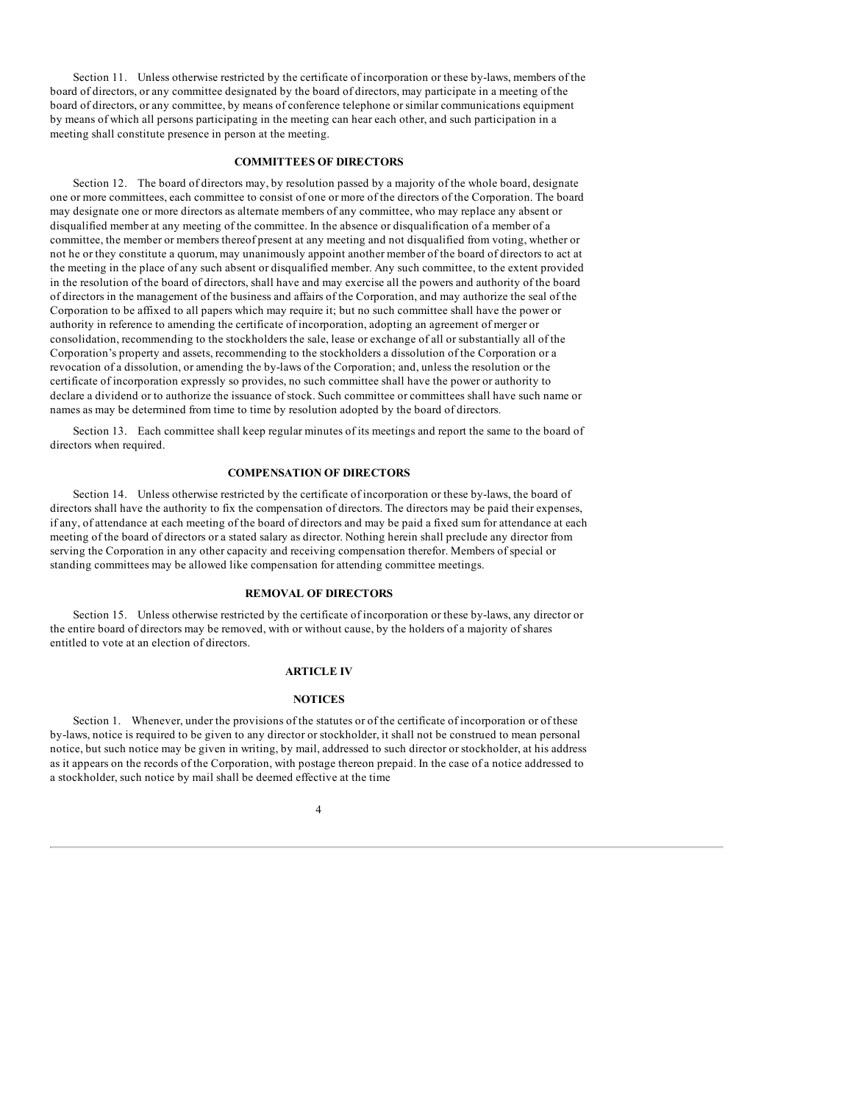Section 11. Unless otherwise restricted by the certificate of incorporation or these by-laws, members of the board of directors, or any committee designated by the board of directors, may participate in a meeting of the board of directors, or any committee, by means of conference telephone or similar communications equipment by means of which all persons participating in the meeting can hear each other, and such participation in a meeting shall constitute presence in person at the meeting.

## **COMMITTEES OF DIRECTORS**

Section 12. The board of directors may, by resolution passed by a majority of the whole board, designate one or more committees, each committee to consist of one or more of the directors of the Corporation. The board may designate one or more directors as alternate members of any committee, who may replace any absent or disqualified member at any meeting of the committee. In the absence or disqualification of a member of a committee, the member or members thereof present at any meeting and not disqualified from voting, whether or not he or they constitute a quorum, may unanimously appoint another member of the board of directors to act at the meeting in the place of any such absent or disqualified member. Any such committee, to the extent provided in the resolution of the board of directors, shall have and may exercise all the powers and authority of the board of directors in the management of the business and affairs of the Corporation, and may authorize the seal of the Corporation to be affixed to all papers which may require it; but no such committee shall have the power or authority in reference to amending the certificate of incorporation, adopting an agreement of merger or consolidation, recommending to the stockholders the sale, lease or exchange of all or substantially all of the Corporation's property and assets, recommending to the stockholders a dissolution of the Corporation or a revocation of a dissolution, or amending the by-laws of the Corporation; and, unless the resolution or the certificate of incorporation expressly so provides, no such committee shall have the power or authority to declare a dividend or to authorize the issuance of stock. Such committee or committees shall have such name or names as may be determined from time to time by resolution adopted by the board of directors.

Section 13. Each committee shall keep regular minutes of its meetings and report the same to the board of directors when required.

#### **COMPENSATION OF DIRECTORS**

Section 14. Unless otherwise restricted by the certificate of incorporation or these by-laws, the board of directors shall have the authority to fix the compensation of directors. The directors may be paid their expenses, if any, of attendance at each meeting of the board of directors and may be paid a fixed sum for attendance at each meeting of the board of directors or a stated salary as director. Nothing herein shall preclude any director from serving the Corporation in any other capacity and receiving compensation therefor. Members of special or standing committees may be allowed like compensation for attending committee meetings.

#### **REMOVAL OF DIRECTORS**

Section 15. Unless otherwise restricted by the certificate of incorporation or these by-laws, any director or the entire board of directors may be removed, with or without cause, by the holders of a majority of shares entitled to vote at an election of directors.

# **ARTICLE IV**

### **NOTICES**

Section 1. Whenever, under the provisions of the statutes or of the certificate of incorporation or of these by-laws, notice is required to be given to any director or stockholder, it shall not be construed to mean personal notice, but such notice may be given in writing, by mail, addressed to such director or stockholder, at his address as it appears on the records of the Corporation, with postage thereon prepaid. In the case of a notice addressed to a stockholder, such notice by mail shall be deemed effective at the time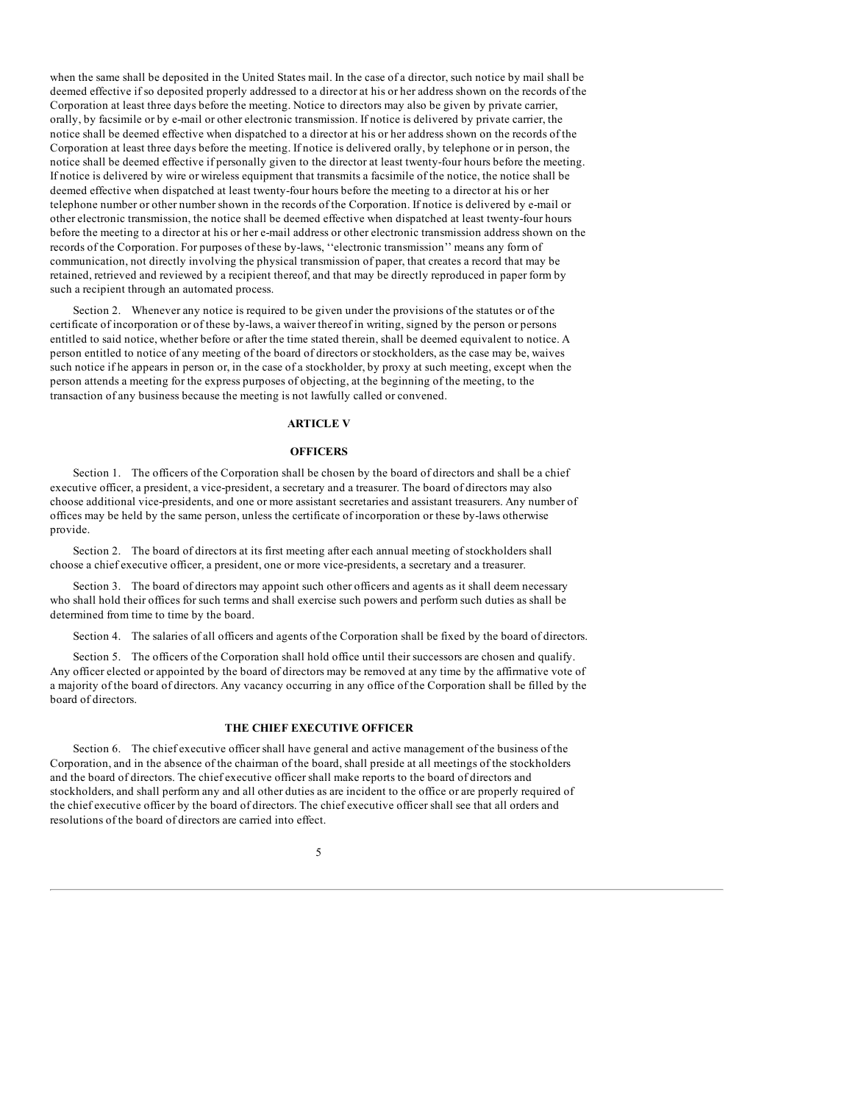when the same shall be deposited in the United States mail. In the case of a director, such notice by mail shall be deemed effective if so deposited properly addressed to a director at his or her address shown on the records of the Corporation at least three days before the meeting. Notice to directors may also be given by private carrier, orally, by facsimile or by e-mail or other electronic transmission. If notice is delivered by private carrier, the notice shall be deemed effective when dispatched to a director at his or her address shown on the records of the Corporation at least three days before the meeting. If notice is delivered orally, by telephone or in person, the notice shall be deemed effective if personally given to the director at least twenty-four hours before the meeting. If notice is delivered by wire or wireless equipment that transmits a facsimile of the notice, the notice shall be deemed effective when dispatched at least twenty-four hours before the meeting to a director at his or her telephone number or other number shown in the records of the Corporation. If notice is delivered by e-mail or other electronic transmission, the notice shall be deemed effective when dispatched at least twenty-four hours before the meeting to a director at his or her e-mail address or other electronic transmission address shown on the records of the Corporation. For purposes of these by-laws, ''electronic transmission'' means any form of communication, not directly involving the physical transmission of paper, that creates a record that may be retained, retrieved and reviewed by a recipient thereof, and that may be directly reproduced in paper form by such a recipient through an automated process.

Section 2. Whenever any notice is required to be given under the provisions of the statutes or of the certificate of incorporation or of these by-laws, a waiver thereof in writing, signed by the person or persons entitled to said notice, whether before or after the time stated therein, shall be deemed equivalent to notice. A person entitled to notice of any meeting of the board of directors or stockholders, as the case may be, waives such notice if he appears in person or, in the case of a stockholder, by proxy at such meeting, except when the person attends a meeting for the express purposes of objecting, at the beginning of the meeting, to the transaction of any business because the meeting is not lawfully called or convened.

## **ARTICLE V**

### **OFFICERS**

Section 1. The officers of the Corporation shall be chosen by the board of directors and shall be a chief executive officer, a president, a vice-president, a secretary and a treasurer. The board of directors may also choose additional vice-presidents, and one or more assistant secretaries and assistant treasurers. Any number of offices may be held by the same person, unless the certificate of incorporation or these by-laws otherwise provide.

Section 2. The board of directors at its first meeting after each annual meeting of stockholders shall choose a chief executive officer, a president, one or more vice-presidents, a secretary and a treasurer.

Section 3. The board of directors may appoint such other officers and agents as it shall deem necessary who shall hold their offices for such terms and shall exercise such powers and perform such duties as shall be determined from time to time by the board.

Section 4. The salaries of all officers and agents of the Corporation shall be fixed by the board of directors.

Section 5. The officers of the Corporation shall hold office until their successors are chosen and qualify. Any officer elected or appointed by the board of directors may be removed at any time by the affirmative vote of a majority of the board of directors. Any vacancy occurring in any office of the Corporation shall be filled by the board of directors.

### **THE CHIEF EXECUTIVE OFFICER**

Section 6. The chief executive officer shall have general and active management of the business of the Corporation, and in the absence of the chairman of the board, shall preside at all meetings of the stockholders and the board of directors. The chief executive officer shall make reports to the board of directors and stockholders, and shall perform any and all other duties as are incident to the office or are properly required of the chief executive officer by the board of directors. The chief executive officer shall see that all orders and resolutions of the board of directors are carried into effect.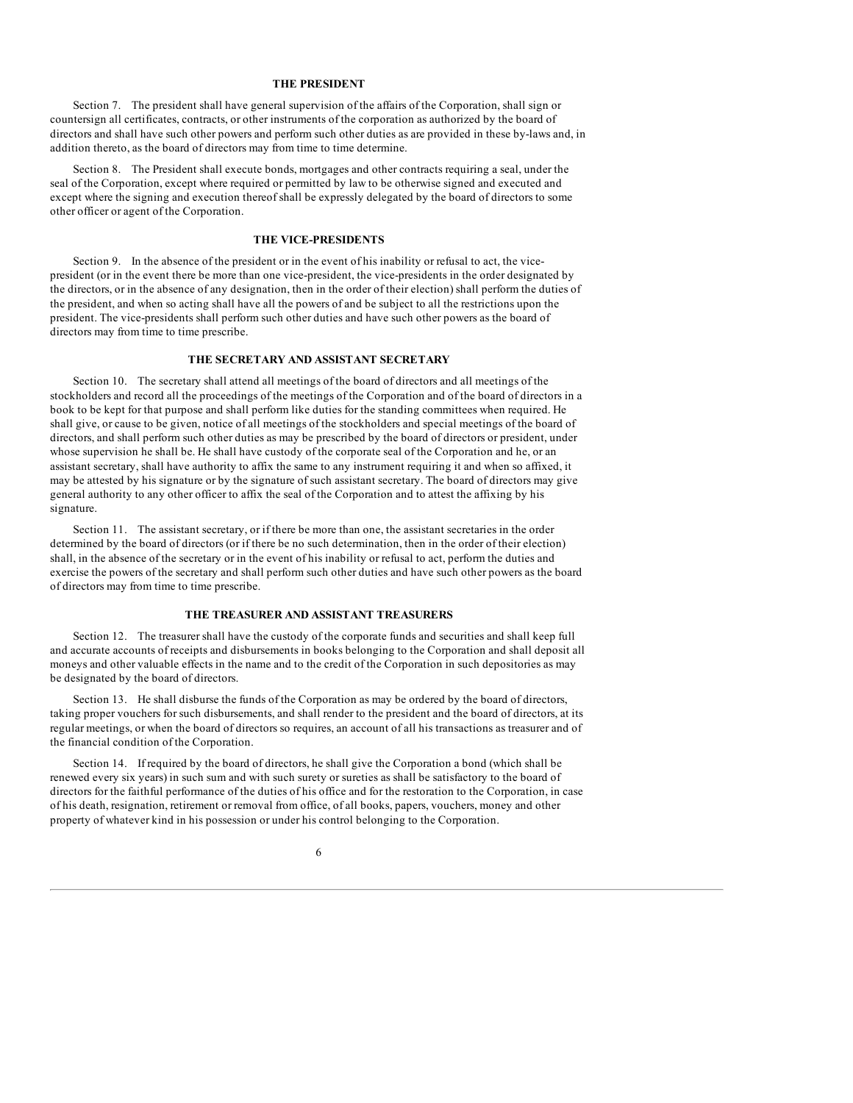### **THE PRESIDENT**

Section 7. The president shall have general supervision of the affairs of the Corporation, shall sign or countersign all certificates, contracts, or other instruments of the corporation as authorized by the board of directors and shall have such other powers and perform such other duties as are provided in these by-laws and, in addition thereto, as the board of directors may from time to time determine.

Section 8. The President shall execute bonds, mortgages and other contracts requiring a seal, under the seal of the Corporation, except where required or permitted by law to be otherwise signed and executed and except where the signing and execution thereof shall be expressly delegated by the board of directors to some other officer or agent of the Corporation.

## **THE VICE-PRESIDENTS**

Section 9. In the absence of the president or in the event of his inability or refusal to act, the vicepresident (or in the event there be more than one vice-president, the vice-presidents in the order designated by the directors, or in the absence of any designation, then in the order of their election) shall perform the duties of the president, and when so acting shall have all the powers of and be subject to all the restrictions upon the president. The vice-presidents shall perform such other duties and have such other powers as the board of directors may from time to time prescribe.

## **THE SECRETARY AND ASSISTANT SECRETARY**

Section 10. The secretary shall attend all meetings of the board of directors and all meetings of the stockholders and record all the proceedings of the meetings of the Corporation and of the board of directors in a book to be kept for that purpose and shall perform like duties for the standing committees when required. He shall give, or cause to be given, notice of all meetings of the stockholders and special meetings of the board of directors, and shall perform such other duties as may be prescribed by the board of directors or president, under whose supervision he shall be. He shall have custody of the corporate seal of the Corporation and he, or an assistant secretary, shall have authority to affix the same to any instrument requiring it and when so affixed, it may be attested by his signature or by the signature of such assistant secretary. The board of directors may give general authority to any other officer to affix the seal of the Corporation and to attest the affixing by his signature.

Section 11. The assistant secretary, or if there be more than one, the assistant secretaries in the order determined by the board of directors (or if there be no such determination, then in the order of their election) shall, in the absence of the secretary or in the event of his inability or refusal to act, perform the duties and exercise the powers of the secretary and shall perform such other duties and have such other powers as the board of directors may from time to time prescribe.

### **THE TREASURER AND ASSISTANT TREASURERS**

Section 12. The treasurer shall have the custody of the corporate funds and securities and shall keep full and accurate accounts of receipts and disbursements in books belonging to the Corporation and shall deposit all moneys and other valuable effects in the name and to the credit of the Corporation in such depositories as may be designated by the board of directors.

Section 13. He shall disburse the funds of the Corporation as may be ordered by the board of directors, taking proper vouchers for such disbursements, and shall render to the president and the board of directors, at its regular meetings, or when the board of directors so requires, an account of all his transactions as treasurer and of the financial condition of the Corporation.

Section 14. If required by the board of directors, he shall give the Corporation a bond (which shall be renewed every six years) in such sum and with such surety or sureties as shall be satisfactory to the board of directors for the faithful performance of the duties of his office and for the restoration to the Corporation, in case of his death, resignation, retirement or removal from office, of all books, papers, vouchers, money and other property of whatever kind in his possession or under his control belonging to the Corporation.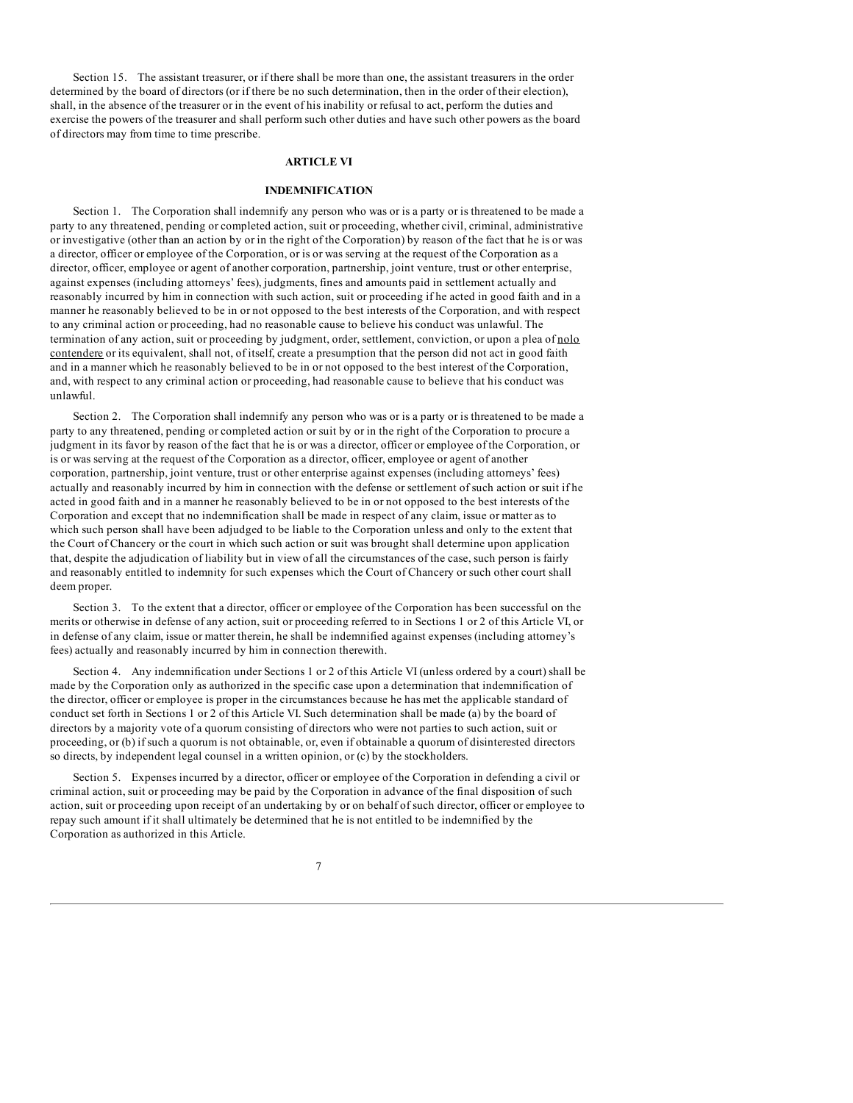Section 15. The assistant treasurer, or if there shall be more than one, the assistant treasurers in the order determined by the board of directors (or if there be no such determination, then in the order of their election), shall, in the absence of the treasurer or in the event of his inability or refusal to act, perform the duties and exercise the powers of the treasurer and shall perform such other duties and have such other powers as the board of directors may from time to time prescribe.

# **ARTICLE VI**

### **INDEMNIFICATION**

Section 1. The Corporation shall indemnify any person who was or is a party or is threatened to be made a party to any threatened, pending or completed action, suit or proceeding, whether civil, criminal, administrative or investigative (other than an action by or in the right of the Corporation) by reason of the fact that he is or was a director, officer or employee of the Corporation, or is or was serving at the request of the Corporation as a director, officer, employee or agent of another corporation, partnership, joint venture, trust or other enterprise, against expenses (including attorneys' fees), judgments, fines and amounts paid in settlement actually and reasonably incurred by him in connection with such action, suit or proceeding if he acted in good faith and in a manner he reasonably believed to be in or not opposed to the best interests of the Corporation, and with respect to any criminal action or proceeding, had no reasonable cause to believe his conduct was unlawful. The termination of any action, suit or proceeding by judgment, order, settlement, conviction, or upon a plea of nolo contendere or its equivalent, shall not, of itself, create a presumption that the person did not act in good faith and in a manner which he reasonably believed to be in or not opposed to the best interest of the Corporation, and, with respect to any criminal action or proceeding, had reasonable cause to believe that his conduct was unlawful.

Section 2. The Corporation shall indemnify any person who was or is a party or is threatened to be made a party to any threatened, pending or completed action or suit by or in the right of the Corporation to procure a judgment in its favor by reason of the fact that he is or was a director, officer or employee of the Corporation, or is or was serving at the request of the Corporation as a director, officer, employee or agent of another corporation, partnership, joint venture, trust or other enterprise against expenses (including attorneys' fees) actually and reasonably incurred by him in connection with the defense or settlement of such action or suit if he acted in good faith and in a manner he reasonably believed to be in or not opposed to the best interests of the Corporation and except that no indemnification shall be made in respect of any claim, issue or matter as to which such person shall have been adjudged to be liable to the Corporation unless and only to the extent that the Court of Chancery or the court in which such action or suit was brought shall determine upon application that, despite the adjudication of liability but in view of all the circumstances of the case, such person is fairly and reasonably entitled to indemnity for such expenses which the Court of Chancery or such other court shall deem proper.

Section 3. To the extent that a director, officer or employee of the Corporation has been successful on the merits or otherwise in defense of any action, suit or proceeding referred to in Sections 1 or 2 of this Article VI, or in defense of any claim, issue or matter therein, he shall be indemnified against expenses (including attorney's fees) actually and reasonably incurred by him in connection therewith.

Section 4. Any indemnification under Sections 1 or 2 of this Article VI (unless ordered by a court) shall be made by the Corporation only as authorized in the specific case upon a determination that indemnification of the director, officer or employee is proper in the circumstances because he has met the applicable standard of conduct set forth in Sections 1 or 2 of this Article VI. Such determination shall be made (a) by the board of directors by a majority vote of a quorum consisting of directors who were not parties to such action, suit or proceeding, or (b) if such a quorum is not obtainable, or, even if obtainable a quorum of disinterested directors so directs, by independent legal counsel in a written opinion, or (c) by the stockholders.

Section 5. Expenses incurred by a director, officer or employee of the Corporation in defending a civil or criminal action, suit or proceeding may be paid by the Corporation in advance of the final disposition of such action, suit or proceeding upon receipt of an undertaking by or on behalf of such director, officer or employee to repay such amount if it shall ultimately be determined that he is not entitled to be indemnified by the Corporation as authorized in this Article.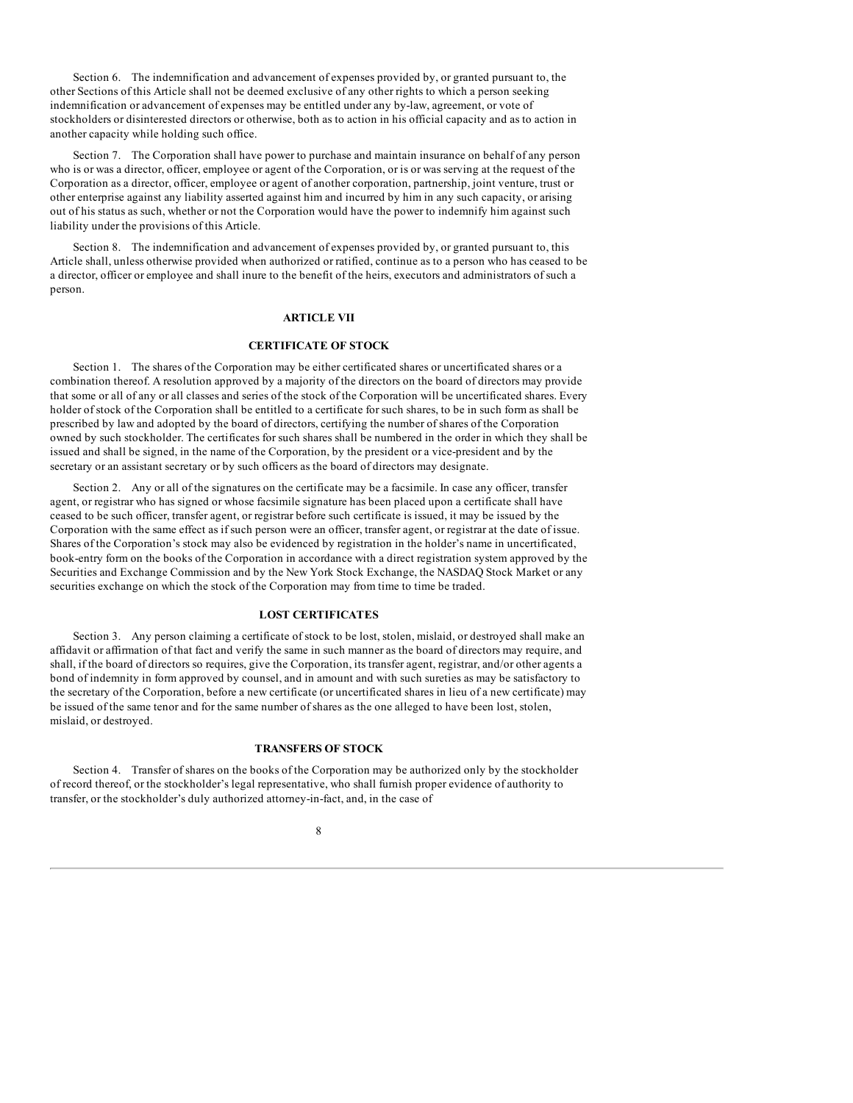Section 6. The indemnification and advancement of expenses provided by, or granted pursuant to, the other Sections of this Article shall not be deemed exclusive of any other rights to which a person seeking indemnification or advancement of expenses may be entitled under any by-law, agreement, or vote of stockholders or disinterested directors or otherwise, both as to action in his official capacity and as to action in another capacity while holding such office.

Section 7. The Corporation shall have power to purchase and maintain insurance on behalf of any person who is or was a director, officer, employee or agent of the Corporation, or is or was serving at the request of the Corporation as a director, officer, employee or agent of another corporation, partnership, joint venture, trust or other enterprise against any liability asserted against him and incurred by him in any such capacity, or arising out of his status as such, whether or not the Corporation would have the power to indemnify him against such liability under the provisions of this Article.

Section 8. The indemnification and advancement of expenses provided by, or granted pursuant to, this Article shall, unless otherwise provided when authorized or ratified, continue as to a person who has ceased to be a director, officer or employee and shall inure to the benefit of the heirs, executors and administrators of such a person.

### **ARTICLE VII**

# **CERTIFICATE OF STOCK**

Section 1. The shares of the Corporation may be either certificated shares or uncertificated shares or a combination thereof. A resolution approved by a majority of the directors on the board of directors may provide that some or all of any or all classes and series of the stock of the Corporation will be uncertificated shares. Every holder of stock of the Corporation shall be entitled to a certificate for such shares, to be in such form as shall be prescribed by law and adopted by the board of directors, certifying the number of shares of the Corporation owned by such stockholder. The certificates for such shares shall be numbered in the order in which they shall be issued and shall be signed, in the name of the Corporation, by the president or a vice-president and by the secretary or an assistant secretary or by such officers as the board of directors may designate.

Section 2. Any or all of the signatures on the certificate may be a facsimile. In case any officer, transfer agent, or registrar who has signed or whose facsimile signature has been placed upon a certificate shall have ceased to be such officer, transfer agent, or registrar before such certificate is issued, it may be issued by the Corporation with the same effect as if such person were an officer, transfer agent, or registrar at the date of issue. Shares of the Corporation's stock may also be evidenced by registration in the holder's name in uncertificated, book-entry form on the books of the Corporation in accordance with a direct registration system approved by the Securities and Exchange Commission and by the New York Stock Exchange, the NASDAQ Stock Market or any securities exchange on which the stock of the Corporation may from time to time be traded.

## **LOST CERTIFICATES**

Section 3. Any person claiming a certificate of stock to be lost, stolen, mislaid, or destroyed shall make an affidavit or affirmation of that fact and verify the same in such manner as the board of directors may require, and shall, if the board of directors so requires, give the Corporation, its transfer agent, registrar, and/or other agents a bond of indemnity in form approved by counsel, and in amount and with such sureties as may be satisfactory to the secretary of the Corporation, before a new certificate (or uncertificated shares in lieu of a new certificate) may be issued of the same tenor and for the same number of shares as the one alleged to have been lost, stolen, mislaid, or destroyed.

#### **TRANSFERS OF STOCK**

Section 4. Transfer of shares on the books of the Corporation may be authorized only by the stockholder of record thereof, or the stockholder's legal representative, who shall furnish proper evidence of authority to transfer, or the stockholder's duly authorized attorney-in-fact, and, in the case of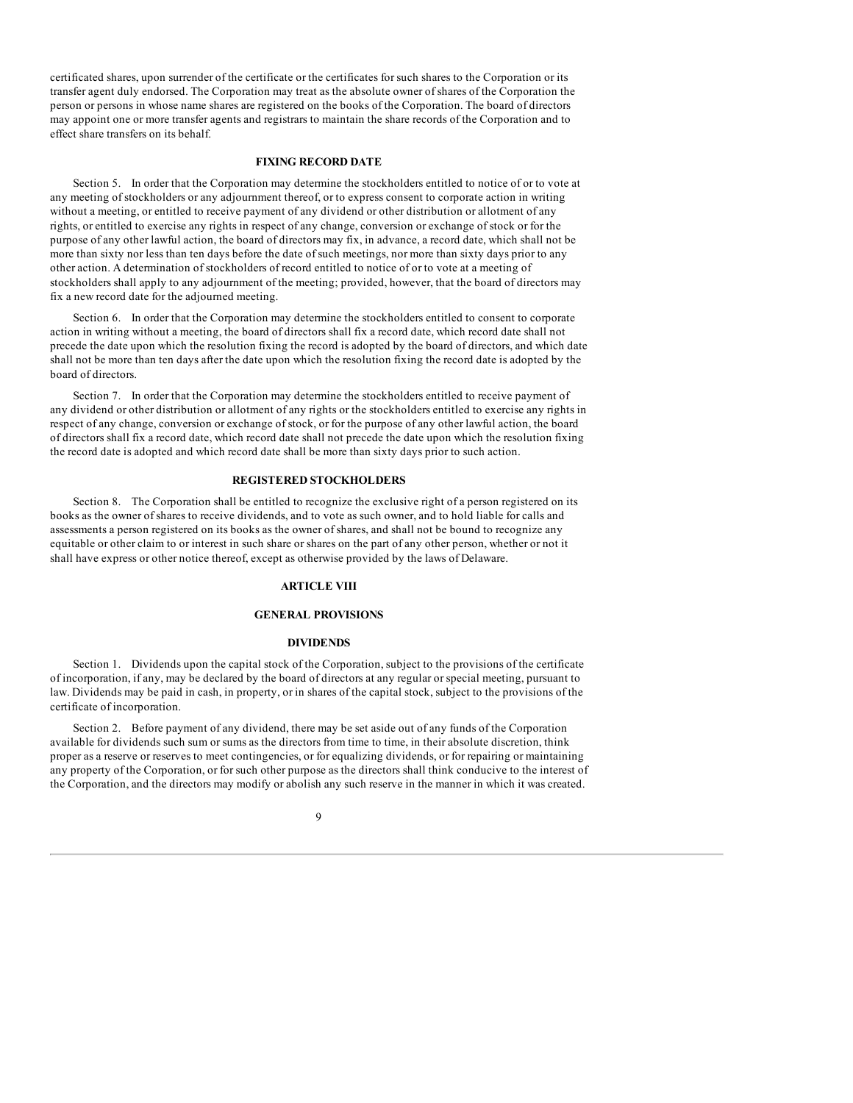certificated shares, upon surrender of the certificate or the certificates for such shares to the Corporation or its transfer agent duly endorsed. The Corporation may treat as the absolute owner of shares of the Corporation the person or persons in whose name shares are registered on the books of the Corporation. The board of directors may appoint one or more transfer agents and registrars to maintain the share records of the Corporation and to effect share transfers on its behalf.

## **FIXING RECORD DATE**

Section 5. In order that the Corporation may determine the stockholders entitled to notice of or to vote at any meeting of stockholders or any adjournment thereof, or to express consent to corporate action in writing without a meeting, or entitled to receive payment of any dividend or other distribution or allotment of any rights, or entitled to exercise any rights in respect of any change, conversion or exchange of stock or for the purpose of any other lawful action, the board of directors may fix, in advance, a record date, which shall not be more than sixty nor less than ten days before the date of such meetings, nor more than sixty days prior to any other action. A determination of stockholders of record entitled to notice of or to vote at a meeting of stockholders shall apply to any adjournment of the meeting; provided, however, that the board of directors may fix a new record date for the adjourned meeting.

Section 6. In order that the Corporation may determine the stockholders entitled to consent to corporate action in writing without a meeting, the board of directors shall fix a record date, which record date shall not precede the date upon which the resolution fixing the record is adopted by the board of directors, and which date shall not be more than ten days after the date upon which the resolution fixing the record date is adopted by the board of directors.

Section 7. In order that the Corporation may determine the stockholders entitled to receive payment of any dividend or other distribution or allotment of any rights or the stockholders entitled to exercise any rights in respect of any change, conversion or exchange of stock, or for the purpose of any other lawful action, the board of directors shall fix a record date, which record date shall not precede the date upon which the resolution fixing the record date is adopted and which record date shall be more than sixty days prior to such action.

## **REGISTERED STOCKHOLDERS**

Section 8. The Corporation shall be entitled to recognize the exclusive right of a person registered on its books as the owner of shares to receive dividends, and to vote as such owner, and to hold liable for calls and assessments a person registered on its books as the owner of shares, and shall not be bound to recognize any equitable or other claim to or interest in such share or shares on the part of any other person, whether or not it shall have express or other notice thereof, except as otherwise provided by the laws of Delaware.

## **ARTICLE VIII**

### **GENERAL PROVISIONS**

### **DIVIDENDS**

Section 1. Dividends upon the capital stock of the Corporation, subject to the provisions of the certificate of incorporation, if any, may be declared by the board of directors at any regular or special meeting, pursuant to law. Dividends may be paid in cash, in property, or in shares of the capital stock, subject to the provisions of the certificate of incorporation.

Section 2. Before payment of any dividend, there may be set aside out of any funds of the Corporation available for dividends such sum or sums as the directors from time to time, in their absolute discretion, think proper as a reserve or reserves to meet contingencies, or for equalizing dividends, or for repairing or maintaining any property of the Corporation, or for such other purpose as the directors shall think conducive to the interest of the Corporation, and the directors may modify or abolish any such reserve in the manner in which it was created.

#### $\overline{Q}$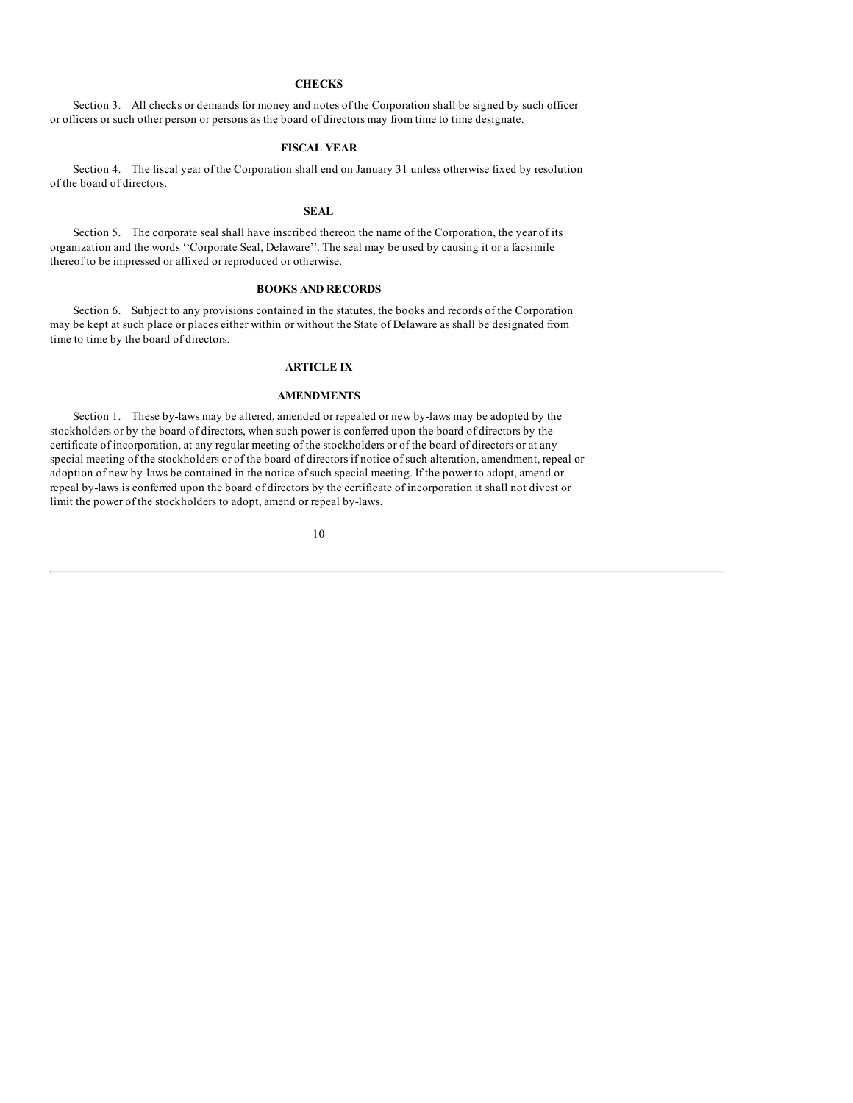## **CHECKS**

Section 3. All checks or demands for money and notes of the Corporation shall be signed by such officer or officers or such other person or persons as the board of directors may from time to time designate.

# **FISCAL YEAR**

Section 4. The fiscal year of the Corporation shall end on January 31 unless otherwise fixed by resolution of the board of directors.

# **SEAL**

Section 5. The corporate seal shall have inscribed thereon the name of the Corporation, the year of its organization and the words ''Corporate Seal, Delaware''. The seal may be used by causing it or a facsimile thereof to be impressed or affixed or reproduced or otherwise.

### **BOOKS AND RECORDS**

Section 6. Subject to any provisions contained in the statutes, the books and records of the Corporation may be kept at such place or places either within or without the State of Delaware as shall be designated from time to time by the board of directors.

## **ARTICLE IX**

### **AMENDMENTS**

Section 1. These by-laws may be altered, amended or repealed or new by-laws may be adopted by the stockholders or by the board of directors, when such power is conferred upon the board of directors by the certificate of incorporation, at any regular meeting of the stockholders or of the board of directors or at any special meeting of the stockholders or of the board of directors if notice of such alteration, amendment, repeal or adoption of new by-laws be contained in the notice of such special meeting. If the power to adopt, amend or repeal by-laws is conferred upon the board of directors by the certificate of incorporation it shall not divest or limit the power of the stockholders to adopt, amend or repeal by-laws.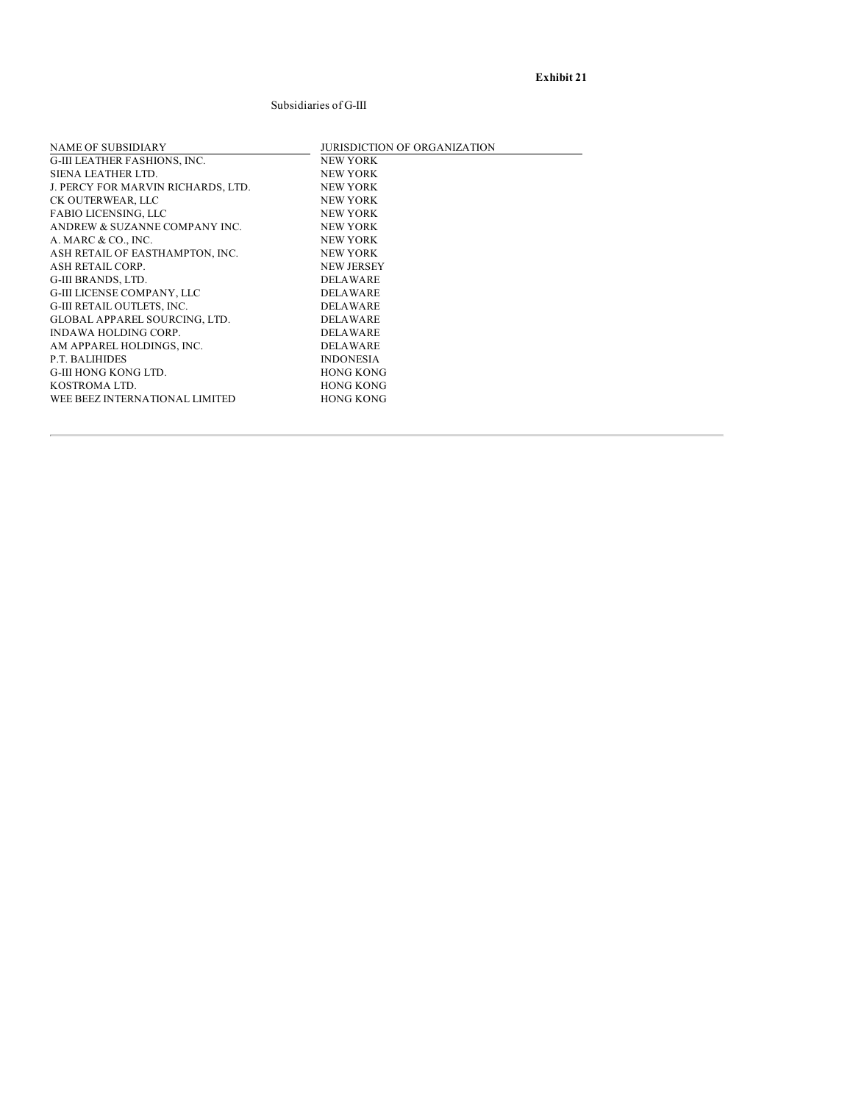**Exhibit 21**

# Subsidiaries of G-III

| <b>NAME OF SUBSIDIARY</b><br><b>G-III LEATHER FASHIONS, INC.</b> | <b>JURISDICTION OF ORGANIZATION</b><br><b>NEW YORK</b> |
|------------------------------------------------------------------|--------------------------------------------------------|
| SIENA LEATHER LTD.                                               | <b>NEW YORK</b>                                        |
| J. PERCY FOR MARVIN RICHARDS, LTD.                               | <b>NEW YORK</b>                                        |
| CK OUTERWEAR, LLC                                                | <b>NEW YORK</b>                                        |
| <b>FABIO LICENSING, LLC</b>                                      | <b>NEW YORK</b>                                        |
| ANDREW & SUZANNE COMPANY INC.                                    | <b>NEW YORK</b>                                        |
| A. MARC & CO., INC.                                              | <b>NEW YORK</b>                                        |
| ASH RETAIL OF EASTHAMPTON, INC.                                  | <b>NEW YORK</b>                                        |
| ASH RETAIL CORP.                                                 | <b>NEW JERSEY</b>                                      |
| G-III BRANDS, LTD.                                               | <b>DELAWARE</b>                                        |
| <b>G-III LICENSE COMPANY, LLC</b>                                | <b>DELAWARE</b>                                        |
| G-III RETAIL OUTLETS, INC.                                       | <b>DELAWARE</b>                                        |
| GLOBAL APPAREL SOURCING, LTD.                                    | <b>DELAWARE</b>                                        |
| <b>INDAWA HOLDING CORP.</b>                                      | <b>DELAWARE</b>                                        |
| AM APPAREL HOLDINGS, INC.                                        | <b>DELAWARE</b>                                        |
| <b>P.T. BALIHIDES</b>                                            | <b>INDONESIA</b>                                       |
| <b>G-III HONG KONG LTD.</b>                                      | <b>HONG KONG</b>                                       |
| KOSTROMA LTD.                                                    | <b>HONG KONG</b>                                       |
| WEE BEEZ INTERNATIONAL LIMITED                                   | <b>HONG KONG</b>                                       |
|                                                                  |                                                        |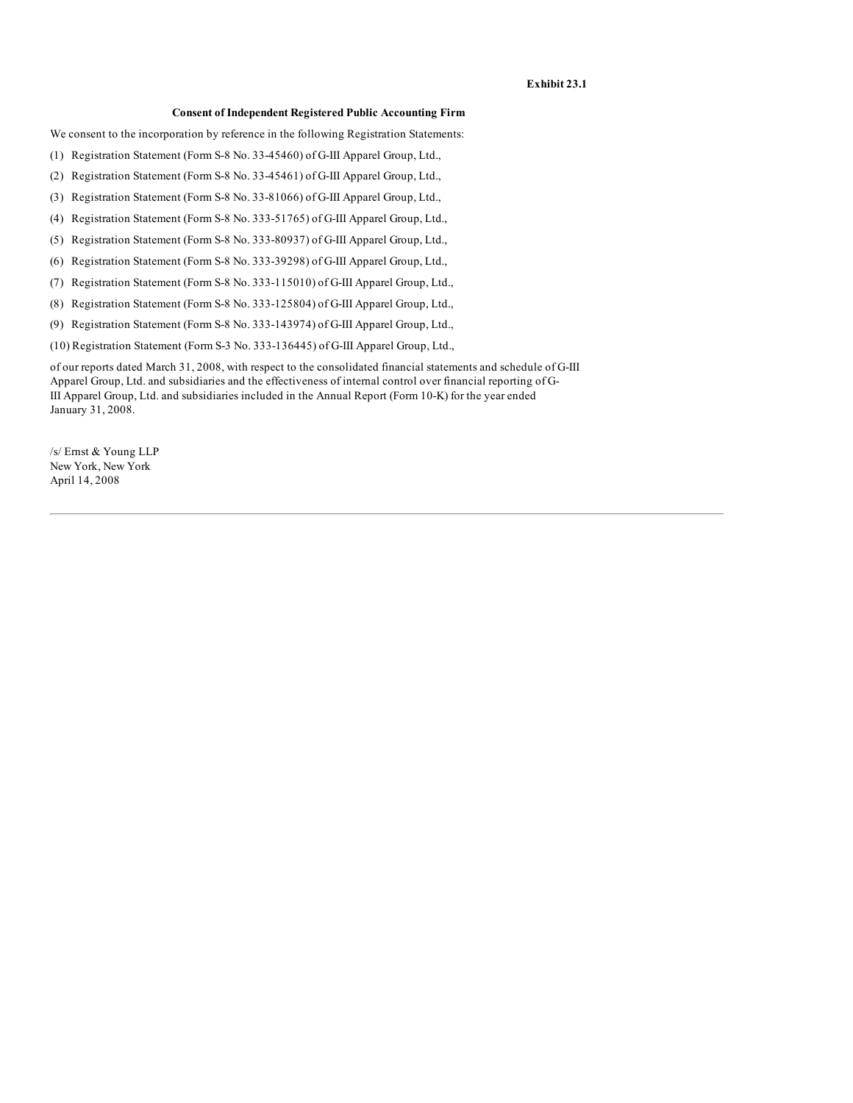## **Exhibit 23.1**

### **Consent of Independent Registered Public Accounting Firm**

We consent to the incorporation by reference in the following Registration Statements:

- (1) Registration Statement (Form S-8 No. 33-45460) of G-III Apparel Group, Ltd.,
- (2) Registration Statement (Form S-8 No. 33-45461) of G-III Apparel Group, Ltd.,
- (3) Registration Statement (Form S-8 No. 33-81066) of G-III Apparel Group, Ltd.,
- (4) Registration Statement (Form S-8 No. 333-51765) of G-III Apparel Group, Ltd.,
- (5) Registration Statement (Form S-8 No. 333-80937) of G-III Apparel Group, Ltd.,
- (6) Registration Statement (Form S-8 No. 333-39298) of G-III Apparel Group, Ltd.,
- (7) Registration Statement (Form S-8 No. 333-115010) of G-III Apparel Group, Ltd.,
- (8) Registration Statement (Form S-8 No. 333-125804) of G-III Apparel Group, Ltd.,
- (9) Registration Statement (Form S-8 No. 333-143974) of G-III Apparel Group, Ltd.,
- (10) Registration Statement (Form S-3 No. 333-136445) of G-III Apparel Group, Ltd.,

of our reports dated March 31, 2008, with respect to the consolidated financial statements and schedule of G-III Apparel Group, Ltd. and subsidiaries and the effectiveness of internal control over financial reporting of G-III Apparel Group, Ltd. and subsidiaries included in the Annual Report (Form 10-K) for the year ended January 31, 2008.

/s/ Ernst & Young LLP New York, New York April 14, 2008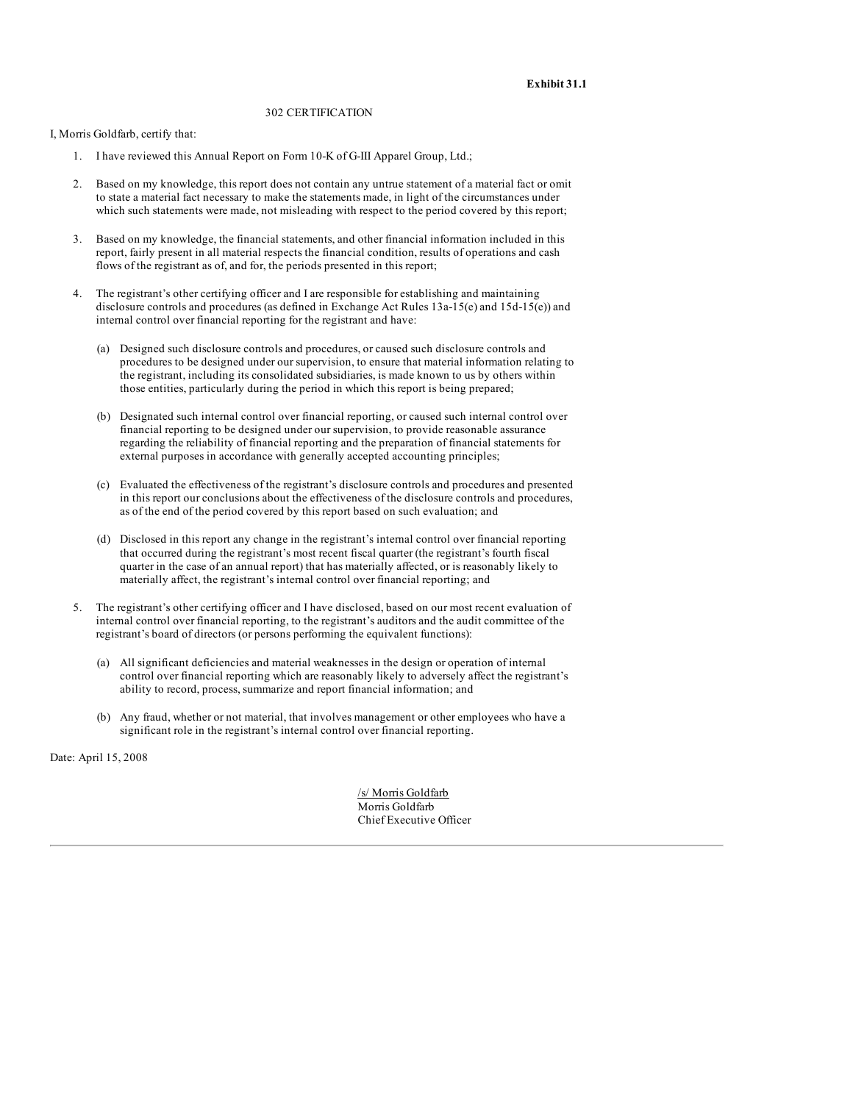## 302 CERTIFICATION

I, Morris Goldfarb, certify that:

- 1. I have reviewed this Annual Report on Form 10-K of G-III Apparel Group, Ltd.;
- 2. Based on my knowledge, this report does not contain any untrue statement of a material fact or omit to state a material fact necessary to make the statements made, in light of the circumstances under which such statements were made, not misleading with respect to the period covered by this report;
- 3. Based on my knowledge, the financial statements, and other financial information included in this report, fairly present in all material respects the financial condition, results of operations and cash flows of the registrant as of, and for, the periods presented in this report;
- The registrant's other certifying officer and I are responsible for establishing and maintaining disclosure controls and procedures (as defined in Exchange Act Rules 13a-15(e) and 15d-15(e)) and internal control over financial reporting for the registrant and have:
	- (a) Designed such disclosure controls and procedures, or caused such disclosure controls and procedures to be designed under our supervision, to ensure that material information relating to the registrant, including its consolidated subsidiaries, is made known to us by others within those entities, particularly during the period in which this report is being prepared;
	- (b) Designated such internal control over financial reporting, or caused such internal control over financial reporting to be designed under our supervision, to provide reasonable assurance regarding the reliability of financial reporting and the preparation of financial statements for external purposes in accordance with generally accepted accounting principles;
	- (c) Evaluated the effectiveness of the registrant's disclosure controls and procedures and presented in this report our conclusions about the effectiveness of the disclosure controls and procedures, as of the end of the period covered by this report based on such evaluation; and
	- (d) Disclosed in this report any change in the registrant's internal control over financial reporting that occurred during the registrant's most recent fiscal quarter (the registrant's fourth fiscal quarter in the case of an annual report) that has materially affected, or is reasonably likely to materially affect, the registrant's internal control over financial reporting; and
- 5. The registrant's other certifying officer and I have disclosed, based on our most recent evaluation of internal control over financial reporting, to the registrant's auditors and the audit committee of the registrant's board of directors (or persons performing the equivalent functions):
	- (a) All significant deficiencies and material weaknesses in the design or operation of internal control over financial reporting which are reasonably likely to adversely affect the registrant's ability to record, process, summarize and report financial information; and
	- (b) Any fraud, whether or not material, that involves management or other employees who have a significant role in the registrant's internal control over financial reporting.

Date: April 15, 2008

/s/ Morris Goldfarb Morris Goldfarb Chief Executive Officer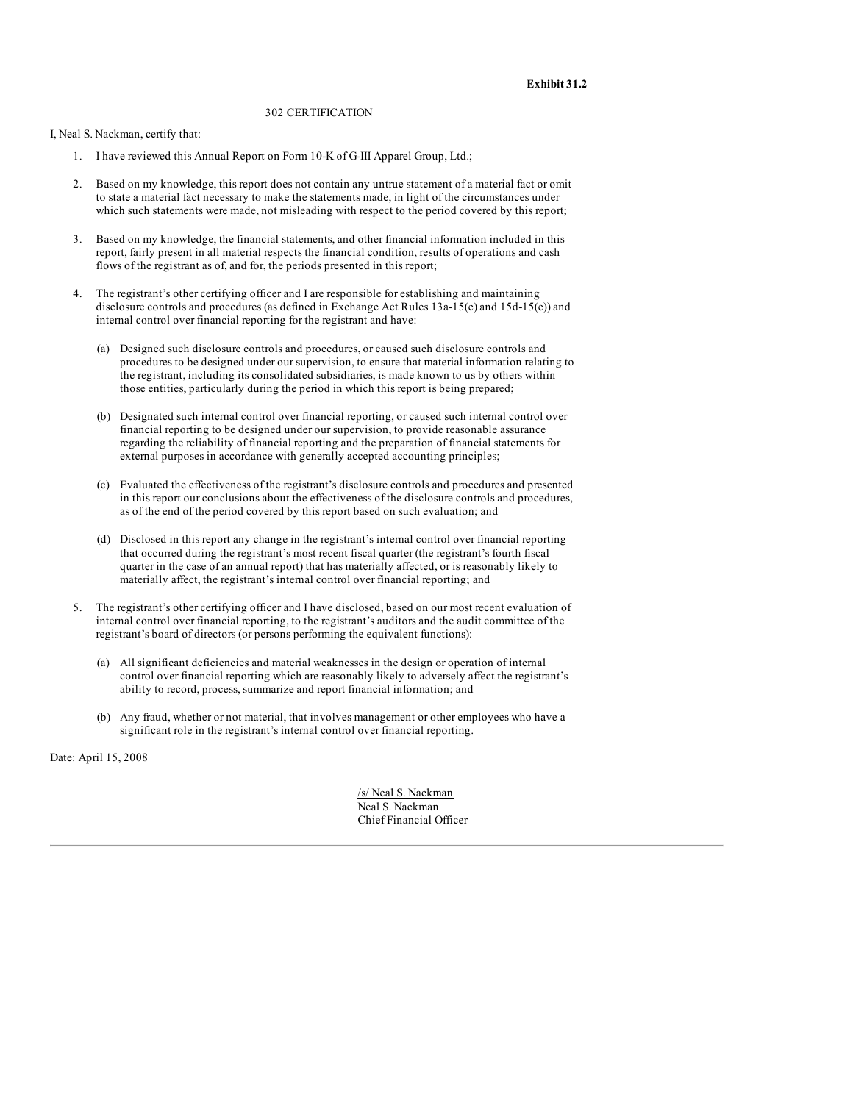## 302 CERTIFICATION

I, Neal S. Nackman, certify that:

- 1. I have reviewed this Annual Report on Form 10-K of G-III Apparel Group, Ltd.;
- 2. Based on my knowledge, this report does not contain any untrue statement of a material fact or omit to state a material fact necessary to make the statements made, in light of the circumstances under which such statements were made, not misleading with respect to the period covered by this report;
- 3. Based on my knowledge, the financial statements, and other financial information included in this report, fairly present in all material respects the financial condition, results of operations and cash flows of the registrant as of, and for, the periods presented in this report;
- The registrant's other certifying officer and I are responsible for establishing and maintaining disclosure controls and procedures (as defined in Exchange Act Rules 13a-15(e) and 15d-15(e)) and internal control over financial reporting for the registrant and have:
	- (a) Designed such disclosure controls and procedures, or caused such disclosure controls and procedures to be designed under our supervision, to ensure that material information relating to the registrant, including its consolidated subsidiaries, is made known to us by others within those entities, particularly during the period in which this report is being prepared;
	- (b) Designated such internal control over financial reporting, or caused such internal control over financial reporting to be designed under our supervision, to provide reasonable assurance regarding the reliability of financial reporting and the preparation of financial statements for external purposes in accordance with generally accepted accounting principles;
	- (c) Evaluated the effectiveness of the registrant's disclosure controls and procedures and presented in this report our conclusions about the effectiveness of the disclosure controls and procedures, as of the end of the period covered by this report based on such evaluation; and
	- (d) Disclosed in this report any change in the registrant's internal control over financial reporting that occurred during the registrant's most recent fiscal quarter (the registrant's fourth fiscal quarter in the case of an annual report) that has materially affected, or is reasonably likely to materially affect, the registrant's internal control over financial reporting; and
- 5. The registrant's other certifying officer and I have disclosed, based on our most recent evaluation of internal control over financial reporting, to the registrant's auditors and the audit committee of the registrant's board of directors (or persons performing the equivalent functions):
	- (a) All significant deficiencies and material weaknesses in the design or operation of internal control over financial reporting which are reasonably likely to adversely affect the registrant's ability to record, process, summarize and report financial information; and
	- (b) Any fraud, whether or not material, that involves management or other employees who have a significant role in the registrant's internal control over financial reporting.

Date: April 15, 2008

/s/ Neal S. Nackman Neal S. Nackman Chief Financial Officer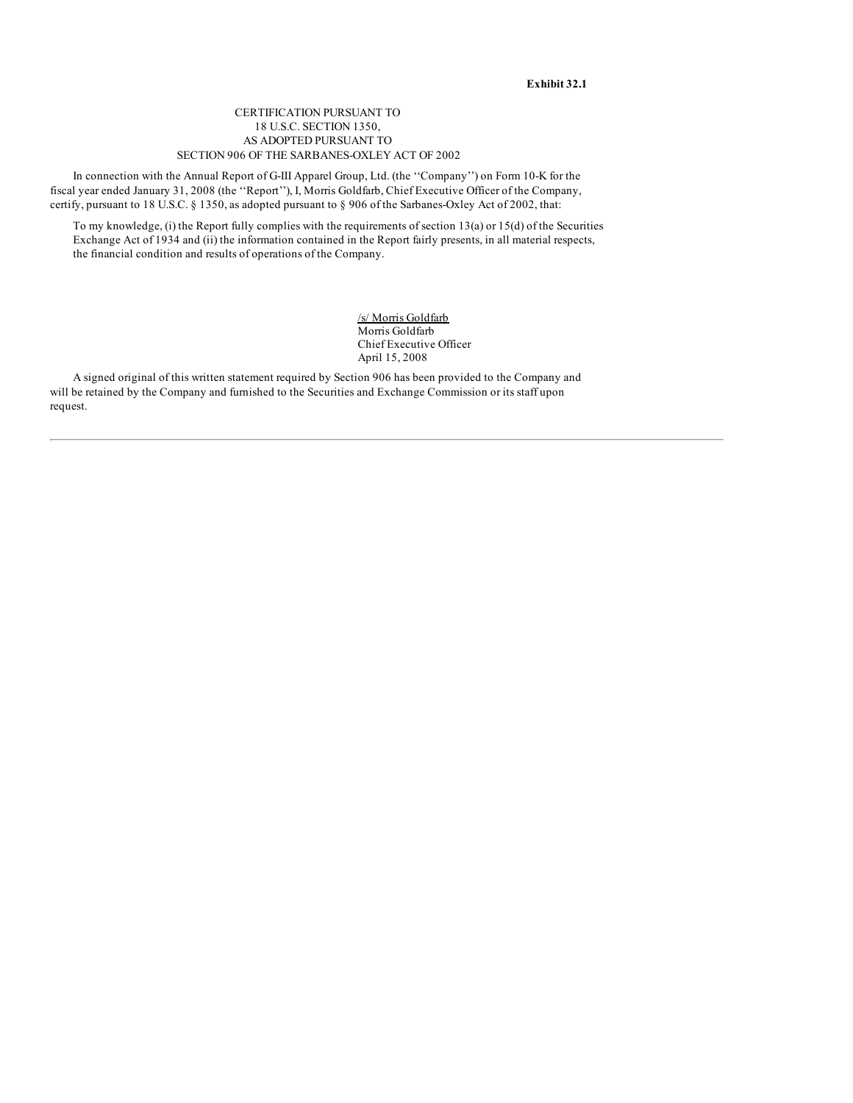**Exhibit 32.1**

## CERTIFICATION PURSUANT TO 18 U.S.C. SECTION 1350, AS ADOPTED PURSUANT TO SECTION 906 OF THE SARBANES-OXLEY ACT OF 2002

In connection with the Annual Report of G-III Apparel Group, Ltd. (the ''Company'') on Form 10-K for the fiscal year ended January 31, 2008 (the ''Report''), I, Morris Goldfarb, Chief Executive Officer of the Company, certify, pursuant to 18 U.S.C. § 1350, as adopted pursuant to § 906 of the Sarbanes-Oxley Act of 2002, that:

To my knowledge, (i) the Report fully complies with the requirements of section  $13(a)$  or  $15(d)$  of the Securities Exchange Act of 1934 and (ii) the information contained in the Report fairly presents, in all material respects, the financial condition and results of operations of the Company.

> /s/ Morris Goldfarb Morris Goldfarb Chief Executive Officer April 15, 2008

A signed original of this written statement required by Section 906 has been provided to the Company and will be retained by the Company and furnished to the Securities and Exchange Commission or its staff upon request.